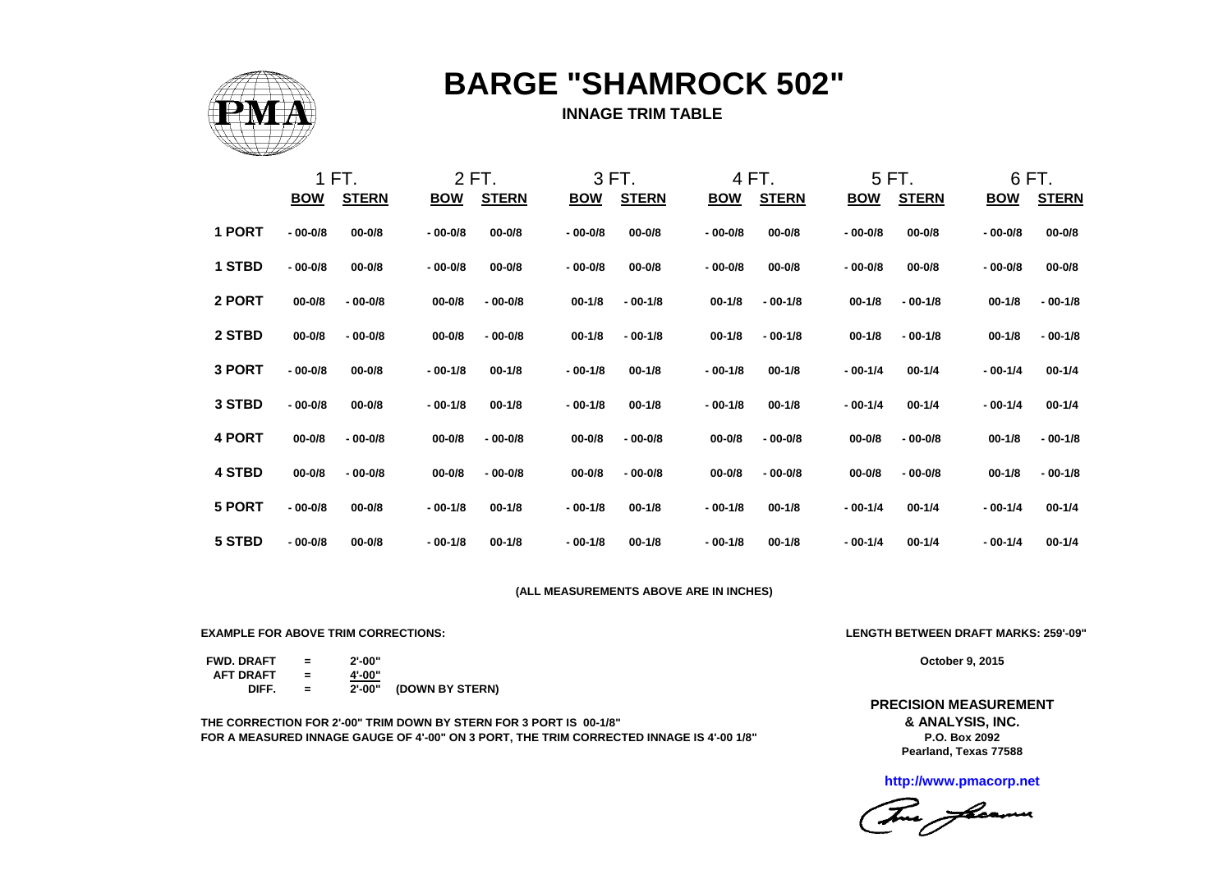

# **BARGE "SHAMROCK 502"**

#### **INNAGE TRIM TABLE**

|               |             | 1 FT.        |            | 2 FT.        |             | 3 FT.        |             | 4 FT.        |            | 5 FT.        |             | 6 FT.        |
|---------------|-------------|--------------|------------|--------------|-------------|--------------|-------------|--------------|------------|--------------|-------------|--------------|
|               | <b>BOW</b>  | <b>STERN</b> | <u>BOW</u> | <b>STERN</b> | <u>BOW</u>  | <b>STERN</b> | <u>BOW</u>  | <b>STERN</b> | <u>BOW</u> | <b>STERN</b> | <b>BOW</b>  | <b>STERN</b> |
| 1 PORT        | $-00 - 0/8$ | $00 - 0/8$   | $-00-0/8$  | $00 - 0/8$   | $-00 - 0/8$ | $00 - 0/8$   | $-00 - 0/8$ | $00 - 0/8$   | $-00-0/8$  | $00 - 0/8$   | $-00 - 0/8$ | $00 - 0/8$   |
| 1 STBD        | $-00 - 0/8$ | $00 - 0/8$   | $-00-0/8$  | $00 - 0/8$   | $-00 - 0/8$ | $00 - 0/8$   | $-00 - 0/8$ | $00 - 0/8$   | $-00-0/8$  | $00 - 0/8$   | $-00 - 0/8$ | $00 - 0/8$   |
| 2 PORT        | $00 - 0/8$  | $-00 - 0/8$  | $00 - 0/8$ | $-00 - 0/8$  | $00 - 1/8$  | $-00-1/8$    | $00 - 1/8$  | $-00-1/8$    | $00 - 1/8$ | $-00-1/8$    | $00 - 1/8$  | $-00-1/8$    |
| 2 STBD        | $00 - 0/8$  | $-00 - 0/8$  | $00 - 0/8$ | $-00 - 0/8$  | $00 - 1/8$  | $-00-1/8$    | $00 - 1/8$  | $-00-1/8$    | $00 - 1/8$ | $-00-1/8$    | $00 - 1/8$  | $-00-1/8$    |
| 3 PORT        | $-00 - 0/8$ | $00 - 0/8$   | $-00-1/8$  | $00 - 1/8$   | $-00-1/8$   | $00 - 1/8$   | $-00-1/8$   | $00 - 1/8$   | $-00-1/4$  | $00 - 1/4$   | $-00-1/4$   | $00 - 1/4$   |
| 3 STBD        | $-00-0/8$   | $00 - 0/8$   | $-00-1/8$  | $00 - 1/8$   | $-00-1/8$   | $00 - 1/8$   | $-00-1/8$   | $00 - 1/8$   | $-00-1/4$  | $00 - 1/4$   | $-00-1/4$   | $00 - 1/4$   |
| 4 PORT        | $00 - 0/8$  | $-00 - 0/8$  | $00 - 0/8$ | $-00 - 0/8$  | $00 - 0/8$  | $-00 - 0/8$  | $00 - 0/8$  | $-00 - 0/8$  | $00 - 0/8$ | $-00 - 0/8$  | $00 - 1/8$  | $-00-1/8$    |
| <b>4 STBD</b> | $00 - 0/8$  | $-00 - 0/8$  | $00 - 0/8$ | $-00 - 0/8$  | $00 - 0/8$  | $-00 - 0/8$  | $00 - 0/8$  | $-00 - 0/8$  | $00 - 0/8$ | $-00 - 0/8$  | $00 - 1/8$  | $-00-1/8$    |
| 5 PORT        | $-00-0/8$   | $00 - 0/8$   | $-00-1/8$  | $00 - 1/8$   | $-00-1/8$   | $00 - 1/8$   | $-00-1/8$   | $00 - 1/8$   | $-00-1/4$  | $00 - 1/4$   | $-00-1/4$   | $00 - 1/4$   |
| 5 STBD        | $-00 - 0/8$ | $00 - 0/8$   | $-00-1/8$  | $00 - 1/8$   | $-00-1/8$   | $00 - 1/8$   | $-00-1/8$   | $00 - 1/8$   | $-00-1/4$  | $00 - 1/4$   | $-00-1/4$   | $00 - 1/4$   |

#### **(ALL MEASUREMENTS ABOVE ARE IN INCHES)**

**EXAMPLE FOR ABOVE TRIM CORRECTIONS: LENGTH BETWEEN DRAFT MARKS: 259'-09"**

**FWD. DRAFT = 2'-00" AFT DRAFT = 4'-00" DIFF. = 2'-00" (DOWN BY STERN)**

**THE CORRECTION FOR 2'-00" TRIM DOWN BY STERN FOR 3 PORT IS 00-1/8" FOR A MEASURED INNAGE GAUGE OF 4'-00" ON 3 PORT, THE TRIM CORRECTED INNAGE IS 4'-00 1/8"**

**October 9, 2015**

**& ANALYSIS, INC. P.O. Box 2092 PRECISION MEASUREMENT Pearland, Texas 77588**

**http://www.pmacorp.net**

This fleamer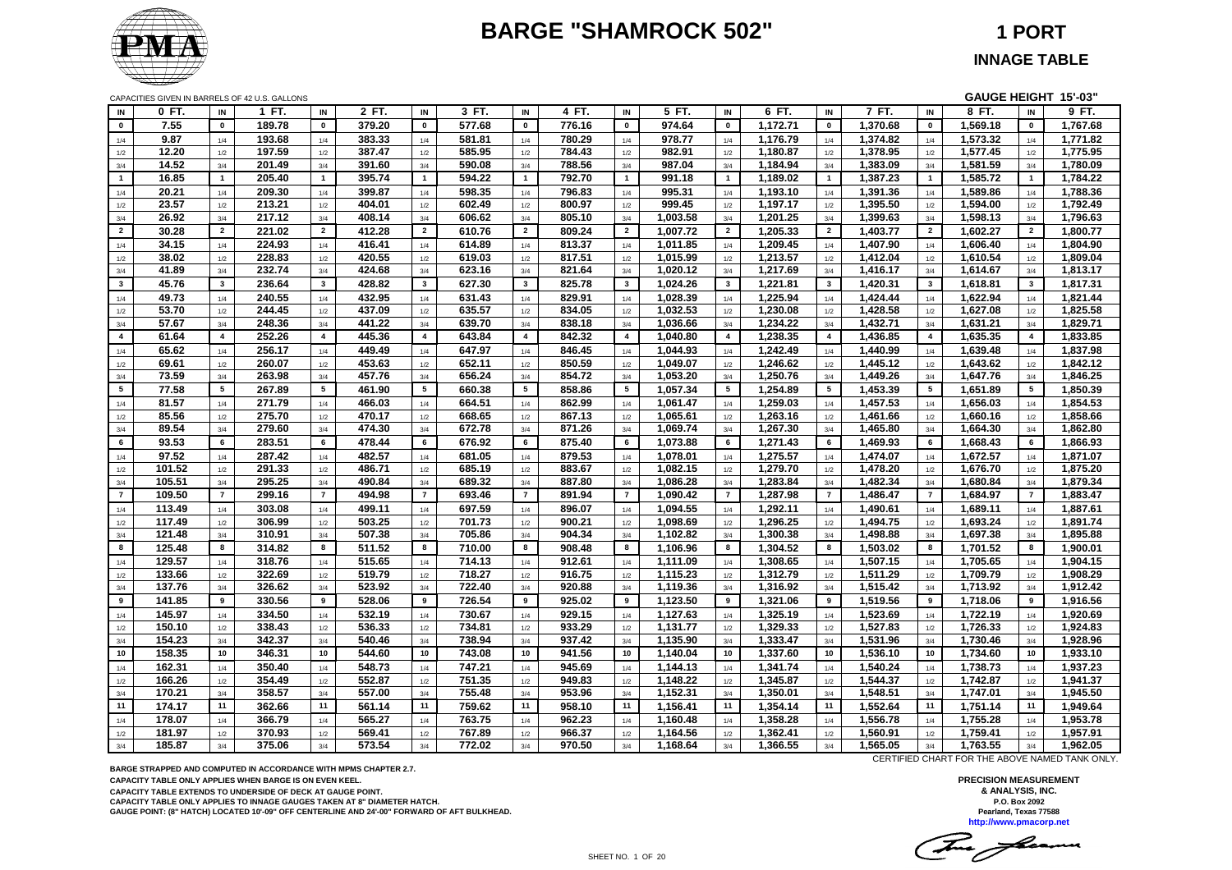# **BARGE "SHAMROCK 502" 1 PORT**



CAPACITIES GIVEN IN BARRELS OF 42 U.S. GALLONS **GAUGE HEIGHT 15'-03"**

| IN              | 0 FT.  | IN             | 1 FT.<br>IN              | 2 FT.  | IN             | 3 FT.  | IN              | 4 FT.  | IN                      | 5 FT.    | IN                 | 6 FT.    | IN             | 7 FT.    | IN             | 8 FT.    | IN                      | 9 FT.    |
|-----------------|--------|----------------|--------------------------|--------|----------------|--------|-----------------|--------|-------------------------|----------|--------------------|----------|----------------|----------|----------------|----------|-------------------------|----------|
| $\mathbf 0$     | 7.55   | $\mathbf 0$    | 189.78<br>$\mathbf 0$    | 379.20 | $\mathbf 0$    | 577.68 | $\mathbf 0$     | 776.16 | $\pmb{0}$               | 974.64   | $\pmb{\mathsf{o}}$ | 1,172.71 | $\pmb{0}$      | 1,370.68 | $\mathbf 0$    | 1.569.18 | $\pmb{0}$               | 1,767.68 |
| 1/4             | 9.87   | 1/4            | 193.68<br>1/4            | 383.33 | 1/4            | 581.81 | 1/4             | 780.29 | 1/4                     | 978.77   | 1/4                | 1,176.79 | 1/4            | 1,374.82 | $1/4\,$        | 1,573.32 | 1/4                     | 1,771.82 |
| 1/2             | 12.20  | 1/2            | 197.59<br>1/2            | 387.47 | 1/2            | 585.95 | 1/2             | 784.43 | 1/2                     | 982.91   | 1/2                | 1,180.87 | 1/2            | 1,378.95 | 1/2            | 1,577.45 | 1/2                     | 1,775.95 |
| 3/4             | 14.52  | 3/4            | 201.49<br>3/4            | 391.60 | 3/4            | 590.08 | 3/4             | 788.56 | 3/4                     | 987.04   | 3/4                | 1,184.94 | 3/4            | 1,383.09 | 3/4            | 1,581.59 | 3/4                     | 1,780.09 |
| $\mathbf{1}$    | 16.85  | $\mathbf{1}$   | 205.40<br>$\overline{1}$ | 395.74 | $\overline{1}$ | 594.22 | $\overline{1}$  | 792.70 | $\mathbf{1}$            | 991.18   | $\mathbf{1}$       | 1,189.02 | $\mathbf{1}$   | 1,387.23 | $\overline{1}$ | 1,585.72 | $\overline{1}$          | 1,784.22 |
| 1/4             | 20.21  | 1/4            | 209.30<br>1/4            | 399.87 | 1/4            | 598.35 | 1/4             | 796.83 | 1/4                     | 995.31   | 1/4                | 1,193.10 | 1/4            | 1,391.36 | 1/4            | 1,589.86 | 1/4                     | 1,788.36 |
| 1/2             | 23.57  | 1/2            | 213.21<br>1/2            | 404.01 | 1/2            | 602.49 | 1/2             | 800.97 | 1/2                     | 999.45   | 1/2                | 1,197.17 | 1/2            | 1,395.50 | 1/2            | 1,594.00 | 1/2                     | 1,792.49 |
| 3/4             | 26.92  | 3/4            | 217.12<br>3/4            | 408.14 | 3/4            | 606.62 | 3/4             | 805.10 | 3/4                     | 1,003.58 | 3/4                | 1,201.25 | 3/4            | 1,399.63 | 3/4            | 1,598.13 | 3/4                     | 1,796.63 |
| $\overline{2}$  | 30.28  | $\overline{2}$ | 221.02<br>$\overline{2}$ | 412.28 | $\overline{2}$ | 610.76 | $\overline{2}$  | 809.24 | $\overline{2}$          | 1,007.72 | $\overline{2}$     | 1,205.33 | $\overline{2}$ | 1,403.77 | $\overline{2}$ | 1,602.27 | $\overline{2}$          | 1,800.77 |
| 1/4             | 34.15  | 1/4            | 224.93<br>1/4            | 416.41 | 1/4            | 614.89 | 1/4             | 813.37 | 1/4                     | 1,011.85 | 1/4                | 1,209.45 | 1/4            | 1,407.90 | 1/4            | 1,606.40 | 1/4                     | 1,804.90 |
| $1/2\,$         | 38.02  | 1/2            | 228.83<br>1/2            | 420.55 | 1/2            | 619.03 | 1/2             | 817.51 | 1/2                     | 1,015.99 | 1/2                | 1,213.57 | 1/2            | 1,412.04 | 1/2            | 1,610.54 | 1/2                     | 1,809.04 |
| 3/4             | 41.89  | 3/4            | 232.74<br>3/4            | 424.68 | 3/4            | 623.16 | 3/4             | 821.64 | 3/4                     | 1,020.12 | 3/4                | 1,217.69 | 3/4            | 1,416.17 | 3/4            | 1,614.67 | 3/4                     | 1,813.17 |
| $3^{\circ}$     | 45.76  | $\mathbf{3}$   | 236.64<br>$\mathbf{3}$   | 428.82 | $\mathbf{3}$   | 627.30 | $\mathbf{3}$    | 825.78 | $\overline{\mathbf{3}}$ | 1,024.26 | $\mathbf{3}$       | 1,221.81 | $\mathbf{3}$   | 1,420.31 | $\mathbf{3}$   | 1,618.81 | $\overline{\mathbf{3}}$ | 1,817.31 |
| 1/4             | 49.73  | 1/4            | 240.55<br>1/4            | 432.95 | 1/4            | 631.43 | 1/4             | 829.91 | 1/4                     | 1,028.39 | 1/4                | 1,225.94 | 1/4            | 1,424.44 | 1/4            | 1.622.94 | 1/4                     | 1,821.44 |
| $1/2\,$         | 53.70  | 1/2            | 244.45<br>1/2            | 437.09 | 1/2            | 635.57 | 1/2             | 834.05 | 1/2                     | 1,032.53 | 1/2                | 1,230.08 | 1/2            | 1,428.58 | 1/2            | 1,627.08 | 1/2                     | 1,825.58 |
| 3/4             | 57.67  | 3/4            | 248.36<br>3/4            | 441.22 | 3/4            | 639.70 | 3/4             | 838.18 | 3/4                     | 1,036.66 | 3/4                | 1,234.22 | 3/4            | 1,432.71 | 3/4            | 1,631.21 | 3/4                     | 1,829.71 |
| $\overline{4}$  | 61.64  | $\overline{4}$ | 252.26<br>$\overline{4}$ | 445.36 | $\overline{4}$ | 643.84 | $\overline{4}$  | 842.32 | $\overline{4}$          | 1,040.80 | 4                  | 1,238.35 | $\overline{4}$ | 1,436.85 | $\overline{4}$ | 1,635.35 | $\overline{4}$          | 1,833.85 |
|                 | 65.62  |                | 256.17                   | 449.49 |                | 647.97 |                 | 846.45 |                         | 1.044.93 |                    | 1,242.49 |                | 1.440.99 |                | 1,639.48 |                         | 1,837.98 |
| 1/4             | 69.61  | 1/4            | 1/4<br>260.07<br>1/2     | 453.63 | 1/4            | 652.11 | 1/4<br>1/2      | 850.59 | 1/4<br>1/2              | 1,049.07 | 1/4                | 1,246.62 | 1/4<br>1/2     | 1,445.12 | 1/4            | 1,643.62 | 1/4<br>1/2              | 1,842.12 |
| 1/2             | 73.59  | 1/2<br>3/4     | 263.98<br>3/4            | 457.76 | 1/2<br>3/4     | 656.24 | 3/4             | 854.72 | 3/4                     | 1,053.20 | 1/2<br>3/4         | 1,250.76 | 3/4            | 1,449.26 | 1/2            | 1,647.76 | 3/4                     | 1,846.25 |
| 3/4             |        |                |                          |        |                |        |                 |        |                         |          |                    |          |                |          | 3/4            |          |                         |          |
| $5\phantom{.0}$ | 77.58  | 5              | 267.89<br>5              | 461.90 | 5              | 660.38 | $5\phantom{.0}$ | 858.86 | 5                       | 1,057.34 | 5                  | 1,254.89 | 5              | 1,453.39 | 5              | 1,651.89 | 5                       | 1,850.39 |
| 1/4             | 81.57  | 1/4            | 271.79<br>1/4            | 466.03 | 1/4            | 664.51 | 1/4             | 862.99 | 1/4                     | 1.061.47 | 1/4                | 1.259.03 | 1/4            | 1.457.53 | 1/4            | 1.656.03 | 1/4                     | 1.854.53 |
| 1/2             | 85.56  | 1/2            | 275.70<br>1/2            | 470.17 | 1/2            | 668.65 | 1/2             | 867.13 | 1/2                     | 1,065.61 | 1/2                | 1,263.16 | 1/2            | 1,461.66 | 1/2            | 1,660.16 | 1/2                     | 1,858.66 |
| 3/4             | 89.54  | 3/4            | 279.60<br>3/4            | 474.30 | 3/4            | 672.78 | 3/4             | 871.26 | 3/4                     | 1,069.74 | 3/4                | 1,267.30 | 3/4            | 1,465.80 | 3/4            | 1,664.30 | 3/4                     | 1,862.80 |
| 6               | 93.53  | 6              | 283.51<br>6              | 478.44 | 6              | 676.92 | 6               | 875.40 | 6                       | 1,073.88 | 6                  | 1,271.43 | 6              | 1,469.93 | 6              | 1,668.43 | 6                       | 1,866.93 |
| 1/4             | 97.52  | 1/4            | 287.42<br>1/4            | 482.57 | 1/4            | 681.05 | 1/4             | 879.53 | 1/4                     | 1,078.01 | 1/4                | 1,275.57 | 1/4            | 1,474.07 | 1/4            | 1,672.57 | 1/4                     | 1,871.07 |
| 1/2             | 101.52 | 1/2            | 291.33<br>1/2            | 486.71 | 1/2            | 685.19 | 1/2             | 883.67 | 1/2                     | 1,082.15 | 1/2                | 1,279.70 | 1/2            | 1,478.20 | 1/2            | 1,676.70 | 1/2                     | 1,875.20 |
| 3/4             | 105.51 | 3/4            | 295.25<br>3/4            | 490.84 | 3/4            | 689.32 | 3/4             | 887.80 | 3/4                     | 1,086.28 | 3/4                | 1,283.84 | 3/4            | 1,482.34 | 3/4            | 1,680.84 | 3/4                     | 1,879.34 |
| $\overline{7}$  | 109.50 | $\overline{7}$ | $\overline{7}$<br>299.16 | 494.98 | $\overline{7}$ | 693.46 | $\overline{7}$  | 891.94 | $\overline{7}$          | 1,090.42 | $\overline{7}$     | 1,287.98 | $\overline{7}$ | 1,486.47 | $\overline{7}$ | 1,684.97 | $\overline{7}$          | 1,883.47 |
| 1/4             | 113.49 | 1/4            | 303.08<br>1/4            | 499.11 | 1/4            | 697.59 | 1/4             | 896.07 | 1/4                     | 1,094.55 | 1/4                | 1,292.11 | 1/4            | 1,490.61 | 1/4            | 1,689.11 | 1/4                     | 1,887.61 |
| 1/2             | 117.49 | 1/2            | 306.99<br>1/2            | 503.25 | 1/2            | 701.73 | 1/2             | 900.21 | 1/2                     | 1,098.69 | 1/2                | 1,296.25 | 1/2            | 1,494.75 | 1/2            | 1,693.24 | 1/2                     | 1,891.74 |
| 3/4             | 121.48 | 3/4            | 310.91<br>3/4            | 507.38 | 3/4            | 705.86 | 3/4             | 904.34 | 3/4                     | 1,102.82 | 3/4                | 1,300.38 | 3/4            | 1,498.88 | 3/4            | 1,697.38 | 3/4                     | 1,895.88 |
| 8               | 125.48 | 8              | 314.82<br>8              | 511.52 | 8              | 710.00 | 8               | 908.48 | 8                       | 1,106.96 | 8                  | 1,304.52 | 8              | 1,503.02 | 8              | 1,701.52 | 8                       | 1,900.01 |
| 1/4             | 129.57 | 1/4            | 318.76<br>1/4            | 515.65 | 1/4            | 714.13 | 1/4             | 912.61 | 1/4                     | 1,111.09 | 1/4                | 1,308.65 | 1/4            | 1,507.15 | 1/4            | 1,705.65 | 1/4                     | 1,904.15 |
| 1/2             | 133.66 | 1/2            | 322.69<br>1/2            | 519.79 | 1/2            | 718.27 | 1/2             | 916.75 | 1/2                     | 1,115.23 | 1/2                | 1,312.79 | 1/2            | 1,511.29 | 1/2            | 1,709.79 | 1/2                     | 1,908.29 |
| 3/4             | 137.76 | 3/4            | 326.62<br>3/4            | 523.92 | 3/4            | 722.40 | 3/4             | 920.88 | 3/4                     | 1,119.36 | 3/4                | 1,316.92 | 3/4            | 1,515.42 | 3/4            | 1,713.92 | 3/4                     | 1,912.42 |
| 9               | 141.85 | 9              | 330.56<br>9              | 528.06 | 9              | 726.54 | 9               | 925.02 | 9                       | 1,123.50 | 9                  | 1,321.06 | 9              | 1,519.56 | 9              | 1,718.06 | 9                       | 1,916.56 |
| 1/4             | 145.97 | 1/4            | 334.50<br>1/4            | 532.19 | 1/4            | 730.67 | 1/4             | 929.15 | 1/4                     | 1,127.63 | 1/4                | 1,325.19 | 1/4            | 1,523.69 | 1/4            | 1,722.19 | 1/4                     | 1,920.69 |
| 1/2             | 150.10 | 1/2            | 338.43<br>1/2            | 536.33 | 1/2            | 734.81 | 1/2             | 933.29 | 1/2                     | 1,131.77 | 1/2                | 1,329.33 | 1/2            | 1,527.83 | 1/2            | 1,726.33 | 1/2                     | 1,924.83 |
| 3/4             | 154.23 | 3/4            | 342.37<br>3/4            | 540.46 | 3/4            | 738.94 | 3/4             | 937.42 | 3/4                     | 1,135.90 | 3/4                | 1,333.47 | 3/4            | 1,531.96 | 3/4            | 1,730.46 | 3/4                     | 1,928.96 |
| 10              | 158.35 | 10             | 346.31<br>10             | 544.60 | 10             | 743.08 | 10              | 941.56 | 10                      | 1.140.04 | 10                 | 1,337.60 | 10             | 1,536.10 | 10             | 1,734.60 | 10                      | 1,933.10 |
| 1/4             | 162.31 | 1/4            | 350.40<br>1/4            | 548.73 | 1/4            | 747.21 | 1/4             | 945.69 | 1/4                     | 1,144.13 | 1/4                | 1,341.74 | 1/4            | 1,540.24 | 1/4            | 1,738.73 | 1/4                     | 1,937.23 |
| 1/2             | 166.26 | 1/2            | 354.49<br>1/2            | 552.87 | 1/2            | 751.35 | 1/2             | 949.83 | 1/2                     | 1,148.22 | 1/2                | 1,345.87 | 1/2            | 1,544.37 | 1/2            | 1,742.87 | 1/2                     | 1,941.37 |
| $3/4$           | 170.21 | 3/4            | 358.57<br>3/4            | 557.00 | 3/4            | 755.48 | 3/4             | 953.96 | 3/4                     | 1,152.31 | 3/4                | 1,350.01 | 3/4            | 1,548.51 | 3/4            | 1,747.01 | 3/4                     | 1,945.50 |
| 11              | 174.17 | 11             | 362.66<br>11             | 561.14 | 11             | 759.62 | 11              | 958.10 | 11                      | 1,156.41 | 11                 | 1,354.14 | 11             | 1.552.64 | 11             | 1,751.14 | 11                      | 1,949.64 |
| 1/4             | 178.07 | 1/4            | 366.79<br>1/4            | 565.27 | 1/4            | 763.75 | 1/4             | 962.23 | 1/4                     | 1,160.48 | 1/4                | 1,358.28 | 1/4            | 1,556.78 | 1/4            | 1,755.28 | 1/4                     | 1,953.78 |
| 1/2             | 181.97 | 1/2            | 370.93<br>1/2            | 569.41 | 1/2            | 767.89 | 1/2             | 966.37 | 1/2                     | 1,164.56 | 1/2                | 1,362.41 | 1/2            | 1,560.91 | 1/2            | 1,759.41 | 1/2                     | 1,957.91 |
| 3/4             | 185.87 | 3/4            | 375.06<br>3/4            | 573.54 | 3/4            | 772.02 | 3/4             | 970.50 | 3/4                     | 1,168.64 | 3/4                | 1,366.55 | 3/4            | 1,565.05 | 3/4            | 1,763.55 | 3/4                     | 1,962.05 |
|                 |        |                |                          |        |                |        |                 |        |                         |          |                    |          |                |          |                |          |                         |          |

**BARGE STRAPPED AND COMPUTED IN ACCORDANCE WITH MPMS CHAPTER 2.7.**

**CAPACITY TABLE ONLY APPLIES WHEN BARGE IS ON EVEN KEEL.**

**CAPACITY TABLE EXTENDS TO UNDERSIDE OF DECK AT GAUGE POINT.**

**CAPACITY TABLE ONLY APPLIES TO INNAGE GAUGES TAKEN AT 8" DIAMETER HATCH.**

**GAUGE POINT: (8" HATCH) LOCATED 10'-09" OFF CENTERLINE AND 24'-00" FORWARD OF AFT BULKHEAD.**

CERTIFIED CHART FOR THE ABOVE NAMED TANK ONLY.

**PRECISION MEASUREMENT & ANALYSIS, INC. P.O. Box 2092 Pearland, Texas 77588 http://www.pmacorp.net**

Tue flamm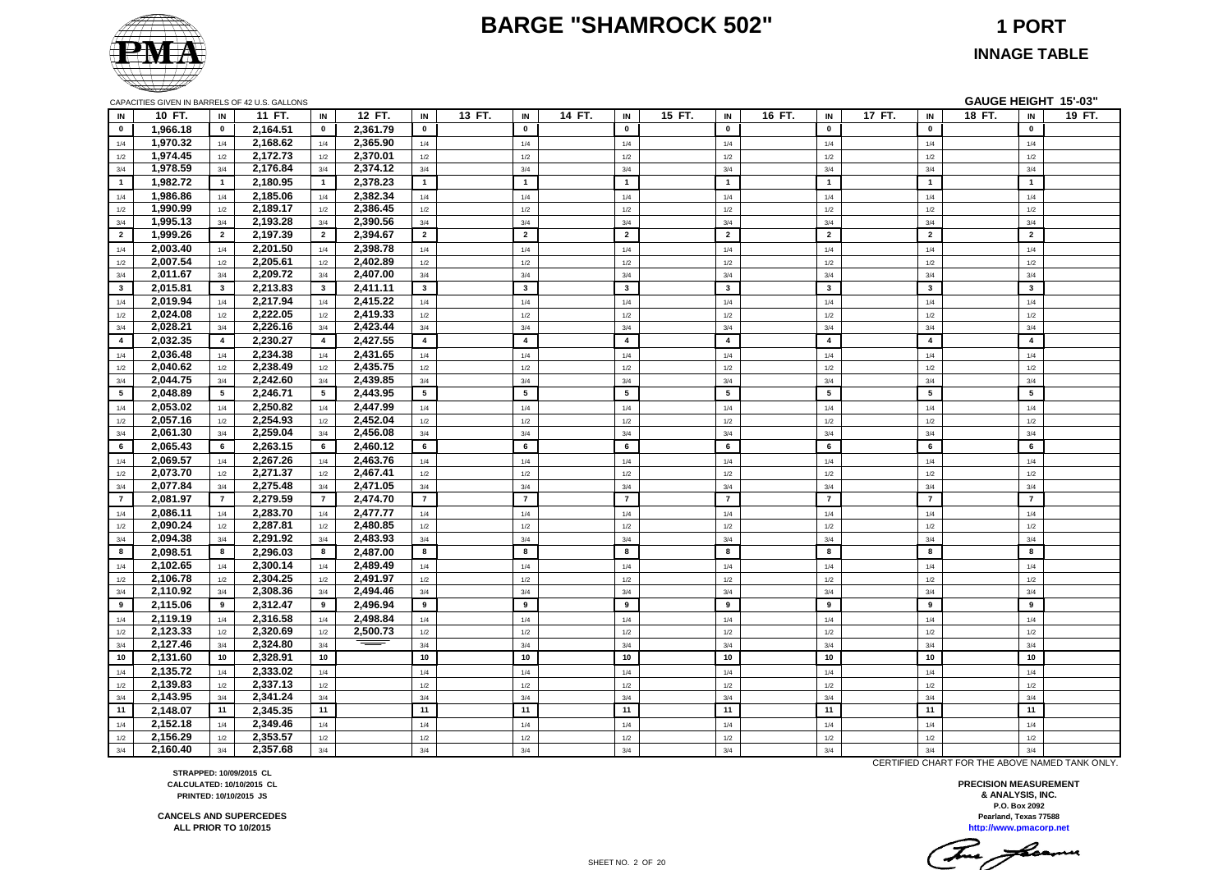#### **BARGE "SHAMROCK 502" 1 PORT**



**INNAGE TABLE**

|                |          |                | CAPACITIES GIVEN IN BARRELS OF 42 U.S. GALLONS |                 |          |                |        |                         |        |                         |        |                         |        |                |        |                         | GAUGE HEIGHT 15'-03" |                         |        |
|----------------|----------|----------------|------------------------------------------------|-----------------|----------|----------------|--------|-------------------------|--------|-------------------------|--------|-------------------------|--------|----------------|--------|-------------------------|----------------------|-------------------------|--------|
| IN             | 10 FT.   | IN             | 11 FT.                                         | IN              | 12 FT.   | IN             | 13 FT. | IN                      | 14 FT. | IN                      | 15 FT. | IN                      | 16 FT. | IN             | 17 FT. | IN                      | 18 FT.               | IN                      | 19 FT. |
| $\mathbf{0}$   | 1,966.18 | $\mathbf 0$    | 2,164.51                                       | $\bf{0}$        | 2,361.79 | $\mathbf 0$    |        | $\mathbf{o}$            |        | $\mathbf 0$             |        | $\mathbf 0$             |        | $\mathbf 0$    |        | $\mathbf{0}$            |                      | $\mathbf 0$             |        |
| 1/4            | 1,970.32 | 1/4            | 2,168.62                                       | 1/4             | 2,365.90 | 1/4            |        | 1/4                     |        | 1/4                     |        | 1/4                     |        | 1/4            |        | 1/4                     |                      | 1/4                     |        |
| 1/2            | 1,974.45 | 1/2            | 2,172.73                                       | 1/2             | 2,370.01 | 1/2            |        | 1/2                     |        | 1/2                     |        | 1/2                     |        | 1/2            |        | 1/2                     |                      | 1/2                     |        |
| 3/4            | 1,978.59 | 3/4            | 2,176.84                                       | 3/4             | 2,374.12 | 3/4            |        | 3/4                     |        | 3/4                     |        | 3/4                     |        | 3/4            |        | 3/4                     |                      | 3/4                     |        |
| $\mathbf{1}$   | 1,982.72 | $\overline{1}$ | 2,180.95                                       | $\overline{1}$  | 2,378.23 | $\mathbf{1}$   |        | $\mathbf{1}$            |        | $\overline{1}$          |        | $\mathbf{1}$            |        | $\overline{1}$ |        | $\mathbf{1}$            |                      | $\overline{1}$          |        |
| 1/4            | 1,986.86 | 1/4            | 2,185.06                                       | 1/4             | 2,382.34 | 1/4            |        | 1/4                     |        | 1/4                     |        | 1/4                     |        | 1/4            |        | 1/4                     |                      | 1/4                     |        |
| 1/2            | 1,990.99 | 1/2            | 2,189.17                                       | 1/2             | 2,386.45 | 1/2            |        | 1/2                     |        | 1/2                     |        | 1/2                     |        | 1/2            |        | 1/2                     |                      | 1/2                     |        |
| 3/4            | 1,995.13 | 3/4            | 2,193.28                                       | 3/4             | 2,390.56 | 3/4            |        | 3/4                     |        | 3/4                     |        | 3/4                     |        | 3/4            |        | 3/4                     |                      | 3/4                     |        |
| $\overline{2}$ | 1,999.26 | $\overline{2}$ | 2,197.39                                       | $\overline{2}$  | 2,394.67 | $\overline{2}$ |        | $\overline{2}$          |        | $\overline{2}$          |        | $\overline{2}$          |        | $\overline{2}$ |        | $\overline{2}$          |                      | $\overline{2}$          |        |
| 1/4            | 2,003.40 | 1/4            | 2,201.50                                       | 1/4             | 2,398.78 | 1/4            |        | 1/4                     |        | 1/4                     |        | 1/4                     |        | 1/4            |        | 1/4                     |                      | 1/4                     |        |
| 1/2            | 2,007.54 | 1/2            | 2,205.61                                       | 1/2             | 2,402.89 | 1/2            |        | $1/2$                   |        | $1/2$                   |        | 1/2                     |        | $1/2$          |        | 1/2                     |                      | $1/2$                   |        |
| 3/4            | 2,011.67 | 3/4            | 2,209.72                                       | 3/4             | 2,407.00 | 3/4            |        | 3/4                     |        | 3/4                     |        | 3/4                     |        | 3/4            |        | 3/4                     |                      | 3/4                     |        |
| $3^{\circ}$    | 2,015.81 | $\mathbf{3}$   | 2,213.83                                       | $3^{\circ}$     | 2,411.11 | $\mathbf{3}$   |        | $\mathbf{3}$            |        | $\overline{\mathbf{3}}$ |        | $\mathbf{3}$            |        | $\mathbf{3}$   |        | $\mathbf{3}$            |                      | $\overline{\mathbf{3}}$ |        |
| 1/4            | 2,019.94 | 1/4            | 2,217.94                                       | 1/4             | 2,415.22 | 1/4            |        | 1/4                     |        | 1/4                     |        | 1/4                     |        | 1/4            |        | 1/4                     |                      | 1/4                     |        |
| 1/2            | 2,024.08 | 1/2            | 2,222.05                                       | 1/2             | 2,419.33 | 1/2            |        | 1/2                     |        | 1/2                     |        | 1/2                     |        | $1/2$          |        | 1/2                     |                      | $1/2$                   |        |
| 3/4            | 2,028.21 | 3/4            | 2,226.16                                       | 3/4             | 2,423.44 | 3/4            |        | 3/4                     |        | 3/4                     |        | 3/4                     |        | 3/4            |        | 3/4                     |                      | 3/4                     |        |
| $\overline{4}$ | 2,032.35 | $\overline{a}$ | 2,230.27                                       | $\overline{4}$  | 2,427.55 | $\overline{4}$ |        | $\overline{\mathbf{4}}$ |        | $\overline{\mathbf{4}}$ |        | $\overline{\mathbf{4}}$ |        | $\overline{4}$ |        | $\overline{\mathbf{4}}$ |                      | $\overline{\mathbf{4}}$ |        |
| 1/4            | 2,036.48 | 1/4            | 2,234.38                                       | 1/4             | 2,431.65 | 1/4            |        | 1/4                     |        | 1/4                     |        | 1/4                     |        | 1/4            |        | 1/4                     |                      | 1/4                     |        |
| 1/2            | 2,040.62 | 1/2            | 2,238.49                                       | 1/2             | 2,435.75 | 1/2            |        | $1/2$                   |        | $1/2$                   |        | 1/2                     |        | $1/2$          |        | 1/2                     |                      | $1/2$                   |        |
| 3/4            | 2,044.75 | 3/4            | 2,242.60                                       | 3/4             | 2,439.85 | 3/4            |        | 3/4                     |        | 3/4                     |        | 3/4                     |        | 3/4            |        | 3/4                     |                      | 3/4                     |        |
| 5 <sub>5</sub> | 2,048.89 | 5              | 2,246.71                                       | $5\overline{5}$ | 2,443.95 | 5              |        | 5                       |        | 5                       |        | $5\phantom{a}$          |        | 5              |        | 5                       |                      | $5\phantom{.0}$         |        |
| 1/4            | 2,053.02 | 1/4            | 2,250.82                                       | 1/4             | 2,447.99 | 1/4            |        | 1/4                     |        | 1/4                     |        | 1/4                     |        | 1/4            |        | 1/4                     |                      | 1/4                     |        |
| 1/2            | 2,057.16 | $1/2$          | 2,254.93                                       | 1/2             | 2,452.04 | $1/2$          |        | $1/2$                   |        | $1/2$                   |        | $1/2$                   |        | $1/2$          |        | 1/2                     |                      | $1/2\,$                 |        |
| 3/4            | 2,061.30 | 3/4            | 2,259.04                                       | 3/4             | 2,456.08 | 3/4            |        | 3/4                     |        | 3/4                     |        | 3/4                     |        | 3/4            |        | 3/4                     |                      | 3/4                     |        |
| 6              | 2,065.43 | 6              | 2,263.15                                       | 6               | 2,460.12 | 6              |        | 6                       |        | 6                       |        | 6                       |        | 6              |        | 6                       |                      | 6                       |        |
| 1/4            | 2,069.57 | 1/4            | 2,267.26                                       | 1/4             | 2,463.76 | 1/4            |        | 1/4                     |        | 1/4                     |        | 1/4                     |        | 1/4            |        | 1/4                     |                      | 1/4                     |        |
| 1/2            | 2,073.70 | 1/2            | 2,271.37                                       | 1/2             | 2,467.41 | 1/2            |        | 1/2                     |        | 1/2                     |        | 1/2                     |        | 1/2            |        | 1/2                     |                      | $1/2$                   |        |
| 3/4            | 2,077.84 | 3/4            | 2,275.48                                       | 3/4             | 2,471.05 | 3/4            |        | 3/4                     |        | 3/4                     |        | 3/4                     |        | 3/4            |        | 3/4                     |                      | 3/4                     |        |
| $\overline{7}$ | 2,081.97 | $\overline{7}$ | 2,279.59                                       | $\overline{7}$  | 2,474.70 | $\overline{7}$ |        | $\overline{7}$          |        | $\overline{7}$          |        | $\overline{7}$          |        | $\overline{7}$ |        | $\overline{7}$          |                      | $\overline{7}$          |        |
| 1/4            | 2,086.11 | 1/4            | 2,283.70                                       | 1/4             | 2,477.77 | $1/4$          |        | $1/4$                   |        | $1/4$                   |        | $1/4$                   |        | $1/4$          |        | 1/4                     |                      | $1/4$                   |        |
| 1/2            | 2,090.24 | 1/2            | 2,287.81                                       | 1/2             | 2,480.85 | 1/2            |        | $1/2$                   |        | $1/2$                   |        | $1/2$                   |        | $1/2$          |        | 1/2                     |                      | $1/2$                   |        |
| 3/4            | 2,094.38 | 3/4            | 2,291.92                                       | 3/4             | 2,483.93 | 3/4            |        | 3/4                     |        | 3/4                     |        | 3/4                     |        | 3/4            |        | 3/4                     |                      | 3/4                     |        |
| 8              | 2,098.51 | 8              | 2,296.03                                       | 8               | 2,487.00 | 8              |        | 8                       |        | 8                       |        | 8                       |        | 8              |        | 8                       |                      | 8                       |        |
| 1/4            | 2,102.65 | 1/4            | 2,300.14                                       | 1/4             | 2,489.49 | 1/4            |        | 1/4                     |        | 1/4                     |        | 1/4                     |        | 1/4            |        | 1/4                     |                      | 1/4                     |        |
| 1/2            | 2,106.78 | 1/2            | 2,304.25                                       | 1/2             | 2,491.97 | 1/2            |        | 1/2                     |        | 1/2                     |        | 1/2                     |        | 1/2            |        | 1/2                     |                      | 1/2                     |        |
| 3/4            | 2,110.92 | 3/4            | 2,308.36                                       | 3/4             | 2,494.46 | 3/4            |        | 3/4                     |        | 3/4                     |        | 3/4                     |        | 3/4            |        | 3/4                     |                      | 3/4                     |        |
| 9              | 2,115.06 | 9              | 2,312.47                                       | 9               | 2,496.94 | 9              |        | 9                       |        | 9                       |        | 9                       |        | 9              |        | 9                       |                      | 9                       |        |
| 1/4            | 2,119.19 | 1/4            | 2,316.58                                       | 1/4             | 2,498.84 | $1/4$          |        | 1/4                     |        | $1/4$                   |        | 1/4                     |        | $1/4$          |        | 1/4                     |                      | $1/4$                   |        |
| 1/2            | 2,123.33 | 1/2            | 2,320.69                                       | 1/2             | 2,500.73 | $1/2$          |        | 1/2                     |        | 1/2                     |        | 1/2                     |        | $1/2$          |        | 1/2                     |                      | $1/2$                   |        |
| 3/4            | 2,127.46 | 3/4            | 2,324.80                                       | 3/4             |          | 3/4            |        | 3/4                     |        | 3/4                     |        | 3/4                     |        | 3/4            |        | 3/4                     |                      | 3/4                     |        |
| 10             | 2,131.60 | 10             | 2,328.91                                       | 10              |          | 10             |        | 10                      |        | 10                      |        | 10                      |        | 10             |        | 10                      |                      | 10                      |        |
| 1/4            | 2,135.72 | 1/4            | 2,333.02                                       | 1/4             |          | $1/4$          |        | 1/4                     |        | $1/4$                   |        | 1/4                     |        | $1/4$          |        | 1/4                     |                      | $1/4$                   |        |
| 1/2            | 2,139.83 | 1/2            | 2,337.13                                       | 1/2             |          | $1/2$          |        | $1/2$                   |        | $1/2$                   |        | 1/2                     |        | $1/2$          |        | 1/2                     |                      | $1/2$                   |        |
| 3/4            | 2,143.95 | 3/4            | 2,341.24                                       | 3/4             |          | 3/4            |        | 3/4                     |        | 3/4                     |        | 3/4                     |        | 3/4            |        | 3/4                     |                      | 3/4                     |        |
| 11             | 2,148.07 | 11             | 2,345.35                                       | 11              |          | 11             |        | 11                      |        | 11                      |        | 11                      |        | 11             |        | 11                      |                      | 11                      |        |
| 1/4            | 2,152.18 | 1/4            | 2,349.46                                       | 1/4             |          | 1/4            |        | 1/4                     |        | 1/4                     |        | 1/4                     |        | 1/4            |        | 1/4                     |                      | 1/4                     |        |
| 1/2            | 2,156.29 | 1/2            | 2,353.57                                       | 1/2             |          | 1/2            |        | 1/2                     |        | 1/2                     |        | 1/2                     |        | 1/2            |        | 1/2                     |                      | 1/2                     |        |
| 3/4            | 2,160.40 | 3/4            | 2,357.68                                       | 3/4             |          | 3/4            |        | 3/4                     |        | 3/4                     |        | 3/4                     |        | 3/4            |        | 3/4                     |                      | 3/4                     |        |

CERTIFIED CHART FOR THE ABOVE NAMED TANK ONLY.

**P.O. Box 2092 PRECISION MEASUREMENT & ANALYSIS, INC. http://www.pmacorp.net Pearland, Texas 77588**

**STRAPPED: 10/09/2015 CL CALCULATED: 10/10/2015 CL PRINTED: 10/10/2015 JS**

**CANCELS AND SUPERCEDES ALL PRIOR TO 10/2015**

SHEET NO. 2 OF 20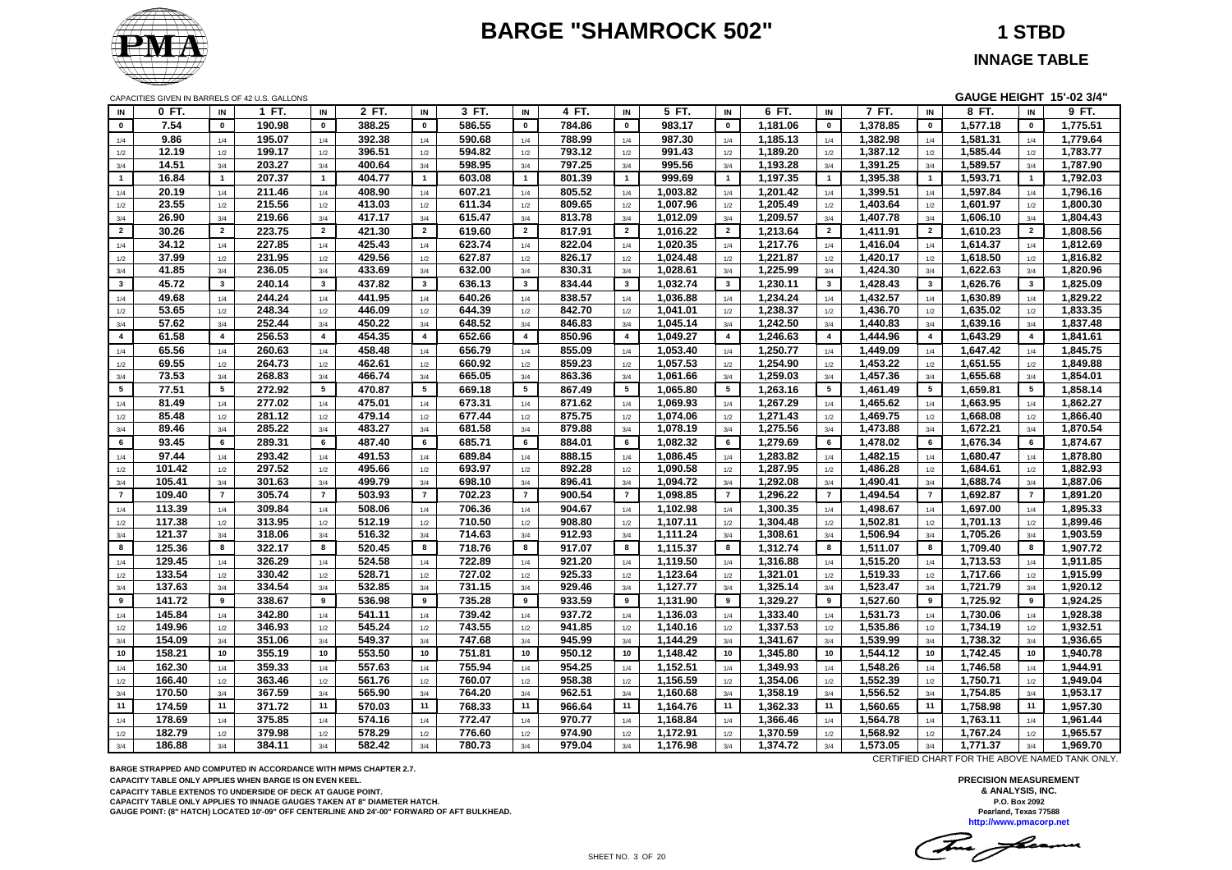# **BARGE "SHAMROCK 502" 1 STBD**



**INNAGE TABLE**

CAPACITIES GIVEN IN BARRELS OF 42 U.S. GALLONS **GAUGE HEIGHT 15'-02 3/4"**

| IN                      | 0 FT.            | IN              | 1 FT.            | IN                      | 2 FT.            | IN             | 3 FT.            | IN                      | 4 FT.            | IN                      | 5 FT.                | IN                      | 6 FT.                | IN              | 7 FT.                | IN                      | 8 FT.                | IN             | 9 FT.                |
|-------------------------|------------------|-----------------|------------------|-------------------------|------------------|----------------|------------------|-------------------------|------------------|-------------------------|----------------------|-------------------------|----------------------|-----------------|----------------------|-------------------------|----------------------|----------------|----------------------|
| $\mathbf 0$             | 7.54             | $\pmb{0}$       | 190.98           | $\pmb{0}$               | 388.25           | $\mathbf 0$    | 586.55           | $\mathbf 0$             | 784.86           | $\mathbf 0$             | 983.17               | $\mathbf 0$             | 1,181.06             | $\mathbf 0$     | 1,378.85             | $\pmb{0}$               | 1,577.18             | $\mathbf 0$    | 1,775.51             |
| 1/4                     | 9.86             | 1/4             | 195.07           | 1/4                     | 392.38           | 1/4            | 590.68           | 1/4                     | 788.99           | 1/4                     | 987.30               | 1/4                     | 1,185.13             | 1/4             | 1,382.98             | 1/4                     | 1,581.31             | 1/4            | 1,779.64             |
| 1/2                     | 12.19            | 1/2             | 199.17           | 1/2                     | 396.51           | 1/2            | 594.82           | 1/2                     | 793.12           | 1/2                     | 991.43               | 1/2                     | 1,189.20             | 1/2             | 1,387.12             | 1/2                     | 1,585.44             | 1/2            | 1,783.77             |
| 3/4                     | 14.51            | 3/4             | 203.27           | 3/4                     | 400.64           | 3/4            | 598.95           | 3/4                     | 797.25           | 3/4                     | 995.56               | 3/4                     | 1,193.28             | 3/4             | 1,391.25             | 3/4                     | 1,589.57             | 3/4            | 1,787.90             |
| $\mathbf{1}$            | 16.84            | $\mathbf{1}$    | 207.37           | $\blacksquare$          | 404.77           | $\overline{1}$ | 603.08           | $\mathbf{1}$            | 801.39           | $\blacksquare$          | 999.69               | $\mathbf{1}$            | 1,197.35             | $\mathbf{1}$    | 1,395.38             | $\mathbf{1}$            | 1,593.71             | $\mathbf{1}$   | 1,792.03             |
| 1/4                     | 20.19            | 1/4             | 211.46           | 1/4                     | 408.90           | 1/4            | 607.21           | 1/4                     | 805.52           | 1/4                     | 1,003.82             | 1/4                     | 1,201.42             | 1/4             | 1,399.51             | 1/4                     | 1,597.84             | 1/4            | 1,796.16             |
| 1/2                     | 23.55            | 1/2             | 215.56           | 1/2                     | 413.03           | 1/2            | 611.34           | 1/2                     | 809.65           | 1/2                     | 1,007.96             | 1/2                     | 1,205.49             | $1/2$           | 1,403.64             | 1/2                     | 1,601.97             | 1/2            | 1,800.30             |
| 3/4                     | 26.90            | 3/4             | 219.66           | 3/4                     | 417.17           | 3/4            | 615.47           | 3/4                     | 813.78           | 3/4                     | 1,012.09             | 3/4                     | 1,209.57             | 3/4             | 1,407.78             | 3/4                     | 1,606.10             | 3/4            | 1,804.43             |
| $\overline{2}$          | 30.26            | $\overline{2}$  | 223.75           | $\overline{2}$          | 421.30           | $\overline{2}$ | 619.60           | $\overline{2}$          | 817.91           | $\overline{2}$          | 1,016.22             | $\overline{2}$          | 1,213.64             | $\overline{2}$  | 1,411.91             | $\overline{2}$          | 1,610.23             | $\overline{2}$ | 1,808.56             |
| 1/4                     | 34.12            | 1/4             | 227.85           | 1/4                     | 425.43           | 1/4            | 623.74           | 1/4                     | 822.04           | 1/4                     | 1,020.35             | 1/4                     | 1,217.76             | 1/4             | 1,416.04             | 1/4                     | 1,614.37             | 1/4            | 1,812.69             |
| 1/2                     | 37.99            | 1/2             | 231.95           | 1/2                     | 429.56           | 1/2            | 627.87           | 1/2                     | 826.17           | 1/2                     | 1,024.48             | 1/2                     | 1,221.87             | 1/2             | 1,420.17             | 1/2                     | 1,618.50             | 1/2            | 1,816.82             |
| 3/4                     | 41.85            | 3/4             | 236.05           | 3/4                     | 433.69           | 3/4            | 632.00           | 3/4                     | 830.31           | 3/4                     | 1,028.61             | 3/4                     | 1,225.99             | 3/4             | 1,424.30             | 3/4                     | 1,622.63             | 3/4            | 1,820.96             |
| $\mathbf{3}$            | 45.72            | $\mathbf{3}$    | 240.14           | $\mathbf{3}$            | 437.82           | $\mathbf{3}$   | 636.13           | $\mathbf{3}$            | 834.44           | $\overline{\mathbf{3}}$ | 1,032.74             | $\mathbf{3}$            | 1,230.11             | $\mathbf{3}$    | 1,428.43             | $\mathbf{3}$            | 1,626.76             | $\mathbf{3}$   | 1,825.09             |
| 1/4                     | 49.68            | 1/4             | 244.24           | 1/4                     | 441.95           | 1/4            | 640.26           | 1/4                     | 838.57           | 1/4                     | 1,036.88             | 1/4                     | 1,234.24             | 1/4             | 1,432.57             | 1/4                     | 1,630.89             | 1/4            | 1,829.22             |
| 1/2                     | 53.65            | 1/2             | 248.34           | 1/2                     | 446.09           | 1/2            | 644.39           | $1/2$                   | 842.70           | 1/2                     | 1,041.01             | $1/2$                   | 1,238.37             | $1/2$           | 1,436.70             | $1/2$                   | 1,635.02             | 1/2            | 1,833.35             |
| 3/4                     | 57.62            | 3/4             | 252.44           | 3/4                     | 450.22           | 3/4            | 648.52           | 3/4                     | 846.83           | 3/4                     | 1,045.14             | 3/4                     | 1,242.50             | 3/4             | 1,440.83             | 3/4                     | 1,639.16             | 3/4            | 1,837.48             |
| $\overline{\mathbf{4}}$ | 61.58            | $\overline{4}$  | 256.53           | $\overline{\mathbf{4}}$ | 454.35           | $\overline{a}$ | 652.66           | $\overline{\mathbf{4}}$ | 850.96           | $\overline{\mathbf{4}}$ | 1,049.27             | $\overline{\mathbf{4}}$ | 1,246.63             | $\overline{4}$  | 1,444.96             | $\overline{\mathbf{4}}$ | 1,643.29             | $\overline{4}$ | 1,841.61             |
| 1/4                     | 65.56            | 1/4             | 260.63           | 1/4                     | 458.48           | 1/4            | 656.79           | 1/4                     | 855.09           | 1/4                     | 1,053.40             | 1/4                     | 1,250.77             | 1/4             | 1,449.09             | 1/4                     | 1,647.42             | 1/4            | 1,845.75             |
| 1/2                     | 69.55            | 1/2             | 264.73           | 1/2                     | 462.61           | 1/2            | 660.92           | 1/2                     | 859.23           | 1/2                     | 1,057.53             | 1/2                     | 1,254.90             | 1/2             | 1,453.22             | 1/2                     | 1,651.55             | 1/2            | 1,849.88             |
| 3/4                     | 73.53            | 3/4             | 268.83           | 3/4                     | 466.74           | 3/4            | 665.05           | 3/4                     | 863.36           | 3/4                     | 1,061.66             | 3/4                     | 1,259.03             | 3/4             | 1,457.36             | 3/4                     | 1,655.68             | 3/4            | 1,854.01             |
| 5 <sub>5</sub>          | 77.51            | $5\overline{5}$ | 272.92           | 5                       | 470.87           | 5              | 669.18           | 5                       | 867.49           | 5                       | 1,065.80             | 5                       | 1,263.16             | $5\overline{5}$ | 1,461.49             | 5                       | 1,659.81             | 5              | 1,858.14             |
| 1/4                     | 81.49            | 1/4             | 277.02           | 1/4                     | 475.01           | 1/4            | 673.31           | 1/4                     | 871.62           | 1/4                     | 1,069.93             | 1/4                     | 1,267.29             | 1/4             | 1,465.62             | 1/4                     | 1,663.95             | 1/4            | 1,862.27             |
| 1/2                     | 85.48            | 1/2             | 281.12           | 1/2                     | 479.14           | 1/2            | 677.44           | 1/2                     | 875.75           | 1/2                     | 1,074.06             | $1/2$                   | 1,271.43             | 1/2             | 1,469.75             | 1/2                     | 1,668.08             | 1/2            | 1,866.40             |
| 3/4                     | 89.46            | 3/4             | 285.22           | 3/4                     | 483.27           | 3/4            | 681.58           | 3/4                     | 879.88           | 3/4                     | 1,078.19             | 3/4                     | 1,275.56             | 3/4             | 1,473.88             | 3/4                     | 1,672.21             | 3/4            | 1,870.54             |
| 6                       | 93.45            | 6               | 289.31           | 6                       | 487.40           | 6              | 685.71           | 6                       | 884.01           | 6                       | 1,082.32             | 6                       | 1,279.69             | 6               | 1,478.02             | 6                       | 1,676.34             | 6              | 1,874.67             |
| 1/4                     | 97.44            | 1/4             | 293.42           | 1/4                     | 491.53           | 1/4            | 689.84           | 1/4                     | 888.15           | 1/4                     | 1,086.45             | 1/4                     | 1,283.82             | 1/4             | 1,482.15             | 1/4                     | 1,680.47             | 1/4            | 1,878.80             |
| 1/2                     | 101.42           | 1/2             | 297.52           | 1/2                     | 495.66           | 1/2            | 693.97           | 1/2                     | 892.28           | 1/2                     | 1,090.58             | 1/2                     | 1,287.95             | 1/2             | 1,486.28             | 1/2                     | 1,684.61             | 1/2            | 1,882.93             |
| 3/4                     | 105.41           | 3/4             | 301.63           | 3/4                     | 499.79           | 3/4            | 698.10           | 3/4                     | 896.41           | 3/4                     | 1,094.72             | 3/4                     | 1,292.08             | 3/4             | 1,490.41             | 3/4                     | 1,688.74             | 3/4            | 1,887.06             |
| $\overline{7}$          | 109.40           | $\overline{7}$  | 305.74           | $\overline{7}$          | 503.93           | $\overline{7}$ | 702.23           | $\overline{7}$          | 900.54           | $\overline{7}$          | 1,098.85             | $\overline{7}$          | 1,296.22             | $\overline{7}$  | 1,494.54             | $\overline{7}$          | 1,692.87             | $\overline{7}$ | 1,891.20             |
| 1/4                     | 113.39           | 1/4             | 309.84           | 1/4                     | 508.06           | 1/4            | 706.36           | 1/4                     | 904.67           | 1/4                     | 1,102.98             | 1/4                     | 1,300.35             | 1/4             | 1,498.67             | 1/4                     | 1,697.00             | 1/4            | 1,895.33             |
| 1/2                     | 117.38           | 1/2             | 313.95           | 1/2                     | 512.19           | 1/2            | 710.50           | 1/2                     | 908.80           | 1/2                     | 1,107.11             | 1/2                     | 1,304.48             | 1/2             | 1,502.81             | 1/2                     | 1,701.13             | 1/2            | 1,899.46             |
| 3/4                     | 121.37           | 3/4             | 318.06           | 3/4                     | 516.32           | 3/4            | 714.63           | 3/4                     | 912.93           | 3/4                     | 1,111.24             | 3/4                     | 1,308.61             | 3/4             | 1,506.94             | 3/4                     | 1,705.26             | 3/4            | 1,903.59             |
| 8                       | 125.36           | 8               | 322.17           | 8                       | 520.45           | 8              | 718.76           | 8                       | 917.07           | 8                       | 1,115.37             | 8                       | 1,312.74             | 8               | 1,511.07             | 8                       | 1,709.40             | 8              | 1,907.72             |
| 1/4                     | 129.45           | 1/4             | 326.29           | 1/4                     | 524.58           | 1/4            | 722.89           | 1/4                     | 921.20           | 1/4                     | 1,119.50             | $1/4$                   | 1,316.88             | $1/4$           | 1,515.20             | $1/4$                   | 1,713.53             | 1/4            | 1,911.85             |
| 1/2                     | 133.54<br>137.63 | 1/2             | 330.42           | 1/2                     | 528.71<br>532.85 | 1/2            | 727.02           | 1/2                     | 925.33<br>929.46 | 1/2                     | 1,123.64             | 1/2                     | 1,321.01             | 1/2             | 1,519.33             | 1/2                     | 1,717.66             | 1/2            | 1,915.99             |
| 3/4<br>9                |                  | 3/4<br>9        | 334.54           | 3/4<br>9                |                  | 3/4<br>9       | 731.15           | 3/4<br>9                |                  | 3/4<br>9                | 1,127.77             | 3/4<br>9                | 1,325.14             | 3/4<br>9        | 1,523.47             | 3/4<br>9                | 1,721.79<br>1,725.92 | 3/4<br>9       | 1,920.12             |
|                         | 141.72           |                 | 338.67           |                         | 536.98           |                | 735.28           |                         | 933.59           |                         | 1,131.90             |                         | 1,329.27             |                 | 1,527.60             |                         |                      |                | 1,924.25             |
| 1/4                     | 145.84           | 1/4             | 342.80           | $1/4$                   | 541.11<br>545.24 | 1/4            | 739.42<br>743.55 | 1/4                     | 937.72           | 1/4                     | 1,136.03             | 1/4                     | 1,333.40<br>1,337.53 | 1/4             | 1,531.73             | 1/4                     | 1,730.06             | 1/4            | 1,928.38<br>1,932.51 |
| 1/2                     | 149.96<br>154.09 | 1/2             | 346.93<br>351.06 | $1/2$                   | 549.37           | 1/2            | 747.68           | 1/2                     | 941.85<br>945.99 | 1/2                     | 1,140.16<br>1,144.29 | 1/2                     | 1,341.67             | 1/2             | 1,535.86<br>1,539.99 | 1/2                     | 1,734.19<br>1,738.32 | 1/2            | 1,936.65             |
| 3/4<br>10               | 158.21           | 3/4<br>10       | 355.19           | 3/4<br>10               | 553.50           | 3/4<br>10      | 751.81           | 3/4<br>10 <sub>1</sub>  | 950.12           | 3/4<br>10               | 1,148.42             | 3/4<br>10               | 1,345.80             | 3/4<br>10       | 1,544.12             | 3/4<br>10               | 1,742.45             | 3/4<br>10      | 1,940.78             |
|                         |                  |                 |                  |                         |                  |                |                  |                         |                  |                         |                      |                         |                      |                 |                      |                         |                      |                |                      |
| 1/4                     | 162.30<br>166.40 | 1/4             | 359.33<br>363.46 | 1/4                     | 557.63<br>561.76 | 1/4            | 755.94<br>760.07 | 1/4                     | 954.25<br>958.38 | 1/4                     | 1,152.51<br>1,156.59 | 1/4                     | 1,349.93<br>1,354.06 | 1/4             | 1,548.26<br>1,552.39 | 1/4                     | 1,746.58<br>1,750.71 | 1/4            | 1,944.91<br>1,949.04 |
| 1/2<br>3/4              | 170.50           | 1/2<br>3/4      | 367.59           | 1/2<br>3/4              | 565.90           | 1/2<br>3/4     | 764.20           | 1/2<br>3/4              | 962.51           | 1/2<br>3/4              | 1,160.68             | 1/2<br>3/4              | 1,358.19             | 1/2<br>3/4      | 1,556.52             | 1/2<br>3/4              | 1,754.85             | 1/2<br>3/4     | 1,953.17             |
| 11                      | 174.59           | 11              | 371.72           | 11                      | 570.03           | 11             | 768.33           | 11                      | 966.64           | 11                      | 1,164.76             | 11                      | 1,362.33             | 11              | 1,560.65             | 11                      | 1,758.98             | 11             | 1,957.30             |
| 1/4                     | 178.69           | 1/4             | 375.85           | 1/4                     | 574.16           | 1/4            | 772.47           | 1/4                     | 970.77           | 1/4                     | 1,168.84             | 1/4                     | 1,366.46             | 1/4             | 1,564.78             | 1/4                     | 1,763.11             | 1/4            | 1,961.44             |
| 1/2                     | 182.79           | 1/2             | 379.98           | 1/2                     | 578.29           | 1/2            | 776.60           | 1/2                     | 974.90           | 1/2                     | 1,172.91             | 1/2                     | 1,370.59             | 1/2             | 1,568.92             | 1/2                     | 1,767.24             | 1/2            | 1,965.57             |
| 3/4                     | 186.88           | 3/4             | 384.11           | 3/4                     | 582.42           | 3/4            | 780.73           | 3/4                     | 979.04           | 3/4                     | 1,176.98             | 3/4                     | 1,374.72             | 3/4             | 1,573.05             | 3/4                     | 1,771.37             | 3/4            | 1,969.70             |
|                         |                  |                 |                  |                         |                  |                |                  |                         |                  |                         |                      |                         |                      |                 |                      |                         |                      |                |                      |

**BARGE STRAPPED AND COMPUTED IN ACCORDANCE WITH MPMS CHAPTER 2.7.**

**CAPACITY TABLE ONLY APPLIES WHEN BARGE IS ON EVEN KEEL.**

**CAPACITY TABLE EXTENDS TO UNDERSIDE OF DECK AT GAUGE POINT.**

**CAPACITY TABLE ONLY APPLIES TO INNAGE GAUGES TAKEN AT 8" DIAMETER HATCH.**

**GAUGE POINT: (8" HATCH) LOCATED 10'-09" OFF CENTERLINE AND 24'-00" FORWARD OF AFT BULKHEAD.**

CERTIFIED CHART FOR THE ABOVE NAMED TANK ONLY.

Tue Jean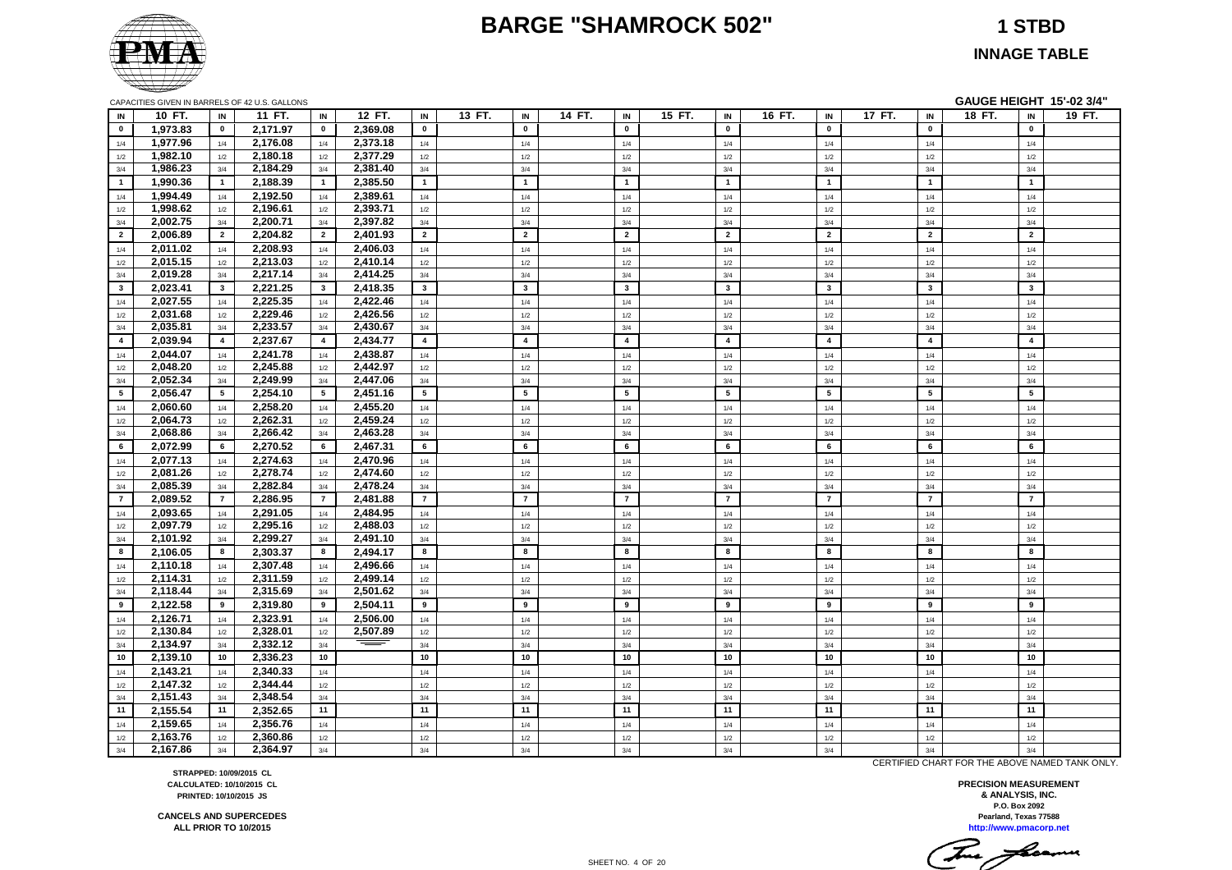#### **BARGE "SHAMROCK 502" 1 STBD**



**INNAGE TABLE**

|                | CAPACITIES GIVEN IN BARRELS OF 42 U.S. GALLONS |                         |          |                 |          |                |        |                         |        |                         |        |                         |        |                         |        |                         |        |                         | GAUGE HEIGHT 15'-02 3/4" |
|----------------|------------------------------------------------|-------------------------|----------|-----------------|----------|----------------|--------|-------------------------|--------|-------------------------|--------|-------------------------|--------|-------------------------|--------|-------------------------|--------|-------------------------|--------------------------|
| IN             | 10 FT.                                         | IN                      | 11 FT.   | IN              | 12 FT.   | IN             | 13 FT. | IN                      | 14 FT. | IN                      | 15 FT. | IN                      | 16 FT. | IN                      | 17 FT. | IN                      | 18 FT. | IN                      | 19 FT.                   |
| $\mathbf{0}$   | 1,973.83                                       | $\mathbf{0}$            | 2,171.97 | $\mathbf{0}$    | 2,369.08 | $\mathbf 0$    |        | $\mathbf 0$             |        | $\mathbf 0$             |        | $\pmb{0}$               |        | $\pmb{0}$               |        | $\pmb{0}$               |        | $\mathbf 0$             |                          |
| 1/4            | 1,977.96                                       | 1/4                     | 2,176.08 | 1/4             | 2,373.18 | 1/4            |        | 1/4                     |        | 1/4                     |        | 1/4                     |        | 1/4                     |        | 1/4                     |        | 1/4                     |                          |
| 1/2            | 1,982.10                                       | 1/2                     | 2,180.18 | 1/2             | 2,377.29 | 1/2            |        | 1/2                     |        | 1/2                     |        | 1/2                     |        | 1/2                     |        | 1/2                     |        | 1/2                     |                          |
| 3/4            | 1,986.23                                       | 3/4                     | 2,184.29 | 3/4             | 2,381.40 | 3/4            |        | 3/4                     |        | 3/4                     |        | 3/4                     |        | 3/4                     |        | 3/4                     |        | 3/4                     |                          |
| $\mathbf{1}$   | 1,990.36                                       | $\overline{1}$          | 2,188.39 | $\blacksquare$  | 2,385.50 | $\overline{1}$ |        | $\mathbf{1}$            |        | $\mathbf{1}$            |        | $\mathbf{1}$            |        | $\overline{1}$          |        | $\mathbf{1}$            |        | $\mathbf{1}$            |                          |
| 1/4            | 1,994.49                                       | 1/4                     | 2,192.50 | 1/4             | 2,389.61 | 1/4            |        | 1/4                     |        | 1/4                     |        | 1/4                     |        | 1/4                     |        | 1/4                     |        | 1/4                     |                          |
| 1/2            | 1,998.62                                       | 1/2                     | 2,196.61 | 1/2             | 2,393.71 | 1/2            |        | 1/2                     |        | 1/2                     |        | 1/2                     |        | 1/2                     |        | 1/2                     |        | 1/2                     |                          |
| 3/4            | 2,002.75                                       | 3/4                     | 2,200.71 | 3/4             | 2,397.82 | 3/4            |        | 3/4                     |        | 3/4                     |        | 3/4                     |        | 3/4                     |        | 3/4                     |        | 3/4                     |                          |
| $\overline{2}$ | 2,006.89                                       | $\overline{2}$          | 2,204.82 | $\overline{2}$  | 2,401.93 | $\overline{2}$ |        | $\overline{2}$          |        | $\overline{2}$          |        | $\overline{2}$          |        | $\overline{2}$          |        | $\overline{2}$          |        | $\overline{2}$          |                          |
| 1/4            | 2,011.02                                       | 1/4                     | 2,208.93 | 1/4             | 2.406.03 | 1/4            |        | 1/4                     |        | 1/4                     |        | 1/4                     |        | 1/4                     |        | 1/4                     |        | 1/4                     |                          |
| 1/2            | 2,015.15                                       | $1/2$                   | 2,213.03 | 1/2             | 2,410.14 | 1/2            |        | 1/2                     |        | $1/2$                   |        | 1/2                     |        | $1/2$                   |        | 1/2                     |        | $1/2$                   |                          |
| 3/4            | 2,019.28                                       | 3/4                     | 2,217.14 | 3/4             | 2,414.25 | 3/4            |        | 3/4                     |        | 3/4                     |        | 3/4                     |        | 3/4                     |        | 3/4                     |        | 3/4                     |                          |
| $3^{\circ}$    | 2,023.41                                       | $\overline{\mathbf{3}}$ | 2,221.25 | $3^{\circ}$     | 2,418.35 | $\mathbf{3}$   |        | $\mathbf{3}$            |        | $\mathbf{3}$            |        | $\overline{\mathbf{3}}$ |        | $\overline{\mathbf{3}}$ |        | $\overline{\mathbf{3}}$ |        | $\mathbf{3}$            |                          |
| 1/4            | 2,027.55                                       | 1/4                     | 2,225.35 | 1/4             | 2,422.46 | 1/4            |        | 1/4                     |        | 1/4                     |        | 1/4                     |        | 1/4                     |        | 1/4                     |        | 1/4                     |                          |
| 1/2            | 2,031.68                                       | 1/2                     | 2,229.46 | 1/2             | 2,426.56 | 1/2            |        | 1/2                     |        | 1/2                     |        | 1/2                     |        | 1/2                     |        | 1/2                     |        | 1/2                     |                          |
| 3/4            | 2,035.81                                       | 3/4                     | 2,233.57 | 3/4             | 2,430.67 | 3/4            |        | 3/4                     |        | 3/4                     |        | 3/4                     |        | 3/4                     |        | 3/4                     |        | 3/4                     |                          |
| $\overline{4}$ | 2,039.94                                       | $\overline{4}$          | 2,237.67 | $\overline{4}$  | 2,434.77 | $\overline{4}$ |        | $\overline{\mathbf{4}}$ |        | $\overline{\mathbf{4}}$ |        | $\overline{4}$          |        | $\overline{\mathbf{4}}$ |        | $\overline{\mathbf{4}}$ |        | $\overline{\mathbf{4}}$ |                          |
| 1/4            | 2,044.07                                       | 1/4                     | 2,241.78 | 1/4             | 2,438.87 | 1/4            |        | $1/4$                   |        | $1/4$                   |        | $1/4$                   |        | $1/4$                   |        | 1/4                     |        | $1/4$                   |                          |
| 1/2            | 2,048.20                                       | 1/2                     | 2,245.88 | 1/2             | 2,442.97 | 1/2            |        | 1/2                     |        | 1/2                     |        | 1/2                     |        | 1/2                     |        | 1/2                     |        | 1/2                     |                          |
| 3/4            | 2,052.34                                       | 3/4                     | 2,249.99 | 3/4             | 2,447.06 | 3/4            |        | 3/4                     |        | 3/4                     |        | 3/4                     |        | 3/4                     |        | 3/4                     |        | 3/4                     |                          |
| 5 <sub>5</sub> | 2,056.47                                       | 5                       | 2,254.10 | 5 <sub>5</sub>  | 2,451.16 | 5              |        | $5\phantom{.0}$         |        | 5                       |        | $5\phantom{.0}$         |        | $5\phantom{.0}$         |        | 5                       |        | $5\overline{5}$         |                          |
| 1/4            | 2,060.60                                       | 1/4                     | 2,258.20 | 1/4             | 2,455.20 | 1/4            |        | 1/4                     |        | 1/4                     |        | 1/4                     |        | 1/4                     |        | 1/4                     |        | 1/4                     |                          |
| 1/2            | 2,064.73                                       | $1/2$                   | 2,262.31 | 1/2             | 2,459.24 | 1/2            |        | 1/2                     |        | $1/2\,$                 |        | 1/2                     |        | $1/2$                   |        | 1/2                     |        | $1/2$                   |                          |
| 3/4            | 2,068.86                                       | 3/4                     | 2,266.42 | 3/4             | 2,463.28 | 3/4            |        | 3/4                     |        | 3/4                     |        | 3/4                     |        | 3/4                     |        | 3/4                     |        | 3/4                     |                          |
| 6              | 2,072.99                                       | 6                       | 2,270.52 | 6               | 2,467.31 | 6              |        | 6                       |        | 6                       |        | 6                       |        | 6                       |        | 6                       |        | 6                       |                          |
| 1/4            | 2,077.13                                       | 1/4                     | 2,274.63 | 1/4             | 2,470.96 | 1/4            |        | 1/4                     |        | 1/4                     |        | 1/4                     |        | 1/4                     |        | 1/4                     |        | 1/4                     |                          |
| 1/2            | 2,081.26                                       | 1/2                     | 2,278.74 | 1/2             | 2,474.60 | 1/2            |        | 1/2                     |        | 1/2                     |        | 1/2                     |        | 1/2                     |        | 1/2                     |        | 1/2                     |                          |
| 3/4            | 2,085.39                                       | 3/4                     | 2,282.84 | 3/4             | 2,478.24 | 3/4            |        | 3/4                     |        | 3/4                     |        | 3/4                     |        | 3/4                     |        | 3/4                     |        | 3/4                     |                          |
| $\overline{7}$ | 2,089.52                                       | $\overline{7}$          | 2.286.95 | $\overline{7}$  | 2,481.88 | $\overline{7}$ |        | $\overline{7}$          |        | $\overline{7}$          |        | $\overline{7}$          |        | $\overline{7}$          |        | $\overline{7}$          |        | $\overline{7}$          |                          |
| 1/4            | 2,093.65                                       | 1/4                     | 2,291.05 | 1/4             | 2,484.95 | 1/4            |        | 1/4                     |        | $1/4$                   |        | $1/4$                   |        | $1/4$                   |        | 1/4                     |        | $1/4$                   |                          |
| 1/2            | 2,097.79                                       | 1/2                     | 2,295.16 | 1/2             | 2,488.03 | 1/2            |        | 1/2                     |        | $1/2$                   |        | 1/2                     |        | 1/2                     |        | 1/2                     |        | 1/2                     |                          |
| 3/4            | 2,101.92                                       | 3/4                     | 2,299.27 | 3/4             | 2,491.10 | 3/4            |        | 3/4                     |        | 3/4                     |        | 3/4                     |        | 3/4                     |        | 3/4                     |        | 3/4                     |                          |
| 8              | 2,106.05                                       | 8                       | 2,303.37 | 8               | 2,494.17 | 8              |        | 8                       |        | 8                       |        | 8                       |        | 8                       |        | 8                       |        | 8                       |                          |
| 1/4            | 2,110.18                                       | 1/4                     | 2,307.48 | 1/4             | 2,496.66 | 1/4            |        | 1/4                     |        | 1/4                     |        | 1/4                     |        | 1/4                     |        | 1/4                     |        | 1/4                     |                          |
| 1/2            | 2,114.31                                       | 1/2                     | 2,311.59 | 1/2             | 2,499.14 | 1/2            |        | 1/2                     |        | 1/2                     |        | 1/2                     |        | 1/2                     |        | 1/2                     |        | 1/2                     |                          |
| 3/4            | 2,118.44                                       | 3/4                     | 2,315.69 | 3/4             | 2,501.62 | 3/4            |        | 3/4                     |        | 3/4                     |        | 3/4                     |        | 3/4                     |        | 3/4                     |        | 3/4                     |                          |
| 9              | 2,122.58                                       | 9                       | 2,319.80 | 9               | 2,504.11 | 9              |        | 9                       |        | 9                       |        | 9                       |        | 9                       |        | 9                       |        | 9                       |                          |
| 1/4            | 2,126.71                                       | 1/4                     | 2,323.91 | 1/4             | 2,506.00 | 1/4            |        | 1/4                     |        | $1/4$                   |        | 1/4                     |        | 1/4                     |        | 1/4                     |        | 1/4                     |                          |
| 1/2            | 2,130.84                                       | 1/2                     | 2,328.01 | 1/2             | 2,507.89 | 1/2            |        | 1/2                     |        | 1/2                     |        | 1/2                     |        | 1/2                     |        | 1/2                     |        | 1/2                     |                          |
| 3/4            | 2,134.97                                       | 3/4                     | 2,332.12 | 3/4             |          | 3/4            |        | 3/4                     |        | 3/4                     |        | 3/4                     |        | 3/4                     |        | 3/4                     |        | 3/4                     |                          |
| 10             | 2.139.10                                       | 10                      | 2.336.23 | 10 <sub>1</sub> |          | 10             |        | 10                      |        | 10                      |        | 10                      |        | 10                      |        | 10                      |        | 10                      |                          |
| 1/4            | 2,143.21                                       | 1/4                     | 2,340.33 | 1/4             |          | $1/4$          |        | 1/4                     |        | $1/4$                   |        | $1/4$                   |        | $1/4$                   |        | 1/4                     |        | $1/4$                   |                          |
| 1/2            | 2,147.32                                       | 1/2                     | 2,344.44 | $1/2$           |          | 1/2            |        | 1/2                     |        | 1/2                     |        | 1/2                     |        | 1/2                     |        | 1/2                     |        | 1/2                     |                          |
| 3/4            | 2,151.43                                       | 3/4                     | 2,348.54 | 3/4             |          | 3/4            |        | 3/4                     |        | 3/4                     |        | 3/4                     |        | 3/4                     |        | 3/4                     |        | 3/4                     |                          |
| 11             | 2,155.54                                       | 11                      | 2,352.65 | 11              |          | 11             |        | 11                      |        | 11                      |        | 11                      |        | 11                      |        | 11                      |        | 11                      |                          |
| 1/4            | 2,159.65                                       | 1/4                     | 2,356.76 | 1/4             |          | 1/4            |        | 1/4                     |        | 1/4                     |        | 1/4                     |        | 1/4                     |        | 1/4                     |        | 1/4                     |                          |
| 1/2            | 2,163.76                                       | 1/2                     | 2.360.86 | 1/2             |          | 1/2            |        | 1/2                     |        | 1/2                     |        | 1/2                     |        | 1/2                     |        | 1/2                     |        | 1/2                     |                          |
| 3/4            | 2,167.86                                       | 3/4                     | 2,364.97 | 3/4             |          | 3/4            |        | 3/4                     |        | 3/4                     |        | 3/4                     |        | 3/4                     |        | 3/4                     |        | 3/4                     |                          |

CERTIFIED CHART FOR THE ABOVE NAMED TANK ONLY.

**http://www.pmacorp.net Pearland, Texas 77588 PRECISION MEASUREMENT & ANALYSIS, INC. P.O. Box 2092**

**STRAPPED: 10/09/2015 CL CALCULATED: 10/10/2015 CL PRINTED: 10/10/2015 JS**

**CANCELS AND SUPERCEDES ALL PRIOR TO 10/2015**

SHEET NO. 4 OF 20

This freems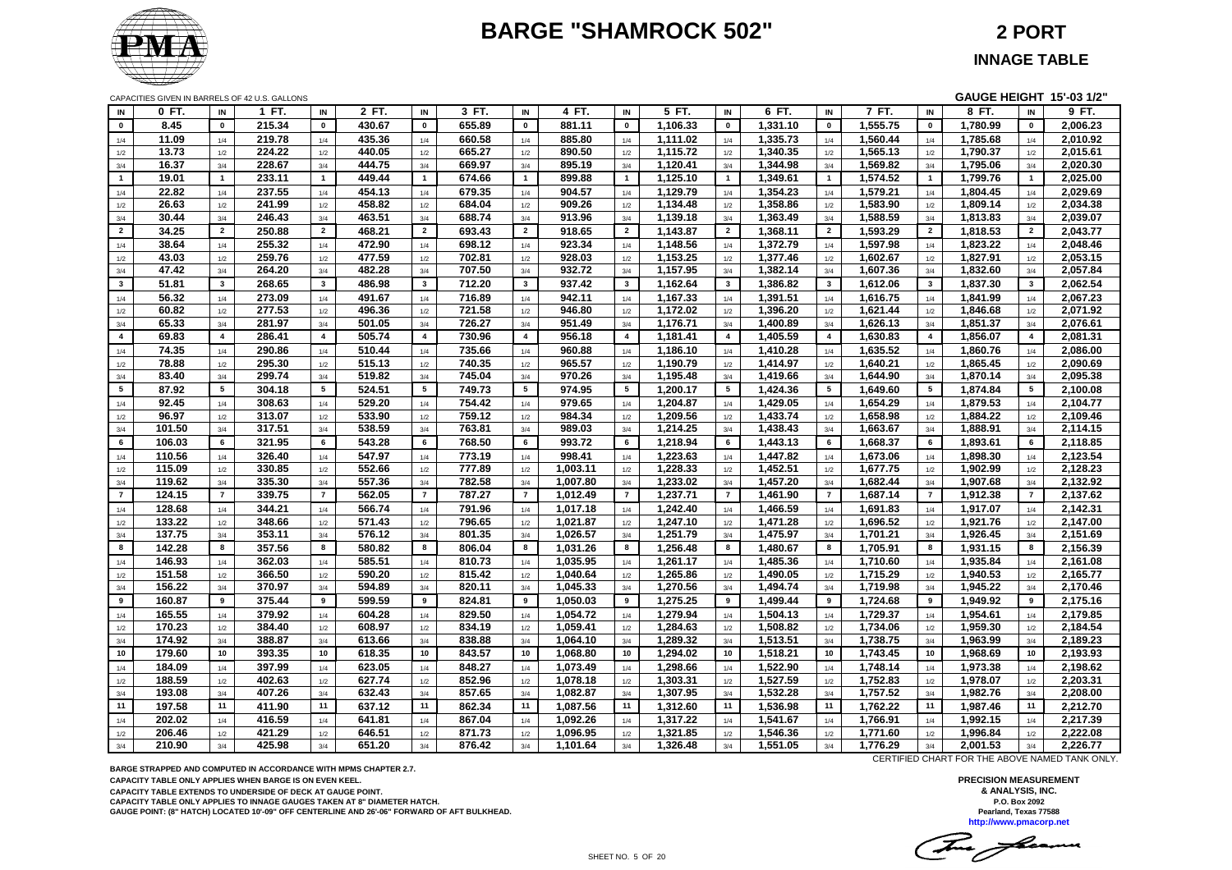# **BARGE "SHAMROCK 502" 2 PORT**



CAPACITIES GIVEN IN BARRELS OF 42 U.S. GALLONS **GAUGE HEIGHT 15'-03 1/2"**

| IN             | 0 FT.  | IN              | 1 FT.  | IN                      | 2 FT.  | IN             | 3 FT.  | IN                      | 4 FT.    | IN                      | 5 FT.    | IN             | 6 FT.    | IN             | 7 FT.    | IN                      | 8 FT.    | IN             | 9 FT.    |
|----------------|--------|-----------------|--------|-------------------------|--------|----------------|--------|-------------------------|----------|-------------------------|----------|----------------|----------|----------------|----------|-------------------------|----------|----------------|----------|
| $\mathbf 0$    | 8.45   | $\mathbf 0$     | 215.34 | $\pmb{0}$               | 430.67 | $\mathbf 0$    | 655.89 | $\mathbf 0$             | 881.11   | $\mathbf 0$             | 1,106.33 | $\pmb{0}$      | 1,331.10 | $\pmb{0}$      | 1,555.75 | $\pmb{\mathsf{o}}$      | 1,780.99 | $\pmb{0}$      | 2,006.23 |
| 1/4            | 11.09  | 1/4             | 219.78 | 1/4                     | 435.36 | 1/4            | 660.58 | 1/4                     | 885.80   | 1/4                     | 1,111.02 | 1/4            | 1,335.73 | 1/4            | 1,560.44 | 1/4                     | 1,785.68 | 1/4            | 2,010.92 |
| 1/2            | 13.73  | 1/2             | 224.22 | 1/2                     | 440.05 | 1/2            | 665.27 | 1/2                     | 890.50   | 1/2                     | 1.115.72 | 1/2            | 1,340.35 | 1/2            | 1,565.13 | 1/2                     | 1.790.37 | 1/2            | 2,015.61 |
| 3/4            | 16.37  | 3/4             | 228.67 | 3/4                     | 444.75 | 3/4            | 669.97 | 3/4                     | 895.19   | 3/4                     | 1,120.41 | 3/4            | 1,344.98 | 3/4            | 1,569.82 | 3/4                     | 1,795.06 | 3/4            | 2,020.30 |
| $\mathbf{1}$   | 19.01  | $\mathbf{1}$    | 233.11 | $\overline{1}$          | 449.44 | $\overline{1}$ | 674.66 | $\overline{1}$          | 899.88   | $\overline{1}$          | 1,125.10 | $\mathbf{1}$   | 1,349.61 | $\mathbf{1}$   | 1,574.52 | $\mathbf{1}$            | 1,799.76 | $\mathbf{1}$   | 2,025.00 |
| 1/4            | 22.82  | 1/4             | 237.55 | 1/4                     | 454.13 | 1/4            | 679.35 | 1/4                     | 904.57   | 1/4                     | 1,129.79 | 1/4            | 1,354.23 | 1/4            | 1,579.21 | 1/4                     | 1,804.45 | 1/4            | 2,029.69 |
| 1/2            | 26.63  | 1/2             | 241.99 | 1/2                     | 458.82 | 1/2            | 684.04 | 1/2                     | 909.26   | 1/2                     | 1,134.48 | 1/2            | 1,358.86 | 1/2            | 1,583.90 | 1/2                     | 1.809.14 | 1/2            | 2,034.38 |
| 3/4            | 30.44  | 3/4             | 246.43 | 3/4                     | 463.51 | 3/4            | 688.74 | 3/4                     | 913.96   | 3/4                     | 1,139.18 | 3/4            | 1,363.49 | 3/4            | 1,588.59 | 3/4                     | 1,813.83 | 3/4            | 2,039.07 |
| $\overline{2}$ | 34.25  | $\overline{2}$  | 250.88 | $\overline{2}$          | 468.21 | $\overline{2}$ | 693.43 | $\overline{2}$          | 918.65   | $\overline{2}$          | 1,143.87 | $\overline{2}$ | 1,368.11 | $\overline{2}$ | 1,593.29 | $\overline{2}$          | 1,818.53 | $\overline{2}$ | 2,043.77 |
| 1/4            | 38.64  | 1/4             | 255.32 | 1/4                     | 472.90 | 1/4            | 698.12 | 1/4                     | 923.34   | 1/4                     | 1,148.56 | 1/4            | 1,372.79 | 1/4            | 1,597.98 | 1/4                     | 1,823.22 | 1/4            | 2,048.46 |
| 1/2            | 43.03  | 1/2             | 259.76 | 1/2                     | 477.59 | 1/2            | 702.81 | 1/2                     | 928.03   | 1/2                     | 1,153.25 | 1/2            | 1,377.46 | 1/2            | 1,602.67 | 1/2                     | 1,827.91 | 1/2            | 2,053.15 |
| 3/4            | 47.42  | 3/4             | 264.20 | 3/4                     | 482.28 | 3/4            | 707.50 | 3/4                     | 932.72   | 3/4                     | 1,157.95 | 3/4            | 1,382.14 | 3/4            | 1,607.36 | 3/4                     | 1,832.60 | 3/4            | 2,057.84 |
| $\mathbf{3}$   | 51.81  | $\mathbf{3}$    | 268.65 | $\overline{\mathbf{3}}$ | 486.98 | $\mathbf{3}$   | 712.20 | $\overline{\mathbf{3}}$ | 937.42   | $\overline{\mathbf{3}}$ | 1,162.64 | $\mathbf{3}$   | 1,386.82 | $\mathbf{3}$   | 1,612.06 | $\overline{\mathbf{3}}$ | 1,837.30 | $\mathbf{3}$   | 2,062.54 |
| 1/4            | 56.32  | 1/4             | 273.09 | 1/4                     | 491.67 | 1/4            | 716.89 | 1/4                     | 942.11   | 1/4                     | 1,167.33 | 1/4            | 1,391.51 | 1/4            | 1,616.75 | 1/4                     | 1,841.99 | 1/4            | 2,067.23 |
| $1/2\,$        | 60.82  | 1/2             | 277.53 | 1/2                     | 496.36 | 1/2            | 721.58 | 1/2                     | 946.80   | 1/2                     | 1,172.02 | 1/2            | 1,396.20 | 1/2            | 1,621.44 | 1/2                     | 1,846.68 | 1/2            | 2,071.92 |
| 3/4            | 65.33  | 3/4             | 281.97 | 3/4                     | 501.05 | 3/4            | 726.27 | 3/4                     | 951.49   | 3/4                     | 1,176.71 | 3/4            | 1,400.89 | 3/4            | 1,626.13 | 3/4                     | 1,851.37 | 3/4            | 2,076.61 |
| $\overline{4}$ | 69.83  | $\overline{4}$  | 286.41 | $\overline{\mathbf{4}}$ | 505.74 | $\overline{4}$ | 730.96 | $\overline{4}$          | 956.18   | $\overline{4}$          | 1,181.41 | $\overline{4}$ | 1,405.59 | $\overline{4}$ | 1,630.83 | $\overline{4}$          | 1,856.07 | $\overline{4}$ | 2,081.31 |
| 1/4            | 74.35  | 1/4             | 290.86 | 1/4                     | 510.44 | 1/4            | 735.66 | 1/4                     | 960.88   | 1/4                     | 1,186.10 | 1/4            | 1,410.28 | 1/4            | 1,635.52 | 1/4                     | 1,860.76 | 1/4            | 2,086.00 |
| $1/2\,$        | 78.88  | $1/2$           | 295.30 | 1/2                     | 515.13 | 1/2            | 740.35 | 1/2                     | 965.57   | 1/2                     | 1,190.79 | 1/2            | 1,414.97 | 1/2            | 1,640.21 | 1/2                     | 1,865.45 | 1/2            | 2,090.69 |
| 3/4            | 83.40  | 3/4             | 299.74 | 3/4                     | 519.82 | 3/4            | 745.04 | 3/4                     | 970.26   | 3/4                     | 1,195.48 | 3/4            | 1,419.66 | 3/4            | 1.644.90 | 3/4                     | 1,870.14 | 3/4            | 2.095.38 |
| 5 <sub>5</sub> | 87.92  | $5\phantom{.0}$ | 304.18 | 5                       | 524.51 | 5              | 749.73 | 5                       | 974.95   | 5                       | 1,200.17 | 5              | 1,424.36 | 5              | 1,649.60 | 5                       | 1,874.84 | $5^{\circ}$    | 2,100.08 |
| 1/4            | 92.45  | 1/4             | 308.63 | 1/4                     | 529.20 | 1/4            | 754.42 | 1/4                     | 979.65   | 1/4                     | 1,204.87 | 1/4            | 1,429.05 | 1/4            | 1,654.29 | 1/4                     | 1,879.53 | 1/4            | 2,104.77 |
| 1/2            | 96.97  | 1/2             | 313.07 | 1/2                     | 533.90 | 1/2            | 759.12 | 1/2                     | 984.34   | 1/2                     | 1,209.56 | 1/2            | 1,433.74 | 1/2            | 1,658.98 | 1/2                     | 1,884.22 | 1/2            | 2,109.46 |
| 3/4            | 101.50 | 3/4             | 317.51 | 3/4                     | 538.59 | 3/4            | 763.81 | 3/4                     | 989.03   | 3/4                     | 1,214.25 | 3/4            | 1,438.43 | 3/4            | 1,663.67 | 3/4                     | 1,888.91 | 3/4            | 2,114.15 |
| 6              | 106.03 | 6               | 321.95 | 6                       | 543.28 | 6              | 768.50 | 6                       | 993.72   | 6                       | 1,218.94 | 6              | 1,443.13 | 6              | 1,668.37 | 6                       | 1,893.61 | 6              | 2,118.85 |
| 1/4            | 110.56 | 1/4             | 326.40 | 1/4                     | 547.97 | 1/4            | 773.19 | 1/4                     | 998.41   | 1/4                     | 1,223.63 | 1/4            | 1,447.82 | 1/4            | 1,673.06 | 1/4                     | 1,898.30 | 1/4            | 2,123.54 |
| 1/2            | 115.09 | 1/2             | 330.85 | 1/2                     | 552.66 | 1/2            | 777.89 | 1/2                     | 1.003.11 | 1/2                     | 1,228.33 | 1/2            | 1,452.51 | 1/2            | 1,677.75 | 1/2                     | 1,902.99 | 1/2            | 2,128.23 |
| 3/4            | 119.62 | 3/4             | 335.30 | 3/4                     | 557.36 | 3/4            | 782.58 | 3/4                     | 1,007.80 | 3/4                     | 1,233.02 | 3/4            | 1,457.20 | 3/4            | 1,682.44 | 3/4                     | 1,907.68 | 3/4            | 2,132.92 |
| $\overline{7}$ | 124.15 | $\overline{7}$  | 339.75 | $\overline{7}$          | 562.05 | $\overline{7}$ | 787.27 | $\overline{7}$          | 1,012.49 | $\overline{7}$          | 1,237.71 | $\overline{7}$ | 1,461.90 | $\overline{7}$ | 1,687.14 | $\overline{7}$          | 1,912.38 | $\overline{7}$ | 2,137.62 |
| 1/4            | 128.68 | 1/4             | 344.21 | 1/4                     | 566.74 | 1/4            | 791.96 | 1/4                     | 1,017.18 | 1/4                     | 1,242.40 | 1/4            | 1,466.59 | 1/4            | 1,691.83 | 1/4                     | 1,917.07 | 1/4            | 2,142.31 |
| 1/2            | 133.22 | 1/2             | 348.66 | 1/2                     | 571.43 | 1/2            | 796.65 | 1/2                     | 1,021.87 | 1/2                     | 1,247.10 | 1/2            | 1,471.28 | 1/2            | 1,696.52 | 1/2                     | 1,921.76 | 1/2            | 2,147.00 |
| 3/4            | 137.75 | 3/4             | 353.11 | 3/4                     | 576.12 | 3/4            | 801.35 | 3/4                     | 1,026.57 | 3/4                     | 1,251.79 | 3/4            | 1,475.97 | 3/4            | 1,701.21 | 3/4                     | 1,926.45 | 3/4            | 2,151.69 |
| 8              | 142.28 | 8               | 357.56 | 8                       | 580.82 | 8              | 806.04 | 8                       | 1,031.26 | 8                       | 1,256.48 | 8              | 1,480.67 | 8              | 1,705.91 | 8                       | 1,931.15 | 8              | 2,156.39 |
| 1/4            | 146.93 | 1/4             | 362.03 | 1/4                     | 585.51 | 1/4            | 810.73 | 1/4                     | 1,035.95 | 1/4                     | 1.261.17 | 1/4            | 1,485.36 | 1/4            | 1,710.60 | 1/4                     | 1,935.84 | 1/4            | 2,161.08 |
| 1/2            | 151.58 | 1/2             | 366.50 | 1/2                     | 590.20 | 1/2            | 815.42 | 1/2                     | 1,040.64 | 1/2                     | 1,265.86 | 1/2            | 1,490.05 | 1/2            | 1,715.29 | 1/2                     | 1,940.53 | 1/2            | 2,165.77 |
| 3/4            | 156.22 | 3/4             | 370.97 | 3/4                     | 594.89 | 3/4            | 820.11 | 3/4                     | 1,045.33 | 3/4                     | 1,270.56 | 3/4            | 1,494.74 | 3/4            | 1,719.98 | 3/4                     | 1,945.22 | 3/4            | 2,170.46 |
| 9              | 160.87 | 9               | 375.44 | 9                       | 599.59 | 9              | 824.81 | 9                       | 1,050.03 | 9                       | 1,275.25 | 9              | 1,499.44 | 9              | 1,724.68 | 9                       | 1,949.92 | 9              | 2,175.16 |
| 1/4            | 165.55 | 1/4             | 379.92 | 1/4                     | 604.28 | 1/4            | 829.50 | 1/4                     | 1,054.72 | 1/4                     | 1,279.94 | 1/4            | 1,504.13 | 1/4            | 1,729.37 | 1/4                     | 1,954.61 | 1/4            | 2,179.85 |
| 1/2            | 170.23 | 1/2             | 384.40 | 1/2                     | 608.97 | 1/2            | 834.19 | 1/2                     | 1,059.41 | 1/2                     | 1,284.63 | 1/2            | 1,508.82 | 1/2            | 1,734.06 | 1/2                     | 1,959.30 | 1/2            | 2,184.54 |
| 3/4            | 174.92 | 3/4             | 388.87 | 3/4                     | 613.66 | 3/4            | 838.88 | 3/4                     | 1,064.10 | 3/4                     | 1,289.32 | 3/4            | 1,513.51 | 3/4            | 1,738.75 | 3/4                     | 1,963.99 | 3/4            | 2,189.23 |
| 10             | 179.60 | 10              | 393.35 | 10                      | 618.35 | 10             | 843.57 | 10                      | 1,068.80 | 10                      | 1,294.02 | 10             | 1,518.21 | 10             | 1,743.45 | 10                      | 1,968.69 | 10             | 2,193.93 |
| 1/4            | 184.09 | 1/4             | 397.99 | 1/4                     | 623.05 | 1/4            | 848.27 | 1/4                     | 1,073.49 | 1/4                     | 1,298.66 | 1/4            | 1,522.90 | 1/4            | 1,748.14 | 1/4                     | 1,973.38 | 1/4            | 2,198.62 |
| 1/2            | 188.59 | 1/2             | 402.63 | 1/2                     | 627.74 | 1/2            | 852.96 | 1/2                     | 1,078.18 | 1/2                     | 1,303.31 | 1/2            | 1,527.59 | 1/2            | 1,752.83 | 1/2                     | 1,978.07 | 1/2            | 2,203.31 |
| $3/4$          | 193.08 | 3/4             | 407.26 | 3/4                     | 632.43 | 3/4            | 857.65 | 3/4                     | 1,082.87 | 3/4                     | 1,307.95 | 3/4            | 1,532.28 | 3/4            | 1,757.52 | 3/4                     | 1,982.76 | 3/4            | 2,208.00 |
| 11             | 197.58 | 11              | 411.90 | 11                      | 637.12 | 11             | 862.34 | 11                      | 1,087.56 | 11                      | 1,312.60 | 11             | 1.536.98 | 11             | 1.762.22 | 11                      | 1,987.46 | 11             | 2,212.70 |
| 1/4            | 202.02 | 1/4             | 416.59 | 1/4                     | 641.81 | 1/4            | 867.04 | 1/4                     | 1,092.26 | 1/4                     | 1,317.22 | 1/4            | 1,541.67 | 1/4            | 1,766.91 | 1/4                     | 1,992.15 | 1/4            | 2,217.39 |
| 1/2            | 206.46 | 1/2             | 421.29 | 1/2                     | 646.51 | 1/2            | 871.73 | 1/2                     | 1,096.95 | 1/2                     | 1,321.85 | 1/2            | 1,546.36 | 1/2            | 1,771.60 | 1/2                     | 1,996.84 | 1/2            | 2,222.08 |
| 3/4            | 210.90 | 3/4             | 425.98 | 3/4                     | 651.20 | 3/4            | 876.42 | 3/4                     | 1,101.64 | 3/4                     | 1,326.48 | 3/4            | 1,551.05 | 3/4            | 1,776.29 | 3/4                     | 2,001.53 | 3/4            | 2,226.77 |

**BARGE STRAPPED AND COMPUTED IN ACCORDANCE WITH MPMS CHAPTER 2.7.**

**CAPACITY TABLE ONLY APPLIES WHEN BARGE IS ON EVEN KEEL.**

**CAPACITY TABLE EXTENDS TO UNDERSIDE OF DECK AT GAUGE POINT.**

**CAPACITY TABLE ONLY APPLIES TO INNAGE GAUGES TAKEN AT 8" DIAMETER HATCH.**

**GAUGE POINT: (8" HATCH) LOCATED 10'-09" OFF CENTERLINE AND 26'-06" FORWARD OF AFT BULKHEAD.**

CERTIFIED CHART FOR THE ABOVE NAMED TANK ONLY.

Tue flamm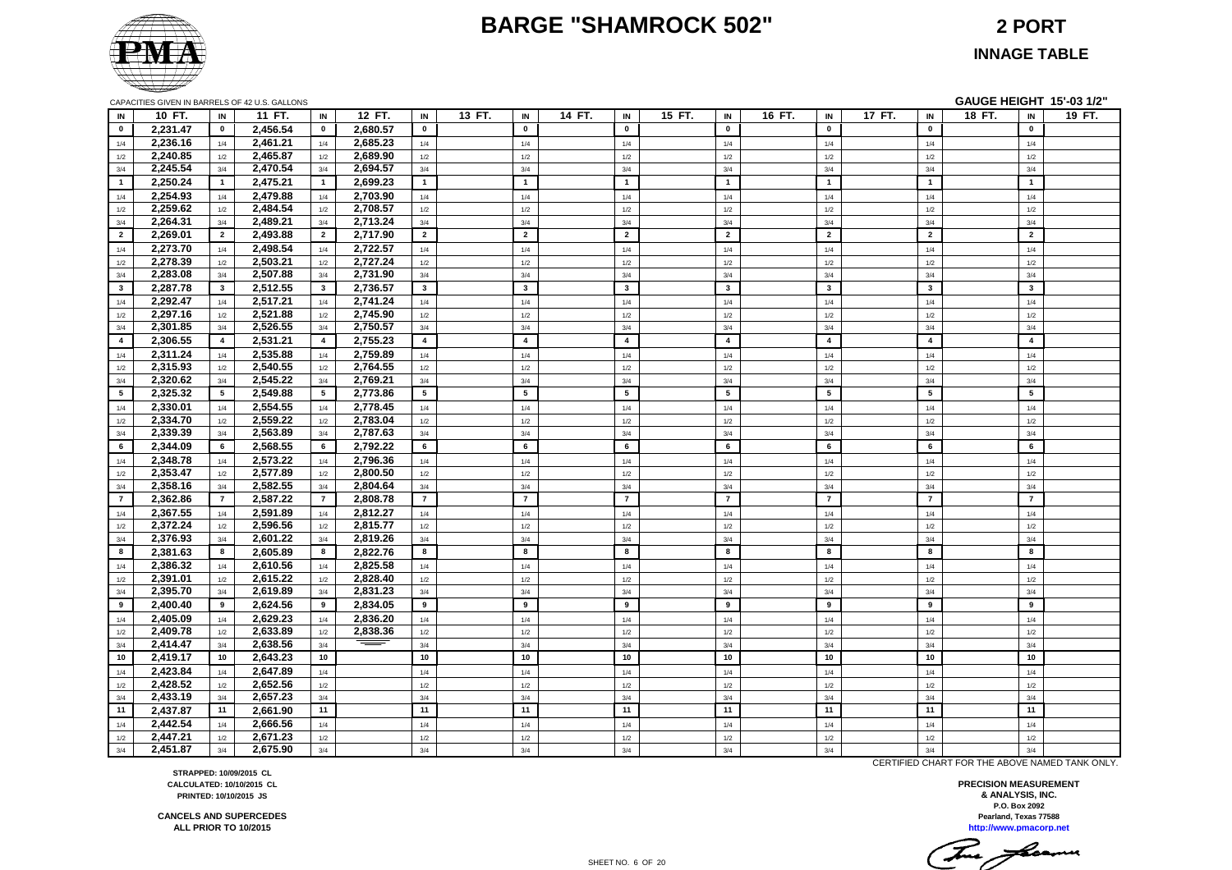#### **BARGE "SHAMROCK 502" 2 PORT**



**INNAGE TABLE**

|                 |                      |                 | CAPACITIES GIVEN IN BARRELS OF 42 U.S. GALLONS |          |                |        |                |        |                         |        |                |        |                         |        |                | GAUGE HEIGHT 15'-03 1/2" |                |        |
|-----------------|----------------------|-----------------|------------------------------------------------|----------|----------------|--------|----------------|--------|-------------------------|--------|----------------|--------|-------------------------|--------|----------------|--------------------------|----------------|--------|
| IN              | 10 FT.               | IN              | 11 FT.<br>IN                                   | 12 FT.   | IN             | 13 FT. | IN             | 14 FT. | IN                      | 15 FT. | IN             | 16 FT. | IN                      | 17 FT. | IN             | 18 FT.                   | IN             | 19 FT. |
| $\mathbf{0}$    | 2,231.47             | $\mathbf{0}$    | 2,456.54<br>$\mathbf{0}$                       | 2,680.57 | $\mathbf 0$    |        | $\mathbf{0}$   |        | $\mathbf 0$             |        | $\mathbf 0$    |        | $\mathbf{0}$            |        | $\mathbf 0$    |                          | $\mathbf 0$    |        |
| 1/4             | 2,236.16             | 1/4             | 2,461.21<br>1/4                                | 2,685.23 | 1/4            |        | 1/4            |        | 1/4                     |        | 1/4            |        | 1/4                     |        | 1/4            |                          | 1/4            |        |
| 1/2             | 2,240.85             | 1/2             | 2,465.87<br>1/2                                | 2,689.90 | 1/2            |        | 1/2            |        | 1/2                     |        | 1/2            |        | $1/2$                   |        | 1/2            |                          | 1/2            |        |
| 3/4             | 2,245.54             | 3/4             | 2,470.54<br>3/4                                | 2,694.57 | 3/4            |        | 3/4            |        | 3/4                     |        | 3/4            |        | 3/4                     |        | 3/4            |                          | 3/4            |        |
| $\mathbf{1}$    | 2,250.24             | $\overline{1}$  | 2,475.21<br>$\blacksquare$                     | 2,699.23 | $\mathbf{1}$   |        | $\mathbf{1}$   |        | $\overline{1}$          |        | $\mathbf{1}$   |        | $\mathbf{1}$            |        | $\mathbf{1}$   |                          | $\overline{1}$ |        |
| 1/4             | 2,254.93             | 1/4             | 2,479.88<br>1/4                                | 2,703.90 | 1/4            |        | 1/4            |        | 1/4                     |        | 1/4            |        | 1/4                     |        | 1/4            |                          | 1/4            |        |
| 1/2             | 2,259.62             | 1/2             | 2,484.54<br>1/2                                | 2,708.57 | 1/2            |        | 1/2            |        | 1/2                     |        | 1/2            |        | 1/2                     |        | 1/2            |                          | 1/2            |        |
| 3/4             | 2,264.31             | 3/4             | 2,489.21<br>3/4                                | 2,713.24 | 3/4            |        | 3/4            |        | 3/4                     |        | 3/4            |        | 3/4                     |        | 3/4            |                          | 3/4            |        |
| $\overline{2}$  | 2,269.01             | $\overline{2}$  | 2,493.88<br>$\overline{2}$                     | 2,717.90 | $\overline{2}$ |        | $\overline{2}$ |        | $\overline{2}$          |        | $\overline{2}$ |        | $\overline{2}$          |        | $\overline{2}$ |                          | $\overline{2}$ |        |
| 1/4             | 2,273.70             | 1/4             | 2,498.54<br>1/4                                | 2,722.57 | 1/4            |        | 1/4            |        | 1/4                     |        | 1/4            |        | 1/4                     |        | 1/4            |                          | 1/4            |        |
| 1/2             | 2,278.39             | 1/2             | 2,503.21<br>1/2                                | 2,727.24 | 1/2            |        | 1/2            |        | 1/2                     |        | 1/2            |        | 1/2                     |        | 1/2            |                          | 1/2            |        |
| 3/4             | 2,283.08             | 3/4             | 2,507.88<br>3/4                                | 2,731.90 | 3/4            |        | 3/4            |        | 3/4                     |        | 3/4            |        | 3/4                     |        | 3/4            |                          | 3/4            |        |
| $\mathbf{3}$    | 2,287.78             | $\mathbf{3}$    | 2,512.55<br>$3^{\circ}$                        | 2,736.57 | $\mathbf{3}$   |        | $\mathbf{3}$   |        | $\mathbf{3}$            |        | $\mathbf{3}$   |        | $\mathbf{3}$            |        | $\mathbf{3}$   |                          | $\mathbf{3}$   |        |
| 1/4             | 2,292.47             | 1/4             | 2,517.21<br>1/4                                | 2,741.24 | 1/4            |        | 1/4            |        | 1/4                     |        | 1/4            |        | 1/4                     |        | 1/4            |                          | 1/4            |        |
| 1/2             | 2,297.16             | 1/2             | 2,521.88<br>1/2                                | 2,745.90 | $1/2$          |        | 1/2            |        | $1/2\,$                 |        | 1/2            |        | $1/2$                   |        | 1/2            |                          | 1/2            |        |
| 3/4             | 2,301.85             | 3/4             | 2,526.55<br>3/4                                | 2,750.57 | 3/4            |        | 3/4            |        | 3/4                     |        | 3/4            |        | 3/4                     |        | 3/4            |                          | 3/4            |        |
| $\overline{4}$  | 2,306.55             | $\overline{4}$  | 2,531.21<br>$\overline{4}$                     | 2,755.23 | $\overline{4}$ |        | $\overline{4}$ |        | $\overline{\mathbf{4}}$ |        | $\overline{a}$ |        | $\overline{\mathbf{4}}$ |        | $\overline{4}$ |                          | $\overline{4}$ |        |
| 1/4             | 2,311.24             | 1/4             | 2,535.88<br>1/4                                | 2,759.89 | 1/4            |        | 1/4            |        | 1/4                     |        | 1/4            |        | 1/4                     |        | 1/4            |                          | 1/4            |        |
| 1/2             | 2,315.93             | 1/2             | 2,540.55<br>1/2                                | 2,764.55 | 1/2            |        | 1/2            |        | 1/2                     |        | 1/2            |        | 1/2                     |        | 1/2            |                          | 1/2            |        |
| 3/4             | 2,320.62             | 3/4             | 2,545.22<br>3/4                                | 2,769.21 | 3/4            |        | 3/4            |        | 3/4                     |        | 3/4            |        | 3/4                     |        | 3/4            |                          | 3/4            |        |
| $5\overline{5}$ | 2,325.32             | $5\overline{5}$ | 2,549.88<br>$5^{\circ}$                        | 2,773.86 | 5              |        | 5              |        | 5                       |        | 5              |        | $5\phantom{.0}$         |        | 5              |                          | 5              |        |
| 1/4             | 2,330.01             | 1/4             | 2,554.55<br>1/4                                | 2,778.45 | 1/4            |        | 1/4            |        | 1/4                     |        | 1/4            |        | 1/4                     |        | 1/4            |                          | 1/4            |        |
| 1/2             | 2,334.70             | 1/2             | 2,559.22<br>1/2                                | 2,783.04 | 1/2            |        | 1/2            |        | 1/2                     |        | 1/2            |        | 1/2                     |        | 1/2            |                          | 1/2            |        |
| 3/4             | 2,339.39             | 3/4             | 2,563.89<br>3/4                                | 2,787.63 | 3/4            |        | 3/4            |        | 3/4                     |        | 3/4            |        | 3/4                     |        | 3/4            |                          | 3/4            |        |
| 6               | 2,344.09             | 6               | 2,568.55<br>6                                  | 2,792.22 | 6              |        | 6              |        | 6                       |        | 6              |        | 6                       |        | 6              |                          | 6              |        |
| 1/4             | 2,348.78             | 1/4             | 2,573.22<br>1/4                                | 2,796.36 | 1/4            |        | 1/4            |        | 1/4                     |        | 1/4            |        | 1/4                     |        | 1/4            |                          | 1/4            |        |
| 1/2             | 2,353.47             | 1/2             | 2,577.89<br>1/2                                | 2,800.50 | $1/2$          |        | $1/2$          |        | 1/2                     |        | $1/2$          |        | $1/2$                   |        | $1/2$          |                          | $1/2$          |        |
| 3/4             | 2,358.16             | 3/4             | 2,582.55<br>3/4                                | 2,804.64 | 3/4            |        | 3/4            |        | 3/4                     |        | 3/4            |        | 3/4                     |        | 3/4            |                          | 3/4            |        |
| $\overline{7}$  | 2,362.86             | $\overline{7}$  | 2,587.22<br>$\overline{7}$                     | 2,808.78 | $\overline{7}$ |        | $\overline{7}$ |        | $\overline{7}$          |        | $\overline{7}$ |        | $\overline{7}$          |        | $\overline{7}$ |                          | $\overline{7}$ |        |
| 1/4             | 2,367.55             | 1/4             | 2,591.89<br>1/4                                | 2,812.27 | 1/4            |        | 1/4            |        | 1/4                     |        | 1/4            |        | 1/4                     |        | 1/4            |                          | 1/4            |        |
| 1/2             | 2,372.24             | 1/2             | 2,596.56<br>1/2                                | 2,815.77 | 1/2            |        | 1/2            |        | 1/2                     |        | 1/2            |        | 1/2                     |        | 1/2            |                          | 1/2            |        |
| 3/4             | 2,376.93             | 3/4             | 2,601.22<br>3/4                                | 2,819.26 | 3/4            |        | 3/4            |        | 3/4                     |        | 3/4            |        | 3/4                     |        | 3/4            |                          | 3/4            |        |
| 8               | 2,381.63             | 8               | 2,605.89<br>8                                  | 2,822.76 | 8              |        | 8              |        | 8                       |        | 8              |        | 8                       |        | 8              |                          | 8              |        |
| 1/4             | 2,386.32             | 1/4             | 2,610.56<br>1/4                                | 2,825.58 | $1/4$          |        | $1/4$          |        | $1/4\,$                 |        | 1/4            |        | 1/4                     |        | 1/4            |                          | 1/4            |        |
| 1/2             | 2,391.01             | 1/2             | 2,615.22<br>1/2                                | 2,828.40 | 1/2            |        | $1/2$          |        | 1/2                     |        | 1/2            |        | 1/2                     |        | $1/2$          |                          | $1/2$          |        |
| 3/4             | 2,395.70             | 3/4             | 2,619.89<br>3/4                                | 2,831.23 | 3/4            |        | 3/4            |        | 3/4                     |        | 3/4            |        | 3/4                     |        | 3/4            |                          | 3/4            |        |
| 9               | 2,400.40             | 9               | 2,624.56<br>9                                  | 2,834.05 | 9              |        | 9              |        | 9                       |        | 9              |        | 9                       |        | 9              |                          | 9              |        |
| 1/4             | 2,405.09             | 1/4             | 2,629.23<br>1/4                                | 2,836.20 | 1/4            |        | 1/4            |        | 1/4                     |        | 1/4            |        | 1/4                     |        | 1/4            |                          | 1/4            |        |
| 1/2             | 2,409.78             | 1/2             | 2,633.89<br>$1/2$                              | 2,838.36 | 1/2            |        | 1/2            |        | 1/2                     |        | 1/2            |        | $1/2$                   |        | 1/2            |                          | 1/2            |        |
| 3/4             | 2,414.47             | 3/4             | 2,638.56<br>3/4                                |          | 3/4            |        | 3/4            |        | 3/4                     |        | 3/4            |        | 3/4                     |        | 3/4            |                          | 3/4            |        |
| 10              | 2,419.17             | 10              | 2,643.23<br>10                                 |          | $10\,$         |        | 10             |        | 10                      |        | 10             |        | 10                      |        | 10             |                          | $10\,$         |        |
| 1/4             | 2,423.84             | 1/4             | 2,647.89<br>1/4                                |          | $1/4$          |        | $1/4$          |        | 1/4                     |        | 1/4            |        | 1/4                     |        | 1/4            |                          | 1/4            |        |
| 1/2             | 2,428.52             | 1/2             | 2,652.56<br>1/2                                |          | 1/2            |        | 1/2            |        | 1/2                     |        | 1/2            |        | 1/2                     |        | 1/2            |                          | 1/2            |        |
| 3/4<br>11       | 2,433.19             | 3/4<br>11       | 2,657.23<br>3/4<br>11                          |          | 3/4<br>11      |        | 3/4<br>11      |        | 3/4<br>11               |        | 3/4<br>11      |        | 3/4<br>11               |        | 3/4<br>11      |                          | 3/4<br>11      |        |
|                 | 2,437.87             |                 | 2,661.90                                       |          |                |        |                |        |                         |        |                |        |                         |        |                |                          |                |        |
| 1/4             | 2,442.54<br>2,447.21 | 1/4<br>1/2      | 2,666.56<br>1/4<br>2,671.23<br>1/2             |          | 1/4<br>1/2     |        | 1/4<br>1/2     |        | 1/4<br>1/2              |        | 1/4<br>1/2     |        | 1/4                     |        | 1/4            |                          | 1/4<br>1/2     |        |
| 1/2<br>3/4      | 2.451.87             | 3/4             | 2,675.90<br>3/4                                |          | 3/4            |        | 3/4            |        | 3/4                     |        | 3/4            |        | 1/2<br>3/4              |        | 1/2<br>3/4     |                          | 3/4            |        |
|                 |                      |                 |                                                |          |                |        |                |        |                         |        |                |        |                         |        |                |                          |                |        |

CERTIFIED CHART FOR THE ABOVE NAMED TANK ONLY.

**http://www.pmacorp.net Pearland, Texas 77588 PRECISION MEASUREMENT & ANALYSIS, INC. P.O. Box 2092**

**STRAPPED: 10/09/2015 CL CALCULATED: 10/10/2015 CL PRINTED: 10/10/2015 JS**

**CANCELS AND SUPERCEDES ALL PRIOR TO 10/2015**

SHEET NO. 6 OF 20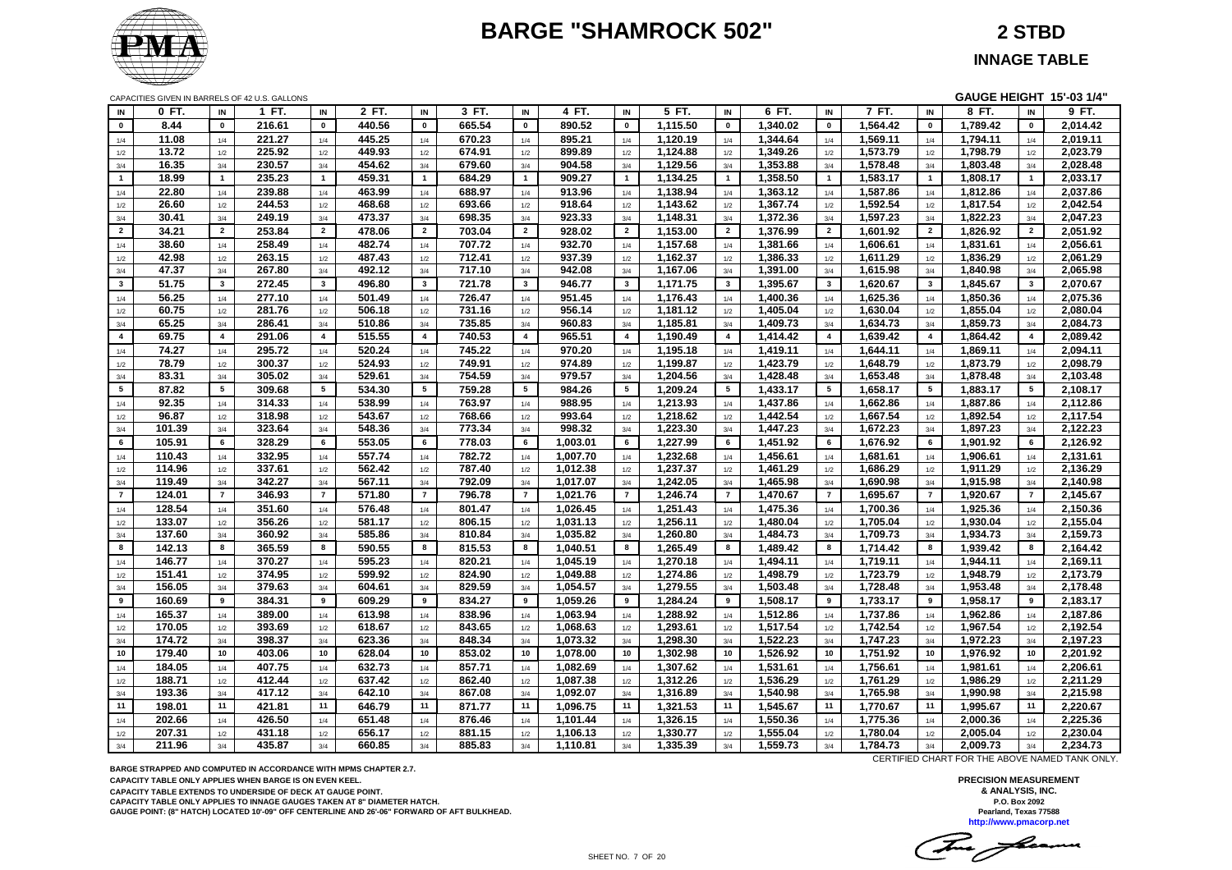# **BARGE "SHAMROCK 502" 2 STBD**



**INNAGE TABLE**

|                 | CAPACITIES GIVEN IN BARRELS OF 42 U.S. GALLONS |                         |                  |                         |                  |                |                  |                         |                      |                |                      |                |                      |                         |          |                 | GAUGE HEIGHT 15'-03 1/4" |                 |                      |
|-----------------|------------------------------------------------|-------------------------|------------------|-------------------------|------------------|----------------|------------------|-------------------------|----------------------|----------------|----------------------|----------------|----------------------|-------------------------|----------|-----------------|--------------------------|-----------------|----------------------|
| IN              | 0 FT.                                          | IN                      | 1 FT.            | IN                      | 2 FT.            | IN             | 3 FT.            | IN                      | 4 FT.                | IN             | 5 FT.                | IN             | 6 FT.                | IN                      | 7 FT.    | $\mathsf{IN}$   | 8 FT.                    | IN              | 9 FT.                |
| $\mathbf{0}$    | 8.44                                           | $\mathbf 0$             | 216.61           | $\mathbf 0$             | 440.56           | $\mathbf 0$    | 665.54           | $\mathbf 0$             | 890.52               | $\mathbf 0$    | 1,115.50             | $\mathbf 0$    | 1,340.02             | $\mathbf 0$             | 1,564.42 | $\mathbf 0$     | 1,789.42                 | $\mathbf 0$     | 2,014.42             |
| 1/4             | 11.08                                          | 1/4                     | 221.27           | 1/4                     | 445.25           | 1/4            | 670.23           | 1/4                     | 895.21               | 1/4            | 1.120.19             | 1/4            | 1,344.64             | 1/4                     | 1,569.11 | 1/4             | 1,794.11                 | 1/4             | 2,019.11             |
| 1/2             | 13.72                                          | 1/2                     | 225.92           | 1/2                     | 449.93           | 1/2            | 674.91           | 1/2                     | 899.89               | 1/2            | 1,124.88             | 1/2            | 1,349.26             | 1/2                     | 1,573.79 | 1/2             | 1,798.79                 | 1/2             | 2,023.79             |
| 3/4             | 16.35                                          | 3/4                     | 230.57           | 3/4                     | 454.62           | 3/4            | 679.60           | 3/4                     | 904.58               | 3/4            | 1,129.56             | 3/4            | 1,353.88             | 3/4                     | 1,578.48 | 3/4             | 1,803.48                 | 3/4             | 2,028.48             |
| $\mathbf{1}$    | 18.99                                          | $\overline{1}$          | 235.23           | $\mathbf{1}$            | 459.31           | $\mathbf{1}$   | 684.29           | $\mathbf{1}$            | 909.27               | $\overline{1}$ | 1,134.25             | $\overline{1}$ | 1,358.50             | $\overline{1}$          | 1,583.17 | $\overline{1}$  | 1,808.17                 | $\mathbf{1}$    | 2,033.17             |
| 1/4             | 22.80                                          | 1/4                     | 239.88           | 1/4                     | 463.99           | 1/4            | 688.97           | 1/4                     | 913.96               | 1/4            | 1,138.94             | 1/4            | 1,363.12             | 1/4                     | 1,587.86 | 1/4             | 1,812.86                 | 1/4             | 2,037.86             |
| 1/2             | 26.60                                          | 1/2                     | 244.53           | 1/2                     | 468.68           | 1/2            | 693.66           | 1/2                     | 918.64               | 1/2            | 1,143.62             | 1/2            | 1,367.74             | 1/2                     | 1,592.54 | 1/2             | 1,817.54                 | 1/2             | 2,042.54             |
| 3/4             | 30.41                                          | 3/4                     | 249.19           | 3/4                     | 473.37           | 3/4            | 698.35           | 3/4                     | 923.33               | 3/4            | 1,148.31             | 3/4            | 1,372.36             | 3/4                     | 1,597.23 | 3/4             | 1,822.23                 | 3/4             | 2,047.23             |
| $\overline{2}$  | 34.21                                          | $\overline{2}$          | 253.84           | $\overline{2}$          | 478.06           | $\overline{2}$ | 703.04           | $\mathbf{2}$            | 928.02               | $\overline{2}$ | 1,153.00             | $\overline{2}$ | 1,376.99             | $\overline{2}$          | 1,601.92 | $\overline{2}$  | 1,826.92                 | $\overline{2}$  | 2,051.92             |
| 1/4             | 38.60                                          | 1/4                     | 258.49           | 1/4                     | 482.74           | 1/4            | 707.72           | 1/4                     | 932.70               | 1/4            | 1,157.68             | 1/4            | 1,381.66             | 1/4                     | 1,606.61 | 1/4             | 1,831.61                 | 1/4             | 2,056.61             |
| 1/2             | 42.98                                          | 1/2                     | 263.15           | 1/2                     | 487.43           | 1/2            | 712.41           | 1/2                     | 937.39               | 1/2            | 1,162.37             | 1/2            | 1,386.33             | 1/2                     | 1,611.29 | $1/2$           | 1,836.29                 | 1/2             | 2,061.29             |
| 3/4             | 47.37                                          | 3/4                     | 267.80           | 3/4                     | 492.12           | 3/4            | 717.10           | 3/4                     | 942.08               | 3/4            | 1,167.06             | 3/4            | 1,391.00             | 3/4                     | 1,615.98 | 3/4             | 1,840.98                 | 3/4             | 2,065.98             |
| $\mathbf{3}$    | 51.75                                          | $\mathbf{3}$            | 272.45           | $\mathbf{3}$            | 496.80           | $\mathbf{3}$   | 721.78           | $\mathbf{3}$            | 946.77               | $\mathbf{3}$   | 1,171.75             | $\mathbf{3}$   | 1,395.67             | $\overline{\mathbf{3}}$ | 1,620.67 | $\mathbf{3}$    | 1,845.67                 | $3^{\circ}$     | 2,070.67             |
| 1/4             | 56.25                                          | 1/4                     | 277.10           | 1/4                     | 501.49           | 1/4            | 726.47           | 1/4                     | 951.45               | 1/4            | 1,176.43             | 1/4            | 1,400.36             | 1/4                     | 1,625.36 | 1/4             | 1,850.36                 | 1/4             | 2,075.36             |
| 1/2             | 60.75                                          | 1/2                     | 281.76           | 1/2                     | 506.18           | 1/2            | 731.16           | 1/2                     | 956.14               | 1/2            | 1,181.12             | 1/2            | 1,405.04             | 1/2                     | 1,630.04 | 1/2             | 1,855.04                 | 1/2             | 2,080.04             |
| 3/4             | 65.25                                          | 3/4                     | 286.41           | 3/4                     | 510.86           | 3/4            | 735.85           | 3/4                     | 960.83               | 3/4            | 1,185.81             | 3/4            | 1,409.73             | 3/4                     | 1,634.73 | 3/4             | 1,859.73                 | 3/4             | 2,084.73             |
| $\overline{4}$  | 69.75                                          | $\overline{\mathbf{4}}$ | 291.06           | $\overline{\mathbf{4}}$ | 515.55           | $\overline{4}$ | 740.53           | $\overline{\mathbf{4}}$ | 965.51               | $\overline{4}$ | 1,190.49             | $\overline{4}$ | 1,414.42             | $\overline{4}$          | 1,639.42 | $\overline{4}$  | 1,864.42                 | $\overline{4}$  | 2,089.42             |
| 1/4             | 74.27                                          | 1/4                     | 295.72           | 1/4                     | 520.24           | 1/4            | 745.22           | 1/4                     | 970.20               | 1/4            | 1,195.18             | 1/4            | 1,419.11             | 1/4                     | 1,644.11 | 1/4             | 1,869.11                 | 1/4             | 2,094.11             |
| 1/2             | 78.79                                          | 1/2                     | 300.37           | 1/2                     | 524.93           | 1/2            | 749.91           | 1/2                     | 974.89               | 1/2            | 1,199.87             | 1/2            | 1,423.79             | 1/2                     | 1,648.79 | 1/2             | 1,873.79                 | 1/2             | 2,098.79             |
| 3/4             | 83.31                                          | 3/4                     | 305.02           | 3/4                     | 529.61           | 3/4            | 754.59           | 3/4                     | 979.57               | 3/4            | 1,204.56             | 3/4            | 1,428.48             | 3/4                     | 1,653.48 | 3/4             | 1,878.48                 | 3/4             | 2,103.48             |
| $5\overline{5}$ | 87.82                                          | 5                       | 309.68           | $5\phantom{.0}$         | 534.30           | 5              | 759.28           | $5\phantom{.0}$         | 984.26               | 5              | 1,209.24             | 5              | 1,433.17             | 5                       | 1,658.17 | $5\overline{5}$ | 1,883.17                 | $5\overline{5}$ | 2,108.17             |
| 1/4             | 92.35                                          | 1/4                     | 314.33           | 1/4                     | 538.99           | 1/4            | 763.97           | 1/4                     | 988.95               | 1/4            | 1,213.93             | 1/4            | 1,437.86             | 1/4                     | 1,662.86 | 1/4             | 1,887.86                 | 1/4             | 2,112.86             |
| 1/2             | 96.87                                          | 1/2                     | 318.98           | 1/2                     | 543.67           | 1/2            | 768.66           | $1/2$                   | 993.64               | 1/2            | 1,218.62             | 1/2            | 1,442.54             | 1/2                     | 1,667.54 | $1/2$           | 1,892.54                 | 1/2             | 2,117.54             |
| 3/4             | 101.39                                         | 3/4                     | 323.64           | 3/4                     | 548.36           | 3/4            | 773.34           | 3/4                     | 998.32               | 3/4            | 1,223.30             | 3/4            | 1,447.23             | 3/4                     | 1,672.23 | 3/4             | 1,897.23                 | 3/4             | 2,122.23             |
| 6               | 105.91                                         | 6                       | 328.29           | 6                       | 553.05           | 6              | 778.03           | 6                       | 1,003.01             | 6              | 1,227.99             | 6              | 1,451.92             | 6                       | 1,676.92 | 6               | 1,901.92                 | 6               | 2,126.92             |
| 1/4             | 110.43                                         | 1/4                     | 332.95           | 1/4                     | 557.74           | 1/4            | 782.72           | 1/4                     | 1,007.70             | 1/4            | 1,232.68             | 1/4            | 1,456.61             | 1/4                     | 1,681.61 | 1/4             | 1,906.61                 | 1/4             | 2,131.61             |
| 1/2             | 114.96                                         | 1/2                     | 337.61           | 1/2                     | 562.42           | 1/2            | 787.40           | 1/2                     | 1,012.38             | 1/2            | 1,237.37             | 1/2            | 1,461.29             | 1/2                     | 1,686.29 | 1/2             | 1,911.29                 | 1/2             | 2,136.29             |
| $3/4\,$         | 119.49                                         | 3/4                     | 342.27           | 3/4                     | 567.11           | 3/4            | 792.09           | 3/4                     | 1,017.07             | 3/4            | 1,242.05             | 3/4            | 1,465.98             | 3/4                     | 1,690.98 | 3/4             | 1,915.98                 | 3/4             | 2,140.98             |
| $\overline{7}$  | 124.01                                         | $\overline{7}$          | 346.93           | $\overline{7}$          | 571.80           | $\overline{7}$ | 796.78           | $\overline{7}$          | 1,021.76             | $\overline{7}$ | 1,246.74             | $\overline{7}$ | 1,470.67             | $\overline{7}$          | 1,695.67 | $\overline{7}$  | 1,920.67                 | $\overline{7}$  | 2,145.67             |
| 1/4             | 128.54                                         | 1/4                     | 351.60           | 1/4                     | 576.48           | 1/4            | 801.47           | 1/4                     | 1,026.45             | 1/4            | 1,251.43             | 1/4            | 1,475.36             | 1/4                     | 1,700.36 | 1/4             | 1,925.36                 | 1/4             | 2,150.36             |
| 1/2             | 133.07                                         | 1/2                     | 356.26           | 1/2                     | 581.17           | 1/2            | 806.15           | 1/2                     | 1,031.13             | 1/2            | 1,256.11             | 1/2            | 1,480.04             | 1/2                     | 1,705.04 | $1/2$           | 1,930.04                 | 1/2             | 2,155.04             |
| 3/4             | 137.60                                         | 3/4                     | 360.92           | 3/4                     | 585.86           | 3/4            | 810.84           | 3/4                     | 1,035.82             | 3/4            | 1,260.80             | 3/4            | 1,484.73             | 3/4                     | 1,709.73 | 3/4             | 1,934.73                 | 3/4             | 2,159.73             |
| 8               | 142.13                                         | 8                       | 365.59           | 8                       | 590.55           | 8              | 815.53           | 8                       | 1,040.51             | 8              | 1,265.49             | 8              | 1,489.42             | 8                       | 1,714.42 | 8               | 1,939.42                 | 8               | 2,164.42             |
| 1/4             | 146.77                                         | 1/4                     | 370.27           | 1/4                     | 595.23           | 1/4            | 820.21           | 1/4                     | 1,045.19             | 1/4            | 1,270.18             | 1/4            | 1,494.11             | 1/4                     | 1,719.11 | 1/4             | 1,944.11                 | 1/4             | 2,169.11             |
| 1/2             | 151.41                                         | 1/2                     | 374.95           | 1/2                     | 599.92           | 1/2            | 824.90           | 1/2                     | 1,049.88             | 1/2            | 1,274.86             | 1/2            | 1,498.79             | 1/2                     | 1,723.79 | 1/2             | 1,948.79                 | 1/2             | 2,173.79             |
| $3/4\,$         | 156.05                                         | 3/4                     | 379.63           | 3/4                     | 604.61           | 3/4            | 829.59           | 3/4                     | 1,054.57             | 3/4            | 1,279.55             | 3/4            | 1,503.48             | 3/4                     | 1,728.48 | 3/4             | 1,953.48                 | 3/4             | 2,178.48             |
| 9               | 160.69                                         | 9                       | 384.31           | 9                       | 609.29           | 9              | 834.27           | 9                       | 1,059.26             | 9              | 1,284.24             | 9              | 1,508.17             | 9                       | 1,733.17 | 9               | 1,958.17                 | 9               | 2,183.17             |
|                 | 165.37                                         | 1/4                     | 389.00           |                         | 613.98           |                | 838.96           |                         | 1,063.94             |                | 1,288.92             |                | 1,512.86             |                         | 1,737.86 |                 | 1,962.86                 |                 | 2,187.86             |
| 1/4             | 170.05                                         | 1/2                     | 393.69           | 1/4                     | 618.67           | 1/4            | 843.65           | 1/4<br>1/2              | 1,068.63             | 1/4            | 1,293.61             | 1/4<br>1/2     | 1,517.54             | 1/4                     | 1,742.54 | 1/4<br>1/2      | 1,967.54                 | 1/4<br>1/2      | 2,192.54             |
| 1/2<br>3/4      | 174.72                                         | 3/4                     | 398.37           | $1/2$<br>3/4            | 623.36           | 1/2<br>3/4     | 848.34           | 3/4                     | 1,073.32             | 1/2<br>3/4     | 1,298.30             | 3/4            | 1,522.23             | 1/2<br>3/4              | 1,747.23 | 3/4             | 1,972.23                 | 3/4             | 2,197.23             |
| 10              | 179.40                                         | 10                      | 403.06           | 10                      | 628.04           | 10             | 853.02           | 10                      | 1,078.00             | 10             | 1,302.98             | 10             | 1,526.92             | 10                      | 1,751.92 | 10              | 1,976.92                 | 10              | 2,201.92             |
|                 |                                                |                         |                  |                         |                  |                |                  |                         |                      |                |                      |                |                      |                         |          |                 |                          |                 |                      |
| 1/4             | 184.05                                         | 1/4                     | 407.75<br>412.44 | 1/4                     | 632.73           | $1/4$          | 857.71<br>862.40 | 1/4                     | 1,082.69             | 1/4            | 1,307.62<br>1,312.26 | 1/4            | 1,531.61<br>1,536.29 | 1/4                     | 1,756.61 | 1/4             | 1,981.61                 | 1/4             | 2,206.61<br>2,211.29 |
| 1/2             | 188.71<br>193.36                               | 1/2<br>3/4              | 417.12           | 1/2                     | 637.42<br>642.10 | 1/2            | 867.08           | $1/2$                   | 1,087.38<br>1,092.07 | 1/2<br>3/4     |                      | 1/2            |                      | 1/2                     | 1,761.29 | 1/2             | 1,986.29                 | 1/2             |                      |
| 3/4             |                                                | 11                      |                  | 3/4<br>11               |                  | 3/4            |                  | 3/4<br>11               |                      |                | 1,316.89             | 3/4            | 1,540.98             | 3/4                     | 1,765.98 | 3/4             | 1,990.98                 | 3/4             | 2,215.98             |
| 11              | 198.01                                         |                         | 421.81           |                         | 646.79           | 11             | 871.77           |                         | 1,096.75             | 11             | 1,321.53             | 11             | 1,545.67             | 11                      | 1,770.67 | 11              | 1,995.67                 | 11              | 2,220.67             |
| 1/4             | 202.66                                         | 1/4                     | 426.50           | 1/4                     | 651.48           | 1/4            | 876.46           | 1/4                     | 1,101.44             | 1/4            | 1,326.15             | 1/4            | 1,550.36             | 1/4                     | 1,775.36 | 1/4             | 2,000.36                 | 1/4             | 2,225.36             |
| 1/2             | 207.31                                         | 1/2                     | 431.18           | 1/2                     | 656.17           | 1/2            | 881.15           | 1/2                     | 1,106.13             | 1/2            | 1,330.77             | 1/2            | 1,555.04             | 1/2                     | 1,780.04 | 1/2             | 2,005.04                 | 1/2             | 2,230.04             |
| 3/4             | 211.96                                         | 3/4                     | 435.87           | 3/4                     | 660.85           | 3/4            | 885.83           | 3/4                     | 1,110.81             | 3/4            | 1,335.39             | 3/4            | 1,559.73             | 3/4                     | 1,784.73 | 3/4             | 2,009.73                 | 3/4             | 2,234.73             |

**BARGE STRAPPED AND COMPUTED IN ACCORDANCE WITH MPMS CHAPTER 2.7.**

**CAPACITY TABLE ONLY APPLIES WHEN BARGE IS ON EVEN KEEL.**

**CAPACITY TABLE EXTENDS TO UNDERSIDE OF DECK AT GAUGE POINT.**

**CAPACITY TABLE ONLY APPLIES TO INNAGE GAUGES TAKEN AT 8" DIAMETER HATCH.**

**GAUGE POINT: (8" HATCH) LOCATED 10'-09" OFF CENTERLINE AND 26'-06" FORWARD OF AFT BULKHEAD.**

CERTIFIED CHART FOR THE ABOVE NAMED TANK ONLY.

For Jam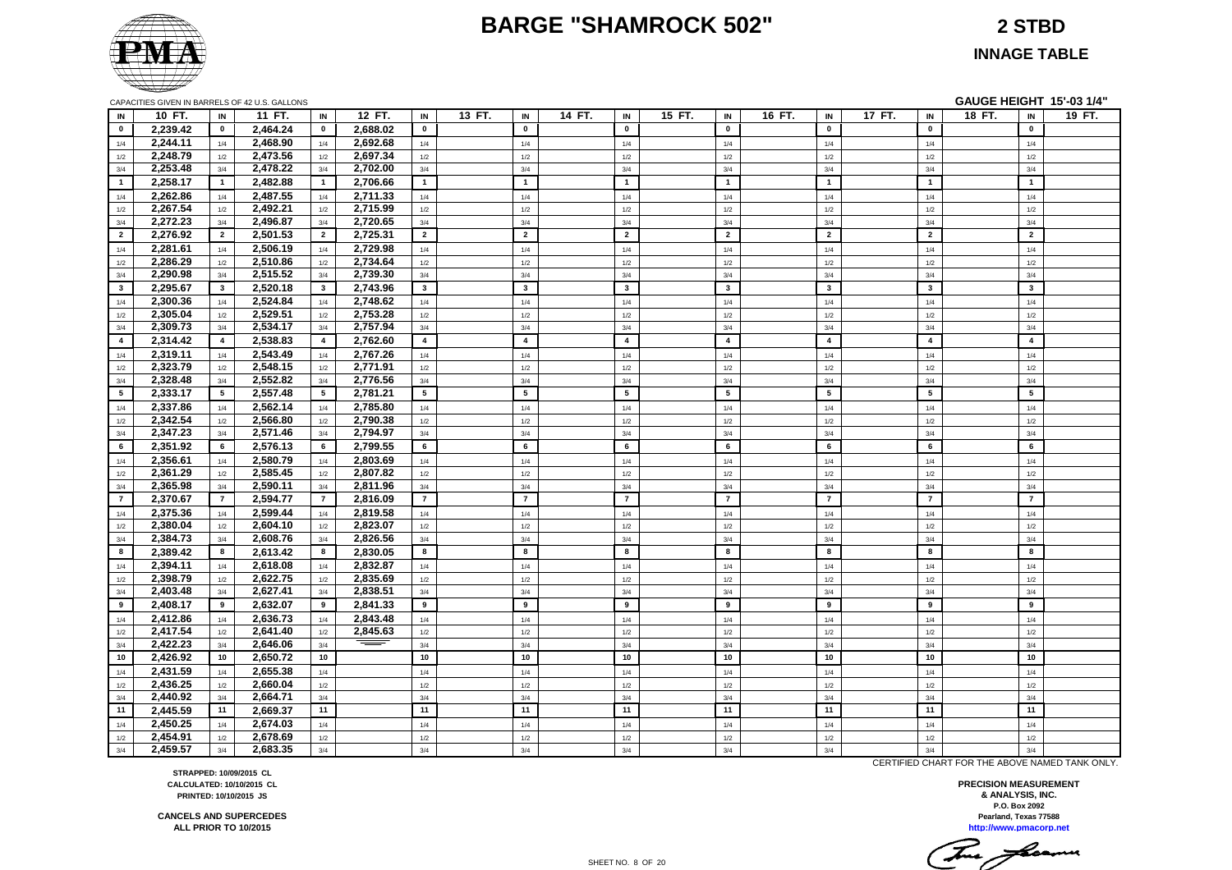#### **BARGE "SHAMROCK 502" 2 STBD**

**INNAGE TABLE**

|                         | CAPACITIES GIVEN IN BARRELS OF 42 U.S. GALLONS |                |          |                |          |                |        |                |        |                         |        |                         |        |                |        |                         | <b>GAUGE HEIGHT 15'-03 1/4"</b> |                |        |
|-------------------------|------------------------------------------------|----------------|----------|----------------|----------|----------------|--------|----------------|--------|-------------------------|--------|-------------------------|--------|----------------|--------|-------------------------|---------------------------------|----------------|--------|
| IN                      | 10 FT.                                         | IN             | 11 FT.   | IN             | 12 FT.   | IN             | 13 FT. | IN             | 14 FT. | IN                      | 15 FT. | IN                      | 16 FT. | IN             | 17 FT. | IN                      | 18 FT.                          | IN             | 19 FT. |
| $\bullet$               | 2,239.42                                       | $\mathbf 0$    | 2,464.24 | $\mathbf 0$    | 2,688.02 | $\mathbf 0$    |        | $\mathbf 0$    |        | $\mathbf 0$             |        | $\mathbf 0$             |        | $\mathbf 0$    |        | $\mathbf 0$             |                                 | $\mathbf 0$    |        |
| 1/4                     | 2,244.11                                       | 1/4            | 2,468.90 | 1/4            | 2,692.68 | 1/4            |        | 1/4            |        | 1/4                     |        | 1/4                     |        | 1/4            |        | 1/4                     |                                 | 1/4            |        |
| 1/2                     | 2,248.79                                       | 1/2            | 2,473.56 | 1/2            | 2,697.34 | 1/2            |        | 1/2            |        | 1/2                     |        | 1/2                     |        | 1/2            |        | 1/2                     |                                 | 1/2            |        |
| 3/4                     | 2,253.48                                       | 3/4            | 2,478.22 | 3/4            | 2,702.00 | 3/4            |        | 3/4            |        | 3/4                     |        | 3/4                     |        | 3/4            |        | 3/4                     |                                 | 3/4            |        |
| $\overline{1}$          | 2,258.17                                       | $\overline{1}$ | 2,482.88 | $\overline{1}$ | 2,706.66 | $\mathbf{1}$   |        | $\overline{1}$ |        | $\mathbf{1}$            |        | $\overline{1}$          |        | $\overline{1}$ |        | $\overline{1}$          |                                 | $\overline{1}$ |        |
| 1/4                     | 2,262.86                                       | 1/4            | 2,487.55 | 1/4            | 2,711.33 | 1/4            |        | 1/4            |        | 1/4                     |        | 1/4                     |        | 1/4            |        | 1/4                     |                                 | 1/4            |        |
| 1/2                     | 2,267.54                                       | 1/2            | 2,492.21 | 1/2            | 2,715.99 | 1/2            |        | 1/2            |        | 1/2                     |        | 1/2                     |        | 1/2            |        | 1/2                     |                                 | 1/2            |        |
| 3/4                     | 2,272.23                                       | 3/4            | 2,496.87 | 3/4            | 2,720.65 | 3/4            |        | 3/4            |        | 3/4                     |        | 3/4                     |        | 3/4            |        | 3/4                     |                                 | 3/4            |        |
| $\overline{2}$          | 2,276.92                                       | $\overline{2}$ | 2,501.53 | $\overline{2}$ | 2,725.31 | $\overline{2}$ |        | $\overline{2}$ |        | $\overline{2}$          |        | $\overline{2}$          |        | $\overline{2}$ |        | $\overline{2}$          |                                 | $\overline{2}$ |        |
| 1/4                     | 2,281.61                                       | 1/4            | 2,506.19 | 1/4            | 2,729.98 | 1/4            |        | 1/4            |        | 1/4                     |        | 1/4                     |        | 1/4            |        | 1/4                     |                                 | 1/4            |        |
| 1/2                     | 2,286.29                                       | 1/2            | 2,510.86 | 1/2            | 2,734.64 | 1/2            |        | 1/2            |        | 1/2                     |        | 1/2                     |        | 1/2            |        | 1/2                     |                                 | 1/2            |        |
| 3/4                     | 2,290.98                                       | 3/4            | 2,515.52 | 3/4            | 2,739.30 | 3/4            |        | 3/4            |        | 3/4                     |        | 3/4                     |        | 3/4            |        | 3/4                     |                                 | 3/4            |        |
| $\overline{\mathbf{3}}$ | 2.295.67                                       | $\mathbf{3}$   | 2,520.18 | $\mathbf{3}$   | 2,743.96 | $\mathbf{3}$   |        | $\mathbf{3}$   |        | $\overline{\mathbf{3}}$ |        | $\overline{\mathbf{3}}$ |        | $\mathbf{3}$   |        | $\overline{\mathbf{3}}$ |                                 | $\mathbf{3}$   |        |
| 1/4                     | 2,300.36                                       | 1/4            | 2,524.84 | 1/4            | 2,748.62 | 1/4            |        | 1/4            |        | 1/4                     |        | 1/4                     |        | 1/4            |        | 1/4                     |                                 | 1/4            |        |
| 1/2                     | 2,305.04                                       | 1/2            | 2,529.51 | $1/2$          | 2,753.28 | 1/2            |        | 1/2            |        | $1/2$                   |        | 1/2                     |        | 1/2            |        | $1/2$                   |                                 | $1/2$          |        |
| 3/4                     | 2,309.73                                       | 3/4            | 2,534.17 | $3/4$          | 2,757.94 | 3/4            |        | 3/4            |        | 3/4                     |        | 3/4                     |        | 3/4            |        | 3/4                     |                                 | 3/4            |        |
| $\overline{4}$          | 2,314.42                                       | $\overline{4}$ | 2,538.83 | $\overline{4}$ | 2,762.60 | $\overline{4}$ |        | $\overline{4}$ |        | $\overline{4}$          |        | $\overline{4}$          |        | $\overline{4}$ |        | $\overline{4}$          |                                 | $\overline{4}$ |        |
| 1/4                     | 2,319.11                                       | 1/4            | 2,543.49 | 1/4            | 2,767.26 | 1/4            |        | 1/4            |        | 1/4                     |        | 1/4                     |        | 1/4            |        | 1/4                     |                                 | 1/4            |        |
| 1/2                     | 2,323.79                                       | 1/2            | 2,548.15 | 1/2            | 2,771.91 | 1/2            |        | 1/2            |        | 1/2                     |        | 1/2                     |        | 1/2            |        | 1/2                     |                                 | 1/2            |        |
| 3/4                     | 2,328.48                                       | 3/4            | 2,552.82 | 3/4            | 2,776.56 | 3/4            |        | 3/4            |        | 3/4                     |        | 3/4                     |        | 3/4            |        | 3/4                     |                                 | 3/4            |        |
| 5                       | 2,333.17                                       | 5              | 2,557.48 | 5              | 2,781.21 | 5              |        | 5              |        | 5                       |        | 5                       |        | 5              |        | 5                       |                                 | 5              |        |
| 1/4                     | 2,337.86                                       | 1/4            | 2,562.14 | 1/4            | 2,785.80 | 1/4            |        | 1/4            |        | 1/4                     |        | 1/4                     |        | 1/4            |        | 1/4                     |                                 | 1/4            |        |
| 1/2                     | 2,342.54                                       | 1/2            | 2,566.80 | 1/2            | 2,790.38 | 1/2            |        | 1/2            |        | 1/2                     |        | 1/2                     |        | 1/2            |        | 1/2                     |                                 | 1/2            |        |
| 3/4                     | 2,347.23                                       | 3/4            | 2,571.46 | 3/4            | 2,794.97 | 3/4            |        | 3/4            |        | 3/4                     |        | 3/4                     |        | 3/4            |        | 3/4                     |                                 | 3/4            |        |
| 6                       | 2,351.92                                       | 6              | 2,576.13 | 6              | 2,799.55 | 6              |        | 6              |        | 6                       |        | 6                       |        | 6              |        | 6                       |                                 | 6              |        |
| 1/4                     | 2,356.61                                       | 1/4            | 2,580.79 | 1/4            | 2,803.69 | 1/4            |        | 1/4            |        | 1/4                     |        | 1/4                     |        | 1/4            |        | 1/4                     |                                 | 1/4            |        |
| 1/2                     | 2,361.29                                       | 1/2            | 2,585.45 | 1/2            | 2,807.82 | 1/2            |        | 1/2            |        | 1/2                     |        | 1/2                     |        | 1/2            |        | 1/2                     |                                 | 1/2            |        |
| 3/4                     | 2,365.98                                       | 3/4            | 2,590.11 | 3/4            | 2,811.96 | 3/4            |        | 3/4            |        | 3/4                     |        | 3/4                     |        | 3/4            |        | 3/4                     |                                 | 3/4            |        |
| $\overline{7}$          | 2,370.67                                       | $\overline{7}$ | 2,594.77 | $\overline{7}$ | 2,816.09 | $\overline{7}$ |        | $\overline{7}$ |        | $\overline{7}$          |        | $\overline{7}$          |        | $\overline{7}$ |        | $\overline{7}$          |                                 | $\overline{7}$ |        |
| 1/4                     | 2,375.36                                       | 1/4            | 2,599.44 | 1/4            | 2,819.58 | 1/4            |        | 1/4            |        | 1/4                     |        | 1/4                     |        | 1/4            |        | 1/4                     |                                 | 1/4            |        |
| 1/2                     | 2.380.04                                       | 1/2            | 2,604.10 | 1/2            | 2,823.07 | 1/2            |        | 1/2            |        | 1/2                     |        | 1/2                     |        | 1/2            |        | 1/2                     |                                 | 1/2            |        |
| 3/4                     | 2,384.73                                       | 3/4            | 2,608.76 | 3/4            | 2,826.56 | 3/4            |        | 3/4            |        | 3/4                     |        | 3/4                     |        | 3/4            |        | 3/4                     |                                 | 3/4            |        |
| 8                       | 2,389.42                                       | 8              | 2,613.42 | 8              | 2,830.05 | 8              |        | 8              |        | 8                       |        | 8                       |        | 8              |        | 8                       |                                 | 8              |        |
| 1/4                     | 2,394.11                                       | 1/4            | 2,618.08 | 1/4            | 2,832.87 | 1/4            |        | 1/4            |        | 1/4                     |        | 1/4                     |        | 1/4            |        | 1/4                     |                                 | 1/4            |        |
| 1/2                     | 2,398.79                                       | 1/2            | 2,622.75 | 1/2            | 2,835.69 | 1/2            |        | 1/2            |        | 1/2                     |        | 1/2                     |        | 1/2            |        | 1/2                     |                                 | 1/2            |        |
| 3/4                     | 2,403.48                                       | 3/4            | 2,627.41 | 3/4            | 2,838.51 | 3/4            |        | 3/4            |        | 3/4                     |        | 3/4                     |        | 3/4            |        | 3/4                     |                                 | 3/4            |        |
| 9                       | 2,408.17                                       | 9              | 2,632.07 | 9              | 2,841.33 | 9              |        | 9              |        | 9                       |        | 9                       |        | 9              |        | 9                       |                                 | 9              |        |
| 1/4                     | 2,412.86                                       | 1/4            | 2,636.73 | 1/4            | 2,843.48 | 1/4            |        | 1/4            |        | 1/4                     |        | 1/4                     |        | 1/4            |        | 1/4                     |                                 | 1/4            |        |
| 1/2                     | 2,417.54                                       | 1/2            | 2,641.40 | 1/2            | 2,845.63 | 1/2            |        | 1/2            |        | 1/2                     |        | 1/2                     |        | 1/2            |        | 1/2                     |                                 | 1/2            |        |
| 3/4                     | 2,422.23                                       | 3/4            | 2,646.06 | 3/4            |          | 3/4            |        | 3/4            |        | 3/4                     |        | 3/4                     |        | 3/4            |        | 3/4                     |                                 | 3/4            |        |
| 10                      | 2,426.92                                       | 10             | 2,650.72 | 10             |          | 10             |        | 10             |        | 10                      |        | 10                      |        | 10             |        | 10                      |                                 | 10             |        |
| 1/4                     | 2,431.59                                       | 1/4            | 2,655.38 | 1/4            |          | 1/4            |        | 1/4            |        | 1/4                     |        | 1/4                     |        | 1/4            |        | 1/4                     |                                 | 1/4            |        |
| 1/2                     | 2,436.25                                       | 1/2            | 2,660.04 | 1/2            |          | 1/2            |        | 1/2            |        | 1/2                     |        | 1/2                     |        | 1/2            |        | 1/2                     |                                 | 1/2            |        |
| 3/4                     | 2,440.92                                       | 3/4            | 2,664.71 | 3/4            |          | 3/4            |        | 3/4            |        | 3/4                     |        | 3/4                     |        | 3/4            |        | 3/4                     |                                 | 3/4            |        |
| 11                      | 2.445.59                                       | 11             | 2,669.37 | 11             |          | 11             |        | 11             |        | 11                      |        | 11                      |        | 11             |        | 11                      |                                 | 11             |        |
| 1/4                     | 2.450.25                                       | 1/4            | 2,674.03 | 1/4            |          | 1/4            |        | 1/4            |        | 1/4                     |        | 1/4                     |        | 1/4            |        | 1/4                     |                                 | 1/4            |        |
| 1/2                     | 2.454.91                                       | 1/2            | 2.678.69 | 1/2            |          | 1/2            |        | 1/2            |        | 1/2                     |        | 1/2                     |        | 1/2            |        | 1/2                     |                                 | 1/2            |        |
| 3/4                     | 2,459.57                                       | 3/4            | 2,683.35 | 3/4            |          | 3/4            |        | 3/4            |        | 3/4                     |        | 3/4                     |        | 3/4            |        | 3/4                     |                                 | 3/4            |        |

CERTIFIED CHART FOR THE ABOVE NAMED TANK ONLY.

**http://www.pmacorp.net Pearland, Texas 77588 PRECISION MEASUREMENT & ANALYSIS, INC. P.O. Box 2092**

This freemen

**CANCELS AND SUPERCEDES CALCULATED: 10/10/2015 CL PRINTED: 10/10/2015 JS**

**STRAPPED: 10/09/2015 CL**

**ALL PRIOR TO 10/2015**

SHEET NO. 8 OF 20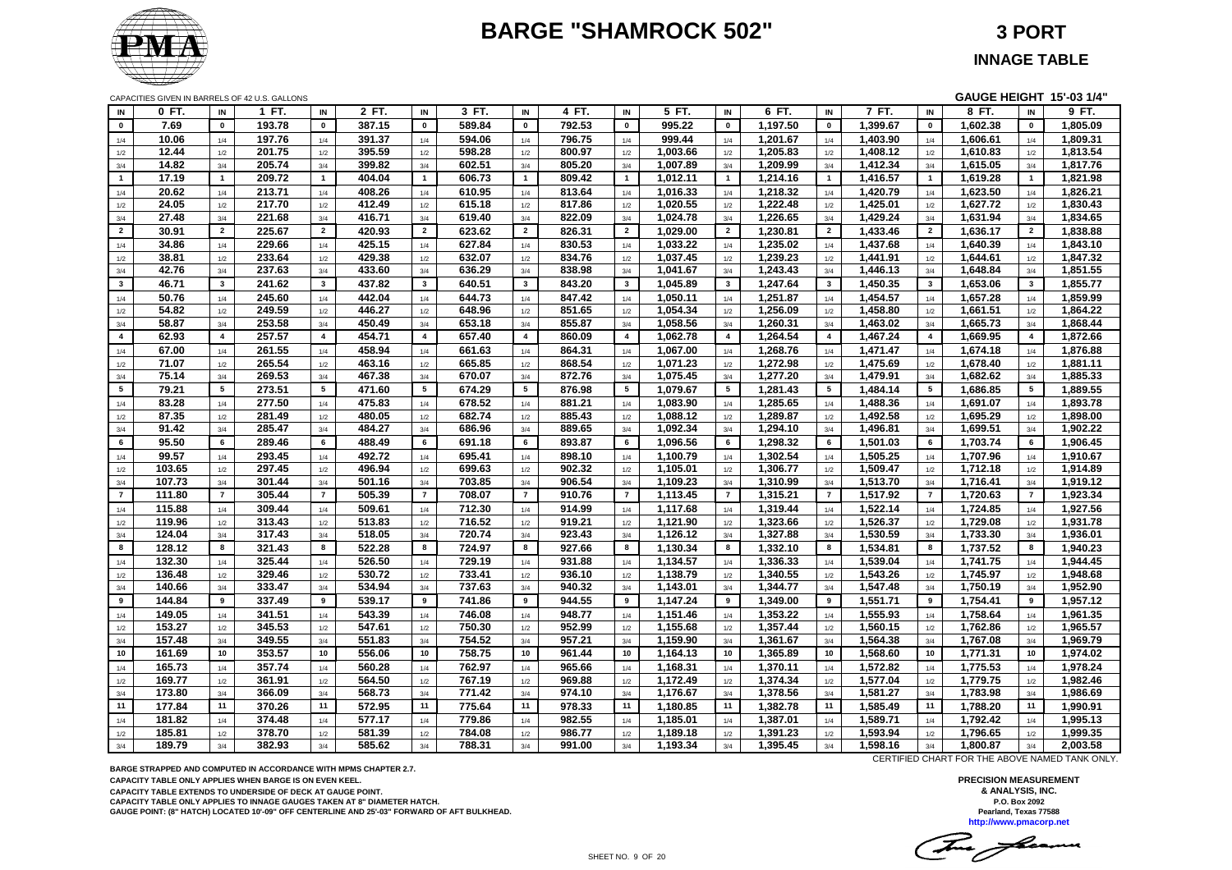# **BARGE "SHAMROCK 502" 3 PORT**



**INNAGE TABLE**

CAPACITIES GIVEN IN BARRELS OF 42 U.S. GALLONS **GAUGE HEIGHT 15'-03 1/4"**

| IN             | 0 FT.  | IN                      | 1 FT.  | IN                      | 2 FT.  | IN             | 3 FT.  | IN                      | 4 FT.  | IN              | 5 FT.    | IN                      | 6 FT.    | IN                      | 7 FT.    | IN                      | 8 FT.    | IN                      | $9$ FT.  |
|----------------|--------|-------------------------|--------|-------------------------|--------|----------------|--------|-------------------------|--------|-----------------|----------|-------------------------|----------|-------------------------|----------|-------------------------|----------|-------------------------|----------|
| $\mathbf 0$    | 7.69   | $\mathbf{0}$            | 193.78 | $\pmb{0}$               | 387.15 | $\mathbf 0$    | 589.84 | $\mathbf 0$             | 792.53 | $\pmb{0}$       | 995.22   | $\mathbf{0}$            | 1,197.50 | $\mathbf 0$             | 1,399.67 | $\pmb{0}$               | 1,602.38 | $\pmb{0}$               | 1,805.09 |
| 1/4            | 10.06  | 1/4                     | 197.76 | 1/4                     | 391.37 | 1/4            | 594.06 | 1/4                     | 796.75 | 1/4             | 999.44   | 1/4                     | 1,201.67 | 1/4                     | 1,403.90 | 1/4                     | 1,606.61 | 1/4                     | 1,809.31 |
| 1/2            | 12.44  | 1/2                     | 201.75 | 1/2                     | 395.59 | 1/2            | 598.28 | 1/2                     | 800.97 | 1/2             | 1,003.66 | 1/2                     | 1,205.83 | 1/2                     | 1,408.12 | 1/2                     | 1,610.83 | 1/2                     | 1,813.54 |
| $3/4$          | 14.82  | 3/4                     | 205.74 | 3/4                     | 399.82 | 3/4            | 602.51 | 3/4                     | 805.20 | 3/4             | 1,007.89 | 3/4                     | 1,209.99 | 3/4                     | 1,412.34 | 3/4                     | 1,615.05 | 3/4                     | 1,817.76 |
| $\mathbf{1}$   | 17.19  | $\overline{1}$          | 209.72 | $\overline{1}$          | 404.04 | $\overline{1}$ | 606.73 | $\overline{1}$          | 809.42 | $\mathbf{1}$    | 1,012.11 | $\mathbf{1}$            | 1,214.16 | $\mathbf{1}$            | 1,416.57 | $\overline{1}$          | 1,619.28 | $\overline{1}$          | 1,821.98 |
| 1/4            | 20.62  | 1/4                     | 213.71 | 1/4                     | 408.26 | 1/4            | 610.95 | 1/4                     | 813.64 | 1/4             | 1,016.33 | 1/4                     | 1,218.32 | 1/4                     | 1,420.79 | 1/4                     | 1,623.50 | 1/4                     | 1,826.21 |
| 1/2            | 24.05  | 1/2                     | 217.70 | 1/2                     | 412.49 | 1/2            | 615.18 | 1/2                     | 817.86 | 1/2             | 1,020.55 | 1/2                     | 1,222.48 | 1/2                     | 1,425.01 | 1/2                     | 1,627.72 | 1/2                     | 1,830.43 |
| $3/4$          | 27.48  | 3/4                     | 221.68 | 3/4                     | 416.71 | 3/4            | 619.40 | 3/4                     | 822.09 | 3/4             | 1,024.78 | 3/4                     | 1,226.65 | 3/4                     | 1,429.24 | 3/4                     | 1,631.94 | 3/4                     | 1,834.65 |
| $\overline{2}$ | 30.91  | $\overline{2}$          | 225.67 | $\overline{2}$          | 420.93 | $\overline{2}$ | 623.62 | $\overline{2}$          | 826.31 | $\overline{2}$  | 1,029.00 | $\overline{2}$          | 1,230.81 | $\overline{2}$          | 1,433.46 | $\overline{2}$          | 1,636.17 | $\overline{2}$          | 1,838.88 |
| 1/4            | 34.86  | 1/4                     | 229.66 | 1/4                     | 425.15 | 1/4            | 627.84 | 1/4                     | 830.53 | 1/4             | 1,033.22 | 1/4                     | 1,235.02 | 1/4                     | 1,437.68 | 1/4                     | 1,640.39 | 1/4                     | 1,843.10 |
| 1/2            | 38.81  | 1/2                     | 233.64 | $1/2\,$                 | 429.38 | 1/2            | 632.07 | $1/2$                   | 834.76 | 1/2             | 1,037.45 | $1/2$                   | 1,239.23 | 1/2                     | 1,441.91 | 1/2                     | 1,644.61 | 1/2                     | 1,847.32 |
| 3/4            | 42.76  | 3/4                     | 237.63 | 3/4                     | 433.60 | 3/4            | 636.29 | 3/4                     | 838.98 | 3/4             | 1,041.67 | 3/4                     | 1,243.43 | 3/4                     | 1,446.13 | 3/4                     | 1,648.84 | 3/4                     | 1,851.55 |
| $\mathbf{3}$   | 46.71  | $\overline{\mathbf{3}}$ | 241.62 | $\mathbf{3}$            | 437.82 | $\mathbf{3}$   | 640.51 | $\mathbf{3}$            | 843.20 | $\mathbf{3}$    | 1,045.89 | $\overline{\mathbf{3}}$ | 1,247.64 | $\mathbf{3}$            | 1,450.35 | $\overline{\mathbf{3}}$ | 1,653.06 | $\overline{\mathbf{3}}$ | 1,855.77 |
| 1/4            | 50.76  | 1/4                     | 245.60 | 1/4                     | 442.04 | 1/4            | 644.73 | 1/4                     | 847.42 | 1/4             | 1,050.11 | 1/4                     | 1,251.87 | 1/4                     | 1,454.57 | 1/4                     | 1,657.28 | 1/4                     | 1,859.99 |
| 1/2            | 54.82  | 1/2                     | 249.59 | 1/2                     | 446.27 | 1/2            | 648.96 | 1/2                     | 851.65 | 1/2             | 1,054.34 | 1/2                     | 1,256.09 | 1/2                     | 1,458.80 | 1/2                     | 1,661.51 | 1/2                     | 1,864.22 |
| 3/4            | 58.87  | 3/4                     | 253.58 | 3/4                     | 450.49 | 3/4            | 653.18 | 3/4                     | 855.87 | 3/4             | 1,058.56 | 3/4                     | 1,260.31 | 3/4                     | 1,463.02 | 3/4                     | 1,665.73 | 3/4                     | 1,868.44 |
| $\overline{4}$ | 62.93  | $\overline{4}$          | 257.57 | $\overline{\mathbf{4}}$ | 454.71 | $\overline{4}$ | 657.40 | $\overline{\mathbf{4}}$ | 860.09 | $\overline{4}$  | 1,062.78 | 4                       | 1,264.54 | $\overline{\mathbf{4}}$ | 1,467.24 | $\overline{4}$          | 1,669.95 | $\overline{4}$          | 1,872.66 |
| 1/4            | 67.00  | 1/4                     | 261.55 | 1/4                     | 458.94 | 1/4            | 661.63 | 1/4                     | 864.31 | 1/4             | 1,067.00 | 1/4                     | 1,268.76 | 1/4                     | 1,471.47 | 1/4                     | 1,674.18 | 1/4                     | 1,876.88 |
| $1/2\,$        | 71.07  | 1/2                     | 265.54 | $1/2\,$                 | 463.16 | 1/2            | 665.85 | $1/2$                   | 868.54 | 1/2             | 1,071.23 | 1/2                     | 1,272.98 | 1/2                     | 1,475.69 | 1/2                     | 1,678.40 | 1/2                     | 1,881.11 |
| 3/4            | 75.14  | 3/4                     | 269.53 | 3/4                     | 467.38 | 3/4            | 670.07 | 3/4                     | 872.76 | 3/4             | 1,075.45 | 3/4                     | 1,277.20 | 3/4                     | 1,479.91 | 3/4                     | 1,682.62 | 3/4                     | 1,885.33 |
| 5 <sub>5</sub> | 79.21  | $5\phantom{.0}$         | 273.51 | 5                       | 471.60 | 5              | 674.29 | $5\overline{5}$         | 876.98 | $5\phantom{.0}$ | 1,079.67 | 5                       | 1,281.43 | $5^{\circ}$             | 1,484.14 | 5                       | 1,686.85 | $5\overline{5}$         | 1,889.55 |
| 1/4            | 83.28  | 1/4                     | 277.50 | 1/4                     | 475.83 | 1/4            | 678.52 | 1/4                     | 881.21 | 1/4             | 1,083.90 | 1/4                     | 1,285.65 | 1/4                     | 1,488.36 | 1/4                     | 1,691.07 | 1/4                     | 1,893.78 |
| $1/2$          | 87.35  | 1/2                     | 281.49 | 1/2                     | 480.05 | 1/2            | 682.74 | 1/2                     | 885.43 | 1/2             | 1,088.12 | 1/2                     | 1,289.87 | 1/2                     | 1,492.58 | 1/2                     | 1,695.29 | 1/2                     | 1,898.00 |
| 3/4            | 91.42  | 3/4                     | 285.47 | 3/4                     | 484.27 | 3/4            | 686.96 | 3/4                     | 889.65 | 3/4             | 1,092.34 | 3/4                     | 1,294.10 | 3/4                     | 1,496.81 | 3/4                     | 1,699.51 | 3/4                     | 1,902.22 |
| 6              | 95.50  | 6                       | 289.46 | 6                       | 488.49 | 6              | 691.18 | 6                       | 893.87 | 6               | 1,096.56 | 6                       | 1,298.32 | 6                       | 1,501.03 | 6                       | 1,703.74 | 6                       | 1,906.45 |
| 1/4            | 99.57  | 1/4                     | 293.45 | 1/4                     | 492.72 | 1/4            | 695.41 | 1/4                     | 898.10 | 1/4             | 1,100.79 | 1/4                     | 1,302.54 | 1/4                     | 1,505.25 | 1/4                     | 1,707.96 | 1/4                     | 1,910.67 |
| 1/2            | 103.65 | 1/2                     | 297.45 | 1/2                     | 496.94 | 1/2            | 699.63 | 1/2                     | 902.32 | 1/2             | 1,105.01 | 1/2                     | 1,306.77 | 1/2                     | 1,509.47 | 1/2                     | 1,712.18 | 1/2                     | 1,914.89 |
| 3/4            | 107.73 | 3/4                     | 301.44 | 3/4                     | 501.16 | 3/4            | 703.85 | 3/4                     | 906.54 | 3/4             | 1,109.23 | 3/4                     | 1,310.99 | 3/4                     | 1,513.70 | 3/4                     | 1,716.41 | 3/4                     | 1,919.12 |
| $\overline{7}$ | 111.80 | $\overline{7}$          | 305.44 | $\overline{7}$          | 505.39 | $\overline{7}$ | 708.07 | $\overline{7}$          | 910.76 | $\overline{7}$  | 1,113.45 | $\overline{7}$          | 1,315.21 | $\overline{7}$          | 1,517.92 | $\overline{7}$          | 1,720.63 | $\overline{7}$          | 1,923.34 |
| 1/4            | 115.88 | 1/4                     | 309.44 | 1/4                     | 509.61 | 1/4            | 712.30 | 1/4                     | 914.99 | 1/4             | 1,117.68 | 1/4                     | 1,319.44 | 1/4                     | 1,522.14 | 1/4                     | 1,724.85 | 1/4                     | 1,927.56 |
| $1/2$          | 119.96 | 1/2                     | 313.43 | 1/2                     | 513.83 | 1/2            | 716.52 | 1/2                     | 919.21 | 1/2             | 1,121.90 | 1/2                     | 1,323.66 | 1/2                     | 1,526.37 | 1/2                     | 1,729.08 | 1/2                     | 1,931.78 |
| 3/4            | 124.04 | 3/4                     | 317.43 | 3/4                     | 518.05 | 3/4            | 720.74 | 3/4                     | 923.43 | 3/4             | 1,126.12 | 3/4                     | 1,327.88 | 3/4                     | 1,530.59 | 3/4                     | 1,733.30 | 3/4                     | 1,936.01 |
| 8              | 128.12 | 8                       | 321.43 | 8                       | 522.28 | 8              | 724.97 | 8                       | 927.66 | 8               | 1,130.34 | 8                       | 1,332.10 | 8                       | 1,534.81 | 8                       | 1,737.52 | 8                       | 1,940.23 |
| 1/4            | 132.30 | 1/4                     | 325.44 | 1/4                     | 526.50 | 1/4            | 729.19 | 1/4                     | 931.88 | 1/4             | 1,134.57 | 1/4                     | 1,336.33 | 1/4                     | 1,539.04 | 1/4                     | 1,741.75 | 1/4                     | 1,944.45 |
| 1/2            | 136.48 | 1/2                     | 329.46 | 1/2                     | 530.72 | 1/2            | 733.41 | 1/2                     | 936.10 | 1/2             | 1,138.79 | 1/2                     | 1,340.55 | 1/2                     | 1,543.26 | 1/2                     | 1,745.97 | 1/2                     | 1,948.68 |
| 3/4            | 140.66 | 3/4                     | 333.47 | 3/4                     | 534.94 | 3/4            | 737.63 | 3/4                     | 940.32 | 3/4             | 1,143.01 | 3/4                     | 1,344.77 | 3/4                     | 1,547.48 | 3/4                     | 1,750.19 | 3/4                     | 1,952.90 |
| 9              | 144.84 | 9                       | 337.49 | 9                       | 539.17 | 9              | 741.86 | 9                       | 944.55 | 9               | 1,147.24 | 9                       | 1,349.00 | 9                       | 1,551.71 | 9                       | 1,754.41 | 9                       | 1,957.12 |
| $1/4$          | 149.05 | 1/4                     | 341.51 | $1/4$                   | 543.39 | 1/4            | 746.08 | 1/4                     | 948.77 | 1/4             | 1,151.46 | 1/4                     | 1,353.22 | 1/4                     | 1,555.93 | 1/4                     | 1,758.64 | 1/4                     | 1,961.35 |
| $1/2\,$        | 153.27 | 1/2                     | 345.53 | 1/2                     | 547.61 | 1/2            | 750.30 | 1/2                     | 952.99 | 1/2             | 1,155.68 | 1/2                     | 1,357.44 | 1/2                     | 1,560.15 | 1/2                     | 1,762.86 | 1/2                     | 1,965.57 |
| 3/4            | 157.48 | 3/4                     | 349.55 | 3/4                     | 551.83 | 3/4            | 754.52 | 3/4                     | 957.21 | 3/4             | 1,159.90 | 3/4                     | 1,361.67 | 3/4                     | 1,564.38 | 3/4                     | 1,767.08 | 3/4                     | 1,969.79 |
| 10             | 161.69 | 10                      | 353.57 | 10                      | 556.06 | 10             | 758.75 | 10                      | 961.44 | 10              | 1,164.13 | 10                      | 1,365.89 | 10                      | 1,568.60 | 10                      | 1,771.31 | 10                      | 1,974.02 |
| 1/4            | 165.73 | 1/4                     | 357.74 | 1/4                     | 560.28 | 1/4            | 762.97 | 1/4                     | 965.66 | 1/4             | 1,168.31 | 1/4                     | 1,370.11 | 1/4                     | 1,572.82 | 1/4                     | 1,775.53 | 1/4                     | 1,978.24 |
| 1/2            | 169.77 | 1/2                     | 361.91 | 1/2                     | 564.50 | 1/2            | 767.19 | 1/2                     | 969.88 | 1/2             | 1,172.49 | 1/2                     | 1,374.34 | 1/2                     | 1,577.04 | 1/2                     | 1,779.75 | 1/2                     | 1,982.46 |
| $3/4$          | 173.80 | 3/4                     | 366.09 | 3/4                     | 568.73 | 3/4            | 771.42 | 3/4                     | 974.10 | 3/4             | 1,176.67 | 3/4                     | 1,378.56 | 3/4                     | 1,581.27 | 3/4                     | 1,783.98 | 3/4                     | 1,986.69 |
| 11             | 177.84 | 11                      | 370.26 | 11                      | 572.95 | 11             | 775.64 | 11                      | 978.33 | 11              | 1,180.85 | 11                      | 1,382.78 | 11                      | 1,585.49 | 11                      | 1,788.20 | 11                      | 1,990.91 |
| 1/4            | 181.82 | 1/4                     | 374.48 | 1/4                     | 577.17 | 1/4            | 779.86 | 1/4                     | 982.55 | 1/4             | 1,185.01 | 1/4                     | 1,387.01 | 1/4                     | 1,589.71 | 1/4                     | 1,792.42 | 1/4                     | 1,995.13 |
| 1/2            | 185.81 | 1/2                     | 378.70 | 1/2                     | 581.39 | 1/2            | 784.08 | 1/2                     | 986.77 | 1/2             | 1,189.18 | 1/2                     | 1,391.23 | 1/2                     | 1,593.94 | 1/2                     | 1,796.65 | 1/2                     | 1,999.35 |
| 3/4            | 189.79 | 3/4                     | 382.93 | 3/4                     | 585.62 | 3/4            | 788.31 | 3/4                     | 991.00 | 3/4             | 1,193.34 | 3/4                     | 1,395.45 | 3/4                     | 1,598.16 | 3/4                     | 1,800.87 | 3/4                     | 2,003.58 |

**BARGE STRAPPED AND COMPUTED IN ACCORDANCE WITH MPMS CHAPTER 2.7.**

**CAPACITY TABLE ONLY APPLIES WHEN BARGE IS ON EVEN KEEL.**

**CAPACITY TABLE EXTENDS TO UNDERSIDE OF DECK AT GAUGE POINT.**

**CAPACITY TABLE ONLY APPLIES TO INNAGE GAUGES TAKEN AT 8" DIAMETER HATCH.**

**GAUGE POINT: (8" HATCH) LOCATED 10'-09" OFF CENTERLINE AND 25'-03" FORWARD OF AFT BULKHEAD.**

CERTIFIED CHART FOR THE ABOVE NAMED TANK ONLY.

Tue Jan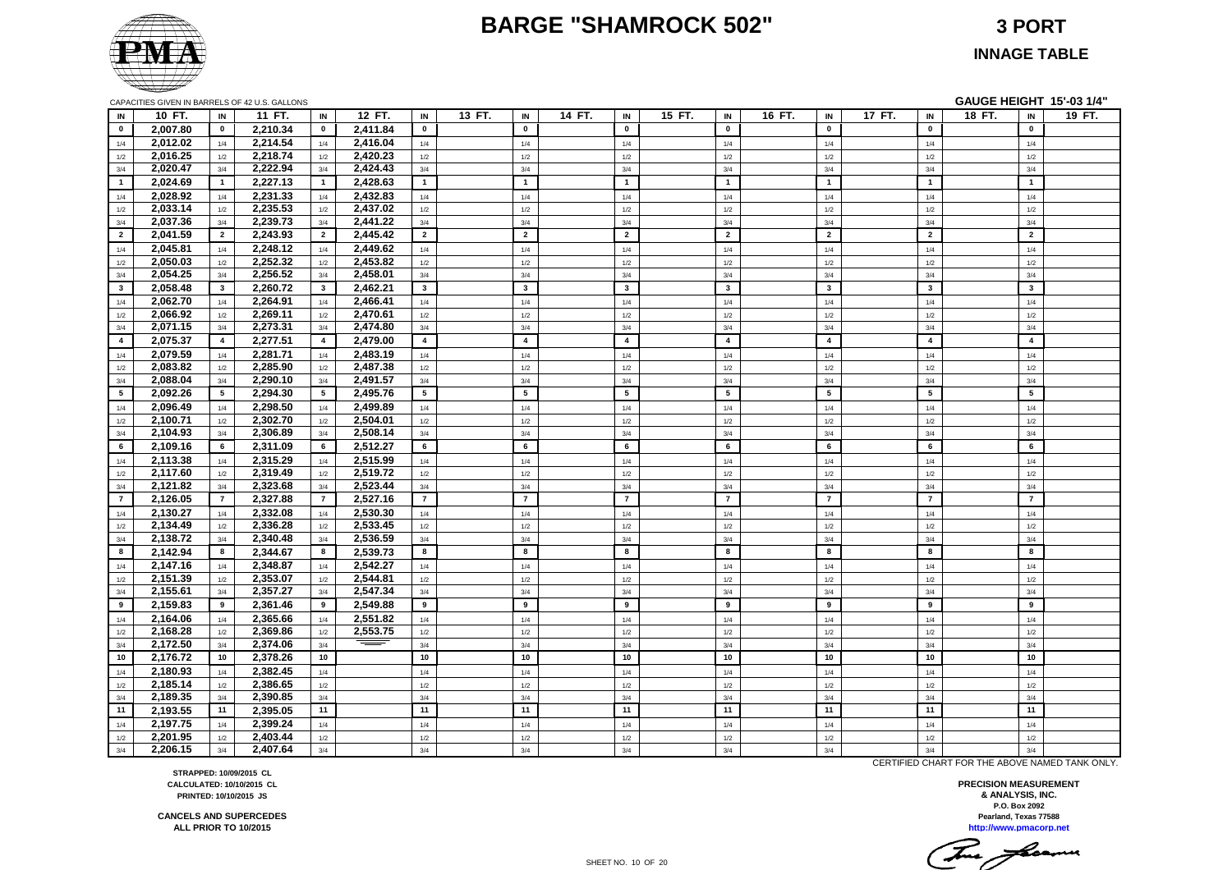#### **BARGE "SHAMROCK 502" 3 PORT**



**INNAGE TABLE**

| IN                      | 10 FT.               | IN             | 11 FT.               | IN              | 12 FT.               | IN                      | 13 FT. | IN                      | 14 FT. | IN                      | 15 FT. | IN              | 16 FT. | IN             | 17 FT. | IN             | 18 FT. | IN                      | 19 FT. |
|-------------------------|----------------------|----------------|----------------------|-----------------|----------------------|-------------------------|--------|-------------------------|--------|-------------------------|--------|-----------------|--------|----------------|--------|----------------|--------|-------------------------|--------|
| $\mathbf{0}$            | 2,007.80             | $\mathbf 0$    | 2,210.34             | $\bf{0}$        | 2,411.84             | $\mathbf 0$             |        | $\mathbf 0$             |        | $\mathbf 0$             |        | $\mathbf 0$     |        | $\mathbf 0$    |        | $\mathbf 0$    |        | $\mathbf 0$             |        |
| 1/4                     | 2,012.02             | 1/4            | 2,214.54             | 1/4             | 2,416.04             | 1/4                     |        | 1/4                     |        | 1/4                     |        | 1/4             |        | 1/4            |        | 1/4            |        | 1/4                     |        |
| 1/2                     | 2,016.25             | 1/2            | 2,218.74             | 1/2             | 2,420.23             | 1/2                     |        | 1/2                     |        | 1/2                     |        | 1/2             |        | 1/2            |        | 1/2            |        | 1/2                     |        |
| 3/4                     | 2,020.47             | 3/4            | 2,222.94             | 3/4             | 2,424.43             | 3/4                     |        | 3/4                     |        | 3/4                     |        | 3/4             |        | 3/4            |        | 3/4            |        | 3/4                     |        |
| $\overline{\mathbf{1}}$ | 2,024.69             | $\mathbf{1}$   | 2,227.13             | $\overline{1}$  | 2,428.63             | $\overline{1}$          |        | $\mathbf{1}$            |        | $\overline{1}$          |        | $\mathbf{1}$    |        | $\overline{1}$ |        | $\overline{1}$ |        | $\mathbf{1}$            |        |
| 1/4                     | 2,028.92             | 1/4            | 2,231.33             | 1/4             | 2,432.83             | 1/4                     |        | 1/4                     |        | 1/4                     |        | 1/4             |        | 1/4            |        | 1/4            |        | 1/4                     |        |
| 1/2                     | 2,033.14             | 1/2            | 2,235.53             | 1/2             | 2,437.02             | 1/2                     |        | 1/2                     |        | 1/2                     |        | 1/2             |        | 1/2            |        | 1/2            |        | 1/2                     |        |
| 3/4                     | 2,037.36             | 3/4            | 2,239.73             | 3/4             | 2,441.22             | 3/4                     |        | 3/4                     |        | 3/4                     |        | 3/4             |        | 3/4            |        | 3/4            |        | 3/4                     |        |
| $\overline{2}$          | 2,041.59             | $\overline{2}$ | 2,243.93             | $\overline{2}$  | 2,445.42             | $\overline{2}$          |        | $\overline{2}$          |        | $\overline{2}$          |        | $\overline{2}$  |        | $\overline{2}$ |        | $\overline{2}$ |        | $\overline{2}$          |        |
| 1/4                     | 2,045.81             | 1/4            | 2,248.12             | 1/4             | 2,449.62             | 1/4                     |        | 1/4                     |        | 1/4                     |        | 1/4             |        | 1/4            |        | 1/4            |        | 1/4                     |        |
| 1/2                     | 2,050.03             | 1/2            | 2,252.32             | 1/2             | 2,453.82             | 1/2                     |        | 1/2                     |        | $1/2$                   |        | $1/2$           |        | $1/2$          |        | 1/2            |        | 1/2                     |        |
| 3/4                     | 2,054.25             | 3/4            | 2,256.52             | 3/4             | 2,458.01             | 3/4                     |        | 3/4                     |        | 3/4                     |        | 3/4             |        | 3/4            |        | 3/4            |        | 3/4                     |        |
| $\mathbf{3}$            | 2,058.48             | $\mathbf{3}$   | 2,260.72             | $\mathbf{3}$    | 2,462.21             | $\overline{\mathbf{3}}$ |        | $\overline{\mathbf{3}}$ |        | $\overline{\mathbf{3}}$ |        | $\mathbf{3}$    |        | $\mathbf{3}$   |        | $\mathbf{3}$   |        | $\mathbf{3}$            |        |
| 1/4                     | 2,062.70             | 1/4            | 2,264.91             | 1/4             | 2,466.41             | 1/4                     |        | 1/4                     |        | 1/4                     |        | 1/4             |        | 1/4            |        | 1/4            |        | 1/4                     |        |
| 1/2                     | 2,066.92             | 1/2            | 2,269.11             | $1/2$           | 2,470.61             | 1/2                     |        | 1/2                     |        | $1/2$                   |        | 1/2             |        | $1/2$          |        | 1/2            |        | 1/2                     |        |
| 3/4                     | 2,071.15             | 3/4            | 2,273.31             | 3/4             | 2,474.80             | 3/4                     |        | 3/4                     |        | 3/4                     |        | 3/4             |        | 3/4            |        | 3/4            |        | 3/4                     |        |
| $\overline{4}$          | 2,075.37             | $\overline{4}$ | 2,277.51             | $\overline{4}$  | 2,479.00             | $\overline{4}$          |        | $\overline{\mathbf{4}}$ |        | $\overline{4}$          |        | $\overline{4}$  |        | $\overline{4}$ |        | $\overline{4}$ |        | $\overline{\mathbf{4}}$ |        |
| 1/4                     | 2,079.59             | 1/4            | 2,281.71             | $1/4$           | 2,483.19             | 1/4                     |        | 1/4                     |        | $1/4$                   |        | 1/4             |        | 1/4            |        | 1/4            |        | 1/4                     |        |
| 1/2                     | 2,083.82             | 1/2            | 2,285.90             | 1/2             | 2,487.38             | 1/2                     |        | 1/2                     |        | 1/2                     |        | 1/2             |        | 1/2            |        | 1/2            |        | 1/2                     |        |
| 3/4                     | 2,088.04             | 3/4            | 2,290.10             | 3/4             | 2,491.57             | 3/4                     |        | 3/4                     |        | 3/4                     |        | 3/4             |        | 3/4            |        | 3/4            |        | 3/4                     |        |
| $5\phantom{.0}$         | 2,092.26             | 5 <sub>5</sub> | 2,294.30             | $5\overline{5}$ | 2,495.76             | 5                       |        | 5                       |        | 5                       |        | $5\phantom{.0}$ |        | 5              |        | 5              |        | $5\phantom{.0}$         |        |
| 1/4                     | 2.096.49             | 1/4            | 2.298.50             | 1/4             | 2.499.89             | 1/4                     |        | 1/4                     |        | 1/4                     |        | 1/4             |        | 1/4            |        | 1/4            |        | 1/4                     |        |
| 1/2                     | 2,100.71             | 1/2            | 2,302.70             | 1/2             | 2,504.01             | 1/2                     |        | 1/2                     |        | 1/2                     |        | 1/2             |        | 1/2            |        | 1/2            |        | 1/2                     |        |
| 3/4                     | 2,104.93             | 3/4            | 2,306.89             | 3/4             | 2,508.14             | 3/4                     |        | 3/4                     |        | 3/4                     |        | 3/4             |        | 3/4            |        | 3/4            |        | 3/4                     |        |
| 6                       | 2,109.16             | 6              | 2,311.09             | 6               | 2,512.27             | 6                       |        | 6                       |        | 6                       |        | 6               |        | 6              |        | 6              |        | 6                       |        |
| 1/4                     | 2,113.38             | 1/4            | 2,315.29             | 1/4             | 2,515.99             | 1/4                     |        | 1/4                     |        | 1/4                     |        | 1/4             |        | 1/4            |        | 1/4            |        | 1/4                     |        |
| 1/2                     | 2,117.60             | 1/2            | 2,319.49             | 1/2             | 2,519.72             | 1/2                     |        | 1/2                     |        | 1/2                     |        | 1/2             |        | 1/2            |        | 1/2            |        | 1/2                     |        |
| 3/4                     | 2,121.82             | 3/4            | 2,323.68             | 3/4             | 2,523.44             | 3/4                     |        | 3/4                     |        | 3/4                     |        | 3/4             |        | 3/4            |        | 3/4            |        | 3/4                     |        |
| $\overline{7}$          | 2,126.05             | $\overline{7}$ | 2,327.88             | $\overline{7}$  | 2,527.16             | $\overline{7}$          |        | $\overline{7}$          |        | $\overline{7}$          |        | $\overline{7}$  |        | $\overline{7}$ |        | $\overline{7}$ |        | $\overline{7}$          |        |
|                         | 2,130.27             | 1/4            | 2,332.08             | 1/4             | 2,530.30             | 1/4                     |        | 1/4                     |        | 1/4                     |        | 1/4             |        | 1/4            |        | 1/4            |        | 1/4                     |        |
| 1/4                     | 2,134.49             | 1/2            | 2,336.28             | 1/2             | 2,533.45             | 1/2                     |        | 1/2                     |        | $1/2$                   |        |                 |        | 1/2            |        | 1/2            |        | 1/2                     |        |
| 1/2                     | 2,138.72             | 3/4            | 2,340.48             | 3/4             | 2,536.59             | 3/4                     |        | 3/4                     |        | 3/4                     |        | $1/2$<br>3/4    |        | 3/4            |        | 3/4            |        | 3/4                     |        |
| 3/4<br>8                | 2,142.94             | 8              | 2,344.67             | 8               | 2,539.73             | 8                       |        | 8                       |        | 8                       |        | 8               |        | 8              |        | 8              |        | 8                       |        |
|                         | 2,147.16             |                | 2,348.87             |                 | 2,542.27             |                         |        |                         |        |                         |        |                 |        |                |        |                |        |                         |        |
| 1/4                     | 2,151.39             | 1/4<br>1/2     | 2,353.07             | 1/4             | 2,544.81             | 1/4                     |        | 1/4<br>1/2              |        | 1/4<br>1/2              |        | 1/4             |        | 1/4            |        | 1/4<br>1/2     |        | 1/4<br>1/2              |        |
| 1/2<br>3/4              | 2,155.61             | 3/4            | 2,357.27             | 1/2<br>3/4      | 2,547.34             | 1/2<br>3/4              |        | 3/4                     |        | 3/4                     |        | 1/2<br>3/4      |        | 1/2<br>3/4     |        | 3/4            |        | 3/4                     |        |
| 9                       | 2,159.83             | 9              | 2,361.46             | 9               | 2,549.88             | 9                       |        | 9                       |        | 9                       |        | 9               |        | 9              |        | 9              |        | 9                       |        |
|                         |                      |                |                      |                 |                      |                         |        |                         |        |                         |        |                 |        |                |        |                |        |                         |        |
| 1/4                     | 2,164.06<br>2,168.28 | 1/4            | 2,365.66<br>2,369.86 | 1/4             | 2,551.82<br>2,553.75 | 1/4                     |        | 1/4<br>1/2              |        | 1/4<br>1/2              |        | 1/4             |        | $1/4$<br>1/2   |        | 1/4            |        | 1/4<br>1/2              |        |
| 1/2<br>3/4              | 2,172.50             | 1/2<br>3/4     | 2,374.06             | 1/2<br>3/4      |                      | 1/2<br>3/4              |        | 3/4                     |        | 3/4                     |        | 1/2<br>3/4      |        | 3/4            |        | 1/2<br>3/4     |        | 3/4                     |        |
| 10                      |                      | 10             |                      | 10              |                      | 10                      |        | 10                      |        | 10                      |        | 10              |        | 10             |        | 10             |        | 10                      |        |
|                         | 2,176.72             |                | 2,378.26             |                 |                      |                         |        |                         |        |                         |        |                 |        |                |        |                |        |                         |        |
| 1/4                     | 2,180.93             | 1/4            | 2,382.45             | 1/4             |                      | 1/4                     |        | 1/4                     |        | 1/4                     |        | 1/4             |        | 1/4            |        | 1/4            |        | 1/4                     |        |
| 1/2                     | 2,185.14             | 1/2            | 2,386.65             | 1/2             |                      | 1/2                     |        | 1/2                     |        | 1/2                     |        | 1/2             |        | 1/2            |        | 1/2            |        | 1/2                     |        |
| 3/4                     | 2,189.35             | 3/4<br>11      | 2,390.85             | 3/4             |                      | 3/4                     |        | 3/4<br>11               |        | 3/4                     |        | 3/4<br>11       |        | 3/4            |        | 3/4            |        | 3/4<br>11               |        |
| 11                      | 2.193.55             |                | 2.395.05             | 11              |                      | 11                      |        |                         |        | 11                      |        |                 |        | 11             |        | 11             |        |                         |        |
| 1/4                     | 2,197.75             | 1/4            | 2,399.24             | 1/4             |                      | 1/4                     |        | 1/4                     |        | 1/4                     |        | 1/4             |        | 1/4            |        | 1/4            |        | 1/4                     |        |
| 1/2                     | 2,201.95             | 1/2            | 2,403.44             | 1/2             |                      | 1/2                     |        | 1/2                     |        | 1/2                     |        | 1/2             |        | 1/2            |        | 1/2            |        | 1/2                     |        |
| 3/4                     | 2,206.15             | 3/4            | 2,407.64             | 3/4             |                      | 3/4                     |        | 3/4                     |        | 3/4                     |        | 3/4             |        | 3/4            |        | 3/4            |        | 3/4                     |        |

CAPACITIES GIVEN IN BARRELS OF 42 U.S. GALLONS **GAUGE HEIGHT 15'-03 1/4"**

**STRAPPED: 10/09/2015 CL CALCULATED: 10/10/2015 CL PRINTED: 10/10/2015 JS**

**CANCELS AND SUPERCEDES ALL PRIOR TO 10/2015**

**http://www.pmacorp.net Pearland, Texas 77588 PRECISION MEASUREMENT & ANALYSIS, INC. P.O. Box 2092**

CERTIFIED CHART FOR THE ABOVE NAMED TANK ONLY.

This floams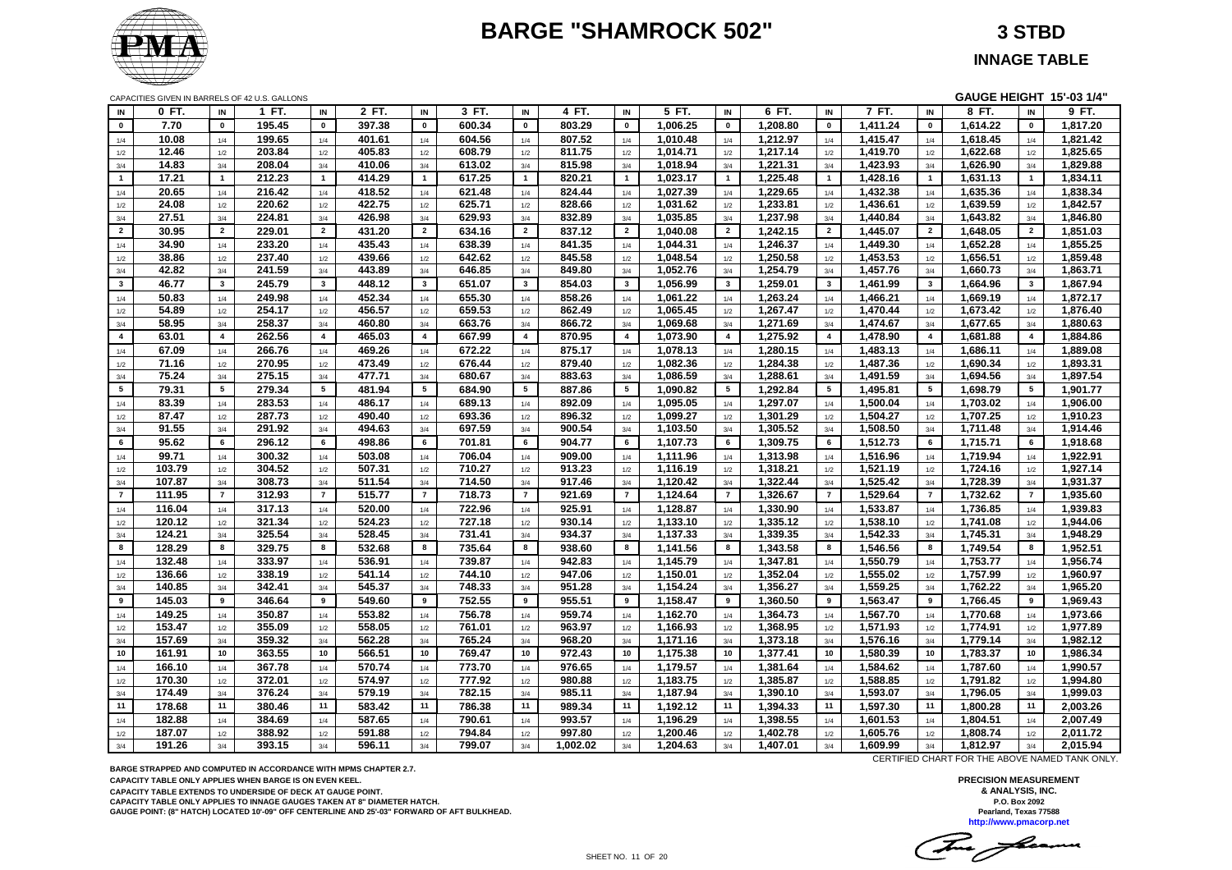# **BARGE "SHAMROCK 502" 3 STBD**



CAPACITIES GIVEN IN BARRELS OF 42 U.S. GALLONS **GAUGE HEIGHT 15'-03 1/4"**

| IN             | 0 FT.  | IN              | 1 FT.  | IN             | 2 FT.            | IN                      | 3 FT.  | IN              | 4 FT.    | IN             | 5 FT.    | IN             | 6 FT.    | IN              | 7 FT.    | IN                      | 8 FT.    | IN                      | 9 FT.    |
|----------------|--------|-----------------|--------|----------------|------------------|-------------------------|--------|-----------------|----------|----------------|----------|----------------|----------|-----------------|----------|-------------------------|----------|-------------------------|----------|
| $\mathbf 0$    | 7.70   | $\pmb{0}$       | 195.45 | $\mathbf 0$    | 397.38           | $\mathbf 0$             | 600.34 | $\pmb{0}$       | 803.29   | $\pmb{0}$      | 1,006.25 | $\pmb{0}$      | 1,208.80 | $\mathbf 0$     | 1,411.24 | $\mathbf 0$             | 1,614.22 | $\pmb{0}$               | 1,817.20 |
| 1/4            | 10.08  | 1/4             | 199.65 | 1/4            | 401.61           | 1/4                     | 604.56 | 1/4             | 807.52   | 1/4            | 1,010.48 | 1/4            | 1,212.97 | 1/4             | 1,415.47 | 1/4                     | 1,618.45 | 1/4                     | 1,821.42 |
| 1/2            | 12.46  | 1/2             | 203.84 | 1/2            | 405.83           | 1/2                     | 608.79 | 1/2             | 811.75   | 1/2            | 1,014.71 | 1/2            | 1,217.14 | 1/2             | 1,419.70 | 1/2                     | 1,622.68 | 1/2                     | 1,825.65 |
| 3/4            | 14.83  | 3/4             | 208.04 | 3/4            | 410.06           | 3/4                     | 613.02 | 3/4             | 815.98   | 3/4            | 1,018.94 | 3/4            | 1,221.31 | 3/4             | 1,423.93 | 3/4                     | 1,626.90 | 3/4                     | 1,829.88 |
| $\mathbf{1}$   | 17.21  | $\overline{1}$  | 212.23 | $\overline{1}$ | 414.29           | $\overline{1}$          | 617.25 | $\overline{1}$  | 820.21   | $\mathbf{1}$   | 1,023.17 | $\overline{1}$ | 1,225.48 | $\overline{1}$  | 1,428.16 | $\overline{\mathbf{1}}$ | 1,631.13 | $\overline{1}$          | 1,834.11 |
| 1/4            | 20.65  | 1/4             | 216.42 | 1/4            | 418.52           | 1/4                     | 621.48 | 1/4             | 824.44   | 1/4            | 1,027.39 | 1/4            | 1,229.65 | 1/4             | 1,432.38 | 1/4                     | 1,635.36 | 1/4                     | 1,838.34 |
| 1/2            | 24.08  | 1/2             | 220.62 | 1/2            | 422.75           | 1/2                     | 625.71 | 1/2             | 828.66   | 1/2            | 1,031.62 | 1/2            | 1,233.81 | 1/2             | 1,436.61 | 1/2                     | 1,639.59 | 1/2                     | 1,842.57 |
| 3/4            | 27.51  | 3/4             | 224.81 | 3/4            | 426.98           | 3/4                     | 629.93 | 3/4             | 832.89   | 3/4            | 1,035.85 | 3/4            | 1,237.98 | 3/4             | 1,440.84 | 3/4                     | 1,643.82 | 3/4                     | 1,846.80 |
| $\mathbf{2}$   | 30.95  | $\overline{2}$  | 229.01 | $\overline{2}$ | 431.20           | $\overline{2}$          | 634.16 | $\overline{2}$  | 837.12   | $\overline{2}$ | 1,040.08 | $\overline{2}$ | 1,242.15 | $\overline{2}$  | 1,445.07 | $\overline{\mathbf{2}}$ | 1,648.05 | $\overline{2}$          | 1,851.03 |
| 1/4            | 34.90  | 1/4             | 233.20 | 1/4            | 435.43           | 1/4                     | 638.39 | 1/4             | 841.35   | 1/4            | 1,044.31 | 1/4            | 1,246.37 | 1/4             | 1,449.30 | 1/4                     | 1,652.28 | 1/4                     | 1,855.25 |
| 1/2            | 38.86  | 1/2             | 237.40 | 1/2            | 439.66           | 1/2                     | 642.62 | 1/2             | 845.58   | 1/2            | 1,048.54 | 1/2            | 1,250.58 | 1/2             | 1,453.53 | 1/2                     | 1,656.51 | 1/2                     | 1,859.48 |
| 3/4            | 42.82  | 3/4             | 241.59 | 3/4            | 443.89           | 3/4                     | 646.85 | 3/4             | 849.80   | 3/4            | 1,052.76 | 3/4            | 1,254.79 | 3/4             | 1,457.76 | 3/4                     | 1,660.73 | 3/4                     | 1,863.71 |
| $3^{\circ}$    | 46.77  | $\mathbf{3}$    | 245.79 | $\mathbf{3}$   | 448.12           | $\overline{\mathbf{3}}$ | 651.07 | $\mathbf{3}$    | 854.03   | $\mathbf{3}$   | 1,056.99 | 3              | 1,259.01 | $\mathbf{3}$    | 1,461.99 | $\mathbf{3}$            | 1,664.96 | $\overline{\mathbf{3}}$ | 1,867.94 |
| 1/4            | 50.83  | 1/4             | 249.98 | 1/4            | 452.34           | 1/4                     | 655.30 | 1/4             | 858.26   | 1/4            | 1,061.22 | 1/4            | 1,263.24 | 1/4             | 1,466.21 | 1/4                     | 1,669.19 | 1/4                     | 1,872.17 |
| $1/2\,$        | 54.89  | 1/2             | 254.17 | $1/2$          | 456.57           | 1/2                     | 659.53 | 1/2             | 862.49   | 1/2            | 1,065.45 | $1/2$          | 1,267.47 | 1/2             | 1,470.44 | 1/2                     | 1,673.42 | 1/2                     | 1,876.40 |
| 3/4            | 58.95  | 3/4             | 258.37 | 3/4            | 460.80           | 3/4                     | 663.76 | 3/4             | 866.72   | 3/4            | 1,069.68 | 3/4            | 1,271.69 | 3/4             | 1,474.67 | 3/4                     | 1,677.65 | 3/4                     | 1,880.63 |
| $\overline{4}$ | 63.01  | $\overline{4}$  | 262.56 | $\overline{4}$ | 465.03           | $\overline{4}$          | 667.99 | $\overline{a}$  | 870.95   | $\overline{4}$ | 1,073.90 | $\overline{4}$ | 1,275.92 | $\overline{4}$  | 1,478.90 | $\overline{4}$          | 1,681.88 | $\overline{4}$          | 1,884.86 |
| 1/4            | 67.09  | 1/4             | 266.76 | 1/4            | 469.26           | 1/4                     | 672.22 | 1/4             | 875.17   | 1/4            | 1,078.13 | 1/4            | 1,280.15 | 1/4             | 1,483.13 | 1/4                     | 1,686.11 | 1/4                     | 1,889.08 |
| $1/2\,$        | 71.16  | 1/2             | 270.95 | 1/2            | 473.49           | 1/2                     | 676.44 | 1/2             | 879.40   | 1/2            | 1,082.36 | $1/2$          | 1,284.38 | 1/2             | 1,487.36 | 1/2                     | 1,690.34 | 1/2                     | 1,893.31 |
| 3/4            | 75.24  | 3/4             | 275.15 | 3/4            | 477.71           | 3/4                     | 680.67 | 3/4             | 883.63   | 3/4            | 1.086.59 | 3/4            | 1,288.61 | 3/4             | 1,491.59 | 3/4                     | 1,694.56 | 3/4                     | 1,897.54 |
| $5\phantom{a}$ | 79.31  | $5\overline{5}$ | 279.34 | $5\phantom{a}$ | 481.94           | 5                       | 684.90 | $5\phantom{.0}$ | 887.86   | $5^{\circ}$    | 1,090.82 | 5              | 1,292.84 | $5\overline{5}$ | 1,495.81 | 5                       | 1,698.79 | $5\phantom{.0}$         | 1,901.77 |
|                | 83.39  |                 | 283.53 |                | 486.17           |                         | 689.13 |                 | 892.09   |                | 1,095.05 |                | 1,297.07 |                 | 1,500.04 |                         | 1,703.02 |                         | 1,906.00 |
| 1/4            |        | 1/4             |        | 1/4            |                  | 1/4                     |        | 1/4             |          | 1/4            |          | 1/4            |          | 1/4             |          | 1/4                     |          | 1/4                     |          |
| 1/2            | 87.47  | 1/2             | 287.73 | 1/2            | 490.40<br>494.63 | 1/2                     | 693.36 | 1/2             | 896.32   | 1/2            | 1,099.27 | 1/2            | 1,301.29 | 1/2             | 1,504.27 | 1/2                     | 1,707.25 | 1/2                     | 1,910.23 |
| 3/4            | 91.55  | 3/4             | 291.92 | 3/4            |                  | 3/4                     | 697.59 | 3/4             | 900.54   | 3/4            | 1,103.50 | 3/4            | 1,305.52 | 3/4             | 1,508.50 | 3/4                     | 1,711.48 | 3/4                     | 1,914.46 |
| 6              | 95.62  | 6               | 296.12 | 6              | 498.86           | 6                       | 701.81 | 6               | 904.77   | 6              | 1,107.73 | 6              | 1,309.75 | 6               | 1,512.73 | 6                       | 1,715.71 | 6                       | 1,918.68 |
| 1/4            | 99.71  | 1/4             | 300.32 | 1/4            | 503.08           | 1/4                     | 706.04 | 1/4             | 909.00   | 1/4            | 1,111.96 | 1/4            | 1,313.98 | 1/4             | 1,516.96 | 1/4                     | 1,719.94 | 1/4                     | 1,922.91 |
| 1/2            | 103.79 | 1/2             | 304.52 | 1/2            | 507.31           | 1/2                     | 710.27 | 1/2             | 913.23   | 1/2            | 1,116.19 | 1/2            | 1,318.21 | 1/2             | 1,521.19 | 1/2                     | 1,724.16 | 1/2                     | 1,927.14 |
| 3/4            | 107.87 | 3/4             | 308.73 | 3/4            | 511.54           | 3/4                     | 714.50 | 3/4             | 917.46   | 3/4            | 1,120.42 | 3/4            | 1,322.44 | 3/4             | 1,525.42 | 3/4                     | 1,728.39 | 3/4                     | 1,931.37 |
| $\overline{7}$ | 111.95 | $\overline{7}$  | 312.93 | $\overline{7}$ | 515.77           | $\overline{7}$          | 718.73 | $\overline{7}$  | 921.69   | $\overline{7}$ | 1,124.64 | $\overline{7}$ | 1,326.67 | $\overline{7}$  | 1,529.64 | $\overline{7}$          | 1,732.62 | $\overline{7}$          | 1,935.60 |
| 1/4            | 116.04 | 1/4             | 317.13 | 1/4            | 520.00           | 1/4                     | 722.96 | 1/4             | 925.91   | 1/4            | 1,128.87 | 1/4            | 1,330.90 | 1/4             | 1,533.87 | 1/4                     | 1,736.85 | 1/4                     | 1,939.83 |
| 1/2            | 120.12 | 1/2             | 321.34 | 1/2            | 524.23           | 1/2                     | 727.18 | 1/2             | 930.14   | 1/2            | 1,133.10 | 1/2            | 1,335.12 | 1/2             | 1,538.10 | 1/2                     | 1,741.08 | 1/2                     | 1,944.06 |
| 3/4            | 124.21 | 3/4             | 325.54 | 3/4            | 528.45           | 3/4                     | 731.41 | 3/4             | 934.37   | 3/4            | 1,137.33 | 3/4            | 1,339.35 | 3/4             | 1,542.33 | 3/4                     | 1,745.31 | 3/4                     | 1,948.29 |
| 8              | 128.29 | 8               | 329.75 | 8              | 532.68           | 8                       | 735.64 | 8               | 938.60   | 8              | 1,141.56 | 8              | 1,343.58 | 8               | 1,546.56 | 8                       | 1,749.54 | 8                       | 1,952.51 |
| 1/4            | 132.48 | 1/4             | 333.97 | 1/4            | 536.91           | 1/4                     | 739.87 | 1/4             | 942.83   | 1/4            | 1,145.79 | 1/4            | 1,347.81 | 1/4             | 1,550.79 | 1/4                     | 1,753.77 | 1/4                     | 1,956.74 |
| 1/2            | 136.66 | 1/2             | 338.19 | 1/2            | 541.14           | 1/2                     | 744.10 | 1/2             | 947.06   | 1/2            | 1,150.01 | 1/2            | 1,352.04 | 1/2             | 1,555.02 | 1/2                     | 1,757.99 | 1/2                     | 1,960.97 |
| 3/4            | 140.85 | 3/4             | 342.41 | 3/4            | 545.37           | 3/4                     | 748.33 | 3/4             | 951.28   | 3/4            | 1,154.24 | 3/4            | 1,356.27 | 3/4             | 1,559.25 | 3/4                     | 1,762.22 | 3/4                     | 1,965.20 |
| 9              | 145.03 | 9               | 346.64 | 9              | 549.60           | 9                       | 752.55 | 9               | 955.51   | 9              | 1,158.47 | 9              | 1,360.50 | 9               | 1,563.47 | 9                       | 1,766.45 | 9                       | 1,969.43 |
| 1/4            | 149.25 | 1/4             | 350.87 | 1/4            | 553.82           | 1/4                     | 756.78 | 1/4             | 959.74   | 1/4            | 1,162.70 | 1/4            | 1,364.73 | 1/4             | 1,567.70 | 1/4                     | 1,770.68 | 1/4                     | 1,973.66 |
| $1/2\,$        | 153.47 | 1/2             | 355.09 | 1/2            | 558.05           | 1/2                     | 761.01 | 1/2             | 963.97   | 1/2            | 1,166.93 | 1/2            | 1,368.95 | 1/2             | 1,571.93 | 1/2                     | 1,774.91 | 1/2                     | 1,977.89 |
| 3/4            | 157.69 | 3/4             | 359.32 | 3/4            | 562.28           | 3/4                     | 765.24 | 3/4             | 968.20   | 3/4            | 1,171.16 | 3/4            | 1,373.18 | 3/4             | 1,576.16 | 3/4                     | 1,779.14 | 3/4                     | 1,982.12 |
| 10             | 161.91 | 10              | 363.55 | 10             | 566.51           | 10                      | 769.47 | 10              | 972.43   | 10             | 1,175.38 | 10             | 1,377.41 | 10              | 1,580.39 | 10                      | 1,783.37 | 10                      | 1,986.34 |
| 1/4            | 166.10 | 1/4             | 367.78 | 1/4            | 570.74           | 1/4                     | 773.70 | 1/4             | 976.65   | 1/4            | 1,179.57 | 1/4            | 1,381.64 | 1/4             | 1,584.62 | 1/4                     | 1,787.60 | 1/4                     | 1,990.57 |
| 1/2            | 170.30 | 1/2             | 372.01 | 1/2            | 574.97           | 1/2                     | 777.92 | 1/2             | 980.88   | 1/2            | 1,183.75 | 1/2            | 1,385.87 | 1/2             | 1,588.85 | 1/2                     | 1,791.82 | 1/2                     | 1,994.80 |
| $3/4$          | 174.49 | 3/4             | 376.24 | 3/4            | 579.19           | 3/4                     | 782.15 | 3/4             | 985.11   | 3/4            | 1,187.94 | 3/4            | 1,390.10 | 3/4             | 1,593.07 | 3/4                     | 1,796.05 | 3/4                     | 1,999.03 |
| 11             | 178.68 | 11              | 380.46 | 11             | 583.42           | 11                      | 786.38 | 11              | 989.34   | 11             | 1,192.12 | 11             | 1,394.33 | 11              | 1,597.30 | 11                      | 1,800.28 | 11                      | 2,003.26 |
| 1/4            | 182.88 | 1/4             | 384.69 | 1/4            | 587.65           | 1/4                     | 790.61 | 1/4             | 993.57   | 1/4            | 1,196.29 | 1/4            | 1,398.55 | 1/4             | 1,601.53 | 1/4                     | 1,804.51 | 1/4                     | 2,007.49 |
| 1/2            | 187.07 | 1/2             | 388.92 | 1/2            | 591.88           | 1/2                     | 794.84 | 1/2             | 997.80   | 1/2            | 1,200.46 | 1/2            | 1,402.78 | 1/2             | 1,605.76 | 1/2                     | 1,808.74 | 1/2                     | 2,011.72 |
| 3/4            | 191.26 | 3/4             | 393.15 | 3/4            | 596.11           | 3/4                     | 799.07 | 3/4             | 1,002.02 | 3/4            | 1,204.63 | 3/4            | 1,407.01 | 3/4             | 1,609.99 | 3/4                     | 1,812.97 | 3/4                     | 2,015.94 |

**BARGE STRAPPED AND COMPUTED IN ACCORDANCE WITH MPMS CHAPTER 2.7.**

**CAPACITY TABLE ONLY APPLIES WHEN BARGE IS ON EVEN KEEL.**

**CAPACITY TABLE EXTENDS TO UNDERSIDE OF DECK AT GAUGE POINT.**

**CAPACITY TABLE ONLY APPLIES TO INNAGE GAUGES TAKEN AT 8" DIAMETER HATCH.**

**GAUGE POINT: (8" HATCH) LOCATED 10'-09" OFF CENTERLINE AND 25'-03" FORWARD OF AFT BULKHEAD.**

CERTIFIED CHART FOR THE ABOVE NAMED TANK ONLY.

Tue flamm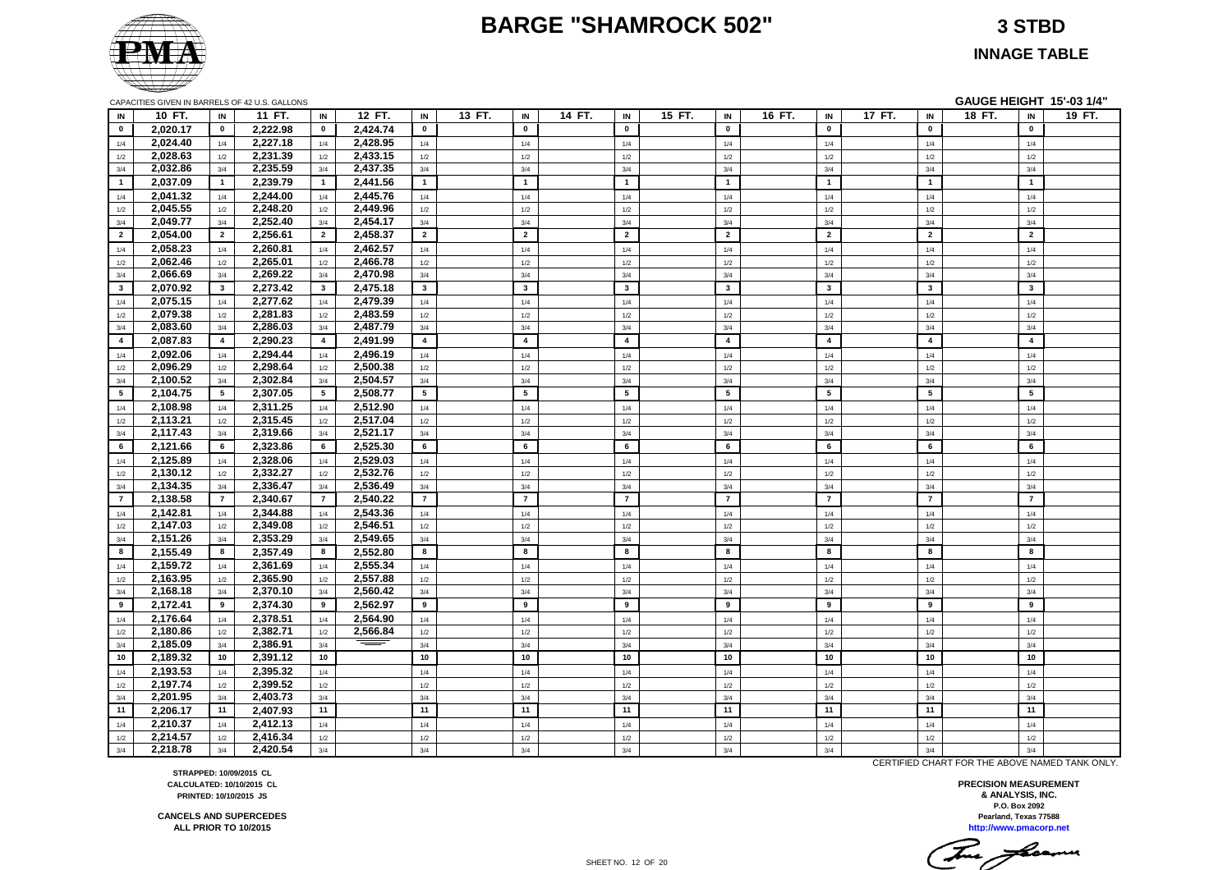#### **BARGE "SHAMROCK 502" 3 STBD**



**INNAGE TABLE**

|                |          |                         | CAPACITIES GIVEN IN BARRELS OF 42 U.S. GALLONS |                         |          |                |        |                         |        |                         |        |                         |        |                         |        |                         | GAUGE HEIGHT 15'-03 1/4" |                         |        |
|----------------|----------|-------------------------|------------------------------------------------|-------------------------|----------|----------------|--------|-------------------------|--------|-------------------------|--------|-------------------------|--------|-------------------------|--------|-------------------------|--------------------------|-------------------------|--------|
| IN             | 10 FT.   | IN                      | 11 FT.                                         | IN                      | 12 FT.   | IN             | 13 FT. | IN                      | 14 FT. | IN                      | 15 FT. | IN                      | 16 FT. | IN                      | 17 FT. | IN                      | 18 FT.                   | IN                      | 19 FT. |
| $\bullet$      | 2,020.17 | $\mathbf 0$             | 2,222.98                                       | $\bf{0}$                | 2,424.74 | $\mathbf 0$    |        | $\mathbf{0}$            |        | $\mathbf 0$             |        | $\mathbf 0$             |        | $\mathbf{0}$            |        | $\mathbf{0}$            |                          | $\mathbf 0$             |        |
| 1/4            | 2,024.40 | 1/4                     | 2,227.18                                       | 1/4                     | 2,428.95 | 1/4            |        | 1/4                     |        | 1/4                     |        | 1/4                     |        | 1/4                     |        | 1/4                     |                          | 1/4                     |        |
| 1/2            | 2,028.63 | 1/2                     | 2,231.39                                       | 1/2                     | 2,433.15 | 1/2            |        | 1/2                     |        | 1/2                     |        | 1/2                     |        | 1/2                     |        | 1/2                     |                          | 1/2                     |        |
| 3/4            | 2,032.86 | 3/4                     | 2,235.59                                       | 3/4                     | 2,437.35 | 3/4            |        | 3/4                     |        | 3/4                     |        | 3/4                     |        | 3/4                     |        | 3/4                     |                          | 3/4                     |        |
| $\mathbf{1}$   | 2,037.09 | $\overline{1}$          | 2,239.79                                       | $\overline{1}$          | 2,441.56 | $\mathbf{1}$   |        | $\mathbf{1}$            |        | $\overline{1}$          |        | 1                       |        | $\mathbf{1}$            |        | $\mathbf{1}$            |                          | $\overline{1}$          |        |
| 1/4            | 2,041.32 | 1/4                     | 2,244.00                                       | 1/4                     | 2,445.76 | 1/4            |        | 1/4                     |        | 1/4                     |        | 1/4                     |        | 1/4                     |        | 1/4                     |                          | 1/4                     |        |
| 1/2            | 2,045.55 | 1/2                     | 2,248.20                                       | 1/2                     | 2,449.96 | 1/2            |        | 1/2                     |        | 1/2                     |        | 1/2                     |        | 1/2                     |        | 1/2                     |                          | 1/2                     |        |
| 3/4            | 2,049.77 | 3/4                     | 2,252.40                                       | 3/4                     | 2,454.17 | 3/4            |        | 3/4                     |        | 3/4                     |        | 3/4                     |        | 3/4                     |        | 3/4                     |                          | 3/4                     |        |
| $\overline{2}$ | 2,054.00 | $\overline{2}$          | 2,256.61                                       | $\overline{2}$          | 2,458.37 | $\overline{2}$ |        | $\overline{2}$          |        | $\overline{2}$          |        | $\overline{2}$          |        | $\overline{2}$          |        | $\overline{2}$          |                          | $\overline{2}$          |        |
| 1/4            | 2,058.23 | 1/4                     | 2.260.81                                       | 1/4                     | 2,462.57 | 1/4            |        | 1/4                     |        | 1/4                     |        | 1/4                     |        | 1/4                     |        | 1/4                     |                          | 1/4                     |        |
| 1/2            | 2,062.46 | $1/2$                   | 2,265.01                                       | 1/2                     | 2,466.78 | 1/2            |        | 1/2                     |        | $1/2$                   |        | $1/2$                   |        | $1/2$                   |        | 1/2                     |                          | 1/2                     |        |
| 3/4            | 2,066.69 | 3/4                     | 2,269.22                                       | 3/4                     | 2,470.98 | 3/4            |        | 3/4                     |        | 3/4                     |        | 3/4                     |        | 3/4                     |        | 3/4                     |                          | 3/4                     |        |
| $\mathbf{3}$   | 2,070.92 | $\overline{\mathbf{3}}$ | 2,273.42                                       | $\overline{\mathbf{3}}$ | 2,475.18 | $\mathbf{3}$   |        | $\mathbf{3}$            |        | $\overline{\mathbf{3}}$ |        | $\overline{\mathbf{3}}$ |        | $\mathbf{3}$            |        | $\overline{\mathbf{3}}$ |                          | $\mathbf{3}$            |        |
| 1/4            | 2,075.15 | 1/4                     | 2,277.62                                       | 1/4                     | 2,479.39 | 1/4            |        | 1/4                     |        | 1/4                     |        | 1/4                     |        | 1/4                     |        | 1/4                     |                          | 1/4                     |        |
| 1/2            | 2,079.38 | 1/2                     | 2,281.83                                       | 1/2                     | 2,483.59 | 1/2            |        | 1/2                     |        | $1/2$                   |        | 1/2                     |        | $1/2$                   |        | 1/2                     |                          | 1/2                     |        |
| 3/4            | 2,083.60 | 3/4                     | 2,286.03                                       | 3/4                     | 2,487.79 | 3/4            |        | 3/4                     |        | 3/4                     |        | 3/4                     |        | 3/4                     |        | 3/4                     |                          | 3/4                     |        |
| $\overline{4}$ | 2,087.83 | $\overline{4}$          | 2,290.23                                       | $\overline{4}$          | 2,491.99 | $\overline{4}$ |        | $\overline{\mathbf{4}}$ |        | $\overline{\mathbf{4}}$ |        | $\overline{4}$          |        | $\overline{\mathbf{4}}$ |        | $\overline{\mathbf{4}}$ |                          | $\overline{\mathbf{4}}$ |        |
| 1/4            | 2,092.06 | 1/4                     | 2,294.44                                       | 1/4                     | 2,496.19 | 1/4            |        | 1/4                     |        | 1/4                     |        | 1/4                     |        | 1/4                     |        | 1/4                     |                          | 1/4                     |        |
| 1/2            | 2,096.29 | 1/2                     | 2,298.64                                       | 1/2                     | 2,500.38 | 1/2            |        | 1/2                     |        | $1/2$                   |        | $1/2$                   |        | $1/2$                   |        | 1/2                     |                          | 1/2                     |        |
| 3/4            | 2,100.52 | 3/4                     | 2,302.84                                       | 3/4                     | 2,504.57 | 3/4            |        | 3/4                     |        | 3/4                     |        | 3/4                     |        | 3/4                     |        | 3/4                     |                          | 3/4                     |        |
| 5              | 2,104.75 | 5                       | 2,307.05                                       | $5^{\circ}$             | 2,508.77 | 5              |        | 5                       |        | $5\phantom{.0}$         |        | $5^{\circ}$             |        | 5                       |        | 5                       |                          | $5\phantom{.0}$         |        |
| 1/4            | 2,108.98 | 1/4                     | 2,311.25                                       | 1/4                     | 2,512.90 | 1/4            |        | 1/4                     |        | 1/4                     |        | 1/4                     |        | 1/4                     |        | 1/4                     |                          | 1/4                     |        |
| 1/2            | 2,113.21 | $1/2$                   | 2,315.45                                       | 1/2                     | 2,517.04 | $1/2$          |        | 1/2                     |        | $1/2$                   |        | $1/2$                   |        | $1/2$                   |        | 1/2                     |                          | 1/2                     |        |
| 3/4            | 2,117.43 | 3/4                     | 2,319.66                                       | 3/4                     | 2,521.17 | 3/4            |        | 3/4                     |        | 3/4                     |        | 3/4                     |        | 3/4                     |        | 3/4                     |                          | 3/4                     |        |
| 6              | 2,121.66 | 6                       | 2,323.86                                       | 6                       | 2,525.30 | 6              |        | 6                       |        | 6                       |        | 6                       |        | 6                       |        | 6                       |                          | 6                       |        |
| 1/4            | 2,125.89 | 1/4                     | 2,328.06                                       | 1/4                     | 2,529.03 | 1/4            |        | 1/4                     |        | 1/4                     |        | 1/4                     |        | 1/4                     |        | 1/4                     |                          | 1/4                     |        |
| 1/2            | 2,130.12 | 1/2                     | 2,332.27                                       | 1/2                     | 2,532.76 | 1/2            |        | 1/2                     |        | $1/2$                   |        | 1/2                     |        | 1/2                     |        | 1/2                     |                          | 1/2                     |        |
| 3/4            | 2,134.35 | 3/4                     | 2,336.47                                       | 3/4                     | 2,536.49 | 3/4            |        | 3/4                     |        | 3/4                     |        | 3/4                     |        | 3/4                     |        | 3/4                     |                          | 3/4                     |        |
| $\overline{7}$ | 2,138.58 | $\overline{7}$          | 2.340.67                                       | $\overline{7}$          | 2.540.22 | $\overline{7}$ |        | $\overline{7}$          |        | $\overline{7}$          |        | $\overline{7}$          |        | $\overline{7}$          |        | $\overline{7}$          |                          | $\overline{7}$          |        |
| 1/4            | 2,142.81 | 1/4                     | 2,344.88                                       | 1/4                     | 2,543.36 | 1/4            |        | 1/4                     |        | $1/4$                   |        | 1/4                     |        | 1/4                     |        | $1/4$                   |                          | 1/4                     |        |
| 1/2            | 2,147.03 | 1/2                     | 2,349.08                                       | 1/2                     | 2,546.51 | 1/2            |        | 1/2                     |        | 1/2                     |        | $1/2$                   |        | $1/2$                   |        | 1/2                     |                          | 1/2                     |        |
| 3/4            | 2,151.26 | 3/4                     | 2,353.29                                       | 3/4                     | 2,549.65 | 3/4            |        | 3/4                     |        | 3/4                     |        | 3/4                     |        | 3/4                     |        | 3/4                     |                          | 3/4                     |        |
| 8              | 2,155.49 | 8                       | 2,357.49                                       | 8                       | 2,552.80 | 8              |        | 8                       |        | 8                       |        | 8                       |        | 8                       |        | 8                       |                          | 8                       |        |
| 1/4            | 2,159.72 | 1/4                     | 2,361.69                                       | 1/4                     | 2,555.34 | 1/4            |        | 1/4                     |        | 1/4                     |        | 1/4                     |        | 1/4                     |        | 1/4                     |                          | 1/4                     |        |
| $1/2$          | 2,163.95 | 1/2                     | 2,365.90                                       | 1/2                     | 2,557.88 | 1/2            |        | 1/2                     |        | 1/2                     |        | 1/2                     |        | 1/2                     |        | 1/2                     |                          | 1/2                     |        |
| 3/4            | 2,168.18 | 3/4                     | 2,370.10                                       | 3/4                     | 2,560.42 | 3/4            |        | 3/4                     |        | 3/4                     |        | 3/4                     |        | 3/4                     |        | 3/4                     |                          | 3/4                     |        |
| 9              | 2,172.41 | 9                       | 2,374.30                                       | 9                       | 2,562.97 | 9              |        | 9                       |        | 9                       |        | 9                       |        | 9                       |        | 9                       |                          | 9                       |        |
| 1/4            | 2,176.64 | 1/4                     | 2,378.51                                       | 1/4                     | 2,564.90 | $1/4$          |        | 1/4                     |        | $1/4$                   |        | 1/4                     |        | $1/4$                   |        | 1/4                     |                          | 1/4                     |        |
| 1/2            | 2,180.86 | 1/2                     | 2,382.71                                       | 1/2                     | 2,566.84 | $1/2$          |        | 1/2                     |        | $1/2$                   |        | 1/2                     |        | $1/2$                   |        | 1/2                     |                          | 1/2                     |        |
| 3/4            | 2,185.09 | 3/4                     | 2,386.91                                       | 3/4                     |          | 3/4            |        | 3/4                     |        | 3/4                     |        | 3/4                     |        | 3/4                     |        | 3/4                     |                          | 3/4                     |        |
| 10             | 2,189.32 | 10                      | 2.391.12                                       | 10                      |          | 10             |        | 10                      |        | 10                      |        | 10                      |        | 10                      |        | 10                      |                          | 10                      |        |
| $1/4$          | 2,193.53 | 1/4                     | 2,395.32                                       | $1/4$                   |          | $1/4$          |        | 1/4                     |        | $1/4$                   |        | $1/4$                   |        | $1/4$                   |        | 1/4                     |                          | 1/4                     |        |
| 1/2            | 2,197.74 | 1/2                     | 2,399.52                                       | 1/2                     |          | $1/2$          |        | 1/2                     |        | $1/2$                   |        | 1/2                     |        | $1/2$                   |        | 1/2                     |                          | 1/2                     |        |
| 3/4            | 2,201.95 | 3/4                     | 2,403.73                                       | 3/4                     |          | 3/4            |        | 3/4                     |        | 3/4                     |        | 3/4                     |        | 3/4                     |        | 3/4                     |                          | 3/4                     |        |
| 11             | 2,206.17 | 11                      | 2,407.93                                       | 11                      |          | 11             |        | 11                      |        | 11                      |        | 11                      |        | 11                      |        | 11                      |                          | 11                      |        |
| 1/4            | 2,210.37 | 1/4                     | 2,412.13                                       | 1/4                     |          | 1/4            |        | 1/4                     |        | 1/4                     |        | 1/4                     |        | 1/4                     |        | 1/4                     |                          | 1/4                     |        |
| 1/2            | 2,214.57 | 1/2                     | 2.416.34                                       | 1/2                     |          | 1/2            |        | 1/2                     |        | 1/2                     |        | 1/2                     |        | 1/2                     |        | 1/2                     |                          | 1/2                     |        |
| 3/4            | 2,218.78 | 3/4                     | 2,420.54                                       | 3/4                     |          | 3/4            |        | 3/4                     |        | 3/4                     |        | 3/4                     |        | 3/4                     |        | 3/4                     |                          | 3/4                     |        |

CERTIFIED CHART FOR THE ABOVE NAMED TANK ONLY.

**Pearland, Texas 77588 PRECISION MEASUREMENT & ANALYSIS, INC. P.O. Box 2092**

**http://www.pmacorp.net** This floams

**STRAPPED: 10/09/2015 CL CALCULATED: 10/10/2015 CL PRINTED: 10/10/2015 JS**

**CANCELS AND SUPERCEDES ALL PRIOR TO 10/2015**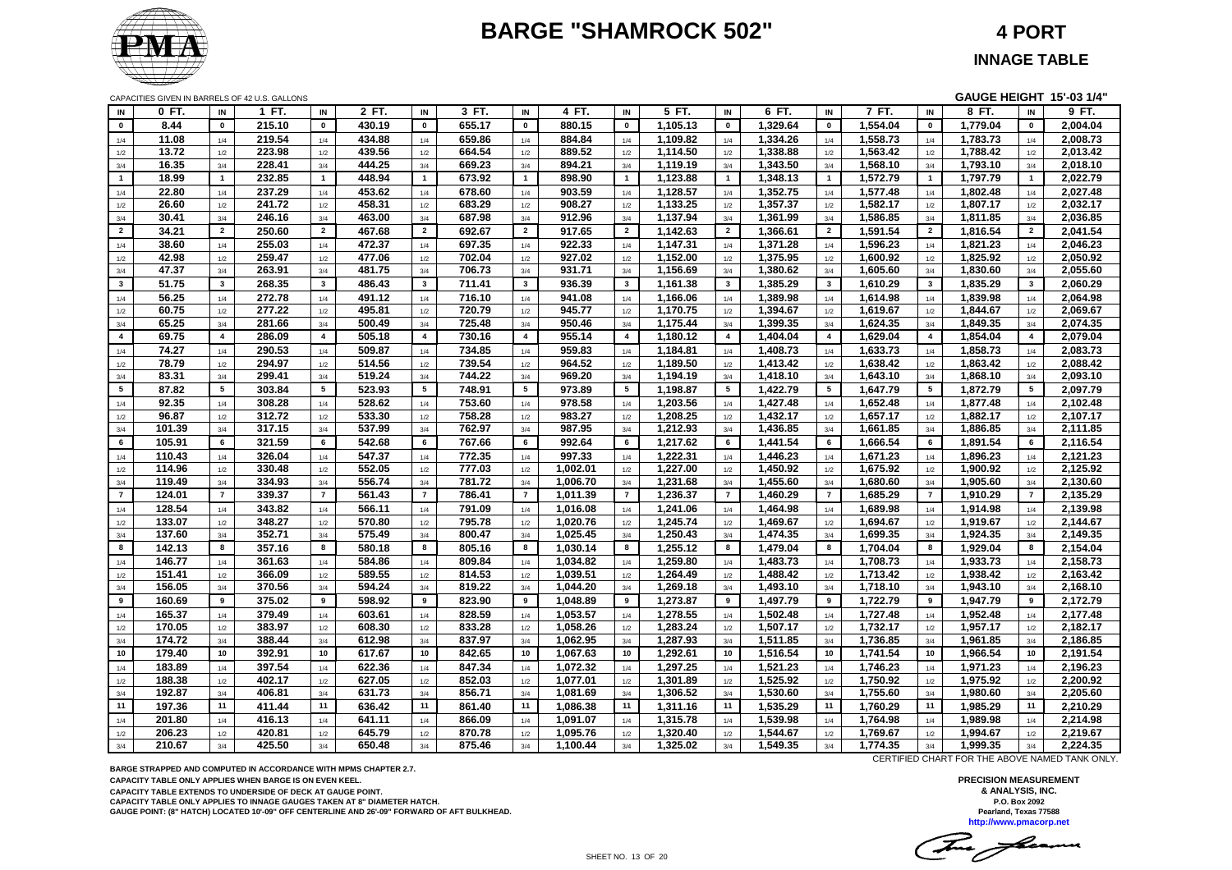# **BARGE "SHAMROCK 502" 4 PORT**



CAPACITIES GIVEN IN BARRELS OF 42 U.S. GALLONS **GAUGE HEIGHT 15'-03 1/4"**

| IN<br>$\mathbf 0$<br>8.44<br>$\pmb{0}$<br>215.10<br>$\pmb{0}$<br>430.19<br>$\mathbf 0$<br>655.17<br>$\mathbf 0$<br>880.15<br>$\mathbf 0$<br>1,105.13<br>$\pmb{\mathsf{o}}$<br>1,329.64<br>$\pmb{0}$<br>1,554.04<br>$\pmb{0}$<br>1,779.04<br>$\pmb{0}$<br>2,004.04<br>11.08<br>219.54<br>434.88<br>659.86<br>884.84<br>1,109.82<br>1,334.26<br>1,558.73<br>1,783.73<br>2,008.73<br>1/4<br>1/4<br>1/4<br>1/4<br>1/4<br>1/4<br>1/4<br>1/4<br>1/4<br>1/4<br>439.56<br>1,338.88<br>1,788.42<br>13.72<br>223.98<br>664.54<br>889.52<br>1,114.50<br>1,563.42<br>2,013.42<br>1/2<br>1/2<br>1/2<br>1/2<br>1/2<br>1/2<br>1/2<br>1/2<br>1/2<br>1/2<br>16.35<br>228.41<br>444.25<br>669.23<br>894.21<br>1,119.19<br>1,343.50<br>1,568.10<br>1,793.10<br>2,018.10<br>3/4<br>3/4<br>3/4<br>3/4<br>3/4<br>3/4<br>3/4<br>3/4<br>3/4<br>3/4<br>232.85<br>1,123.88<br>$\mathbf{1}$<br>18.99<br>$\overline{1}$<br>448.94<br>$\overline{1}$<br>673.92<br>$\overline{1}$<br>898.90<br>$\overline{1}$<br>1,348.13<br>$\mathbf{1}$<br>1,572.79<br>1,797.79<br>$\overline{1}$<br>2,022.79<br>$\mathbf{1}$<br>$\overline{1}$<br>$\overline{1}$<br>22.80<br>237.29<br>453.62<br>678.60<br>903.59<br>1,128.57<br>1,352.75<br>1,577.48<br>1,802.48<br>2,027.48<br>1/4<br>1/4<br>1/4<br>1/4<br>1/4<br>1/4<br>1/4<br>1/4<br>1/4<br>1/4<br>26.60<br>241.72<br>458.31<br>683.29<br>1,133.25<br>2,032.17<br>908.27<br>1,357.37<br>1,582.17<br>1,807.17<br>1/2<br>1/2<br>1/2<br>1/2<br>1/2<br>1/2<br>1/2<br>1/2<br>1/2<br>1/2<br>30.41<br>246.16<br>463.00<br>687.98<br>912.96<br>1,137.94<br>1,361.99<br>1,586.85<br>1,811.85<br>2,036.85<br>3/4<br>3/4<br>3/4<br>3/4<br>3/4<br>3/4<br>3/4<br>3/4<br>3/4<br>3/4<br>467.68<br>1,142.63<br>34.21<br>$\overline{2}$<br>250.60<br>$\overline{2}$<br>$\overline{2}$<br>692.67<br>$\overline{2}$<br>917.65<br>$\overline{2}$<br>1,366.61<br>$\overline{2}$<br>1,591.54<br>1,816.54<br>$\overline{2}$<br>2,041.54<br>$\overline{2}$<br>$\overline{2}$<br>$\overline{\mathbf{2}}$<br>255.03<br>472.37<br>697.35<br>922.33<br>1,147.31<br>1,596.23<br>1,821.23<br>2,046.23<br>38.60<br>1,371.28<br>1/4<br>1/4<br>1/4<br>1/4<br>1/4<br>1/4<br>1/4<br>1/4<br>1/4<br>1/4<br>2,050.92<br>42.98<br>259.47<br>477.06<br>702.04<br>927.02<br>1,152.00<br>1,375.95<br>1,600.92<br>1,825.92<br>1/2<br>1/2<br>1/2<br>1/2<br>1/2<br>1/2<br>1/2<br>1/2<br>1/2<br>1/2<br>47.37<br>263.91<br>481.75<br>706.73<br>931.71<br>1,156.69<br>1,380.62<br>1,605.60<br>1,830.60<br>2,055.60<br>3/4<br>3/4<br>3/4<br>3/4<br>3/4<br>3/4<br>3/4<br>3/4<br>3/4<br>3/4<br>$\mathbf{3}$<br>268.35<br>$\mathbf{3}$<br>$\mathbf{3}$<br>$\overline{\mathbf{3}}$<br>1,161.38<br>1,385.29<br>1,835.29<br>2,060.29<br>51.75<br>$\mathbf{3}$<br>486.43<br>711.41<br>936.39<br>$\mathbf{3}$<br>$\mathbf{3}$<br>$\mathbf{3}$<br>1,610.29<br>$\mathbf{3}$<br>$\overline{\mathbf{3}}$<br>56.25<br>272.78<br>491.12<br>1,839.98<br>2,064.98<br>716.10<br>941.08<br>1,166.06<br>1,389.98<br>1,614.98<br>1/4<br>1/4<br>1/4<br>1/4<br>1/4<br>1/4<br>1/4<br>1/4<br>1/4<br>1/4<br>60.75<br>277.22<br>720.79<br>945.77<br>1,170.75<br>1,394.67<br>1,844.67<br>2,069.67<br>495.81<br>1,619.67<br>$1/2\,$<br>1/2<br>1/2<br>1/2<br>1/2<br>1/2<br>1/2<br>1/2<br>1/2<br>1/2<br>725.48<br>1,175.44<br>1,399.35<br>1,624.35<br>1,849.35<br>2,074.35<br>65.25<br>281.66<br>500.49<br>950.46<br>3/4<br>3/4<br>3/4<br>3/4<br>3/4<br>3/4<br>3/4<br>3/4<br>3/4<br>3/4<br>69.75<br>$\overline{4}$<br>286.09<br>$\overline{\mathbf{4}}$<br>505.18<br>$\overline{4}$<br>730.16<br>$\overline{4}$<br>955.14<br>$\overline{4}$<br>1,180.12<br>1,629.04<br>1,854.04<br>2,079.04<br>$\overline{4}$<br>$\overline{4}$<br>1,404.04<br>$\overline{4}$<br>$\overline{4}$<br>$\overline{4}$<br>74.27<br>290.53<br>509.87<br>734.85<br>959.83<br>1,184.81<br>1,408.73<br>1,633.73<br>1,858.73<br>2,083.73<br>1/4<br>1/4<br>1/4<br>1/4<br>1/4<br>1/4<br>1/4<br>1/4<br>1/4<br>1/4<br>78.79<br>739.54<br>964.52<br>1,189.50<br>1,638.42<br>2,088.42<br>294.97<br>514.56<br>1,413.42<br>1,863.42<br>$1/2\,$<br>$1/2$<br>1/2<br>1/2<br>1/2<br>1/2<br>1/2<br>1/2<br>1/2<br>1/2<br>83.31<br>299.41<br>519.24<br>744.22<br>1.194.19<br>1,418.10<br>1,868.10<br>2,093.10<br>969.20<br>1,643.10<br>3/4<br>3/4<br>3/4<br>3/4<br>3/4<br>3/4<br>3/4<br>3/4<br>3/4<br>3/4<br>523.93<br>$5^{\circ}$<br>87.82<br>$5\overline{5}$<br>303.84<br>5<br>5<br>748.91<br>$5\overline{5}$<br>973.89<br>5<br>1,198.87<br>5<br>1,422.79<br>$5^{\circ}$<br>1,647.79<br>5<br>1,872.79<br>5<br>2,097.79<br>92.35<br>308.28<br>528.62<br>753.60<br>978.58<br>1,203.56<br>1,427.48<br>1,652.48<br>1,877.48<br>2,102.48<br>1/4<br>1/4<br>1/4<br>1/4<br>1/4<br>1/4<br>1/4<br>1/4<br>1/4<br>1/4<br>96.87<br>312.72<br>533.30<br>758.28<br>983.27<br>1,208.25<br>1,432.17<br>1,657.17<br>1,882.17<br>2,107.17<br>1/2<br>1/2<br>1/2<br>1/2<br>1/2<br>1/2<br>1/2<br>1/2<br>1/2<br>1/2<br>101.39<br>317.15<br>537.99<br>762.97<br>987.95<br>1,212.93<br>1,436.85<br>1,661.85<br>1,886.85<br>2,111.85<br>3/4<br>3/4<br>3/4<br>3/4<br>3/4<br>3/4<br>3/4<br>3/4<br>3/4<br>3/4<br>2,116.54<br>6<br>105.91<br>6<br>321.59<br>6<br>542.68<br>6<br>767.66<br>6<br>992.64<br>6<br>1,217.62<br>6<br>1,441.54<br>6<br>1,666.54<br>6<br>1,891.54<br>6<br>326.04<br>547.37<br>772.35<br>997.33<br>1,222.31<br>1,446.23<br>1,671.23<br>1,896.23<br>2,121.23<br>110.43<br>1/4<br>1/4<br>1/4<br>1/4<br>1/4<br>1/4<br>1/4<br>1/4<br>1/4<br>1/4<br>330.48<br>552.05<br>777.03<br>1,002.01<br>1,227.00<br>1,675.92<br>2,125.92<br>114.96<br>1,450.92<br>1,900.92<br>1/2<br>1/2<br>1/2<br>1/2<br>1/2<br>1/2<br>1/2<br>1/2<br>1/2<br>1/2<br>119.49<br>334.93<br>556.74<br>781.72<br>1,006.70<br>1,231.68<br>1,455.60<br>1,680.60<br>1,905.60<br>2,130.60<br>3/4<br>3/4<br>3/4<br>3/4<br>3/4<br>3/4<br>3/4<br>3/4<br>3/4<br>3/4<br>$\overline{7}$<br>$\overline{7}$<br>561.43<br>$\overline{7}$<br>786.41<br>$\overline{7}$<br>1,236.37<br>$\overline{7}$<br>$\overline{7}$<br>2,135.29<br>124.01<br>$\overline{7}$<br>339.37<br>1,011.39<br>$\overline{7}$<br>1,460.29<br>$\overline{7}$<br>1,685.29<br>1,910.29<br>$\overline{7}$<br>128.54<br>343.82<br>566.11<br>791.09<br>1,016.08<br>1,241.06<br>1,464.98<br>1,689.98<br>1,914.98<br>2,139.98<br>1/4<br>1/4<br>1/4<br>1/4<br>1/4<br>1/4<br>1/4<br>1/4<br>1/4<br>1/4<br>133.07<br>348.27<br>570.80<br>795.78<br>1,020.76<br>1,245.74<br>1,469.67<br>1,694.67<br>1,919.67<br>2,144.67<br>1/2<br>1/2<br>1/2<br>1/2<br>1/2<br>1/2<br>1/2<br>1/2<br>1/2<br>1/2<br>352.71<br>137.60<br>575.49<br>800.47<br>1,025.45<br>1,250.43<br>1,474.35<br>1,699.35<br>1,924.35<br>2,149.35<br>3/4<br>3/4<br>3/4<br>3/4<br>3/4<br>3/4<br>3/4<br>3/4<br>3/4<br>3/4<br>8<br>8<br>357.16<br>8<br>580.18<br>805.16<br>8<br>8<br>1,255.12<br>2,154.04<br>142.13<br>8<br>1,030.14<br>8<br>1,479.04<br>8<br>1,704.04<br>8<br>1,929.04<br>8<br>146.77<br>361.63<br>584.86<br>809.84<br>1,034.82<br>1,259.80<br>1,483.73<br>1,708.73<br>1,933.73<br>2,158.73<br>1/4<br>1/4<br>1/4<br>1/4<br>1/4<br>1/4<br>1/4<br>1/4<br>1/4<br>1/4<br>814.53<br>151.41<br>366.09<br>589.55<br>1,039.51<br>1,264.49<br>1,488.42<br>1,713.42<br>1,938.42<br>2,163.42<br>1/2<br>1/2<br>1/2<br>1/2<br>1/2<br>1/2<br>1/2<br>1/2<br>1/2<br>1/2<br>156.05<br>370.56<br>819.22<br>1,044.20<br>1,269.18<br>1,493.10<br>1,943.10<br>2,168.10<br>594.24<br>1,718.10<br>3/4<br>3/4<br>3/4<br>3/4<br>3/4<br>3/4<br>3/4<br>3/4<br>3/4<br>3/4<br>160.69<br>375.02<br>9<br>598.92<br>9<br>823.90<br>9<br>1,048.89<br>9<br>1,273.87<br>9<br>1,497.79<br>9<br>1,722.79<br>9<br>1,947.79<br>9<br>2,172.79<br>9<br>9<br>165.37<br>828.59<br>1,053.57<br>1,278.55<br>1,952.48<br>2,177.48<br>379.49<br>603.61<br>1,502.48<br>1,727.48<br>1/4<br>1/4<br>1/4<br>1/4<br>1/4<br>1/4<br>1/4<br>1/4<br>1/4<br>1/4<br>170.05<br>383.97<br>608.30<br>833.28<br>1,058.26<br>1,283.24<br>1,507.17<br>1,732.17<br>1,957.17<br>2,182.17<br>1/2<br>1/2<br>$1/2$<br>1/2<br>1/2<br>1/2<br>1/2<br>1/2<br>1/2<br>1/2<br>174.72<br>612.98<br>837.97<br>1,062.95<br>1,287.93<br>1,511.85<br>2,186.85<br>388.44<br>1,736.85<br>1,961.85<br>3/4<br>3/4<br>3/4<br>3/4<br>3/4<br>3/4<br>3/4<br>3/4<br>3/4<br>3/4<br>179.40<br>617.67<br>842.65<br>1,067.63<br>1,292.61<br>1,516.54<br>1,741.54<br>1,966.54<br>2,191.54<br>10<br>10<br>392.91<br>10<br>10<br>10<br>10<br>10<br>10<br>10<br>10<br>183.89<br>397.54<br>622.36<br>847.34<br>1,072.32<br>1,297.25<br>1,521.23<br>1,746.23<br>1,971.23<br>2,196.23<br>1/4<br>1/4<br>1/4<br>1/4<br>1/4<br>1/4<br>1/4<br>1/4<br>1/4<br>1/4<br>402.17<br>627.05<br>852.03<br>1,077.01<br>1,525.92<br>1,750.92<br>1,975.92<br>2,200.92<br>188.38<br>1,301.89<br>1/2<br>1/2<br>1/2<br>1/2<br>1/2<br>1/2<br>1/2<br>1/2<br>1/2<br>1/2<br>192.87<br>406.81<br>631.73<br>856.71<br>1,081.69<br>1,306.52<br>1,530.60<br>1,755.60<br>1,980.60<br>2,205.60<br>$3/4$<br>3/4<br>3/4<br>3/4<br>3/4<br>3/4<br>3/4<br>3/4<br>3/4<br>3/4<br>11<br>1,535.29<br>11<br>11<br>197.36<br>11<br>411.44<br>636.42<br>11<br>861.40<br>11<br>1,086.38<br>11<br>1,311.16<br>11<br>1,760.29<br>11<br>1,985.29<br>11<br>2,210.29<br>201.80<br>416.13<br>641.11<br>866.09<br>1,091.07<br>1,315.78<br>1,539.98<br>1,764.98<br>1,989.98<br>2,214.98<br>1/4<br>1/4<br>1/4<br>1/4<br>1/4<br>1/4<br>1/4<br>1/4<br>1/4<br>1/4<br>206.23<br>420.81<br>645.79<br>870.78<br>1,095.76<br>1,320.40<br>1,544.67<br>1,769.67<br>1,994.67<br>2,219.67<br>1/2<br>1/2<br>1/2<br>1/2<br>1/2<br>1/2<br>1/2<br>1/2<br>1/2<br>1/2 |     |        |     |               |        |     |        |     |          |     |          |     |                 |          |     |                 |          |
|-------------------------------------------------------------------------------------------------------------------------------------------------------------------------------------------------------------------------------------------------------------------------------------------------------------------------------------------------------------------------------------------------------------------------------------------------------------------------------------------------------------------------------------------------------------------------------------------------------------------------------------------------------------------------------------------------------------------------------------------------------------------------------------------------------------------------------------------------------------------------------------------------------------------------------------------------------------------------------------------------------------------------------------------------------------------------------------------------------------------------------------------------------------------------------------------------------------------------------------------------------------------------------------------------------------------------------------------------------------------------------------------------------------------------------------------------------------------------------------------------------------------------------------------------------------------------------------------------------------------------------------------------------------------------------------------------------------------------------------------------------------------------------------------------------------------------------------------------------------------------------------------------------------------------------------------------------------------------------------------------------------------------------------------------------------------------------------------------------------------------------------------------------------------------------------------------------------------------------------------------------------------------------------------------------------------------------------------------------------------------------------------------------------------------------------------------------------------------------------------------------------------------------------------------------------------------------------------------------------------------------------------------------------------------------------------------------------------------------------------------------------------------------------------------------------------------------------------------------------------------------------------------------------------------------------------------------------------------------------------------------------------------------------------------------------------------------------------------------------------------------------------------------------------------------------------------------------------------------------------------------------------------------------------------------------------------------------------------------------------------------------------------------------------------------------------------------------------------------------------------------------------------------------------------------------------------------------------------------------------------------------------------------------------------------------------------------------------------------------------------------------------------------------------------------------------------------------------------------------------------------------------------------------------------------------------------------------------------------------------------------------------------------------------------------------------------------------------------------------------------------------------------------------------------------------------------------------------------------------------------------------------------------------------------------------------------------------------------------------------------------------------------------------------------------------------------------------------------------------------------------------------------------------------------------------------------------------------------------------------------------------------------------------------------------------------------------------------------------------------------------------------------------------------------------------------------------------------------------------------------------------------------------------------------------------------------------------------------------------------------------------------------------------------------------------------------------------------------------------------------------------------------------------------------------------------------------------------------------------------------------------------------------------------------------------------------------------------------------------------------------------------------------------------------------------------------------------------------------------------------------------------------------------------------------------------------------------------------------------------------------------------------------------------------------------------------------------------------------------------------------------------------------------------------------------------------------------------------------------------------------------------------------------------------------------------------------------------------------------------------------------------------------------------------------------------------------------------------------------------------------------------------------------------------------------------------------------------------------------------------------------------------------------------------------------------------------------------------------------------------------------------------------------------------------------------------------------------------------------------------------------------------------------------------------------------------------------------------------------------------------------------------------------------------------------------------------------------------------------------------------------------------------------------------------------------------------------------------------------------------------------------------------------------------------------------------------------------------------------------------------------------------------------------------------------------------------------------------------------------------------------------------------------------------------------------------------------------------------------------------------------------------------------------------------------------------------------------------------------------------------------------------------------------------------------------------------------------------------------------------------------------------------------------------------------------------------------------------------------------------------------------------------------------------------------------------------------------------------------------------------------------------------------------------------------------------------------------------------------------------------------------------------------------------------------------------------------------------------------------------------------------------------------------------------------------------------------------------------------------------------------------------------------------------------------------------------------------------------------------------------------------------------------------------------------------------------------------------------------------------------------------------------------------------------------------------------------------------------------------------------------------------------------------------------------------------------------------------------------------------------------------------------------------------------------------------------------------------------------------------------------------------------------------------------------------------------------------------------------------------------------------------------------------------------------------------------------------------------------------------------------------------------------------------------------------------------------------------------------------------------------------------------------------------------------------------------------------------------------------------------------------------------------------------------------------------------------------------------------------------------------------------------------------------------------------------------------|-----|--------|-----|---------------|--------|-----|--------|-----|----------|-----|----------|-----|-----------------|----------|-----|-----------------|----------|
|                                                                                                                                                                                                                                                                                                                                                                                                                                                                                                                                                                                                                                                                                                                                                                                                                                                                                                                                                                                                                                                                                                                                                                                                                                                                                                                                                                                                                                                                                                                                                                                                                                                                                                                                                                                                                                                                                                                                                                                                                                                                                                                                                                                                                                                                                                                                                                                                                                                                                                                                                                                                                                                                                                                                                                                                                                                                                                                                                                                                                                                                                                                                                                                                                                                                                                                                                                                                                                                                                                                                                                                                                                                                                                                                                                                                                                                                                                                                                                                                                                                                                                                                                                                                                                                                                                                                                                                                                                                                                                                                                                                                                                                                                                                                                                                                                                                                                                                                                                                                                                                                                                                                                                                                                                                                                                                                                                                                                                                                                                                                                                                                                                                                                                                                                                                                                                                                                                                                                                                                                                                                                                                                                                                                                                                                                                                                                                                                                                                                                                                                                                                                                                                                                                                                                                                                                                                                                                                                                                                                                                                                                                                                                                                                                                                                                                                                                                                                                                                                                                                                                                                                                                                                                                                                                                                                                                                                                                                                                                                                                                                                                                                                                                                                                                                                                                                                                                                                                                                                                                                                                                                                                                                                                                                                                                                                                                                                                                                                                                                                                                                                                                                                                                                                                                                                                                                                                                                                                                                             | IN  | 0 FT.  | IN  | 1 FT.<br>IN   | 2 FT.  | IN  | 3 FT.  | IN  | 4 FT.    | IN  | 5 FT.    | IN  | 6 FT.           | 7 FT.    | IN  | 8 FT.<br>IN     | 9 FT.    |
|                                                                                                                                                                                                                                                                                                                                                                                                                                                                                                                                                                                                                                                                                                                                                                                                                                                                                                                                                                                                                                                                                                                                                                                                                                                                                                                                                                                                                                                                                                                                                                                                                                                                                                                                                                                                                                                                                                                                                                                                                                                                                                                                                                                                                                                                                                                                                                                                                                                                                                                                                                                                                                                                                                                                                                                                                                                                                                                                                                                                                                                                                                                                                                                                                                                                                                                                                                                                                                                                                                                                                                                                                                                                                                                                                                                                                                                                                                                                                                                                                                                                                                                                                                                                                                                                                                                                                                                                                                                                                                                                                                                                                                                                                                                                                                                                                                                                                                                                                                                                                                                                                                                                                                                                                                                                                                                                                                                                                                                                                                                                                                                                                                                                                                                                                                                                                                                                                                                                                                                                                                                                                                                                                                                                                                                                                                                                                                                                                                                                                                                                                                                                                                                                                                                                                                                                                                                                                                                                                                                                                                                                                                                                                                                                                                                                                                                                                                                                                                                                                                                                                                                                                                                                                                                                                                                                                                                                                                                                                                                                                                                                                                                                                                                                                                                                                                                                                                                                                                                                                                                                                                                                                                                                                                                                                                                                                                                                                                                                                                                                                                                                                                                                                                                                                                                                                                                                                                                                                                                             |     |        |     |               |        |     |        |     |          |     |          |     |                 |          |     |                 |          |
|                                                                                                                                                                                                                                                                                                                                                                                                                                                                                                                                                                                                                                                                                                                                                                                                                                                                                                                                                                                                                                                                                                                                                                                                                                                                                                                                                                                                                                                                                                                                                                                                                                                                                                                                                                                                                                                                                                                                                                                                                                                                                                                                                                                                                                                                                                                                                                                                                                                                                                                                                                                                                                                                                                                                                                                                                                                                                                                                                                                                                                                                                                                                                                                                                                                                                                                                                                                                                                                                                                                                                                                                                                                                                                                                                                                                                                                                                                                                                                                                                                                                                                                                                                                                                                                                                                                                                                                                                                                                                                                                                                                                                                                                                                                                                                                                                                                                                                                                                                                                                                                                                                                                                                                                                                                                                                                                                                                                                                                                                                                                                                                                                                                                                                                                                                                                                                                                                                                                                                                                                                                                                                                                                                                                                                                                                                                                                                                                                                                                                                                                                                                                                                                                                                                                                                                                                                                                                                                                                                                                                                                                                                                                                                                                                                                                                                                                                                                                                                                                                                                                                                                                                                                                                                                                                                                                                                                                                                                                                                                                                                                                                                                                                                                                                                                                                                                                                                                                                                                                                                                                                                                                                                                                                                                                                                                                                                                                                                                                                                                                                                                                                                                                                                                                                                                                                                                                                                                                                                                             |     |        |     |               |        |     |        |     |          |     |          |     |                 |          |     |                 |          |
|                                                                                                                                                                                                                                                                                                                                                                                                                                                                                                                                                                                                                                                                                                                                                                                                                                                                                                                                                                                                                                                                                                                                                                                                                                                                                                                                                                                                                                                                                                                                                                                                                                                                                                                                                                                                                                                                                                                                                                                                                                                                                                                                                                                                                                                                                                                                                                                                                                                                                                                                                                                                                                                                                                                                                                                                                                                                                                                                                                                                                                                                                                                                                                                                                                                                                                                                                                                                                                                                                                                                                                                                                                                                                                                                                                                                                                                                                                                                                                                                                                                                                                                                                                                                                                                                                                                                                                                                                                                                                                                                                                                                                                                                                                                                                                                                                                                                                                                                                                                                                                                                                                                                                                                                                                                                                                                                                                                                                                                                                                                                                                                                                                                                                                                                                                                                                                                                                                                                                                                                                                                                                                                                                                                                                                                                                                                                                                                                                                                                                                                                                                                                                                                                                                                                                                                                                                                                                                                                                                                                                                                                                                                                                                                                                                                                                                                                                                                                                                                                                                                                                                                                                                                                                                                                                                                                                                                                                                                                                                                                                                                                                                                                                                                                                                                                                                                                                                                                                                                                                                                                                                                                                                                                                                                                                                                                                                                                                                                                                                                                                                                                                                                                                                                                                                                                                                                                                                                                                                                             |     |        |     |               |        |     |        |     |          |     |          |     |                 |          |     |                 |          |
|                                                                                                                                                                                                                                                                                                                                                                                                                                                                                                                                                                                                                                                                                                                                                                                                                                                                                                                                                                                                                                                                                                                                                                                                                                                                                                                                                                                                                                                                                                                                                                                                                                                                                                                                                                                                                                                                                                                                                                                                                                                                                                                                                                                                                                                                                                                                                                                                                                                                                                                                                                                                                                                                                                                                                                                                                                                                                                                                                                                                                                                                                                                                                                                                                                                                                                                                                                                                                                                                                                                                                                                                                                                                                                                                                                                                                                                                                                                                                                                                                                                                                                                                                                                                                                                                                                                                                                                                                                                                                                                                                                                                                                                                                                                                                                                                                                                                                                                                                                                                                                                                                                                                                                                                                                                                                                                                                                                                                                                                                                                                                                                                                                                                                                                                                                                                                                                                                                                                                                                                                                                                                                                                                                                                                                                                                                                                                                                                                                                                                                                                                                                                                                                                                                                                                                                                                                                                                                                                                                                                                                                                                                                                                                                                                                                                                                                                                                                                                                                                                                                                                                                                                                                                                                                                                                                                                                                                                                                                                                                                                                                                                                                                                                                                                                                                                                                                                                                                                                                                                                                                                                                                                                                                                                                                                                                                                                                                                                                                                                                                                                                                                                                                                                                                                                                                                                                                                                                                                                                             |     |        |     |               |        |     |        |     |          |     |          |     |                 |          |     |                 |          |
|                                                                                                                                                                                                                                                                                                                                                                                                                                                                                                                                                                                                                                                                                                                                                                                                                                                                                                                                                                                                                                                                                                                                                                                                                                                                                                                                                                                                                                                                                                                                                                                                                                                                                                                                                                                                                                                                                                                                                                                                                                                                                                                                                                                                                                                                                                                                                                                                                                                                                                                                                                                                                                                                                                                                                                                                                                                                                                                                                                                                                                                                                                                                                                                                                                                                                                                                                                                                                                                                                                                                                                                                                                                                                                                                                                                                                                                                                                                                                                                                                                                                                                                                                                                                                                                                                                                                                                                                                                                                                                                                                                                                                                                                                                                                                                                                                                                                                                                                                                                                                                                                                                                                                                                                                                                                                                                                                                                                                                                                                                                                                                                                                                                                                                                                                                                                                                                                                                                                                                                                                                                                                                                                                                                                                                                                                                                                                                                                                                                                                                                                                                                                                                                                                                                                                                                                                                                                                                                                                                                                                                                                                                                                                                                                                                                                                                                                                                                                                                                                                                                                                                                                                                                                                                                                                                                                                                                                                                                                                                                                                                                                                                                                                                                                                                                                                                                                                                                                                                                                                                                                                                                                                                                                                                                                                                                                                                                                                                                                                                                                                                                                                                                                                                                                                                                                                                                                                                                                                                                             |     |        |     |               |        |     |        |     |          |     |          |     |                 |          |     |                 |          |
|                                                                                                                                                                                                                                                                                                                                                                                                                                                                                                                                                                                                                                                                                                                                                                                                                                                                                                                                                                                                                                                                                                                                                                                                                                                                                                                                                                                                                                                                                                                                                                                                                                                                                                                                                                                                                                                                                                                                                                                                                                                                                                                                                                                                                                                                                                                                                                                                                                                                                                                                                                                                                                                                                                                                                                                                                                                                                                                                                                                                                                                                                                                                                                                                                                                                                                                                                                                                                                                                                                                                                                                                                                                                                                                                                                                                                                                                                                                                                                                                                                                                                                                                                                                                                                                                                                                                                                                                                                                                                                                                                                                                                                                                                                                                                                                                                                                                                                                                                                                                                                                                                                                                                                                                                                                                                                                                                                                                                                                                                                                                                                                                                                                                                                                                                                                                                                                                                                                                                                                                                                                                                                                                                                                                                                                                                                                                                                                                                                                                                                                                                                                                                                                                                                                                                                                                                                                                                                                                                                                                                                                                                                                                                                                                                                                                                                                                                                                                                                                                                                                                                                                                                                                                                                                                                                                                                                                                                                                                                                                                                                                                                                                                                                                                                                                                                                                                                                                                                                                                                                                                                                                                                                                                                                                                                                                                                                                                                                                                                                                                                                                                                                                                                                                                                                                                                                                                                                                                                                                             |     |        |     |               |        |     |        |     |          |     |          |     |                 |          |     |                 |          |
|                                                                                                                                                                                                                                                                                                                                                                                                                                                                                                                                                                                                                                                                                                                                                                                                                                                                                                                                                                                                                                                                                                                                                                                                                                                                                                                                                                                                                                                                                                                                                                                                                                                                                                                                                                                                                                                                                                                                                                                                                                                                                                                                                                                                                                                                                                                                                                                                                                                                                                                                                                                                                                                                                                                                                                                                                                                                                                                                                                                                                                                                                                                                                                                                                                                                                                                                                                                                                                                                                                                                                                                                                                                                                                                                                                                                                                                                                                                                                                                                                                                                                                                                                                                                                                                                                                                                                                                                                                                                                                                                                                                                                                                                                                                                                                                                                                                                                                                                                                                                                                                                                                                                                                                                                                                                                                                                                                                                                                                                                                                                                                                                                                                                                                                                                                                                                                                                                                                                                                                                                                                                                                                                                                                                                                                                                                                                                                                                                                                                                                                                                                                                                                                                                                                                                                                                                                                                                                                                                                                                                                                                                                                                                                                                                                                                                                                                                                                                                                                                                                                                                                                                                                                                                                                                                                                                                                                                                                                                                                                                                                                                                                                                                                                                                                                                                                                                                                                                                                                                                                                                                                                                                                                                                                                                                                                                                                                                                                                                                                                                                                                                                                                                                                                                                                                                                                                                                                                                                                                             |     |        |     |               |        |     |        |     |          |     |          |     |                 |          |     |                 |          |
|                                                                                                                                                                                                                                                                                                                                                                                                                                                                                                                                                                                                                                                                                                                                                                                                                                                                                                                                                                                                                                                                                                                                                                                                                                                                                                                                                                                                                                                                                                                                                                                                                                                                                                                                                                                                                                                                                                                                                                                                                                                                                                                                                                                                                                                                                                                                                                                                                                                                                                                                                                                                                                                                                                                                                                                                                                                                                                                                                                                                                                                                                                                                                                                                                                                                                                                                                                                                                                                                                                                                                                                                                                                                                                                                                                                                                                                                                                                                                                                                                                                                                                                                                                                                                                                                                                                                                                                                                                                                                                                                                                                                                                                                                                                                                                                                                                                                                                                                                                                                                                                                                                                                                                                                                                                                                                                                                                                                                                                                                                                                                                                                                                                                                                                                                                                                                                                                                                                                                                                                                                                                                                                                                                                                                                                                                                                                                                                                                                                                                                                                                                                                                                                                                                                                                                                                                                                                                                                                                                                                                                                                                                                                                                                                                                                                                                                                                                                                                                                                                                                                                                                                                                                                                                                                                                                                                                                                                                                                                                                                                                                                                                                                                                                                                                                                                                                                                                                                                                                                                                                                                                                                                                                                                                                                                                                                                                                                                                                                                                                                                                                                                                                                                                                                                                                                                                                                                                                                                                                             |     |        |     |               |        |     |        |     |          |     |          |     |                 |          |     |                 |          |
|                                                                                                                                                                                                                                                                                                                                                                                                                                                                                                                                                                                                                                                                                                                                                                                                                                                                                                                                                                                                                                                                                                                                                                                                                                                                                                                                                                                                                                                                                                                                                                                                                                                                                                                                                                                                                                                                                                                                                                                                                                                                                                                                                                                                                                                                                                                                                                                                                                                                                                                                                                                                                                                                                                                                                                                                                                                                                                                                                                                                                                                                                                                                                                                                                                                                                                                                                                                                                                                                                                                                                                                                                                                                                                                                                                                                                                                                                                                                                                                                                                                                                                                                                                                                                                                                                                                                                                                                                                                                                                                                                                                                                                                                                                                                                                                                                                                                                                                                                                                                                                                                                                                                                                                                                                                                                                                                                                                                                                                                                                                                                                                                                                                                                                                                                                                                                                                                                                                                                                                                                                                                                                                                                                                                                                                                                                                                                                                                                                                                                                                                                                                                                                                                                                                                                                                                                                                                                                                                                                                                                                                                                                                                                                                                                                                                                                                                                                                                                                                                                                                                                                                                                                                                                                                                                                                                                                                                                                                                                                                                                                                                                                                                                                                                                                                                                                                                                                                                                                                                                                                                                                                                                                                                                                                                                                                                                                                                                                                                                                                                                                                                                                                                                                                                                                                                                                                                                                                                                                                             |     |        |     |               |        |     |        |     |          |     |          |     |                 |          |     |                 |          |
|                                                                                                                                                                                                                                                                                                                                                                                                                                                                                                                                                                                                                                                                                                                                                                                                                                                                                                                                                                                                                                                                                                                                                                                                                                                                                                                                                                                                                                                                                                                                                                                                                                                                                                                                                                                                                                                                                                                                                                                                                                                                                                                                                                                                                                                                                                                                                                                                                                                                                                                                                                                                                                                                                                                                                                                                                                                                                                                                                                                                                                                                                                                                                                                                                                                                                                                                                                                                                                                                                                                                                                                                                                                                                                                                                                                                                                                                                                                                                                                                                                                                                                                                                                                                                                                                                                                                                                                                                                                                                                                                                                                                                                                                                                                                                                                                                                                                                                                                                                                                                                                                                                                                                                                                                                                                                                                                                                                                                                                                                                                                                                                                                                                                                                                                                                                                                                                                                                                                                                                                                                                                                                                                                                                                                                                                                                                                                                                                                                                                                                                                                                                                                                                                                                                                                                                                                                                                                                                                                                                                                                                                                                                                                                                                                                                                                                                                                                                                                                                                                                                                                                                                                                                                                                                                                                                                                                                                                                                                                                                                                                                                                                                                                                                                                                                                                                                                                                                                                                                                                                                                                                                                                                                                                                                                                                                                                                                                                                                                                                                                                                                                                                                                                                                                                                                                                                                                                                                                                                                             |     |        |     |               |        |     |        |     |          |     |          |     |                 |          |     |                 |          |
|                                                                                                                                                                                                                                                                                                                                                                                                                                                                                                                                                                                                                                                                                                                                                                                                                                                                                                                                                                                                                                                                                                                                                                                                                                                                                                                                                                                                                                                                                                                                                                                                                                                                                                                                                                                                                                                                                                                                                                                                                                                                                                                                                                                                                                                                                                                                                                                                                                                                                                                                                                                                                                                                                                                                                                                                                                                                                                                                                                                                                                                                                                                                                                                                                                                                                                                                                                                                                                                                                                                                                                                                                                                                                                                                                                                                                                                                                                                                                                                                                                                                                                                                                                                                                                                                                                                                                                                                                                                                                                                                                                                                                                                                                                                                                                                                                                                                                                                                                                                                                                                                                                                                                                                                                                                                                                                                                                                                                                                                                                                                                                                                                                                                                                                                                                                                                                                                                                                                                                                                                                                                                                                                                                                                                                                                                                                                                                                                                                                                                                                                                                                                                                                                                                                                                                                                                                                                                                                                                                                                                                                                                                                                                                                                                                                                                                                                                                                                                                                                                                                                                                                                                                                                                                                                                                                                                                                                                                                                                                                                                                                                                                                                                                                                                                                                                                                                                                                                                                                                                                                                                                                                                                                                                                                                                                                                                                                                                                                                                                                                                                                                                                                                                                                                                                                                                                                                                                                                                                                             |     |        |     |               |        |     |        |     |          |     |          |     |                 |          |     |                 |          |
|                                                                                                                                                                                                                                                                                                                                                                                                                                                                                                                                                                                                                                                                                                                                                                                                                                                                                                                                                                                                                                                                                                                                                                                                                                                                                                                                                                                                                                                                                                                                                                                                                                                                                                                                                                                                                                                                                                                                                                                                                                                                                                                                                                                                                                                                                                                                                                                                                                                                                                                                                                                                                                                                                                                                                                                                                                                                                                                                                                                                                                                                                                                                                                                                                                                                                                                                                                                                                                                                                                                                                                                                                                                                                                                                                                                                                                                                                                                                                                                                                                                                                                                                                                                                                                                                                                                                                                                                                                                                                                                                                                                                                                                                                                                                                                                                                                                                                                                                                                                                                                                                                                                                                                                                                                                                                                                                                                                                                                                                                                                                                                                                                                                                                                                                                                                                                                                                                                                                                                                                                                                                                                                                                                                                                                                                                                                                                                                                                                                                                                                                                                                                                                                                                                                                                                                                                                                                                                                                                                                                                                                                                                                                                                                                                                                                                                                                                                                                                                                                                                                                                                                                                                                                                                                                                                                                                                                                                                                                                                                                                                                                                                                                                                                                                                                                                                                                                                                                                                                                                                                                                                                                                                                                                                                                                                                                                                                                                                                                                                                                                                                                                                                                                                                                                                                                                                                                                                                                                                                             |     |        |     |               |        |     |        |     |          |     |          |     |                 |          |     |                 |          |
|                                                                                                                                                                                                                                                                                                                                                                                                                                                                                                                                                                                                                                                                                                                                                                                                                                                                                                                                                                                                                                                                                                                                                                                                                                                                                                                                                                                                                                                                                                                                                                                                                                                                                                                                                                                                                                                                                                                                                                                                                                                                                                                                                                                                                                                                                                                                                                                                                                                                                                                                                                                                                                                                                                                                                                                                                                                                                                                                                                                                                                                                                                                                                                                                                                                                                                                                                                                                                                                                                                                                                                                                                                                                                                                                                                                                                                                                                                                                                                                                                                                                                                                                                                                                                                                                                                                                                                                                                                                                                                                                                                                                                                                                                                                                                                                                                                                                                                                                                                                                                                                                                                                                                                                                                                                                                                                                                                                                                                                                                                                                                                                                                                                                                                                                                                                                                                                                                                                                                                                                                                                                                                                                                                                                                                                                                                                                                                                                                                                                                                                                                                                                                                                                                                                                                                                                                                                                                                                                                                                                                                                                                                                                                                                                                                                                                                                                                                                                                                                                                                                                                                                                                                                                                                                                                                                                                                                                                                                                                                                                                                                                                                                                                                                                                                                                                                                                                                                                                                                                                                                                                                                                                                                                                                                                                                                                                                                                                                                                                                                                                                                                                                                                                                                                                                                                                                                                                                                                                                                             |     |        |     |               |        |     |        |     |          |     |          |     |                 |          |     |                 |          |
|                                                                                                                                                                                                                                                                                                                                                                                                                                                                                                                                                                                                                                                                                                                                                                                                                                                                                                                                                                                                                                                                                                                                                                                                                                                                                                                                                                                                                                                                                                                                                                                                                                                                                                                                                                                                                                                                                                                                                                                                                                                                                                                                                                                                                                                                                                                                                                                                                                                                                                                                                                                                                                                                                                                                                                                                                                                                                                                                                                                                                                                                                                                                                                                                                                                                                                                                                                                                                                                                                                                                                                                                                                                                                                                                                                                                                                                                                                                                                                                                                                                                                                                                                                                                                                                                                                                                                                                                                                                                                                                                                                                                                                                                                                                                                                                                                                                                                                                                                                                                                                                                                                                                                                                                                                                                                                                                                                                                                                                                                                                                                                                                                                                                                                                                                                                                                                                                                                                                                                                                                                                                                                                                                                                                                                                                                                                                                                                                                                                                                                                                                                                                                                                                                                                                                                                                                                                                                                                                                                                                                                                                                                                                                                                                                                                                                                                                                                                                                                                                                                                                                                                                                                                                                                                                                                                                                                                                                                                                                                                                                                                                                                                                                                                                                                                                                                                                                                                                                                                                                                                                                                                                                                                                                                                                                                                                                                                                                                                                                                                                                                                                                                                                                                                                                                                                                                                                                                                                                                                             |     |        |     |               |        |     |        |     |          |     |          |     |                 |          |     |                 |          |
|                                                                                                                                                                                                                                                                                                                                                                                                                                                                                                                                                                                                                                                                                                                                                                                                                                                                                                                                                                                                                                                                                                                                                                                                                                                                                                                                                                                                                                                                                                                                                                                                                                                                                                                                                                                                                                                                                                                                                                                                                                                                                                                                                                                                                                                                                                                                                                                                                                                                                                                                                                                                                                                                                                                                                                                                                                                                                                                                                                                                                                                                                                                                                                                                                                                                                                                                                                                                                                                                                                                                                                                                                                                                                                                                                                                                                                                                                                                                                                                                                                                                                                                                                                                                                                                                                                                                                                                                                                                                                                                                                                                                                                                                                                                                                                                                                                                                                                                                                                                                                                                                                                                                                                                                                                                                                                                                                                                                                                                                                                                                                                                                                                                                                                                                                                                                                                                                                                                                                                                                                                                                                                                                                                                                                                                                                                                                                                                                                                                                                                                                                                                                                                                                                                                                                                                                                                                                                                                                                                                                                                                                                                                                                                                                                                                                                                                                                                                                                                                                                                                                                                                                                                                                                                                                                                                                                                                                                                                                                                                                                                                                                                                                                                                                                                                                                                                                                                                                                                                                                                                                                                                                                                                                                                                                                                                                                                                                                                                                                                                                                                                                                                                                                                                                                                                                                                                                                                                                                                                             |     |        |     |               |        |     |        |     |          |     |          |     |                 |          |     |                 |          |
|                                                                                                                                                                                                                                                                                                                                                                                                                                                                                                                                                                                                                                                                                                                                                                                                                                                                                                                                                                                                                                                                                                                                                                                                                                                                                                                                                                                                                                                                                                                                                                                                                                                                                                                                                                                                                                                                                                                                                                                                                                                                                                                                                                                                                                                                                                                                                                                                                                                                                                                                                                                                                                                                                                                                                                                                                                                                                                                                                                                                                                                                                                                                                                                                                                                                                                                                                                                                                                                                                                                                                                                                                                                                                                                                                                                                                                                                                                                                                                                                                                                                                                                                                                                                                                                                                                                                                                                                                                                                                                                                                                                                                                                                                                                                                                                                                                                                                                                                                                                                                                                                                                                                                                                                                                                                                                                                                                                                                                                                                                                                                                                                                                                                                                                                                                                                                                                                                                                                                                                                                                                                                                                                                                                                                                                                                                                                                                                                                                                                                                                                                                                                                                                                                                                                                                                                                                                                                                                                                                                                                                                                                                                                                                                                                                                                                                                                                                                                                                                                                                                                                                                                                                                                                                                                                                                                                                                                                                                                                                                                                                                                                                                                                                                                                                                                                                                                                                                                                                                                                                                                                                                                                                                                                                                                                                                                                                                                                                                                                                                                                                                                                                                                                                                                                                                                                                                                                                                                                                                             |     |        |     |               |        |     |        |     |          |     |          |     |                 |          |     |                 |          |
|                                                                                                                                                                                                                                                                                                                                                                                                                                                                                                                                                                                                                                                                                                                                                                                                                                                                                                                                                                                                                                                                                                                                                                                                                                                                                                                                                                                                                                                                                                                                                                                                                                                                                                                                                                                                                                                                                                                                                                                                                                                                                                                                                                                                                                                                                                                                                                                                                                                                                                                                                                                                                                                                                                                                                                                                                                                                                                                                                                                                                                                                                                                                                                                                                                                                                                                                                                                                                                                                                                                                                                                                                                                                                                                                                                                                                                                                                                                                                                                                                                                                                                                                                                                                                                                                                                                                                                                                                                                                                                                                                                                                                                                                                                                                                                                                                                                                                                                                                                                                                                                                                                                                                                                                                                                                                                                                                                                                                                                                                                                                                                                                                                                                                                                                                                                                                                                                                                                                                                                                                                                                                                                                                                                                                                                                                                                                                                                                                                                                                                                                                                                                                                                                                                                                                                                                                                                                                                                                                                                                                                                                                                                                                                                                                                                                                                                                                                                                                                                                                                                                                                                                                                                                                                                                                                                                                                                                                                                                                                                                                                                                                                                                                                                                                                                                                                                                                                                                                                                                                                                                                                                                                                                                                                                                                                                                                                                                                                                                                                                                                                                                                                                                                                                                                                                                                                                                                                                                                                                             |     |        |     |               |        |     |        |     |          |     |          |     |                 |          |     |                 |          |
|                                                                                                                                                                                                                                                                                                                                                                                                                                                                                                                                                                                                                                                                                                                                                                                                                                                                                                                                                                                                                                                                                                                                                                                                                                                                                                                                                                                                                                                                                                                                                                                                                                                                                                                                                                                                                                                                                                                                                                                                                                                                                                                                                                                                                                                                                                                                                                                                                                                                                                                                                                                                                                                                                                                                                                                                                                                                                                                                                                                                                                                                                                                                                                                                                                                                                                                                                                                                                                                                                                                                                                                                                                                                                                                                                                                                                                                                                                                                                                                                                                                                                                                                                                                                                                                                                                                                                                                                                                                                                                                                                                                                                                                                                                                                                                                                                                                                                                                                                                                                                                                                                                                                                                                                                                                                                                                                                                                                                                                                                                                                                                                                                                                                                                                                                                                                                                                                                                                                                                                                                                                                                                                                                                                                                                                                                                                                                                                                                                                                                                                                                                                                                                                                                                                                                                                                                                                                                                                                                                                                                                                                                                                                                                                                                                                                                                                                                                                                                                                                                                                                                                                                                                                                                                                                                                                                                                                                                                                                                                                                                                                                                                                                                                                                                                                                                                                                                                                                                                                                                                                                                                                                                                                                                                                                                                                                                                                                                                                                                                                                                                                                                                                                                                                                                                                                                                                                                                                                                                                             |     |        |     |               |        |     |        |     |          |     |          |     |                 |          |     |                 |          |
|                                                                                                                                                                                                                                                                                                                                                                                                                                                                                                                                                                                                                                                                                                                                                                                                                                                                                                                                                                                                                                                                                                                                                                                                                                                                                                                                                                                                                                                                                                                                                                                                                                                                                                                                                                                                                                                                                                                                                                                                                                                                                                                                                                                                                                                                                                                                                                                                                                                                                                                                                                                                                                                                                                                                                                                                                                                                                                                                                                                                                                                                                                                                                                                                                                                                                                                                                                                                                                                                                                                                                                                                                                                                                                                                                                                                                                                                                                                                                                                                                                                                                                                                                                                                                                                                                                                                                                                                                                                                                                                                                                                                                                                                                                                                                                                                                                                                                                                                                                                                                                                                                                                                                                                                                                                                                                                                                                                                                                                                                                                                                                                                                                                                                                                                                                                                                                                                                                                                                                                                                                                                                                                                                                                                                                                                                                                                                                                                                                                                                                                                                                                                                                                                                                                                                                                                                                                                                                                                                                                                                                                                                                                                                                                                                                                                                                                                                                                                                                                                                                                                                                                                                                                                                                                                                                                                                                                                                                                                                                                                                                                                                                                                                                                                                                                                                                                                                                                                                                                                                                                                                                                                                                                                                                                                                                                                                                                                                                                                                                                                                                                                                                                                                                                                                                                                                                                                                                                                                                                             |     |        |     |               |        |     |        |     |          |     |          |     |                 |          |     |                 |          |
|                                                                                                                                                                                                                                                                                                                                                                                                                                                                                                                                                                                                                                                                                                                                                                                                                                                                                                                                                                                                                                                                                                                                                                                                                                                                                                                                                                                                                                                                                                                                                                                                                                                                                                                                                                                                                                                                                                                                                                                                                                                                                                                                                                                                                                                                                                                                                                                                                                                                                                                                                                                                                                                                                                                                                                                                                                                                                                                                                                                                                                                                                                                                                                                                                                                                                                                                                                                                                                                                                                                                                                                                                                                                                                                                                                                                                                                                                                                                                                                                                                                                                                                                                                                                                                                                                                                                                                                                                                                                                                                                                                                                                                                                                                                                                                                                                                                                                                                                                                                                                                                                                                                                                                                                                                                                                                                                                                                                                                                                                                                                                                                                                                                                                                                                                                                                                                                                                                                                                                                                                                                                                                                                                                                                                                                                                                                                                                                                                                                                                                                                                                                                                                                                                                                                                                                                                                                                                                                                                                                                                                                                                                                                                                                                                                                                                                                                                                                                                                                                                                                                                                                                                                                                                                                                                                                                                                                                                                                                                                                                                                                                                                                                                                                                                                                                                                                                                                                                                                                                                                                                                                                                                                                                                                                                                                                                                                                                                                                                                                                                                                                                                                                                                                                                                                                                                                                                                                                                                                                             |     |        |     |               |        |     |        |     |          |     |          |     |                 |          |     |                 |          |
|                                                                                                                                                                                                                                                                                                                                                                                                                                                                                                                                                                                                                                                                                                                                                                                                                                                                                                                                                                                                                                                                                                                                                                                                                                                                                                                                                                                                                                                                                                                                                                                                                                                                                                                                                                                                                                                                                                                                                                                                                                                                                                                                                                                                                                                                                                                                                                                                                                                                                                                                                                                                                                                                                                                                                                                                                                                                                                                                                                                                                                                                                                                                                                                                                                                                                                                                                                                                                                                                                                                                                                                                                                                                                                                                                                                                                                                                                                                                                                                                                                                                                                                                                                                                                                                                                                                                                                                                                                                                                                                                                                                                                                                                                                                                                                                                                                                                                                                                                                                                                                                                                                                                                                                                                                                                                                                                                                                                                                                                                                                                                                                                                                                                                                                                                                                                                                                                                                                                                                                                                                                                                                                                                                                                                                                                                                                                                                                                                                                                                                                                                                                                                                                                                                                                                                                                                                                                                                                                                                                                                                                                                                                                                                                                                                                                                                                                                                                                                                                                                                                                                                                                                                                                                                                                                                                                                                                                                                                                                                                                                                                                                                                                                                                                                                                                                                                                                                                                                                                                                                                                                                                                                                                                                                                                                                                                                                                                                                                                                                                                                                                                                                                                                                                                                                                                                                                                                                                                                                                             |     |        |     |               |        |     |        |     |          |     |          |     |                 |          |     |                 |          |
|                                                                                                                                                                                                                                                                                                                                                                                                                                                                                                                                                                                                                                                                                                                                                                                                                                                                                                                                                                                                                                                                                                                                                                                                                                                                                                                                                                                                                                                                                                                                                                                                                                                                                                                                                                                                                                                                                                                                                                                                                                                                                                                                                                                                                                                                                                                                                                                                                                                                                                                                                                                                                                                                                                                                                                                                                                                                                                                                                                                                                                                                                                                                                                                                                                                                                                                                                                                                                                                                                                                                                                                                                                                                                                                                                                                                                                                                                                                                                                                                                                                                                                                                                                                                                                                                                                                                                                                                                                                                                                                                                                                                                                                                                                                                                                                                                                                                                                                                                                                                                                                                                                                                                                                                                                                                                                                                                                                                                                                                                                                                                                                                                                                                                                                                                                                                                                                                                                                                                                                                                                                                                                                                                                                                                                                                                                                                                                                                                                                                                                                                                                                                                                                                                                                                                                                                                                                                                                                                                                                                                                                                                                                                                                                                                                                                                                                                                                                                                                                                                                                                                                                                                                                                                                                                                                                                                                                                                                                                                                                                                                                                                                                                                                                                                                                                                                                                                                                                                                                                                                                                                                                                                                                                                                                                                                                                                                                                                                                                                                                                                                                                                                                                                                                                                                                                                                                                                                                                                                                             |     |        |     |               |        |     |        |     |          |     |          |     |                 |          |     |                 |          |
|                                                                                                                                                                                                                                                                                                                                                                                                                                                                                                                                                                                                                                                                                                                                                                                                                                                                                                                                                                                                                                                                                                                                                                                                                                                                                                                                                                                                                                                                                                                                                                                                                                                                                                                                                                                                                                                                                                                                                                                                                                                                                                                                                                                                                                                                                                                                                                                                                                                                                                                                                                                                                                                                                                                                                                                                                                                                                                                                                                                                                                                                                                                                                                                                                                                                                                                                                                                                                                                                                                                                                                                                                                                                                                                                                                                                                                                                                                                                                                                                                                                                                                                                                                                                                                                                                                                                                                                                                                                                                                                                                                                                                                                                                                                                                                                                                                                                                                                                                                                                                                                                                                                                                                                                                                                                                                                                                                                                                                                                                                                                                                                                                                                                                                                                                                                                                                                                                                                                                                                                                                                                                                                                                                                                                                                                                                                                                                                                                                                                                                                                                                                                                                                                                                                                                                                                                                                                                                                                                                                                                                                                                                                                                                                                                                                                                                                                                                                                                                                                                                                                                                                                                                                                                                                                                                                                                                                                                                                                                                                                                                                                                                                                                                                                                                                                                                                                                                                                                                                                                                                                                                                                                                                                                                                                                                                                                                                                                                                                                                                                                                                                                                                                                                                                                                                                                                                                                                                                                                                             |     |        |     |               |        |     |        |     |          |     |          |     |                 |          |     |                 |          |
|                                                                                                                                                                                                                                                                                                                                                                                                                                                                                                                                                                                                                                                                                                                                                                                                                                                                                                                                                                                                                                                                                                                                                                                                                                                                                                                                                                                                                                                                                                                                                                                                                                                                                                                                                                                                                                                                                                                                                                                                                                                                                                                                                                                                                                                                                                                                                                                                                                                                                                                                                                                                                                                                                                                                                                                                                                                                                                                                                                                                                                                                                                                                                                                                                                                                                                                                                                                                                                                                                                                                                                                                                                                                                                                                                                                                                                                                                                                                                                                                                                                                                                                                                                                                                                                                                                                                                                                                                                                                                                                                                                                                                                                                                                                                                                                                                                                                                                                                                                                                                                                                                                                                                                                                                                                                                                                                                                                                                                                                                                                                                                                                                                                                                                                                                                                                                                                                                                                                                                                                                                                                                                                                                                                                                                                                                                                                                                                                                                                                                                                                                                                                                                                                                                                                                                                                                                                                                                                                                                                                                                                                                                                                                                                                                                                                                                                                                                                                                                                                                                                                                                                                                                                                                                                                                                                                                                                                                                                                                                                                                                                                                                                                                                                                                                                                                                                                                                                                                                                                                                                                                                                                                                                                                                                                                                                                                                                                                                                                                                                                                                                                                                                                                                                                                                                                                                                                                                                                                                                             |     |        |     |               |        |     |        |     |          |     |          |     |                 |          |     |                 |          |
|                                                                                                                                                                                                                                                                                                                                                                                                                                                                                                                                                                                                                                                                                                                                                                                                                                                                                                                                                                                                                                                                                                                                                                                                                                                                                                                                                                                                                                                                                                                                                                                                                                                                                                                                                                                                                                                                                                                                                                                                                                                                                                                                                                                                                                                                                                                                                                                                                                                                                                                                                                                                                                                                                                                                                                                                                                                                                                                                                                                                                                                                                                                                                                                                                                                                                                                                                                                                                                                                                                                                                                                                                                                                                                                                                                                                                                                                                                                                                                                                                                                                                                                                                                                                                                                                                                                                                                                                                                                                                                                                                                                                                                                                                                                                                                                                                                                                                                                                                                                                                                                                                                                                                                                                                                                                                                                                                                                                                                                                                                                                                                                                                                                                                                                                                                                                                                                                                                                                                                                                                                                                                                                                                                                                                                                                                                                                                                                                                                                                                                                                                                                                                                                                                                                                                                                                                                                                                                                                                                                                                                                                                                                                                                                                                                                                                                                                                                                                                                                                                                                                                                                                                                                                                                                                                                                                                                                                                                                                                                                                                                                                                                                                                                                                                                                                                                                                                                                                                                                                                                                                                                                                                                                                                                                                                                                                                                                                                                                                                                                                                                                                                                                                                                                                                                                                                                                                                                                                                                                             |     |        |     |               |        |     |        |     |          |     |          |     |                 |          |     |                 |          |
|                                                                                                                                                                                                                                                                                                                                                                                                                                                                                                                                                                                                                                                                                                                                                                                                                                                                                                                                                                                                                                                                                                                                                                                                                                                                                                                                                                                                                                                                                                                                                                                                                                                                                                                                                                                                                                                                                                                                                                                                                                                                                                                                                                                                                                                                                                                                                                                                                                                                                                                                                                                                                                                                                                                                                                                                                                                                                                                                                                                                                                                                                                                                                                                                                                                                                                                                                                                                                                                                                                                                                                                                                                                                                                                                                                                                                                                                                                                                                                                                                                                                                                                                                                                                                                                                                                                                                                                                                                                                                                                                                                                                                                                                                                                                                                                                                                                                                                                                                                                                                                                                                                                                                                                                                                                                                                                                                                                                                                                                                                                                                                                                                                                                                                                                                                                                                                                                                                                                                                                                                                                                                                                                                                                                                                                                                                                                                                                                                                                                                                                                                                                                                                                                                                                                                                                                                                                                                                                                                                                                                                                                                                                                                                                                                                                                                                                                                                                                                                                                                                                                                                                                                                                                                                                                                                                                                                                                                                                                                                                                                                                                                                                                                                                                                                                                                                                                                                                                                                                                                                                                                                                                                                                                                                                                                                                                                                                                                                                                                                                                                                                                                                                                                                                                                                                                                                                                                                                                                                                             |     |        |     |               |        |     |        |     |          |     |          |     |                 |          |     |                 |          |
|                                                                                                                                                                                                                                                                                                                                                                                                                                                                                                                                                                                                                                                                                                                                                                                                                                                                                                                                                                                                                                                                                                                                                                                                                                                                                                                                                                                                                                                                                                                                                                                                                                                                                                                                                                                                                                                                                                                                                                                                                                                                                                                                                                                                                                                                                                                                                                                                                                                                                                                                                                                                                                                                                                                                                                                                                                                                                                                                                                                                                                                                                                                                                                                                                                                                                                                                                                                                                                                                                                                                                                                                                                                                                                                                                                                                                                                                                                                                                                                                                                                                                                                                                                                                                                                                                                                                                                                                                                                                                                                                                                                                                                                                                                                                                                                                                                                                                                                                                                                                                                                                                                                                                                                                                                                                                                                                                                                                                                                                                                                                                                                                                                                                                                                                                                                                                                                                                                                                                                                                                                                                                                                                                                                                                                                                                                                                                                                                                                                                                                                                                                                                                                                                                                                                                                                                                                                                                                                                                                                                                                                                                                                                                                                                                                                                                                                                                                                                                                                                                                                                                                                                                                                                                                                                                                                                                                                                                                                                                                                                                                                                                                                                                                                                                                                                                                                                                                                                                                                                                                                                                                                                                                                                                                                                                                                                                                                                                                                                                                                                                                                                                                                                                                                                                                                                                                                                                                                                                                                             |     |        |     |               |        |     |        |     |          |     |          |     |                 |          |     |                 |          |
|                                                                                                                                                                                                                                                                                                                                                                                                                                                                                                                                                                                                                                                                                                                                                                                                                                                                                                                                                                                                                                                                                                                                                                                                                                                                                                                                                                                                                                                                                                                                                                                                                                                                                                                                                                                                                                                                                                                                                                                                                                                                                                                                                                                                                                                                                                                                                                                                                                                                                                                                                                                                                                                                                                                                                                                                                                                                                                                                                                                                                                                                                                                                                                                                                                                                                                                                                                                                                                                                                                                                                                                                                                                                                                                                                                                                                                                                                                                                                                                                                                                                                                                                                                                                                                                                                                                                                                                                                                                                                                                                                                                                                                                                                                                                                                                                                                                                                                                                                                                                                                                                                                                                                                                                                                                                                                                                                                                                                                                                                                                                                                                                                                                                                                                                                                                                                                                                                                                                                                                                                                                                                                                                                                                                                                                                                                                                                                                                                                                                                                                                                                                                                                                                                                                                                                                                                                                                                                                                                                                                                                                                                                                                                                                                                                                                                                                                                                                                                                                                                                                                                                                                                                                                                                                                                                                                                                                                                                                                                                                                                                                                                                                                                                                                                                                                                                                                                                                                                                                                                                                                                                                                                                                                                                                                                                                                                                                                                                                                                                                                                                                                                                                                                                                                                                                                                                                                                                                                                                                             |     |        |     |               |        |     |        |     |          |     |          |     |                 |          |     |                 |          |
|                                                                                                                                                                                                                                                                                                                                                                                                                                                                                                                                                                                                                                                                                                                                                                                                                                                                                                                                                                                                                                                                                                                                                                                                                                                                                                                                                                                                                                                                                                                                                                                                                                                                                                                                                                                                                                                                                                                                                                                                                                                                                                                                                                                                                                                                                                                                                                                                                                                                                                                                                                                                                                                                                                                                                                                                                                                                                                                                                                                                                                                                                                                                                                                                                                                                                                                                                                                                                                                                                                                                                                                                                                                                                                                                                                                                                                                                                                                                                                                                                                                                                                                                                                                                                                                                                                                                                                                                                                                                                                                                                                                                                                                                                                                                                                                                                                                                                                                                                                                                                                                                                                                                                                                                                                                                                                                                                                                                                                                                                                                                                                                                                                                                                                                                                                                                                                                                                                                                                                                                                                                                                                                                                                                                                                                                                                                                                                                                                                                                                                                                                                                                                                                                                                                                                                                                                                                                                                                                                                                                                                                                                                                                                                                                                                                                                                                                                                                                                                                                                                                                                                                                                                                                                                                                                                                                                                                                                                                                                                                                                                                                                                                                                                                                                                                                                                                                                                                                                                                                                                                                                                                                                                                                                                                                                                                                                                                                                                                                                                                                                                                                                                                                                                                                                                                                                                                                                                                                                                                             |     |        |     |               |        |     |        |     |          |     |          |     |                 |          |     |                 |          |
|                                                                                                                                                                                                                                                                                                                                                                                                                                                                                                                                                                                                                                                                                                                                                                                                                                                                                                                                                                                                                                                                                                                                                                                                                                                                                                                                                                                                                                                                                                                                                                                                                                                                                                                                                                                                                                                                                                                                                                                                                                                                                                                                                                                                                                                                                                                                                                                                                                                                                                                                                                                                                                                                                                                                                                                                                                                                                                                                                                                                                                                                                                                                                                                                                                                                                                                                                                                                                                                                                                                                                                                                                                                                                                                                                                                                                                                                                                                                                                                                                                                                                                                                                                                                                                                                                                                                                                                                                                                                                                                                                                                                                                                                                                                                                                                                                                                                                                                                                                                                                                                                                                                                                                                                                                                                                                                                                                                                                                                                                                                                                                                                                                                                                                                                                                                                                                                                                                                                                                                                                                                                                                                                                                                                                                                                                                                                                                                                                                                                                                                                                                                                                                                                                                                                                                                                                                                                                                                                                                                                                                                                                                                                                                                                                                                                                                                                                                                                                                                                                                                                                                                                                                                                                                                                                                                                                                                                                                                                                                                                                                                                                                                                                                                                                                                                                                                                                                                                                                                                                                                                                                                                                                                                                                                                                                                                                                                                                                                                                                                                                                                                                                                                                                                                                                                                                                                                                                                                                                                             |     |        |     |               |        |     |        |     |          |     |          |     |                 |          |     |                 |          |
|                                                                                                                                                                                                                                                                                                                                                                                                                                                                                                                                                                                                                                                                                                                                                                                                                                                                                                                                                                                                                                                                                                                                                                                                                                                                                                                                                                                                                                                                                                                                                                                                                                                                                                                                                                                                                                                                                                                                                                                                                                                                                                                                                                                                                                                                                                                                                                                                                                                                                                                                                                                                                                                                                                                                                                                                                                                                                                                                                                                                                                                                                                                                                                                                                                                                                                                                                                                                                                                                                                                                                                                                                                                                                                                                                                                                                                                                                                                                                                                                                                                                                                                                                                                                                                                                                                                                                                                                                                                                                                                                                                                                                                                                                                                                                                                                                                                                                                                                                                                                                                                                                                                                                                                                                                                                                                                                                                                                                                                                                                                                                                                                                                                                                                                                                                                                                                                                                                                                                                                                                                                                                                                                                                                                                                                                                                                                                                                                                                                                                                                                                                                                                                                                                                                                                                                                                                                                                                                                                                                                                                                                                                                                                                                                                                                                                                                                                                                                                                                                                                                                                                                                                                                                                                                                                                                                                                                                                                                                                                                                                                                                                                                                                                                                                                                                                                                                                                                                                                                                                                                                                                                                                                                                                                                                                                                                                                                                                                                                                                                                                                                                                                                                                                                                                                                                                                                                                                                                                                                             |     |        |     |               |        |     |        |     |          |     |          |     |                 |          |     |                 |          |
|                                                                                                                                                                                                                                                                                                                                                                                                                                                                                                                                                                                                                                                                                                                                                                                                                                                                                                                                                                                                                                                                                                                                                                                                                                                                                                                                                                                                                                                                                                                                                                                                                                                                                                                                                                                                                                                                                                                                                                                                                                                                                                                                                                                                                                                                                                                                                                                                                                                                                                                                                                                                                                                                                                                                                                                                                                                                                                                                                                                                                                                                                                                                                                                                                                                                                                                                                                                                                                                                                                                                                                                                                                                                                                                                                                                                                                                                                                                                                                                                                                                                                                                                                                                                                                                                                                                                                                                                                                                                                                                                                                                                                                                                                                                                                                                                                                                                                                                                                                                                                                                                                                                                                                                                                                                                                                                                                                                                                                                                                                                                                                                                                                                                                                                                                                                                                                                                                                                                                                                                                                                                                                                                                                                                                                                                                                                                                                                                                                                                                                                                                                                                                                                                                                                                                                                                                                                                                                                                                                                                                                                                                                                                                                                                                                                                                                                                                                                                                                                                                                                                                                                                                                                                                                                                                                                                                                                                                                                                                                                                                                                                                                                                                                                                                                                                                                                                                                                                                                                                                                                                                                                                                                                                                                                                                                                                                                                                                                                                                                                                                                                                                                                                                                                                                                                                                                                                                                                                                                                             |     |        |     |               |        |     |        |     |          |     |          |     |                 |          |     |                 |          |
|                                                                                                                                                                                                                                                                                                                                                                                                                                                                                                                                                                                                                                                                                                                                                                                                                                                                                                                                                                                                                                                                                                                                                                                                                                                                                                                                                                                                                                                                                                                                                                                                                                                                                                                                                                                                                                                                                                                                                                                                                                                                                                                                                                                                                                                                                                                                                                                                                                                                                                                                                                                                                                                                                                                                                                                                                                                                                                                                                                                                                                                                                                                                                                                                                                                                                                                                                                                                                                                                                                                                                                                                                                                                                                                                                                                                                                                                                                                                                                                                                                                                                                                                                                                                                                                                                                                                                                                                                                                                                                                                                                                                                                                                                                                                                                                                                                                                                                                                                                                                                                                                                                                                                                                                                                                                                                                                                                                                                                                                                                                                                                                                                                                                                                                                                                                                                                                                                                                                                                                                                                                                                                                                                                                                                                                                                                                                                                                                                                                                                                                                                                                                                                                                                                                                                                                                                                                                                                                                                                                                                                                                                                                                                                                                                                                                                                                                                                                                                                                                                                                                                                                                                                                                                                                                                                                                                                                                                                                                                                                                                                                                                                                                                                                                                                                                                                                                                                                                                                                                                                                                                                                                                                                                                                                                                                                                                                                                                                                                                                                                                                                                                                                                                                                                                                                                                                                                                                                                                                                             |     |        |     |               |        |     |        |     |          |     |          |     |                 |          |     |                 |          |
|                                                                                                                                                                                                                                                                                                                                                                                                                                                                                                                                                                                                                                                                                                                                                                                                                                                                                                                                                                                                                                                                                                                                                                                                                                                                                                                                                                                                                                                                                                                                                                                                                                                                                                                                                                                                                                                                                                                                                                                                                                                                                                                                                                                                                                                                                                                                                                                                                                                                                                                                                                                                                                                                                                                                                                                                                                                                                                                                                                                                                                                                                                                                                                                                                                                                                                                                                                                                                                                                                                                                                                                                                                                                                                                                                                                                                                                                                                                                                                                                                                                                                                                                                                                                                                                                                                                                                                                                                                                                                                                                                                                                                                                                                                                                                                                                                                                                                                                                                                                                                                                                                                                                                                                                                                                                                                                                                                                                                                                                                                                                                                                                                                                                                                                                                                                                                                                                                                                                                                                                                                                                                                                                                                                                                                                                                                                                                                                                                                                                                                                                                                                                                                                                                                                                                                                                                                                                                                                                                                                                                                                                                                                                                                                                                                                                                                                                                                                                                                                                                                                                                                                                                                                                                                                                                                                                                                                                                                                                                                                                                                                                                                                                                                                                                                                                                                                                                                                                                                                                                                                                                                                                                                                                                                                                                                                                                                                                                                                                                                                                                                                                                                                                                                                                                                                                                                                                                                                                                                                             |     |        |     |               |        |     |        |     |          |     |          |     |                 |          |     |                 |          |
|                                                                                                                                                                                                                                                                                                                                                                                                                                                                                                                                                                                                                                                                                                                                                                                                                                                                                                                                                                                                                                                                                                                                                                                                                                                                                                                                                                                                                                                                                                                                                                                                                                                                                                                                                                                                                                                                                                                                                                                                                                                                                                                                                                                                                                                                                                                                                                                                                                                                                                                                                                                                                                                                                                                                                                                                                                                                                                                                                                                                                                                                                                                                                                                                                                                                                                                                                                                                                                                                                                                                                                                                                                                                                                                                                                                                                                                                                                                                                                                                                                                                                                                                                                                                                                                                                                                                                                                                                                                                                                                                                                                                                                                                                                                                                                                                                                                                                                                                                                                                                                                                                                                                                                                                                                                                                                                                                                                                                                                                                                                                                                                                                                                                                                                                                                                                                                                                                                                                                                                                                                                                                                                                                                                                                                                                                                                                                                                                                                                                                                                                                                                                                                                                                                                                                                                                                                                                                                                                                                                                                                                                                                                                                                                                                                                                                                                                                                                                                                                                                                                                                                                                                                                                                                                                                                                                                                                                                                                                                                                                                                                                                                                                                                                                                                                                                                                                                                                                                                                                                                                                                                                                                                                                                                                                                                                                                                                                                                                                                                                                                                                                                                                                                                                                                                                                                                                                                                                                                                                             |     |        |     |               |        |     |        |     |          |     |          |     |                 |          |     |                 |          |
|                                                                                                                                                                                                                                                                                                                                                                                                                                                                                                                                                                                                                                                                                                                                                                                                                                                                                                                                                                                                                                                                                                                                                                                                                                                                                                                                                                                                                                                                                                                                                                                                                                                                                                                                                                                                                                                                                                                                                                                                                                                                                                                                                                                                                                                                                                                                                                                                                                                                                                                                                                                                                                                                                                                                                                                                                                                                                                                                                                                                                                                                                                                                                                                                                                                                                                                                                                                                                                                                                                                                                                                                                                                                                                                                                                                                                                                                                                                                                                                                                                                                                                                                                                                                                                                                                                                                                                                                                                                                                                                                                                                                                                                                                                                                                                                                                                                                                                                                                                                                                                                                                                                                                                                                                                                                                                                                                                                                                                                                                                                                                                                                                                                                                                                                                                                                                                                                                                                                                                                                                                                                                                                                                                                                                                                                                                                                                                                                                                                                                                                                                                                                                                                                                                                                                                                                                                                                                                                                                                                                                                                                                                                                                                                                                                                                                                                                                                                                                                                                                                                                                                                                                                                                                                                                                                                                                                                                                                                                                                                                                                                                                                                                                                                                                                                                                                                                                                                                                                                                                                                                                                                                                                                                                                                                                                                                                                                                                                                                                                                                                                                                                                                                                                                                                                                                                                                                                                                                                                                             |     |        |     |               |        |     |        |     |          |     |          |     |                 |          |     |                 |          |
|                                                                                                                                                                                                                                                                                                                                                                                                                                                                                                                                                                                                                                                                                                                                                                                                                                                                                                                                                                                                                                                                                                                                                                                                                                                                                                                                                                                                                                                                                                                                                                                                                                                                                                                                                                                                                                                                                                                                                                                                                                                                                                                                                                                                                                                                                                                                                                                                                                                                                                                                                                                                                                                                                                                                                                                                                                                                                                                                                                                                                                                                                                                                                                                                                                                                                                                                                                                                                                                                                                                                                                                                                                                                                                                                                                                                                                                                                                                                                                                                                                                                                                                                                                                                                                                                                                                                                                                                                                                                                                                                                                                                                                                                                                                                                                                                                                                                                                                                                                                                                                                                                                                                                                                                                                                                                                                                                                                                                                                                                                                                                                                                                                                                                                                                                                                                                                                                                                                                                                                                                                                                                                                                                                                                                                                                                                                                                                                                                                                                                                                                                                                                                                                                                                                                                                                                                                                                                                                                                                                                                                                                                                                                                                                                                                                                                                                                                                                                                                                                                                                                                                                                                                                                                                                                                                                                                                                                                                                                                                                                                                                                                                                                                                                                                                                                                                                                                                                                                                                                                                                                                                                                                                                                                                                                                                                                                                                                                                                                                                                                                                                                                                                                                                                                                                                                                                                                                                                                                                                             |     |        |     |               |        |     |        |     |          |     |          |     |                 |          |     |                 |          |
|                                                                                                                                                                                                                                                                                                                                                                                                                                                                                                                                                                                                                                                                                                                                                                                                                                                                                                                                                                                                                                                                                                                                                                                                                                                                                                                                                                                                                                                                                                                                                                                                                                                                                                                                                                                                                                                                                                                                                                                                                                                                                                                                                                                                                                                                                                                                                                                                                                                                                                                                                                                                                                                                                                                                                                                                                                                                                                                                                                                                                                                                                                                                                                                                                                                                                                                                                                                                                                                                                                                                                                                                                                                                                                                                                                                                                                                                                                                                                                                                                                                                                                                                                                                                                                                                                                                                                                                                                                                                                                                                                                                                                                                                                                                                                                                                                                                                                                                                                                                                                                                                                                                                                                                                                                                                                                                                                                                                                                                                                                                                                                                                                                                                                                                                                                                                                                                                                                                                                                                                                                                                                                                                                                                                                                                                                                                                                                                                                                                                                                                                                                                                                                                                                                                                                                                                                                                                                                                                                                                                                                                                                                                                                                                                                                                                                                                                                                                                                                                                                                                                                                                                                                                                                                                                                                                                                                                                                                                                                                                                                                                                                                                                                                                                                                                                                                                                                                                                                                                                                                                                                                                                                                                                                                                                                                                                                                                                                                                                                                                                                                                                                                                                                                                                                                                                                                                                                                                                                                                             |     |        |     |               |        |     |        |     |          |     |          |     |                 |          |     |                 |          |
|                                                                                                                                                                                                                                                                                                                                                                                                                                                                                                                                                                                                                                                                                                                                                                                                                                                                                                                                                                                                                                                                                                                                                                                                                                                                                                                                                                                                                                                                                                                                                                                                                                                                                                                                                                                                                                                                                                                                                                                                                                                                                                                                                                                                                                                                                                                                                                                                                                                                                                                                                                                                                                                                                                                                                                                                                                                                                                                                                                                                                                                                                                                                                                                                                                                                                                                                                                                                                                                                                                                                                                                                                                                                                                                                                                                                                                                                                                                                                                                                                                                                                                                                                                                                                                                                                                                                                                                                                                                                                                                                                                                                                                                                                                                                                                                                                                                                                                                                                                                                                                                                                                                                                                                                                                                                                                                                                                                                                                                                                                                                                                                                                                                                                                                                                                                                                                                                                                                                                                                                                                                                                                                                                                                                                                                                                                                                                                                                                                                                                                                                                                                                                                                                                                                                                                                                                                                                                                                                                                                                                                                                                                                                                                                                                                                                                                                                                                                                                                                                                                                                                                                                                                                                                                                                                                                                                                                                                                                                                                                                                                                                                                                                                                                                                                                                                                                                                                                                                                                                                                                                                                                                                                                                                                                                                                                                                                                                                                                                                                                                                                                                                                                                                                                                                                                                                                                                                                                                                                                             |     |        |     |               |        |     |        |     |          |     |          |     |                 |          |     |                 |          |
|                                                                                                                                                                                                                                                                                                                                                                                                                                                                                                                                                                                                                                                                                                                                                                                                                                                                                                                                                                                                                                                                                                                                                                                                                                                                                                                                                                                                                                                                                                                                                                                                                                                                                                                                                                                                                                                                                                                                                                                                                                                                                                                                                                                                                                                                                                                                                                                                                                                                                                                                                                                                                                                                                                                                                                                                                                                                                                                                                                                                                                                                                                                                                                                                                                                                                                                                                                                                                                                                                                                                                                                                                                                                                                                                                                                                                                                                                                                                                                                                                                                                                                                                                                                                                                                                                                                                                                                                                                                                                                                                                                                                                                                                                                                                                                                                                                                                                                                                                                                                                                                                                                                                                                                                                                                                                                                                                                                                                                                                                                                                                                                                                                                                                                                                                                                                                                                                                                                                                                                                                                                                                                                                                                                                                                                                                                                                                                                                                                                                                                                                                                                                                                                                                                                                                                                                                                                                                                                                                                                                                                                                                                                                                                                                                                                                                                                                                                                                                                                                                                                                                                                                                                                                                                                                                                                                                                                                                                                                                                                                                                                                                                                                                                                                                                                                                                                                                                                                                                                                                                                                                                                                                                                                                                                                                                                                                                                                                                                                                                                                                                                                                                                                                                                                                                                                                                                                                                                                                                                             |     |        |     |               |        |     |        |     |          |     |          |     |                 |          |     |                 |          |
|                                                                                                                                                                                                                                                                                                                                                                                                                                                                                                                                                                                                                                                                                                                                                                                                                                                                                                                                                                                                                                                                                                                                                                                                                                                                                                                                                                                                                                                                                                                                                                                                                                                                                                                                                                                                                                                                                                                                                                                                                                                                                                                                                                                                                                                                                                                                                                                                                                                                                                                                                                                                                                                                                                                                                                                                                                                                                                                                                                                                                                                                                                                                                                                                                                                                                                                                                                                                                                                                                                                                                                                                                                                                                                                                                                                                                                                                                                                                                                                                                                                                                                                                                                                                                                                                                                                                                                                                                                                                                                                                                                                                                                                                                                                                                                                                                                                                                                                                                                                                                                                                                                                                                                                                                                                                                                                                                                                                                                                                                                                                                                                                                                                                                                                                                                                                                                                                                                                                                                                                                                                                                                                                                                                                                                                                                                                                                                                                                                                                                                                                                                                                                                                                                                                                                                                                                                                                                                                                                                                                                                                                                                                                                                                                                                                                                                                                                                                                                                                                                                                                                                                                                                                                                                                                                                                                                                                                                                                                                                                                                                                                                                                                                                                                                                                                                                                                                                                                                                                                                                                                                                                                                                                                                                                                                                                                                                                                                                                                                                                                                                                                                                                                                                                                                                                                                                                                                                                                                                                             |     |        |     |               |        |     |        |     |          |     |          |     |                 |          |     |                 |          |
|                                                                                                                                                                                                                                                                                                                                                                                                                                                                                                                                                                                                                                                                                                                                                                                                                                                                                                                                                                                                                                                                                                                                                                                                                                                                                                                                                                                                                                                                                                                                                                                                                                                                                                                                                                                                                                                                                                                                                                                                                                                                                                                                                                                                                                                                                                                                                                                                                                                                                                                                                                                                                                                                                                                                                                                                                                                                                                                                                                                                                                                                                                                                                                                                                                                                                                                                                                                                                                                                                                                                                                                                                                                                                                                                                                                                                                                                                                                                                                                                                                                                                                                                                                                                                                                                                                                                                                                                                                                                                                                                                                                                                                                                                                                                                                                                                                                                                                                                                                                                                                                                                                                                                                                                                                                                                                                                                                                                                                                                                                                                                                                                                                                                                                                                                                                                                                                                                                                                                                                                                                                                                                                                                                                                                                                                                                                                                                                                                                                                                                                                                                                                                                                                                                                                                                                                                                                                                                                                                                                                                                                                                                                                                                                                                                                                                                                                                                                                                                                                                                                                                                                                                                                                                                                                                                                                                                                                                                                                                                                                                                                                                                                                                                                                                                                                                                                                                                                                                                                                                                                                                                                                                                                                                                                                                                                                                                                                                                                                                                                                                                                                                                                                                                                                                                                                                                                                                                                                                                                             |     |        |     |               |        |     |        |     |          |     |          |     |                 |          |     |                 |          |
|                                                                                                                                                                                                                                                                                                                                                                                                                                                                                                                                                                                                                                                                                                                                                                                                                                                                                                                                                                                                                                                                                                                                                                                                                                                                                                                                                                                                                                                                                                                                                                                                                                                                                                                                                                                                                                                                                                                                                                                                                                                                                                                                                                                                                                                                                                                                                                                                                                                                                                                                                                                                                                                                                                                                                                                                                                                                                                                                                                                                                                                                                                                                                                                                                                                                                                                                                                                                                                                                                                                                                                                                                                                                                                                                                                                                                                                                                                                                                                                                                                                                                                                                                                                                                                                                                                                                                                                                                                                                                                                                                                                                                                                                                                                                                                                                                                                                                                                                                                                                                                                                                                                                                                                                                                                                                                                                                                                                                                                                                                                                                                                                                                                                                                                                                                                                                                                                                                                                                                                                                                                                                                                                                                                                                                                                                                                                                                                                                                                                                                                                                                                                                                                                                                                                                                                                                                                                                                                                                                                                                                                                                                                                                                                                                                                                                                                                                                                                                                                                                                                                                                                                                                                                                                                                                                                                                                                                                                                                                                                                                                                                                                                                                                                                                                                                                                                                                                                                                                                                                                                                                                                                                                                                                                                                                                                                                                                                                                                                                                                                                                                                                                                                                                                                                                                                                                                                                                                                                                                             |     |        |     |               |        |     |        |     |          |     |          |     |                 |          |     |                 |          |
|                                                                                                                                                                                                                                                                                                                                                                                                                                                                                                                                                                                                                                                                                                                                                                                                                                                                                                                                                                                                                                                                                                                                                                                                                                                                                                                                                                                                                                                                                                                                                                                                                                                                                                                                                                                                                                                                                                                                                                                                                                                                                                                                                                                                                                                                                                                                                                                                                                                                                                                                                                                                                                                                                                                                                                                                                                                                                                                                                                                                                                                                                                                                                                                                                                                                                                                                                                                                                                                                                                                                                                                                                                                                                                                                                                                                                                                                                                                                                                                                                                                                                                                                                                                                                                                                                                                                                                                                                                                                                                                                                                                                                                                                                                                                                                                                                                                                                                                                                                                                                                                                                                                                                                                                                                                                                                                                                                                                                                                                                                                                                                                                                                                                                                                                                                                                                                                                                                                                                                                                                                                                                                                                                                                                                                                                                                                                                                                                                                                                                                                                                                                                                                                                                                                                                                                                                                                                                                                                                                                                                                                                                                                                                                                                                                                                                                                                                                                                                                                                                                                                                                                                                                                                                                                                                                                                                                                                                                                                                                                                                                                                                                                                                                                                                                                                                                                                                                                                                                                                                                                                                                                                                                                                                                                                                                                                                                                                                                                                                                                                                                                                                                                                                                                                                                                                                                                                                                                                                                                             |     |        |     |               |        |     |        |     |          |     |          |     |                 |          |     |                 |          |
|                                                                                                                                                                                                                                                                                                                                                                                                                                                                                                                                                                                                                                                                                                                                                                                                                                                                                                                                                                                                                                                                                                                                                                                                                                                                                                                                                                                                                                                                                                                                                                                                                                                                                                                                                                                                                                                                                                                                                                                                                                                                                                                                                                                                                                                                                                                                                                                                                                                                                                                                                                                                                                                                                                                                                                                                                                                                                                                                                                                                                                                                                                                                                                                                                                                                                                                                                                                                                                                                                                                                                                                                                                                                                                                                                                                                                                                                                                                                                                                                                                                                                                                                                                                                                                                                                                                                                                                                                                                                                                                                                                                                                                                                                                                                                                                                                                                                                                                                                                                                                                                                                                                                                                                                                                                                                                                                                                                                                                                                                                                                                                                                                                                                                                                                                                                                                                                                                                                                                                                                                                                                                                                                                                                                                                                                                                                                                                                                                                                                                                                                                                                                                                                                                                                                                                                                                                                                                                                                                                                                                                                                                                                                                                                                                                                                                                                                                                                                                                                                                                                                                                                                                                                                                                                                                                                                                                                                                                                                                                                                                                                                                                                                                                                                                                                                                                                                                                                                                                                                                                                                                                                                                                                                                                                                                                                                                                                                                                                                                                                                                                                                                                                                                                                                                                                                                                                                                                                                                                                             |     |        |     |               |        |     |        |     |          |     |          |     |                 |          |     |                 |          |
|                                                                                                                                                                                                                                                                                                                                                                                                                                                                                                                                                                                                                                                                                                                                                                                                                                                                                                                                                                                                                                                                                                                                                                                                                                                                                                                                                                                                                                                                                                                                                                                                                                                                                                                                                                                                                                                                                                                                                                                                                                                                                                                                                                                                                                                                                                                                                                                                                                                                                                                                                                                                                                                                                                                                                                                                                                                                                                                                                                                                                                                                                                                                                                                                                                                                                                                                                                                                                                                                                                                                                                                                                                                                                                                                                                                                                                                                                                                                                                                                                                                                                                                                                                                                                                                                                                                                                                                                                                                                                                                                                                                                                                                                                                                                                                                                                                                                                                                                                                                                                                                                                                                                                                                                                                                                                                                                                                                                                                                                                                                                                                                                                                                                                                                                                                                                                                                                                                                                                                                                                                                                                                                                                                                                                                                                                                                                                                                                                                                                                                                                                                                                                                                                                                                                                                                                                                                                                                                                                                                                                                                                                                                                                                                                                                                                                                                                                                                                                                                                                                                                                                                                                                                                                                                                                                                                                                                                                                                                                                                                                                                                                                                                                                                                                                                                                                                                                                                                                                                                                                                                                                                                                                                                                                                                                                                                                                                                                                                                                                                                                                                                                                                                                                                                                                                                                                                                                                                                                                                             |     |        |     |               |        |     |        |     |          |     |          |     |                 |          |     |                 |          |
|                                                                                                                                                                                                                                                                                                                                                                                                                                                                                                                                                                                                                                                                                                                                                                                                                                                                                                                                                                                                                                                                                                                                                                                                                                                                                                                                                                                                                                                                                                                                                                                                                                                                                                                                                                                                                                                                                                                                                                                                                                                                                                                                                                                                                                                                                                                                                                                                                                                                                                                                                                                                                                                                                                                                                                                                                                                                                                                                                                                                                                                                                                                                                                                                                                                                                                                                                                                                                                                                                                                                                                                                                                                                                                                                                                                                                                                                                                                                                                                                                                                                                                                                                                                                                                                                                                                                                                                                                                                                                                                                                                                                                                                                                                                                                                                                                                                                                                                                                                                                                                                                                                                                                                                                                                                                                                                                                                                                                                                                                                                                                                                                                                                                                                                                                                                                                                                                                                                                                                                                                                                                                                                                                                                                                                                                                                                                                                                                                                                                                                                                                                                                                                                                                                                                                                                                                                                                                                                                                                                                                                                                                                                                                                                                                                                                                                                                                                                                                                                                                                                                                                                                                                                                                                                                                                                                                                                                                                                                                                                                                                                                                                                                                                                                                                                                                                                                                                                                                                                                                                                                                                                                                                                                                                                                                                                                                                                                                                                                                                                                                                                                                                                                                                                                                                                                                                                                                                                                                                                             |     |        |     |               |        |     |        |     |          |     |          |     |                 |          |     |                 |          |
|                                                                                                                                                                                                                                                                                                                                                                                                                                                                                                                                                                                                                                                                                                                                                                                                                                                                                                                                                                                                                                                                                                                                                                                                                                                                                                                                                                                                                                                                                                                                                                                                                                                                                                                                                                                                                                                                                                                                                                                                                                                                                                                                                                                                                                                                                                                                                                                                                                                                                                                                                                                                                                                                                                                                                                                                                                                                                                                                                                                                                                                                                                                                                                                                                                                                                                                                                                                                                                                                                                                                                                                                                                                                                                                                                                                                                                                                                                                                                                                                                                                                                                                                                                                                                                                                                                                                                                                                                                                                                                                                                                                                                                                                                                                                                                                                                                                                                                                                                                                                                                                                                                                                                                                                                                                                                                                                                                                                                                                                                                                                                                                                                                                                                                                                                                                                                                                                                                                                                                                                                                                                                                                                                                                                                                                                                                                                                                                                                                                                                                                                                                                                                                                                                                                                                                                                                                                                                                                                                                                                                                                                                                                                                                                                                                                                                                                                                                                                                                                                                                                                                                                                                                                                                                                                                                                                                                                                                                                                                                                                                                                                                                                                                                                                                                                                                                                                                                                                                                                                                                                                                                                                                                                                                                                                                                                                                                                                                                                                                                                                                                                                                                                                                                                                                                                                                                                                                                                                                                                             |     |        |     |               |        |     |        |     |          |     |          |     |                 |          |     |                 |          |
|                                                                                                                                                                                                                                                                                                                                                                                                                                                                                                                                                                                                                                                                                                                                                                                                                                                                                                                                                                                                                                                                                                                                                                                                                                                                                                                                                                                                                                                                                                                                                                                                                                                                                                                                                                                                                                                                                                                                                                                                                                                                                                                                                                                                                                                                                                                                                                                                                                                                                                                                                                                                                                                                                                                                                                                                                                                                                                                                                                                                                                                                                                                                                                                                                                                                                                                                                                                                                                                                                                                                                                                                                                                                                                                                                                                                                                                                                                                                                                                                                                                                                                                                                                                                                                                                                                                                                                                                                                                                                                                                                                                                                                                                                                                                                                                                                                                                                                                                                                                                                                                                                                                                                                                                                                                                                                                                                                                                                                                                                                                                                                                                                                                                                                                                                                                                                                                                                                                                                                                                                                                                                                                                                                                                                                                                                                                                                                                                                                                                                                                                                                                                                                                                                                                                                                                                                                                                                                                                                                                                                                                                                                                                                                                                                                                                                                                                                                                                                                                                                                                                                                                                                                                                                                                                                                                                                                                                                                                                                                                                                                                                                                                                                                                                                                                                                                                                                                                                                                                                                                                                                                                                                                                                                                                                                                                                                                                                                                                                                                                                                                                                                                                                                                                                                                                                                                                                                                                                                                                             | 3/4 | 210.67 | 3/4 | 425.50<br>3/4 | 650.48 | 3/4 | 875.46 | 3/4 | 1,100.44 | 3/4 | 1,325.02 | 3/4 | 1,549.35<br>3/4 | 1,774.35 | 3/4 | 1,999.35<br>3/4 | 2,224.35 |

**BARGE STRAPPED AND COMPUTED IN ACCORDANCE WITH MPMS CHAPTER 2.7.**

**CAPACITY TABLE ONLY APPLIES WHEN BARGE IS ON EVEN KEEL.**

**CAPACITY TABLE EXTENDS TO UNDERSIDE OF DECK AT GAUGE POINT.**

**CAPACITY TABLE ONLY APPLIES TO INNAGE GAUGES TAKEN AT 8" DIAMETER HATCH.**

**GAUGE POINT: (8" HATCH) LOCATED 10'-09" OFF CENTERLINE AND 26'-09" FORWARD OF AFT BULKHEAD.**

CERTIFIED CHART FOR THE ABOVE NAMED TANK ONLY.

Tue flamm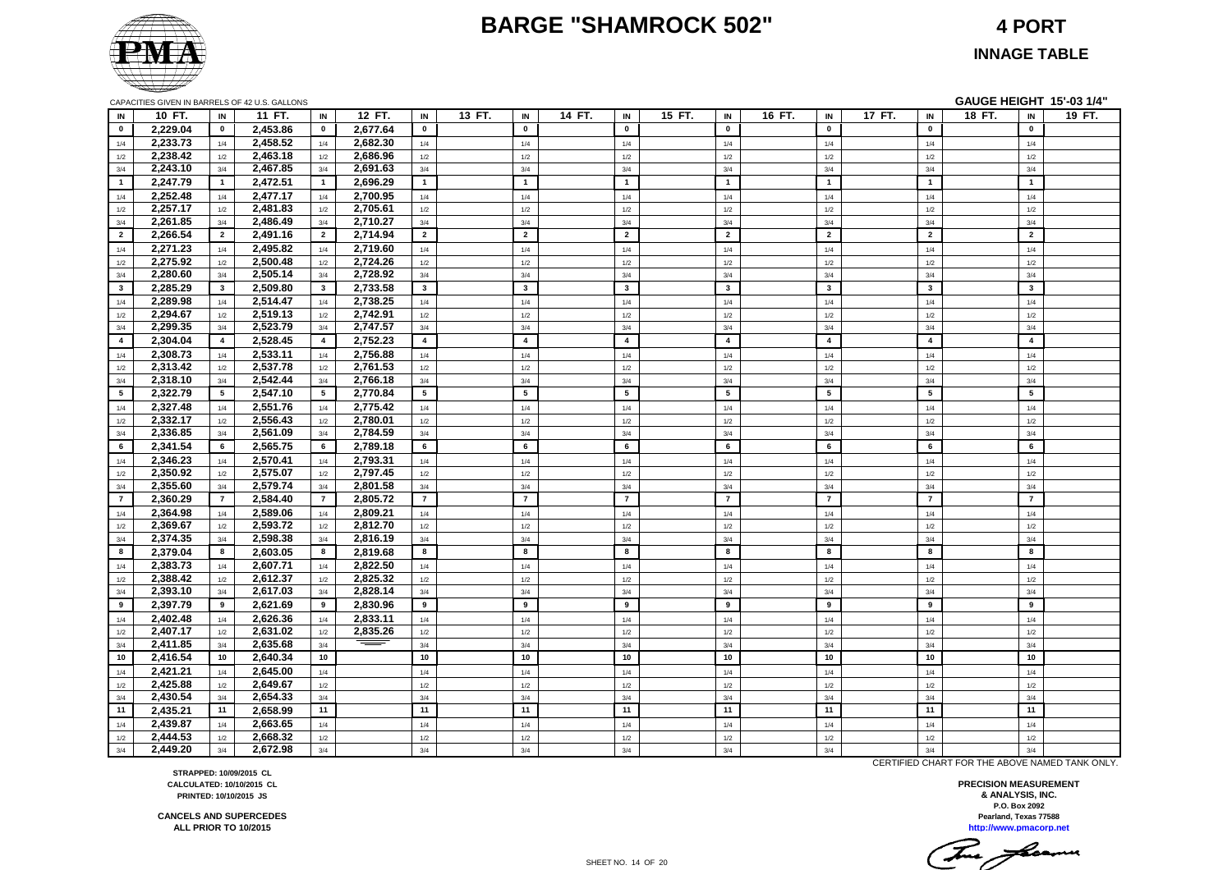#### **BARGE "SHAMROCK 502" 4 PORT**



**INNAGE TABLE**

|                |          |                | CAPACITIES GIVEN IN BARRELS OF 42 U.S. GALLONS |                |          |                |        |                |        |                         |                         |                         |                         | GAUGE HEIGHT 15'-03 1/4" |        |
|----------------|----------|----------------|------------------------------------------------|----------------|----------|----------------|--------|----------------|--------|-------------------------|-------------------------|-------------------------|-------------------------|--------------------------|--------|
| IN             | 10 FT.   | IN             | 11 FT.                                         | IN             | 12 FT.   | IN             | 13 FT. | IN             | 14 FT. | IN                      | 15 FT.<br>IN            | 16 FT.<br>IN            | 17 FT.<br>IN            | 18 FT.<br>IN             | 19 FT. |
| $\mathbf{0}$   | 2,229.04 | $\mathbf 0$    | 2,453.86                                       | $\mathbf 0$    | 2,677.64 | $\mathbf 0$    |        | $\mathbf 0$    |        | $\mathbf 0$             | $\mathbf 0$             | $\mathbf 0$             | $\mathbf 0$             | $\mathbf 0$              |        |
| 1/4            | 2,233.73 | 1/4            | 2,458.52                                       | 1/4            | 2,682.30 | 1/4            |        | 1/4            |        | 1/4                     | 1/4                     | 1/4                     | 1/4                     | 1/4                      |        |
| 1/2            | 2,238.42 | 1/2            | 2,463.18                                       | 1/2            | 2,686.96 | 1/2            |        | 1/2            |        | 1/2                     | 1/2                     | 1/2                     | 1/2                     | 1/2                      |        |
| 3/4            | 2,243.10 | 3/4            | 2,467.85                                       | 3/4            | 2,691.63 | 3/4            |        | 3/4            |        | 3/4                     | 3/4                     | 3/4                     | 3/4                     | 3/4                      |        |
| $\blacksquare$ | 2,247.79 | $\overline{1}$ | 2,472.51                                       | $\overline{1}$ | 2,696.29 | $\overline{1}$ |        | $\overline{1}$ |        | $\overline{1}$          | $\mathbf{1}$            | $\overline{1}$          | $\mathbf{1}$            | $\overline{1}$           |        |
| 1/4            | 2,252.48 | 1/4            | 2,477.17                                       | 1/4            | 2,700.95 | 1/4            |        | 1/4            |        | 1/4                     | 1/4                     | 1/4                     | 1/4                     | 1/4                      |        |
| 1/2            | 2,257.17 | 1/2            | 2,481.83                                       | 1/2            | 2,705.61 | 1/2            |        | 1/2            |        | 1/2                     | 1/2                     | 1/2                     | 1/2                     | 1/2                      |        |
| 3/4            | 2,261.85 | 3/4            | 2,486.49                                       | 3/4            | 2,710.27 | 3/4            |        | 3/4            |        | 3/4                     | 3/4                     | 3/4                     | 3/4                     | 3/4                      |        |
| $\overline{2}$ | 2,266.54 | $\overline{2}$ | 2,491.16                                       | $\overline{2}$ | 2,714.94 | $\overline{2}$ |        | $\overline{2}$ |        | $\overline{2}$          | $\overline{2}$          | $\overline{2}$          | $\overline{2}$          | $\overline{2}$           |        |
| 1/4            | 2,271.23 | 1/4            | 2,495.82                                       | 1/4            | 2,719.60 | 1/4            |        | 1/4            |        | 1/4                     | 1/4                     | 1/4                     | 1/4                     | 1/4                      |        |
| 1/2            | 2,275.92 | 1/2            | 2,500.48                                       | 1/2            | 2,724.26 | 1/2            |        | 1/2            |        | 1/2                     | 1/2                     | 1/2                     | 1/2                     | 1/2                      |        |
| 3/4            | 2,280.60 | 3/4            | 2,505.14                                       | 3/4            | 2,728.92 | 3/4            |        | 3/4            |        | 3/4                     | 3/4                     | 3/4                     | 3/4                     | 3/4                      |        |
| $\mathbf{3}$   | 2.285.29 | $\mathbf{3}$   | 2,509.80                                       | $\mathbf{3}$   | 2,733.58 | $\mathbf{3}$   |        | $\mathbf{3}$   |        | $\overline{\mathbf{3}}$ | $\mathbf{3}$            | $\overline{\mathbf{3}}$ | $\overline{\mathbf{3}}$ | $\overline{\mathbf{3}}$  |        |
| 1/4            | 2,289.98 | 1/4            | 2,514.47                                       | 1/4            | 2,738.25 | 1/4            |        | 1/4            |        | 1/4                     | 1/4                     | 1/4                     | 1/4                     | 1/4                      |        |
| 1/2            | 2,294.67 | 1/2            | 2,519.13                                       | $1/2$          | 2,742.91 | 1/2            |        | $1/2$          |        | $1/2$                   | $1/2$                   | 1/2                     | $1/2$                   | $1/2$                    |        |
| 3/4            | 2,299.35 | 3/4            | 2,523.79                                       | 3/4            | 2,747.57 | 3/4            |        | 3/4            |        | 3/4                     | 3/4                     | 3/4                     | 3/4                     | $3/4$                    |        |
| $\overline{4}$ | 2,304.04 | $\overline{4}$ | 2,528.45                                       | $\overline{4}$ | 2,752.23 | $\overline{4}$ |        | $\overline{4}$ |        | $\overline{\mathbf{4}}$ | $\overline{\mathbf{4}}$ | $\overline{\mathbf{4}}$ | $\overline{4}$          | $\overline{4}$           |        |
| 1/4            | 2,308.73 | 1/4            | 2,533.11                                       | 1/4            | 2,756.88 | 1/4            |        | 1/4            |        | 1/4                     | 1/4                     | 1/4                     | 1/4                     | 1/4                      |        |
| 1/2            | 2,313.42 | 1/2            | 2,537.78                                       | 1/2            | 2,761.53 | 1/2            |        | 1/2            |        | 1/2                     | 1/2                     | 1/2                     | 1/2                     | 1/2                      |        |
| 3/4            | 2,318.10 | 3/4            | 2,542.44                                       | 3/4            | 2,766.18 | 3/4            |        | 3/4            |        | 3/4                     | 3/4                     | 3/4                     | 3/4                     | 3/4                      |        |
| 5              | 2,322.79 | 5              | 2,547.10                                       | 5              | 2,770.84 | 5              |        | 5              |        | $5\phantom{.0}$         | $5\phantom{.0}$         | 5                       | 5                       | 5                        |        |
| 1/4            | 2,327.48 | 1/4            | 2,551.76                                       | 1/4            | 2,775.42 | 1/4            |        | 1/4            |        | 1/4                     | 1/4                     | 1/4                     | 1/4                     | 1/4                      |        |
| 1/2            | 2,332.17 | 1/2            | 2,556.43                                       | 1/2            | 2,780.01 | 1/2            |        | 1/2            |        | 1/2                     | 1/2                     | 1/2                     | 1/2                     | 1/2                      |        |
| 3/4            | 2,336.85 | 3/4            | 2,561.09                                       | 3/4            | 2,784.59 | 3/4            |        | 3/4            |        | 3/4                     | 3/4                     | 3/4                     | 3/4                     | 3/4                      |        |
| 6              | 2,341.54 | 6              | 2,565.75                                       | 6              | 2,789.18 | 6              |        | 6              |        | 6                       | 6                       | 6                       | 6                       | 6                        |        |
| 1/4            | 2,346.23 | 1/4            | 2,570.41                                       | 1/4            | 2,793.31 | 1/4            |        | 1/4            |        | 1/4                     | 1/4                     | 1/4                     | 1/4                     | 1/4                      |        |
| 1/2            | 2,350.92 | 1/2            | 2,575.07                                       | 1/2            | 2,797.45 | 1/2            |        | 1/2            |        | 1/2                     | 1/2                     | 1/2                     | 1/2                     | 1/2                      |        |
| 3/4            | 2,355.60 | 3/4            | 2,579.74                                       | 3/4            | 2,801.58 | 3/4            |        | 3/4            |        | 3/4                     | 3/4                     | 3/4                     | 3/4                     | 3/4                      |        |
| $\overline{7}$ | 2,360.29 | $\overline{7}$ | 2,584.40                                       | $\overline{7}$ | 2,805.72 | $\overline{7}$ |        | $\overline{7}$ |        | $\overline{7}$          | $\overline{7}$          | $\overline{7}$          | $\overline{7}$          | $\overline{7}$           |        |
| 1/4            | 2,364.98 | 1/4            | 2,589.06                                       | 1/4            | 2,809.21 | 1/4            |        | 1/4            |        | 1/4                     | 1/4                     | 1/4                     | 1/4                     | 1/4                      |        |
| 1/2            | 2.369.67 | 1/2            | 2,593.72                                       | 1/2            | 2.812.70 | 1/2            |        | 1/2            |        | 1/2                     | 1/2                     | 1/2                     | 1/2                     | 1/2                      |        |
| 3/4            | 2,374.35 | 3/4            | 2,598.38                                       | 3/4            | 2,816.19 | 3/4            |        | 3/4            |        | 3/4                     | 3/4                     | 3/4                     | 3/4                     | 3/4                      |        |
| 8              | 2,379.04 | 8              | 2,603.05                                       | 8              | 2,819.68 | 8              |        | 8              |        | 8                       | 8                       | 8                       | 8                       | 8                        |        |
| 1/4            | 2,383.73 | 1/4            | 2,607.71                                       | 1/4            | 2,822.50 | 1/4            |        | 1/4            |        | 1/4                     | 1/4                     | 1/4                     | 1/4                     | 1/4                      |        |
| 1/2            | 2,388.42 | 1/2            | 2,612.37                                       | 1/2            | 2,825.32 | 1/2            |        | 1/2            |        | 1/2                     | 1/2                     | 1/2                     | 1/2                     | 1/2                      |        |
| 3/4            | 2,393.10 | 3/4            | 2,617.03                                       | 3/4            | 2,828.14 | 3/4            |        | 3/4            |        | 3/4                     | 3/4                     | 3/4                     | 3/4                     | 3/4                      |        |
| 9              | 2,397.79 | 9              | 2,621.69                                       | 9              | 2,830.96 | 9              |        | 9              |        | 9                       | 9                       | 9                       | 9                       | 9                        |        |
| 1/4            | 2,402.48 | 1/4            | 2,626.36                                       | 1/4            | 2,833.11 | 1/4            |        | 1/4            |        | 1/4                     | 1/4                     | 1/4                     | 1/4                     | 1/4                      |        |
| 1/2            | 2,407.17 | 1/2            | 2,631.02                                       | 1/2            | 2,835.26 | 1/2            |        | 1/2            |        | 1/2                     | 1/2                     | 1/2                     | 1/2                     | 1/2                      |        |
| 3/4            | 2,411.85 | 3/4            | 2,635.68                                       | 3/4            |          | 3/4            |        | 3/4            |        | 3/4                     | 3/4                     | 3/4                     | 3/4                     | 3/4                      |        |
| 10             | 2,416.54 | 10             | 2,640.34                                       | 10             |          | 10             |        | 10             |        | 10                      | 10                      | 10                      | 10                      | 10                       |        |
| 1/4            | 2,421.21 | 1/4            | 2,645.00                                       | 1/4            |          | 1/4            |        | 1/4            |        | 1/4                     | 1/4                     | 1/4                     | 1/4                     | 1/4                      |        |
| 1/2            | 2,425.88 | 1/2            | 2,649.67                                       | 1/2            |          | 1/2            |        | 1/2            |        | 1/2                     | 1/2                     | 1/2                     | 1/2                     | 1/2                      |        |
| 3/4            | 2,430.54 | 3/4            | 2,654.33                                       | 3/4            |          | 3/4            |        | 3/4            |        | 3/4                     | 3/4                     | 3/4                     | 3/4                     | 3/4                      |        |
| 11             | 2,435.21 | 11             | 2.658.99                                       | 11             |          | 11             |        | 11             |        | 11                      | 11                      | 11                      | 11                      | 11                       |        |
| 1/4            | 2.439.87 | 1/4            | 2,663.65                                       | 1/4            |          | 1/4            |        | 1/4            |        | 1/4                     | 1/4                     | 1/4                     | 1/4                     | 1/4                      |        |
| 1/2            | 2.444.53 | 1/2            | 2.668.32                                       | 1/2            |          | 1/2            |        | 1/2            |        | 1/2                     | 1/2                     | 1/2                     | 1/2                     | 1/2                      |        |
| 3/4            | 2,449.20 | 3/4            | 2,672.98                                       | 3/4            |          | 3/4            |        | 3/4            |        | 3/4                     | 3/4                     | 3/4                     | 3/4                     | 3/4                      |        |

CERTIFIED CHART FOR THE ABOVE NAMED TANK ONLY.

**Pearland, Texas 77588 PRECISION MEASUREMENT & ANALYSIS, INC. P.O. Box 2092**

**http://www.pmacorp.net**

This freeman

**STRAPPED: 10/09/2015 CL CALCULATED: 10/10/2015 CL PRINTED: 10/10/2015 JS**

**CANCELS AND SUPERCEDES ALL PRIOR TO 10/2015**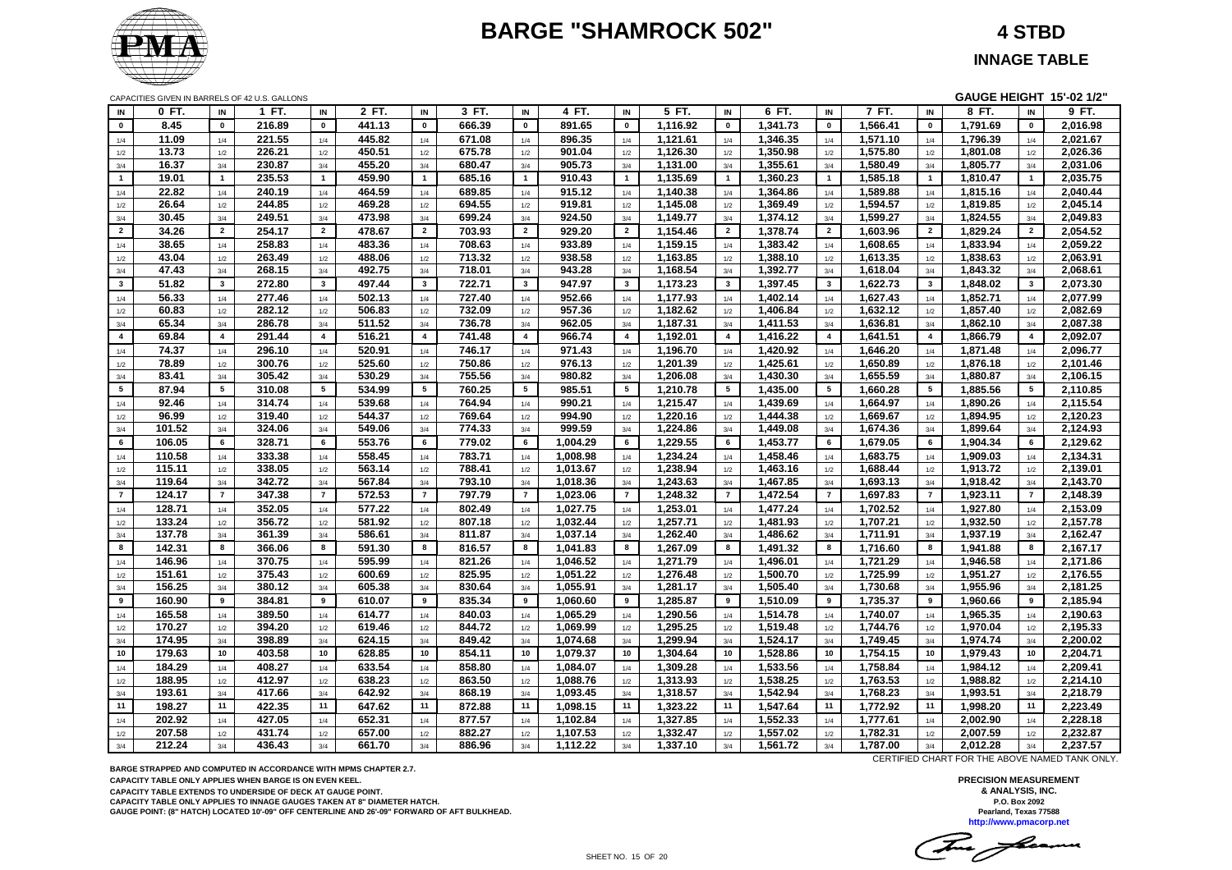# **BARGE "SHAMROCK 502" 4 STBD**



**INNAGE TABLE**

CAPACITIES GIVEN IN BARRELS OF 42 U.S. GALLONS **GAUGE HEIGHT 15'-02 1/2"**

| IN             | 0 FT.  | IN                      | 1 FT.  | IN                      | 2 FT.  | IN                      | 3 FT.  | IN                      | 4 FT.    | IN                      | 5 FT.    | IN                      | 6 FT.    | IN                      | 7 FT.    | IN                      | 8 FT.    | IN             | $9$ FT.  |
|----------------|--------|-------------------------|--------|-------------------------|--------|-------------------------|--------|-------------------------|----------|-------------------------|----------|-------------------------|----------|-------------------------|----------|-------------------------|----------|----------------|----------|
| $\mathbf 0$    | 8.45   | $\mathbf 0$             | 216.89 | $\mathbf 0$             | 441.13 | $\mathbf 0$             | 666.39 | $\pmb{0}$               | 891.65   | $\mathbf 0$             | 1,116.92 | $\pmb{0}$               | 1,341.73 | $\pmb{0}$               | 1,566.41 | $\pmb{0}$               | 1,791.69 | $\pmb{0}$      | 2,016.98 |
| 1/4            | 11.09  | 1/4                     | 221.55 | 1/4                     | 445.82 | 1/4                     | 671.08 | 1/4                     | 896.35   | 1/4                     | 1,121.61 | 1/4                     | 1,346.35 | 1/4                     | 1,571.10 | 1/4                     | 1,796.39 | 1/4            | 2,021.67 |
| 1/2            | 13.73  | 1/2                     | 226.21 | 1/2                     | 450.51 | 1/2                     | 675.78 | 1/2                     | 901.04   | 1/2                     | 1,126.30 | 1/2                     | 1,350.98 | 1/2                     | 1,575.80 | 1/2                     | 1,801.08 | 1/2            | 2,026.36 |
| 3/4            | 16.37  | 3/4                     | 230.87 | 3/4                     | 455.20 | 3/4                     | 680.47 | 3/4                     | 905.73   | 3/4                     | 1,131.00 | 3/4                     | 1,355.61 | 3/4                     | 1,580.49 | 3/4                     | 1,805.77 | 3/4            | 2,031.06 |
| $\mathbf{1}$   | 19.01  | $\mathbf{1}$            | 235.53 | $\overline{1}$          | 459.90 | $\overline{1}$          | 685.16 | $\overline{1}$          | 910.43   | $\overline{1}$          | 1,135.69 | $\mathbf{1}$            | 1,360.23 | $\overline{1}$          | 1,585.18 | $\overline{1}$          | 1,810.47 | $\mathbf{1}$   | 2,035.75 |
| 1/4            | 22.82  | 1/4                     | 240.19 | 1/4                     | 464.59 | 1/4                     | 689.85 | 1/4                     | 915.12   | 1/4                     | 1,140.38 | 1/4                     | 1,364.86 | 1/4                     | 1,589.88 | 1/4                     | 1,815.16 | 1/4            | 2,040.44 |
| 1/2            | 26.64  | 1/2                     | 244.85 | 1/2                     | 469.28 | 1/2                     | 694.55 | 1/2                     | 919.81   | 1/2                     | 1,145.08 | 1/2                     | 1,369.49 | 1/2                     | 1,594.57 | 1/2                     | 1,819.85 | 1/2            | 2,045.14 |
| 3/4            | 30.45  | 3/4                     | 249.51 | $3/4$                   | 473.98 | 3/4                     | 699.24 | 3/4                     | 924.50   | 3/4                     | 1,149.77 | 3/4                     | 1,374.12 | 3/4                     | 1,599.27 | 3/4                     | 1,824.55 | 3/4            | 2,049.83 |
| $\overline{2}$ | 34.26  | $\overline{2}$          | 254.17 | $\overline{2}$          | 478.67 | $\overline{2}$          | 703.93 | $\overline{2}$          | 929.20   | $\overline{2}$          | 1,154.46 | $\overline{2}$          | 1,378.74 | $\overline{2}$          | 1,603.96 | $\overline{2}$          | 1,829.24 | $\overline{2}$ | 2,054.52 |
| 1/4            | 38.65  | 1/4                     | 258.83 | 1/4                     | 483.36 | 1/4                     | 708.63 | 1/4                     | 933.89   | 1/4                     | 1,159.15 | 1/4                     | 1,383.42 | 1/4                     | 1,608.65 | 1/4                     | 1,833.94 | 1/4            | 2,059.22 |
| 1/2            | 43.04  | 1/2                     | 263.49 | 1/2                     | 488.06 | 1/2                     | 713.32 | $1/2$                   | 938.58   | 1/2                     | 1,163.85 | $1/2$                   | 1,388.10 | 1/2                     | 1,613.35 | $1/2$                   | 1,838.63 | $1/2$          | 2,063.91 |
| 3/4            | 47.43  | 3/4                     | 268.15 | 3/4                     | 492.75 | 3/4                     | 718.01 | 3/4                     | 943.28   | 3/4                     | 1,168.54 | 3/4                     | 1,392.77 | 3/4                     | 1,618.04 | 3/4                     | 1,843.32 | 3/4            | 2,068.61 |
| 3              | 51.82  | $\mathbf{3}$            | 272.80 | $\mathbf{3}$            | 497.44 | $\overline{\mathbf{3}}$ | 722.71 | $\overline{\mathbf{3}}$ | 947.97   | $\overline{\mathbf{3}}$ | 1,173.23 | $\overline{\mathbf{3}}$ | 1,397.45 | $\overline{\mathbf{3}}$ | 1,622.73 | $\overline{\mathbf{3}}$ | 1,848.02 | $\mathbf{3}$   | 2,073.30 |
| 1/4            | 56.33  | 1/4                     | 277.46 | 1/4                     | 502.13 | 1/4                     | 727.40 | 1/4                     | 952.66   | 1/4                     | 1,177.93 | 1/4                     | 1,402.14 | 1/4                     | 1,627.43 | 1/4                     | 1,852.71 | 1/4            | 2,077.99 |
| 1/2            | 60.83  | 1/2                     | 282.12 | 1/2                     | 506.83 | 1/2                     | 732.09 | 1/2                     | 957.36   | 1/2                     | 1,182.62 | 1/2                     | 1,406.84 | 1/2                     | 1,632.12 | 1/2                     | 1,857.40 | 1/2            | 2,082.69 |
| 3/4            | 65.34  | 3/4                     | 286.78 | 3/4                     | 511.52 | 3/4                     | 736.78 | 3/4                     | 962.05   | 3/4                     | 1,187.31 | 3/4                     | 1,411.53 | 3/4                     | 1,636.81 | 3/4                     | 1,862.10 | 3/4            | 2,087.38 |
| $\overline{4}$ | 69.84  | $\overline{\mathbf{4}}$ | 291.44 | $\overline{\mathbf{4}}$ | 516.21 | $\overline{4}$          | 741.48 | $\overline{\mathbf{4}}$ | 966.74   | $\overline{\mathbf{4}}$ | 1,192.01 | $\overline{\mathbf{4}}$ | 1,416.22 | $\overline{4}$          | 1,641.51 | $\overline{\mathbf{4}}$ | 1,866.79 | $\overline{4}$ | 2,092.07 |
| 1/4            | 74.37  | 1/4                     | 296.10 | 1/4                     | 520.91 | 1/4                     | 746.17 | 1/4                     | 971.43   | 1/4                     | 1,196.70 | 1/4                     | 1,420.92 | 1/4                     | 1,646.20 | 1/4                     | 1,871.48 | 1/4            | 2,096.77 |
| 1/2            | 78.89  | 1/2                     | 300.76 | 1/2                     | 525.60 | 1/2                     | 750.86 | 1/2                     | 976.13   | 1/2                     | 1,201.39 | 1/2                     | 1,425.61 | 1/2                     | 1,650.89 | 1/2                     | 1,876.18 | 1/2            | 2,101.46 |
| 3/4            | 83.41  | 3/4                     | 305.42 | 3/4                     | 530.29 | 3/4                     | 755.56 | 3/4                     | 980.82   | 3/4                     | 1,206.08 | 3/4                     | 1,430.30 | 3/4                     | 1,655.59 | 3/4                     | 1,880.87 | 3/4            | 2,106.15 |
| $5^{\circ}$    | 87.94  | 5                       | 310.08 | $5\phantom{.0}$         | 534.99 | 5                       | 760.25 | $5\overline{5}$         | 985.51   | 5                       | 1,210.78 | 5                       | 1,435.00 | 5                       | 1,660.28 | 5                       | 1,885.56 | $5^{\circ}$    | 2,110.85 |
| 1/4            | 92.46  | 1/4                     | 314.74 | 1/4                     | 539.68 | 1/4                     | 764.94 | 1/4                     | 990.21   | 1/4                     | 1,215.47 | 1/4                     | 1,439.69 | 1/4                     | 1,664.97 | 1/4                     | 1,890.26 | 1/4            | 2,115.54 |
| 1/2            | 96.99  | 1/2                     | 319.40 | 1/2                     | 544.37 | 1/2                     | 769.64 | 1/2                     | 994.90   | 1/2                     | 1,220.16 | 1/2                     | 1,444.38 | 1/2                     | 1,669.67 | 1/2                     | 1,894.95 | 1/2            | 2,120.23 |
| 3/4            | 101.52 | 3/4                     | 324.06 | 3/4                     | 549.06 | 3/4                     | 774.33 | 3/4                     | 999.59   | 3/4                     | 1,224.86 | 3/4                     | 1,449.08 | 3/4                     | 1,674.36 | 3/4                     | 1,899.64 | 3/4            | 2,124.93 |
| 6              | 106.05 | 6                       | 328.71 | 6                       | 553.76 | 6                       | 779.02 | 6                       | 1,004.29 | 6                       | 1,229.55 | 6                       | 1,453.77 | 6                       | 1,679.05 | 6                       | 1,904.34 | 6              | 2,129.62 |
| 1/4            | 110.58 | 1/4                     | 333.38 | 1/4                     | 558.45 | 1/4                     | 783.71 | 1/4                     | 1,008.98 | 1/4                     | 1,234.24 | 1/4                     | 1,458.46 | 1/4                     | 1,683.75 | 1/4                     | 1,909.03 | 1/4            | 2,134.31 |
| 1/2            | 115.11 | 1/2                     | 338.05 | 1/2                     | 563.14 | 1/2                     | 788.41 | 1/2                     | 1,013.67 | 1/2                     | 1,238.94 | 1/2                     | 1,463.16 | 1/2                     | 1,688.44 | 1/2                     | 1,913.72 | 1/2            | 2,139.01 |
| 3/4            | 119.64 | 3/4                     | 342.72 | 3/4                     | 567.84 | 3/4                     | 793.10 | 3/4                     | 1,018.36 | 3/4                     | 1,243.63 | 3/4                     | 1,467.85 | 3/4                     | 1,693.13 | 3/4                     | 1,918.42 | 3/4            | 2,143.70 |
| $\overline{7}$ | 124.17 | $\overline{7}$          | 347.38 | $\overline{7}$          | 572.53 | $\overline{7}$          | 797.79 | $\overline{7}$          | 1,023.06 | $\overline{7}$          | 1,248.32 | $\overline{7}$          | 1,472.54 | $\overline{7}$          | 1,697.83 | $\overline{7}$          | 1,923.11 | $\overline{7}$ | 2,148.39 |
| 1/4            | 128.71 | 1/4                     | 352.05 | 1/4                     | 577.22 | 1/4                     | 802.49 | 1/4                     | 1,027.75 | 1/4                     | 1,253.01 | 1/4                     | 1,477.24 | 1/4                     | 1,702.52 | 1/4                     | 1,927.80 | 1/4            | 2,153.09 |
| 1/2            | 133.24 | 1/2                     | 356.72 | 1/2                     | 581.92 | 1/2                     | 807.18 | 1/2                     | 1,032.44 | 1/2                     | 1,257.71 | 1/2                     | 1,481.93 | 1/2                     | 1,707.21 | 1/2                     | 1,932.50 | 1/2            | 2,157.78 |
| 3/4            | 137.78 | 3/4                     | 361.39 | 3/4                     | 586.61 | 3/4                     | 811.87 | 3/4                     | 1,037.14 | 3/4                     | 1,262.40 | 3/4                     | 1,486.62 | 3/4                     | 1,711.91 | 3/4                     | 1,937.19 | 3/4            | 2,162.47 |
| 8              | 142.31 | 8                       | 366.06 | 8                       | 591.30 | 8                       | 816.57 | 8                       | 1,041.83 | 8                       | 1,267.09 | 8                       | 1,491.32 | 8                       | 1,716.60 | 8                       | 1,941.88 | 8              | 2,167.17 |
| 1/4            | 146.96 | 1/4                     | 370.75 | 1/4                     | 595.99 | 1/4                     | 821.26 | 1/4                     | 1,046.52 | 1/4                     | 1,271.79 | 1/4                     | 1,496.01 | 1/4                     | 1,721.29 | 1/4                     | 1,946.58 | 1/4            | 2,171.86 |
| 1/2            | 151.61 | 1/2                     | 375.43 | 1/2                     | 600.69 | 1/2                     | 825.95 | 1/2                     | 1,051.22 | 1/2                     | 1,276.48 | 1/2                     | 1,500.70 | 1/2                     | 1,725.99 | 1/2                     | 1,951.27 | 1/2            | 2,176.55 |
| 3/4            | 156.25 | 3/4                     | 380.12 | 3/4                     | 605.38 | 3/4                     | 830.64 | 3/4                     | 1,055.91 | 3/4                     | 1,281.17 | 3/4                     | 1,505.40 | 3/4                     | 1,730.68 | 3/4                     | 1,955.96 | 3/4            | 2,181.25 |
| 9              | 160.90 | 9                       | 384.81 | 9                       | 610.07 | 9                       | 835.34 | 9                       | 1,060.60 | 9                       | 1,285.87 | 9                       | 1,510.09 | 9                       | 1,735.37 | 9                       | 1,960.66 | 9              | 2,185.94 |
| 1/4            | 165.58 | 1/4                     | 389.50 | 1/4                     | 614.77 | 1/4                     | 840.03 | 1/4                     | 1,065.29 | 1/4                     | 1,290.56 | 1/4                     | 1,514.78 | 1/4                     | 1,740.07 | $1/4\,$                 | 1,965.35 | 1/4            | 2,190.63 |
| 1/2            | 170.27 | 1/2                     | 394.20 | 1/2                     | 619.46 | 1/2                     | 844.72 | 1/2                     | 1,069.99 | 1/2                     | 1,295.25 | 1/2                     | 1,519.48 | 1/2                     | 1,744.76 | 1/2                     | 1,970.04 | 1/2            | 2,195.33 |
| 3/4            | 174.95 | 3/4                     | 398.89 | 3/4                     | 624.15 | 3/4                     | 849.42 | 3/4                     | 1,074.68 | 3/4                     | 1,299.94 | 3/4                     | 1,524.17 | 3/4                     | 1,749.45 | 3/4                     | 1,974.74 | 3/4            | 2,200.02 |
| 10             | 179.63 | 10                      | 403.58 | 10                      | 628.85 | 10                      | 854.11 | 10                      | 1,079.37 | 10                      | 1,304.64 | 10                      | 1,528.86 | 10                      | 1,754.15 | 10                      | 1,979.43 | 10             | 2,204.71 |
| 1/4            | 184.29 | 1/4                     | 408.27 | 1/4                     | 633.54 | 1/4                     | 858.80 | 1/4                     | 1,084.07 | 1/4                     | 1,309.28 | 1/4                     | 1,533.56 | 1/4                     | 1,758.84 | 1/4                     | 1,984.12 | 1/4            | 2,209.41 |
| 1/2            | 188.95 | 1/2                     | 412.97 | 1/2                     | 638.23 | 1/2                     | 863.50 | 1/2                     | 1,088.76 | 1/2                     | 1,313.93 | 1/2                     | 1,538.25 | 1/2                     | 1,763.53 | 1/2                     | 1,988.82 | 1/2            | 2,214.10 |
| $3/4$          | 193.61 | 3/4                     | 417.66 | 3/4                     | 642.92 | 3/4                     | 868.19 | 3/4                     | 1,093.45 | 3/4                     | 1,318.57 | 3/4                     | 1,542.94 | 3/4                     | 1,768.23 | 3/4                     | 1,993.51 | 3/4            | 2,218.79 |
| 11             | 198.27 | 11                      | 422.35 | 11                      | 647.62 | 11                      | 872.88 | 11                      | 1,098.15 | 11                      | 1,323.22 | 11                      | 1,547.64 | 11                      | 1,772.92 | 11                      | 1,998.20 | 11             | 2,223.49 |
| 1/4            | 202.92 | 1/4                     | 427.05 | 1/4                     | 652.31 | 1/4                     | 877.57 | 1/4                     | 1,102.84 | 1/4                     | 1,327.85 | 1/4                     | 1,552.33 | 1/4                     | 1,777.61 | 1/4                     | 2,002.90 | 1/4            | 2,228.18 |
| 1/2            | 207.58 | 1/2                     | 431.74 | 1/2                     | 657.00 | 1/2                     | 882.27 | 1/2                     | 1,107.53 | 1/2                     | 1,332.47 | 1/2                     | 1,557.02 | 1/2                     | 1,782.31 | 1/2                     | 2,007.59 | 1/2            | 2,232.87 |
| 3/4            | 212.24 | 3/4                     | 436.43 | 3/4                     | 661.70 | 3/4                     | 886.96 | 3/4                     | 1,112.22 | 3/4                     | 1,337.10 | 3/4                     | 1,561.72 | 3/4                     | 1,787.00 | 3/4                     | 2,012.28 | 3/4            | 2,237.57 |

**BARGE STRAPPED AND COMPUTED IN ACCORDANCE WITH MPMS CHAPTER 2.7.**

**CAPACITY TABLE ONLY APPLIES WHEN BARGE IS ON EVEN KEEL.**

**CAPACITY TABLE EXTENDS TO UNDERSIDE OF DECK AT GAUGE POINT.**

**CAPACITY TABLE ONLY APPLIES TO INNAGE GAUGES TAKEN AT 8" DIAMETER HATCH.**

**GAUGE POINT: (8" HATCH) LOCATED 10'-09" OFF CENTERLINE AND 26'-09" FORWARD OF AFT BULKHEAD.**

CERTIFIED CHART FOR THE ABOVE NAMED TANK ONLY.

Tue Jean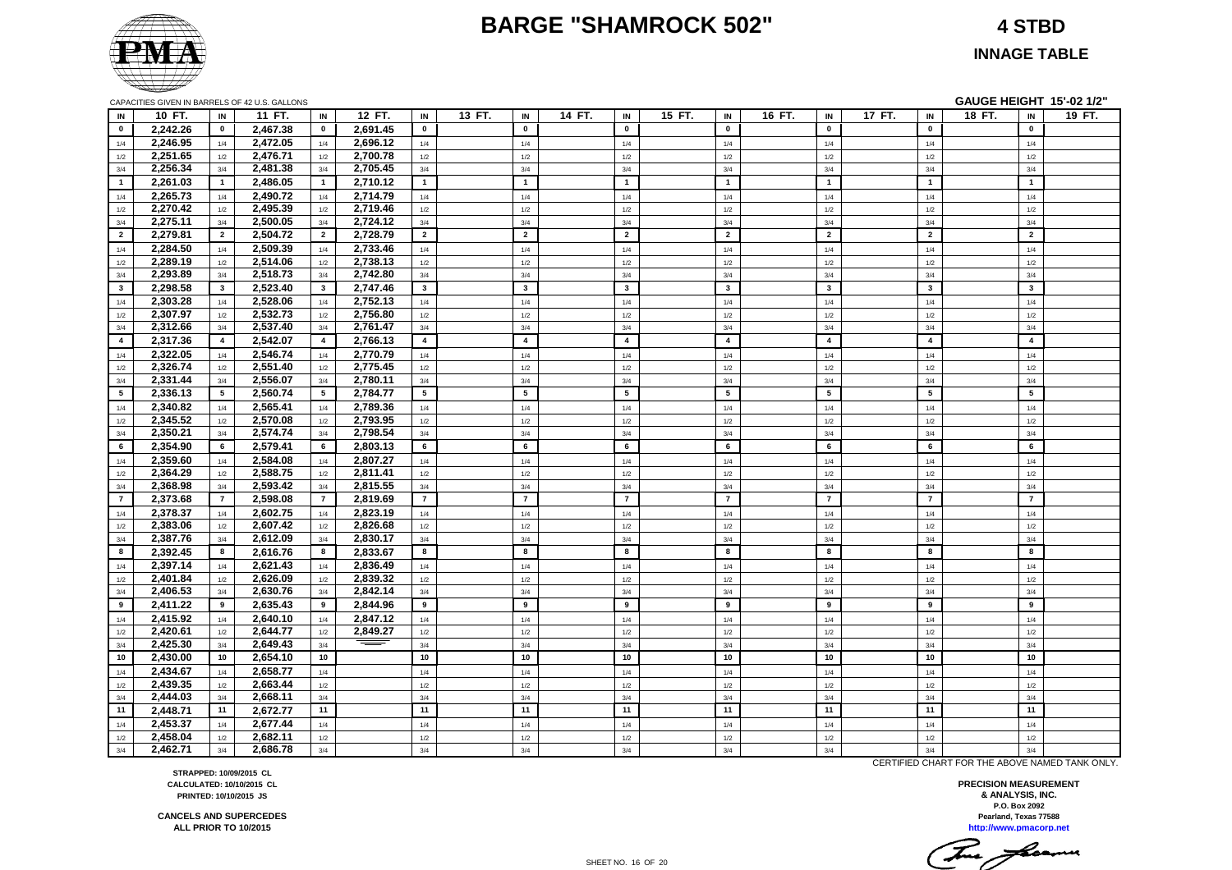#### **BARGE "SHAMROCK 502" 4 STBD**

#### **INNAGE TABLE**

|                         |                      |                 | <b>ON ACTILO OIVEN IN DAILILLO OF 42 0.0. OALLONG</b> |                |                      |                 |                         |        |                |                         |                         |                         | -------------  | v=     |
|-------------------------|----------------------|-----------------|-------------------------------------------------------|----------------|----------------------|-----------------|-------------------------|--------|----------------|-------------------------|-------------------------|-------------------------|----------------|--------|
| IN                      | 10 FT.               | IN              | 11 FT.                                                | IN             | 12 FT.               | IN              | 13 FT.<br>IN            | 14 FT. | IN             | 15 FT.<br>IN            | 16 FT.<br>IN            | 17 FT.<br>IN            | 18 FT.<br>IN   | 19 FT. |
| $\mathbf{0}$            | 2,242.26             | $\mathbf{0}$    | 2,467.38                                              | $\mathbf 0$    | 2,691.45             | $\mathbf{0}$    | $\mathbf{0}$            |        | $\mathbf 0$    | $\mathbf 0$             | $\mathbf 0$             | $\mathbf 0$             | $\mathbf 0$    |        |
| 1/4                     | 2,246.95             | 1/4             | 2,472.05                                              | 1/4            | 2,696.12             | 1/4             | 1/4                     |        | 1/4            | 1/4                     | 1/4                     | 1/4                     | 1/4            |        |
| 1/2                     | 2,251.65             | 1/2             | 2,476.71                                              | 1/2            | 2,700.78             | 1/2             | 1/2                     |        | $1/2$          | $1/2$                   | 1/2                     | $1/2$                   | $1/2$          |        |
| 3/4                     | 2,256.34             | 3/4             | 2,481.38                                              | 3/4            | 2,705.45             | 3/4             | 3/4                     |        | 3/4            | 3/4                     | 3/4                     | 3/4                     | 3/4            |        |
| $\overline{1}$          | 2,261.03             | $\mathbf{1}$    | 2,486.05                                              | $\overline{1}$ | 2,710.12             | 1               | $\mathbf{1}$            |        | $\mathbf{1}$   | $\mathbf{1}$            | $\mathbf{1}$            | $\overline{1}$          | $\mathbf{1}$   |        |
| 1/4                     | 2,265.73             | 1/4             | 2,490.72                                              | 1/4            | 2,714.79             | 1/4             | 1/4                     |        | 1/4            | 1/4                     | 1/4                     | 1/4                     | 1/4            |        |
|                         | 2,270.42             |                 | 2,495.39                                              |                | 2,719.46             |                 |                         |        |                |                         | 1/2                     |                         |                |        |
| 1/2<br>3/4              | 2,275.11             | 1/2<br>3/4      | 2,500.05                                              | 1/2<br>3/4     | 2,724.12             | 1/2<br>3/4      | 1/2<br>3/4              |        | $1/2$<br>3/4   | $1/2$<br>3/4            | 3/4                     | $1/2$<br>3/4            | $1/2$<br>3/4   |        |
|                         |                      | $\overline{2}$  |                                                       | $\overline{2}$ |                      | $\overline{2}$  | $\overline{2}$          |        | $\overline{2}$ | $\overline{2}$          | $\overline{2}$          | $\overline{2}$          | $\overline{2}$ |        |
| $\overline{2}$          | 2,279.81             |                 | 2,504.72                                              |                | 2,728.79             |                 |                         |        |                |                         |                         |                         |                |        |
| 1/4                     | 2,284.50             | 1/4             | 2,509.39                                              | 1/4            | 2,733.46             | 1/4             | 1/4                     |        | 1/4            | 1/4                     | 1/4                     | 1/4                     | 1/4            |        |
| 1/2                     | 2,289.19             | 1/2             | 2,514.06                                              | 1/2            | 2,738.13             | 1/2             | 1/2                     |        | $1/2$          | $1/2$                   | 1/2                     | $1/2$                   | $1/2$          |        |
| 3/4                     | 2,293.89             | 3/4             | 2,518.73                                              | 3/4            | 2,742.80             | 3/4             | 3/4                     |        | 3/4            | 3/4                     | 3/4                     | 3/4                     | 3/4            |        |
| $\overline{\mathbf{3}}$ | 2,298.58             | $3^{\circ}$     | 2,523.40                                              | $\mathbf{3}$   | 2,747.46             | $\mathbf{3}$    | $\overline{\mathbf{3}}$ |        | $\mathbf{3}$   | $\overline{\mathbf{3}}$ | $\mathbf{3}$            | $\overline{\mathbf{3}}$ | $\mathbf{3}$   |        |
| 1/4                     | 2,303.28             | 1/4             | 2,528.06                                              | 1/4            | 2,752.13             | 1/4             | 1/4                     |        | 1/4            | 1/4                     | 1/4                     | 1/4                     | 1/4            |        |
| 1/2                     | 2,307.97             | 1/2             | 2,532.73                                              | 1/2            | 2,756.80             | 1/2             | 1/2                     |        | 1/2            | 1/2                     | 1/2                     | 1/2                     | 1/2            |        |
| 3/4                     | 2,312.66             | 3/4             | 2,537.40                                              | 3/4            | 2,761.47             | 3/4             | 3/4                     |        | 3/4            | 3/4                     | 3/4                     | 3/4                     | 3/4            |        |
| $\overline{4}$          | 2,317.36             | $\overline{4}$  | 2,542.07                                              | $\overline{4}$ | 2,766.13             | $\overline{4}$  | $\overline{\mathbf{4}}$ |        | $\overline{4}$ | $\overline{4}$          | $\overline{\mathbf{4}}$ | $\overline{4}$          | $\overline{4}$ |        |
| 1/4                     | 2,322.05             | 1/4             | 2,546.74                                              | 1/4            | 2,770.79             | 1/4             | 1/4                     |        | 1/4            | 1/4                     | 1/4                     | 1/4                     | 1/4            |        |
| 1/2                     | 2,326.74             | 1/2             | 2,551.40                                              | 1/2            | 2,775.45             | 1/2             | 1/2                     |        | 1/2            | 1/2                     | 1/2                     | 1/2                     | 1/2            |        |
| 3/4                     | 2,331.44             | 3/4             | 2,556.07                                              | 3/4            | 2,780.11             | 3/4             | 3/4                     |        | 3/4            | 3/4                     | 3/4                     | 3/4                     | 3/4            |        |
| 5                       | 2,336.13             | $5\overline{ }$ | 2,560.74                                              | 5              | 2,784.77             | $5\overline{5}$ | 5                       |        | 5              | 5                       | 5                       | 5                       | 5              |        |
| 1/4                     | 2,340.82             | 1/4             | 2,565.41                                              | 1/4            | 2,789.36             | 1/4             | 1/4                     |        | 1/4            | 1/4                     | 1/4                     | 1/4                     | 1/4            |        |
| 1/2                     | 2,345.52             | 1/2             | 2,570.08                                              | 1/2            | 2,793.95             | 1/2             | 1/2                     |        | 1/2            | 1/2                     | 1/2                     | 1/2                     | 1/2            |        |
| 3/4                     | 2,350.21             | 3/4             | 2,574.74                                              | 3/4            | 2,798.54             | 3/4             | 3/4                     |        | 3/4            | 3/4                     | 3/4                     | 3/4                     | 3/4            |        |
| 6                       | 2,354.90             | 6               | 2,579.41                                              | 6              | 2,803.13             | 6               | 6                       |        | 6              | 6                       | 6                       | 6                       | 6              |        |
| 1/4                     | 2,359.60             | 1/4             | 2,584.08                                              | 1/4            | 2,807.27             | 1/4             | 1/4                     |        | 1/4            | 1/4                     | 1/4                     | 1/4                     | 1/4            |        |
| 1/2                     | 2,364.29             | 1/2             | 2,588.75                                              | 1/2            | 2,811.41             | 1/2             | $1/2$                   |        | 1/2            | 1/2                     | 1/2                     | 1/2                     | 1/2            |        |
| 3/4                     | 2,368.98             | 3/4             | 2,593.42                                              | 3/4            | 2,815.55             | 3/4             | 3/4                     |        | 3/4            | 3/4                     | 3/4                     | 3/4                     | 3/4            |        |
| $\overline{7}$          | 2,373.68             | $\overline{7}$  | 2,598.08                                              | $\overline{7}$ | 2,819.69             | $\overline{7}$  | $\overline{7}$          |        | $\overline{7}$ | $\overline{7}$          | $\overline{7}$          | $\overline{7}$          | $\overline{7}$ |        |
| 1/4                     | 2,378.37             | 1/4             | 2,602.75                                              | 1/4            | 2,823.19             | 1/4             | 1/4                     |        | 1/4            | 1/4                     | 1/4                     | 1/4                     | 1/4            |        |
| 1/2                     | 2,383.06             | 1/2             | 2,607.42                                              | 1/2            | 2,826.68             | 1/2             | 1/2                     |        | 1/2            | 1/2                     | 1/2                     | 1/2                     | 1/2            |        |
| 3/4                     | 2,387.76             | 3/4             | 2,612.09                                              | 3/4            | 2,830.17             | 3/4             | 3/4                     |        | 3/4            | 3/4                     | 3/4                     | 3/4                     | 3/4            |        |
| 8                       | 2,392.45             | 8               | 2,616.76                                              | 8              | 2,833.67             | 8               | 8                       |        | 8              | 8                       | 8                       | 8                       | 8              |        |
|                         |                      |                 |                                                       |                |                      |                 |                         |        |                |                         |                         |                         |                |        |
| 1/4                     | 2,397.14<br>2,401.84 | 1/4             | 2,621.43<br>2,626.09                                  | 1/4            | 2,836.49<br>2,839.32 | 1/4             | 1/4                     |        | $1/4$          | 1/4                     | 1/4                     | $1/4$                   | 1/4            |        |
| 1/2                     |                      | 1/2             |                                                       | 1/2            |                      | 1/2             | 1/2                     |        | 1/2            | 1/2                     | 1/2                     | 1/2                     | $1/2$          |        |
| 3/4                     | 2,406.53             | 3/4             | 2,630.76                                              | 3/4            | 2,842.14             | 3/4<br>9        | 3/4<br>9                |        | 3/4<br>9       | 3/4<br>9                | 3/4<br>9                | 3/4<br>9                | 3/4<br>9       |        |
| 9                       | 2,411.22             | 9               | 2,635.43                                              | 9              | 2,844.96             |                 |                         |        |                |                         |                         |                         |                |        |
| 1/4                     | 2,415.92             | 1/4             | 2,640.10                                              | 1/4            | 2,847.12             | 1/4             | 1/4                     |        | 1/4            | 1/4                     | 1/4                     | 1/4                     | 1/4            |        |
| 1/2                     | 2,420.61             | 1/2             | 2,644.77                                              | 1/2            | 2,849.27             | $1/2$           | $1/2$                   |        | $1/2$          | 1/2                     | 1/2                     | $1/2$                   | $1/2$          |        |
| 3/4                     | 2,425.30             | 3/4             | 2,649.43                                              | 3/4            | ==                   | 3/4             | 3/4                     |        | 3/4            | 3/4                     | 3/4                     | 3/4                     | 3/4            |        |
| 10                      | 2,430.00             | 10              | 2,654.10                                              | 10             |                      | 10              | 10                      |        | 10             | 10                      | 10                      | 10                      | 10             |        |
| 1/4                     | 2,434.67             | 1/4             | 2,658.77                                              | 1/4            |                      | 1/4             | 1/4                     |        | 1/4            | 1/4                     | 1/4                     | 1/4                     | 1/4            |        |
| 1/2                     | 2,439.35             | 1/2             | 2,663.44                                              | 1/2            |                      | 1/2             | 1/2                     |        | 1/2            | 1/2                     | 1/2                     | 1/2                     | 1/2            |        |
| 3/4                     | 2,444.03             | 3/4             | 2,668.11                                              | 3/4            |                      | 3/4             | 3/4                     |        | 3/4            | 3/4                     | 3/4                     | 3/4                     | 3/4            |        |
| 11                      | 2,448.71             | 11              | 2,672.77                                              | 11             |                      | 11              | 11                      |        | 11             | 11                      | 11                      | 11                      | 11             |        |
| 1/4                     | 2,453.37             | 1/4             | 2,677.44                                              | 1/4            |                      | 1/4             | 1/4                     |        | 1/4            | 1/4                     | 1/4                     | 1/4                     | 1/4            |        |
| 1/2                     | 2,458.04             | 1/2             | 2,682.11                                              | 1/2            |                      | 1/2             | 1/2                     |        | 1/2            | 1/2                     | 1/2                     | 1/2                     | 1/2            |        |
| 3/4                     | 2,462.71             | 3/4             | 2,686.78                                              | 3/4            |                      | 3/4             | 3/4                     |        | 3/4            | 3/4                     | 3/4                     | 3/4                     | 3/4            |        |

CAPACITIES GIVEN IN BARRELS OF 42 U.S. GALLONS **GAUGE HEIGHT 15'-02 1/2"**

**STRAPPED: 10/09/2015 CL CALCULATED: 10/10/2015 CL PRINTED: 10/10/2015 JS**

**CANCELS AND SUPERCEDES ALL PRIOR TO 10/2015**

CERTIFIED CHART FOR THE ABOVE NAMED TANK ONLY.

This freemen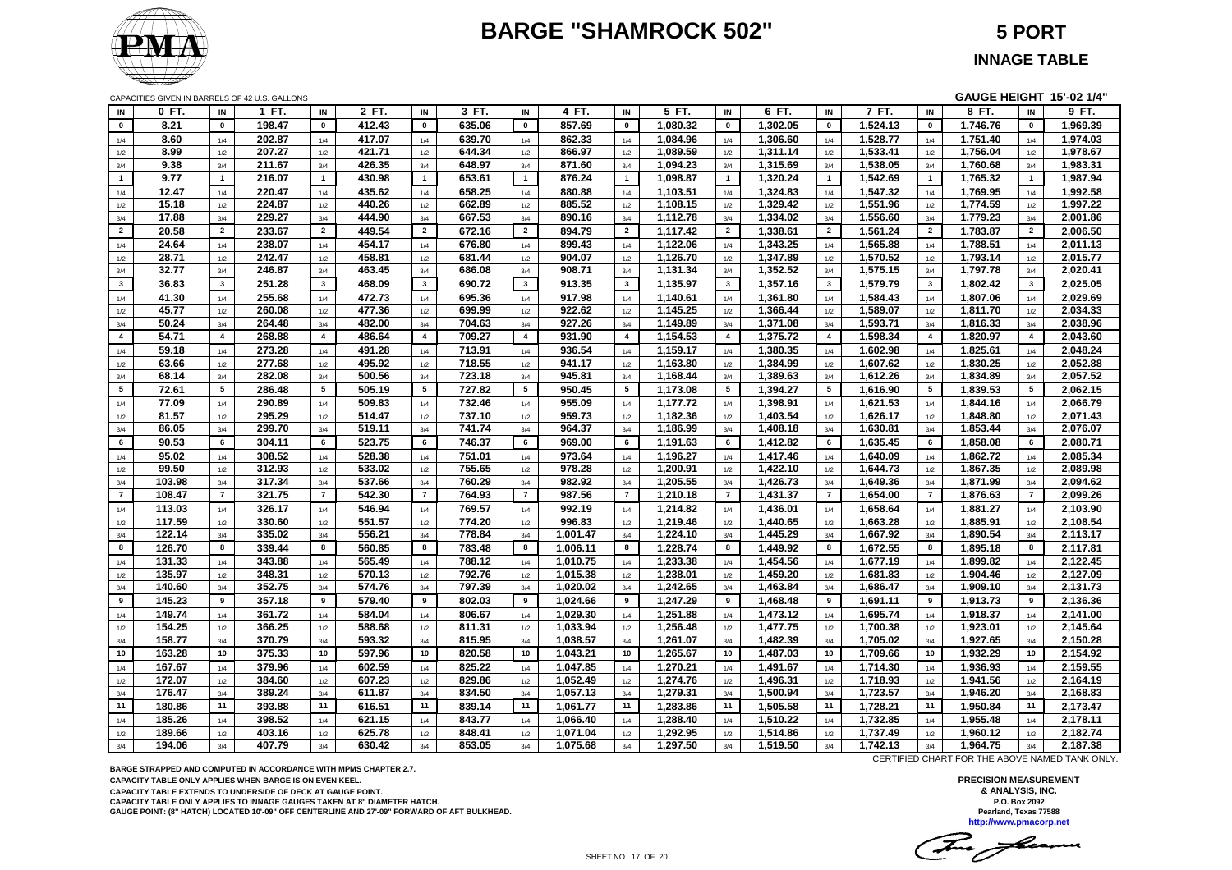# **BARGE "SHAMROCK 502" 5 PORT**



**INNAGE TABLE**

CAPACITIES GIVEN IN BARRELS OF 42 U.S. GALLONS **GAUGE HEIGHT 15'-02 1/4"**

| IN              | 0 FT.  | IN              | 1 FT.  | IN             | 2 FT.  | IN                      | 3 FT.  | IN             | 4 FT.    | IN                      | 5 FT.    | IN                      | 6 FT.    | IN                      | 7 FT.    | IN                      | 8 FT.    | IN                      | 9 FT.    |
|-----------------|--------|-----------------|--------|----------------|--------|-------------------------|--------|----------------|----------|-------------------------|----------|-------------------------|----------|-------------------------|----------|-------------------------|----------|-------------------------|----------|
| $\mathbf 0$     | 8.21   | $\mathbf 0$     | 198.47 | $\mathbf 0$    | 412.43 | $\mathbf 0$             | 635.06 | $\mathbf 0$    | 857.69   | $\mathbf 0$             | 1,080.32 | $\mathbf 0$             | 1,302.05 | $\mathbf 0$             | 1,524.13 | $\mathbf 0$             | 1,746.76 | $\mathbf 0$             | 1,969.39 |
| 1/4             | 8.60   | 1/4             | 202.87 | 1/4            | 417.07 | 1/4                     | 639.70 | 1/4            | 862.33   | 1/4                     | 1,084.96 | 1/4                     | 1,306.60 | 1/4                     | 1,528.77 | 1/4                     | 1,751.40 | 1/4                     | 1,974.03 |
| 1/2             | 8.99   | 1/2             | 207.27 | 1/2            | 421.71 | 1/2                     | 644.34 | 1/2            | 866.97   | 1/2                     | 1,089.59 | 1/2                     | 1,311.14 | 1/2                     | 1,533.41 | 1/2                     | 1,756.04 | 1/2                     | 1,978.67 |
| 3/4             | 9.38   | 3/4             | 211.67 | 3/4            | 426.35 | 3/4                     | 648.97 | 3/4            | 871.60   | 3/4                     | 1,094.23 | 3/4                     | 1,315.69 | 3/4                     | 1,538.05 | 3/4                     | 1,760.68 | 3/4                     | 1,983.31 |
| 1               | 9.77   | $\mathbf{1}$    | 216.07 | $\overline{1}$ | 430.98 | $\overline{1}$          | 653.61 | $\overline{1}$ | 876.24   | $\overline{1}$          | 1,098.87 | $\mathbf{1}$            | 1,320.24 | $\mathbf{1}$            | 1,542.69 | $\overline{\mathbf{1}}$ | 1,765.32 | $\overline{1}$          | 1,987.94 |
| 1/4             | 12.47  | 1/4             | 220.47 | 1/4            | 435.62 | 1/4                     | 658.25 | 1/4            | 880.88   | 1/4                     | 1,103.51 | 1/4                     | 1,324.83 | 1/4                     | 1,547.32 | 1/4                     | 1,769.95 | 1/4                     | 1,992.58 |
| 1/2             | 15.18  | 1/2             | 224.87 | 1/2            | 440.26 | 1/2                     | 662.89 | 1/2            | 885.52   | 1/2                     | 1,108.15 | 1/2                     | 1,329.42 | 1/2                     | 1,551.96 | 1/2                     | 1,774.59 | 1/2                     | 1,997.22 |
| 3/4             | 17.88  | 3/4             | 229.27 | 3/4            | 444.90 | 3/4                     | 667.53 | 3/4            | 890.16   | 3/4                     | 1,112.78 | 3/4                     | 1,334.02 | 3/4                     | 1,556.60 | 3/4                     | 1,779.23 | 3/4                     | 2,001.86 |
| $\overline{2}$  | 20.58  | $\overline{2}$  | 233.67 | $\overline{2}$ | 449.54 | $\overline{2}$          | 672.16 | $\overline{2}$ | 894.79   | $\overline{2}$          | 1,117.42 | $\overline{2}$          | 1,338.61 | $\overline{2}$          | 1,561.24 | $\overline{2}$          | 1,783.87 | $\overline{2}$          | 2,006.50 |
| 1/4             | 24.64  | 1/4             | 238.07 | 1/4            | 454.17 | 1/4                     | 676.80 | 1/4            | 899.43   | 1/4                     | 1,122.06 | 1/4                     | 1,343.25 | 1/4                     | 1,565.88 | 1/4                     | 1,788.51 | 1/4                     | 2,011.13 |
| 1/2             | 28.71  | 1/2             | 242.47 | 1/2            | 458.81 | 1/2                     | 681.44 | 1/2            | 904.07   | 1/2                     | 1,126.70 | 1/2                     | 1,347.89 | 1/2                     | 1,570.52 | 1/2                     | 1,793.14 | 1/2                     | 2,015.77 |
| 3/4             | 32.77  | 3/4             | 246.87 | 3/4            | 463.45 | 3/4                     | 686.08 | 3/4            | 908.71   | 3/4                     | 1,131.34 | 3/4                     | 1,352.52 | 3/4                     | 1,575.15 | 3/4                     | 1,797.78 | 3/4                     | 2,020.41 |
| $3^{\circ}$     | 36.83  | 3               | 251.28 | $\mathbf{3}$   | 468.09 | $\mathbf{3}$            | 690.72 | $\mathbf{3}$   | 913.35   | $\overline{\mathbf{3}}$ | 1,135.97 | $\overline{\mathbf{3}}$ | 1,357.16 | $\mathbf{3}$            | 1,579.79 | $\mathbf{3}$            | 1,802.42 | $\overline{\mathbf{3}}$ | 2,025.05 |
| 1/4             | 41.30  | 1/4             | 255.68 | 1/4            | 472.73 | 1/4                     | 695.36 | 1/4            | 917.98   | 1/4                     | 1,140.61 | 1/4                     | 1,361.80 | 1/4                     | 1,584.43 | 1/4                     | 1,807.06 | 1/4                     | 2,029.69 |
| 1/2             | 45.77  | 1/2             | 260.08 | 1/2            | 477.36 | 1/2                     | 699.99 | 1/2            | 922.62   | 1/2                     | 1,145.25 | 1/2                     | 1,366.44 | 1/2                     | 1,589.07 | 1/2                     | 1,811.70 | 1/2                     | 2,034.33 |
| 3/4             | 50.24  | 3/4             | 264.48 | 3/4            | 482.00 | 3/4                     | 704.63 | 3/4            | 927.26   | 3/4                     | 1,149.89 | 3/4                     | 1,371.08 | 3/4                     | 1,593.71 | 3/4                     | 1,816.33 | 3/4                     | 2,038.96 |
| $\overline{4}$  | 54.71  | $\overline{4}$  | 268.88 | $\overline{4}$ | 486.64 | $\overline{\mathbf{4}}$ | 709.27 | $\overline{4}$ | 931.90   | $\overline{\mathbf{4}}$ | 1,154.53 | $\overline{\mathbf{4}}$ | 1,375.72 | $\overline{\mathbf{4}}$ | 1,598.34 | $\overline{4}$          | 1,820.97 | $\overline{4}$          | 2,043.60 |
| 1/4             | 59.18  | 1/4             | 273.28 | 1/4            | 491.28 | 1/4                     | 713.91 | 1/4            | 936.54   | 1/4                     | 1,159.17 | 1/4                     | 1,380.35 | 1/4                     | 1,602.98 | 1/4                     | 1,825.61 | 1/4                     | 2,048.24 |
| 1/2             | 63.66  | 1/2             | 277.68 | 1/2            | 495.92 | 1/2                     | 718.55 | 1/2            | 941.17   | 1/2                     | 1,163.80 | 1/2                     | 1,384.99 | 1/2                     | 1,607.62 | 1/2                     | 1,830.25 | 1/2                     | 2,052.88 |
| 3/4             | 68.14  | 3/4             | 282.08 | 3/4            | 500.56 | 3/4                     | 723.18 | 3/4            | 945.81   | 3/4                     | 1,168.44 | 3/4                     | 1,389.63 | 3/4                     | 1,612.26 | 3/4                     | 1,834.89 | 3/4                     | 2,057.52 |
| $5\overline{5}$ | 72.61  | $5\phantom{.0}$ | 286.48 | 5              | 505.19 | 5                       | 727.82 | 5              | 950.45   | 5                       | 1,173.08 | 5                       | 1,394.27 | $5\phantom{.0}$         | 1,616.90 | 5                       | 1,839.53 | 5                       | 2,062.15 |
| 1/4             | 77.09  | 1/4             | 290.89 | 1/4            | 509.83 | 1/4                     | 732.46 | 1/4            | 955.09   | 1/4                     | 1,177.72 | 1/4                     | 1,398.91 | 1/4                     | 1,621.53 | 1/4                     | 1,844.16 | 1/4                     | 2,066.79 |
| 1/2             | 81.57  | 1/2             | 295.29 | 1/2            | 514.47 | 1/2                     | 737.10 | 1/2            | 959.73   | 1/2                     | 1,182.36 | 1/2                     | 1,403.54 | 1/2                     | 1,626.17 | 1/2                     | 1,848.80 | 1/2                     | 2,071.43 |
| 3/4             | 86.05  | 3/4             | 299.70 | 3/4            | 519.11 | 3/4                     | 741.74 | 3/4            | 964.37   | 3/4                     | 1,186.99 | 3/4                     | 1,408.18 | 3/4                     | 1,630.81 | 3/4                     | 1,853.44 | 3/4                     | 2,076.07 |
| 6               | 90.53  | 6               | 304.11 | 6              | 523.75 | 6                       | 746.37 | 6              | 969.00   | 6                       | 1,191.63 | 6                       | 1,412.82 | 6                       | 1,635.45 | 6                       | 1,858.08 | 6                       | 2,080.71 |
| 1/4             | 95.02  | 1/4             | 308.52 | 1/4            | 528.38 | 1/4                     | 751.01 | 1/4            | 973.64   | 1/4                     | 1.196.27 | 1/4                     | 1,417.46 | 1/4                     | 1,640.09 | 1/4                     | 1,862.72 | 1/4                     | 2,085.34 |
| 1/2             | 99.50  | 1/2             | 312.93 | 1/2            | 533.02 | 1/2                     | 755.65 | 1/2            | 978.28   | 1/2                     | 1,200.91 | 1/2                     | 1,422.10 | 1/2                     | 1,644.73 | 1/2                     | 1,867.35 | 1/2                     | 2,089.98 |
| 3/4             | 103.98 | 3/4             | 317.34 | 3/4            | 537.66 | 3/4                     | 760.29 | 3/4            | 982.92   | 3/4                     | 1,205.55 | 3/4                     | 1,426.73 | 3/4                     | 1,649.36 | 3/4                     | 1,871.99 | 3/4                     | 2,094.62 |
| $\overline{7}$  | 108.47 | $\overline{7}$  | 321.75 | $\overline{7}$ | 542.30 | $\overline{7}$          | 764.93 | $\overline{7}$ | 987.56   | $\overline{7}$          | 1,210.18 | $\overline{7}$          | 1,431.37 | $\overline{7}$          | 1,654.00 | $\overline{7}$          | 1,876.63 | $\overline{7}$          | 2,099.26 |
| 1/4             | 113.03 | 1/4             | 326.17 | 1/4            | 546.94 | 1/4                     | 769.57 | 1/4            | 992.19   | 1/4                     | 1,214.82 | 1/4                     | 1,436.01 | 1/4                     | 1,658.64 | 1/4                     | 1,881.27 | 1/4                     | 2,103.90 |
| 1/2             | 117.59 | 1/2             | 330.60 | 1/2            | 551.57 | 1/2                     | 774.20 | 1/2            | 996.83   | 1/2                     | 1,219.46 | $1/2$                   | 1,440.65 | 1/2                     | 1,663.28 | $1/2\,$                 | 1,885.91 | 1/2                     | 2,108.54 |
| 3/4             | 122.14 | 3/4             | 335.02 | 3/4            | 556.21 | 3/4                     | 778.84 | 3/4            | 1.001.47 | 3/4                     | 1,224.10 | 3/4                     | 1,445.29 | 3/4                     | 1,667.92 | 3/4                     | 1,890.54 | 3/4                     | 2,113.17 |
| 8               | 126.70 | 8               | 339.44 | 8              | 560.85 | 8                       | 783.48 | 8              | 1,006.11 | 8                       | 1,228.74 | 8                       | 1,449.92 | 8                       | 1,672.55 | 8                       | 1,895.18 | 8                       | 2,117.81 |
| 1/4             | 131.33 | 1/4             | 343.88 | 1/4            | 565.49 | 1/4                     | 788.12 | 1/4            | 1,010.75 | 1/4                     | 1,233.38 | 1/4                     | 1,454.56 | 1/4                     | 1,677.19 | 1/4                     | 1,899.82 | 1/4                     | 2,122.45 |
| 1/2             | 135.97 | 1/2             | 348.31 | 1/2            | 570.13 | 1/2                     | 792.76 | 1/2            | 1,015.38 | 1/2                     | 1,238.01 | 1/2                     | 1,459.20 | 1/2                     | 1,681.83 | 1/2                     | 1,904.46 | 1/2                     | 2,127.09 |
| 3/4             | 140.60 | 3/4             | 352.75 | 3/4            | 574.76 | 3/4                     | 797.39 | 3/4            | 1,020.02 | 3/4                     | 1,242.65 | 3/4                     | 1,463.84 | 3/4                     | 1,686.47 | 3/4                     | 1,909.10 | 3/4                     | 2,131.73 |
| 9               | 145.23 | 9               | 357.18 | 9              | 579.40 | 9                       | 802.03 | 9              | 1,024.66 | 9                       | 1,247.29 | 9                       | 1,468.48 | 9                       | 1,691.11 | 9                       | 1,913.73 | 9                       | 2,136.36 |
| 1/4             | 149.74 | 1/4             | 361.72 | 1/4            | 584.04 | 1/4                     | 806.67 | 1/4            | 1,029.30 | 1/4                     | 1,251.88 | $1/4$                   | 1,473.12 | 1/4                     | 1,695.74 | 1/4                     | 1,918.37 | 1/4                     | 2,141.00 |
| 1/2             | 154.25 | 1/2             | 366.25 | 1/2            | 588.68 | 1/2                     | 811.31 | 1/2            | 1,033.94 | 1/2                     | 1,256.48 | 1/2                     | 1,477.75 | 1/2                     | 1,700.38 | 1/2                     | 1,923.01 | 1/2                     | 2,145.64 |
| 3/4             | 158.77 | 3/4             | 370.79 | 3/4            | 593.32 | 3/4                     | 815.95 | 3/4            | 1,038.57 | 3/4                     | 1,261.07 | 3/4                     | 1,482.39 | 3/4                     | 1,705.02 | 3/4                     | 1,927.65 | 3/4                     | 2,150.28 |
| 10              | 163.28 | 10              | 375.33 | 10             | 597.96 | 10                      | 820.58 | 10             | 1,043.21 | 10                      | 1,265.67 | 10                      | 1,487.03 | 10                      | 1,709.66 | 10                      | 1,932.29 | 10                      | 2,154.92 |
| 1/4             | 167.67 | 1/4             | 379.96 | 1/4            | 602.59 | 1/4                     | 825.22 | 1/4            | 1,047.85 | 1/4                     | 1,270.21 | 1/4                     | 1,491.67 | 1/4                     | 1,714.30 | 1/4                     | 1,936.93 | 1/4                     | 2,159.55 |
| 1/2             | 172.07 | 1/2             | 384.60 | 1/2            | 607.23 | 1/2                     | 829.86 | 1/2            | 1,052.49 | 1/2                     | 1,274.76 | 1/2                     | 1,496.31 | 1/2                     | 1,718.93 | 1/2                     | 1,941.56 | 1/2                     | 2,164.19 |
| $3/4$           | 176.47 | 3/4             | 389.24 | 3/4            | 611.87 | 3/4                     | 834.50 | 3/4            | 1,057.13 | 3/4                     | 1,279.31 | 3/4                     | 1,500.94 | 3/4                     | 1,723.57 | 3/4                     | 1,946.20 | 3/4                     | 2,168.83 |
| 11              | 180.86 | 11              | 393.88 | 11             | 616.51 | 11                      | 839.14 | 11             | 1,061.77 | 11                      | 1,283.86 | 11                      | 1,505.58 | 11                      | 1,728.21 | 11                      | 1,950.84 | 11                      | 2,173.47 |
| 1/4             | 185.26 | 1/4             | 398.52 | 1/4            | 621.15 | 1/4                     | 843.77 | 1/4            | 1,066.40 | 1/4                     | 1,288.40 | 1/4                     | 1,510.22 | 1/4                     | 1,732.85 | 1/4                     | 1,955.48 | 1/4                     | 2,178.11 |
| 1/2             | 189.66 | 1/2             | 403.16 | 1/2            | 625.78 | 1/2                     | 848.41 | 1/2            | 1,071.04 | 1/2                     | 1,292.95 | 1/2                     | 1,514.86 | 1/2                     | 1,737.49 | 1/2                     | 1,960.12 | 1/2                     | 2,182.74 |
| 3/4             | 194.06 | 3/4             | 407.79 | 3/4            | 630.42 | 3/4                     | 853.05 | 3/4            | 1,075.68 | 3/4                     | 1,297.50 | 3/4                     | 1,519.50 | 3/4                     | 1,742.13 | 3/4                     | 1,964.75 | 3/4                     | 2,187.38 |

**BARGE STRAPPED AND COMPUTED IN ACCORDANCE WITH MPMS CHAPTER 2.7.**

**CAPACITY TABLE ONLY APPLIES WHEN BARGE IS ON EVEN KEEL.**

**CAPACITY TABLE EXTENDS TO UNDERSIDE OF DECK AT GAUGE POINT.**

**CAPACITY TABLE ONLY APPLIES TO INNAGE GAUGES TAKEN AT 8" DIAMETER HATCH.**

**GAUGE POINT: (8" HATCH) LOCATED 10'-09" OFF CENTERLINE AND 27'-09" FORWARD OF AFT BULKHEAD.**

CERTIFIED CHART FOR THE ABOVE NAMED TANK ONLY.

Tue Jean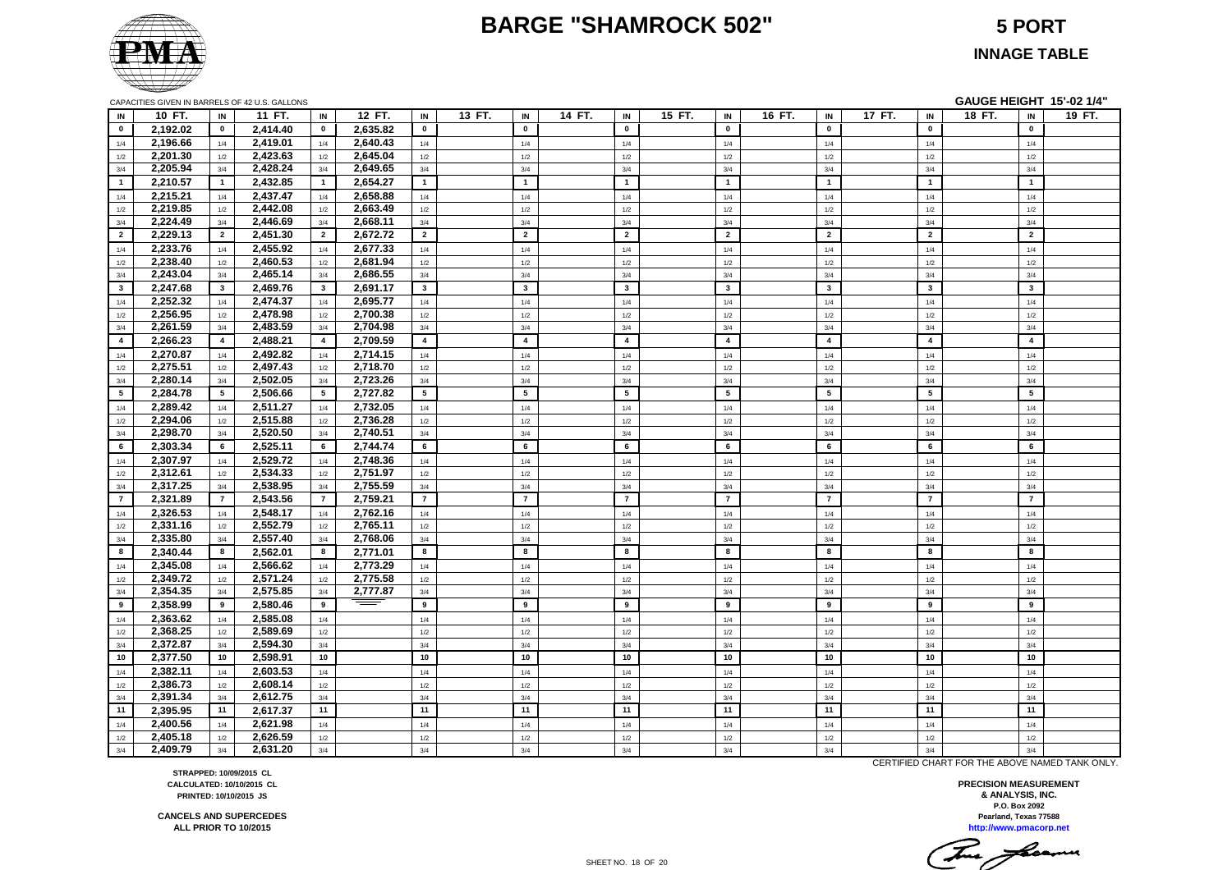#### **BARGE "SHAMROCK 502" 5 PORT**



**INNAGE TABLE**

| IN             | 10 FT.   | IN              | 11 FT.   | IN                      | 12 FT.   | IN             | 13 FT. | IN                      | 14 FT. | IN                      | 15 FT. | IN             | 16 FT. | IN             | 17 FT. | IN             | 18 FT. | IN                      | 19 FT. |
|----------------|----------|-----------------|----------|-------------------------|----------|----------------|--------|-------------------------|--------|-------------------------|--------|----------------|--------|----------------|--------|----------------|--------|-------------------------|--------|
| $\mathbf 0$    | 2,192.02 | $\mathbf 0$     | 2,414.40 | $\mathbf{0}$            | 2,635.82 | $\mathbf 0$    |        | $\mathbf 0$             |        | $\mathbf 0$             |        | $\mathbf{0}$   |        | $\mathbf{0}$   |        | $\mathbf 0$    |        | $\mathbf 0$             |        |
| 1/4            | 2,196.66 | 1/4             | 2,419.01 | 1/4                     | 2,640.43 | 1/4            |        | 1/4                     |        | 1/4                     |        | 1/4            |        | 1/4            |        | 1/4            |        | 1/4                     |        |
| 1/2            | 2,201.30 | 1/2             | 2,423.63 | $1/2$                   | 2,645.04 | 1/2            |        | $1/2$                   |        | 1/2                     |        | 1/2            |        | $1/2$          |        | 1/2            |        | 1/2                     |        |
| 3/4            | 2,205.94 | 3/4             | 2,428.24 | 3/4                     | 2,649.65 | 3/4            |        | 3/4                     |        | 3/4                     |        | 3/4            |        | 3/4            |        | 3/4            |        | 3/4                     |        |
| $\overline{1}$ | 2,210.57 | $\mathbf{1}$    | 2,432.85 | $\overline{1}$          | 2,654.27 | $\overline{1}$ |        | $\mathbf{1}$            |        | $\overline{1}$          |        | $\mathbf{1}$   |        | $\overline{1}$ |        | $\mathbf{1}$   |        | $\mathbf{1}$            |        |
| 1/4            | 2,215.21 | 1/4             | 2,437.47 | 1/4                     | 2,658.88 | 1/4            |        | 1/4                     |        | 1/4                     |        | 1/4            |        | 1/4            |        | 1/4            |        | 1/4                     |        |
| 1/2            | 2,219.85 | 1/2             | 2,442.08 | 1/2                     | 2,663.49 | 1/2            |        | 1/2                     |        | 1/2                     |        | 1/2            |        | 1/2            |        | 1/2            |        | 1/2                     |        |
| 3/4            | 2,224.49 | 3/4             | 2,446.69 | 3/4                     | 2,668.11 | 3/4            |        | 3/4                     |        | 3/4                     |        | 3/4            |        | 3/4            |        | 3/4            |        | 3/4                     |        |
| $\overline{2}$ | 2,229.13 | $\overline{2}$  | 2,451.30 | $\overline{2}$          | 2,672.72 | $\overline{2}$ |        | $\overline{2}$          |        | $\overline{2}$          |        | $\overline{2}$ |        | $\overline{2}$ |        | $\overline{2}$ |        | $\overline{2}$          |        |
| 1/4            | 2,233.76 | 1/4             | 2,455.92 | 1/4                     | 2,677.33 | 1/4            |        | 1/4                     |        | 1/4                     |        | 1/4            |        | 1/4            |        | 1/4            |        | 1/4                     |        |
| 1/2            | 2,238.40 | 1/2             | 2,460.53 | 1/2                     | 2,681.94 | 1/2            |        | 1/2                     |        | 1/2                     |        | 1/2            |        | 1/2            |        | 1/2            |        | 1/2                     |        |
| 3/4            | 2,243.04 | 3/4             | 2,465.14 | 3/4                     | 2,686.55 | 3/4            |        | 3/4                     |        | $3/4\,$                 |        | 3/4            |        | 3/4            |        | 3/4            |        | 3/4                     |        |
| $\mathbf{3}$   | 2,247.68 | $3^{\circ}$     | 2,469.76 | $\mathbf{3}$            | 2,691.17 | $\mathbf{3}$   |        | $\mathbf{3}$            |        | $\overline{\mathbf{3}}$ |        | $\mathbf{3}$   |        | $\mathbf{3}$   |        | $\mathbf{3}$   |        | $\overline{\mathbf{3}}$ |        |
| 1/4            | 2,252.32 | 1/4             | 2,474.37 | 1/4                     | 2,695.77 | 1/4            |        | $1/4$                   |        | 1/4                     |        | 1/4            |        | 1/4            |        | 1/4            |        | $1/4$                   |        |
| 1/2            | 2,256.95 | 1/2             | 2,478.98 | 1/2                     | 2,700.38 | 1/2            |        | 1/2                     |        | 1/2                     |        | $1/2$          |        | 1/2            |        | 1/2            |        | 1/2                     |        |
| 3/4            | 2,261.59 | 3/4             | 2,483.59 | 3/4                     | 2,704.98 | 3/4            |        | 3/4                     |        | 3/4                     |        | 3/4            |        | 3/4            |        | 3/4            |        | 3/4                     |        |
| $\overline{4}$ | 2,266.23 | $\overline{4}$  | 2,488.21 | $\overline{\mathbf{4}}$ | 2,709.59 | $\overline{4}$ |        | $\overline{\mathbf{4}}$ |        | $\overline{4}$          |        | $\overline{4}$ |        | $\overline{4}$ |        | $\overline{4}$ |        | $\overline{\mathbf{4}}$ |        |
| 1/4            | 2,270.87 | 1/4             | 2,492.82 | 1/4                     | 2,714.15 | 1/4            |        | 1/4                     |        | 1/4                     |        | 1/4            |        | 1/4            |        | 1/4            |        | 1/4                     |        |
| 1/2            | 2,275.51 | 1/2             | 2,497.43 | 1/2                     | 2,718.70 | 1/2            |        | 1/2                     |        | 1/2                     |        | 1/2            |        | 1/2            |        | 1/2            |        | 1/2                     |        |
| 3/4            | 2,280.14 | 3/4             | 2,502.05 | 3/4                     | 2,723.26 | 3/4            |        | 3/4                     |        | 3/4                     |        | 3/4            |        | 3/4            |        | 3/4            |        | 3/4                     |        |
| 5              | 2,284.78 | $5\overline{ }$ | 2,506.66 | $5\phantom{.0}$         | 2,727.82 | 5              |        | $5\phantom{.0}$         |        | 5                       |        | $5\phantom{a}$ |        | 5              |        | 5              |        | $5\phantom{.0}$         |        |
| 1/4            | 2,289.42 | 1/4             | 2,511.27 | 1/4                     | 2,732.05 | 1/4            |        | 1/4                     |        | 1/4                     |        | 1/4            |        | 1/4            |        | 1/4            |        | 1/4                     |        |
| 1/2            | 2,294.06 | 1/2             | 2,515.88 | $1/2$                   | 2,736.28 | 1/2            |        | 1/2                     |        | $1/2$                   |        | $1/2$          |        | 1/2            |        | 1/2            |        | 1/2                     |        |
| 3/4            | 2,298.70 | 3/4             | 2,520.50 | 3/4                     | 2,740.51 | 3/4            |        | 3/4                     |        | 3/4                     |        | 3/4            |        | 3/4            |        | 3/4            |        | 3/4                     |        |
| 6              | 2,303.34 | 6               | 2,525.11 | 6                       | 2,744.74 | 6              |        | 6                       |        | 6                       |        | 6              |        | 6              |        | 6              |        | 6                       |        |
| 1/4            | 2,307.97 | 1/4             | 2,529.72 | 1/4                     | 2,748.36 | 1/4            |        | 1/4                     |        | 1/4                     |        | 1/4            |        | 1/4            |        | 1/4            |        | 1/4                     |        |
| 1/2            | 2,312.61 | 1/2             | 2,534.33 | 1/2                     | 2,751.97 | 1/2            |        | $1/2$                   |        | $1/2$                   |        | 1/2            |        | $1/2$          |        | 1/2            |        | $1/2$                   |        |
| 3/4            | 2,317.25 | 3/4             | 2,538.95 | 3/4                     | 2,755.59 | 3/4            |        | 3/4                     |        | 3/4                     |        | 3/4            |        | 3/4            |        | 3/4            |        | 3/4                     |        |
| $\overline{7}$ | 2,321.89 | $\overline{7}$  | 2,543.56 | $\overline{7}$          | 2,759.21 | $\overline{7}$ |        | $\overline{7}$          |        | $\overline{7}$          |        | $\overline{7}$ |        | $\overline{7}$ |        | $\overline{7}$ |        | $\overline{7}$          |        |
| 1/4            | 2,326.53 | 1/4             | 2,548.17 | 1/4                     | 2,762.16 | 1/4            |        | 1/4                     |        | 1/4                     |        | 1/4            |        | 1/4            |        | 1/4            |        | 1/4                     |        |
| 1/2            | 2,331.16 | 1/2             | 2,552.79 | 1/2                     | 2,765.11 | 1/2            |        | 1/2                     |        | $1/2$                   |        | 1/2            |        | 1/2            |        | 1/2            |        | 1/2                     |        |
| 3/4            | 2,335.80 | 3/4             | 2,557.40 | 3/4                     | 2,768.06 | 3/4            |        | 3/4                     |        | 3/4                     |        | 3/4            |        | 3/4            |        | 3/4            |        | 3/4                     |        |
| 8              | 2,340.44 | 8               | 2,562.01 | 8                       | 2,771.01 | 8              |        | 8                       |        | 8                       |        | 8              |        | 8              |        | 8              |        | 8                       |        |
| 1/4            | 2,345.08 | 1/4             | 2,566.62 | 1/4                     | 2,773.29 | 1/4            |        | 1/4                     |        | 1/4                     |        | 1/4            |        | 1/4            |        | 1/4            |        | 1/4                     |        |
| 1/2            | 2,349.72 | 1/2             | 2,571.24 | 1/2                     | 2,775.58 | 1/2            |        | 1/2                     |        | 1/2                     |        | 1/2            |        | 1/2            |        | 1/2            |        | 1/2                     |        |
| 3/4            | 2,354.35 | 3/4             | 2,575.85 | 3/4                     | 2,777.87 | 3/4            |        | 3/4                     |        | 3/4                     |        | 3/4            |        | 3/4            |        | 3/4            |        | 3/4                     |        |
| 9              | 2,358.99 | 9               | 2,580.46 | 9                       |          | 9              |        | 9                       |        | 9                       |        | 9              |        | 9              |        | 9              |        | 9                       |        |
| 1/4            | 2,363.62 | 1/4             | 2,585.08 | 1/4                     |          | 1/4            |        | 1/4                     |        | 1/4                     |        | 1/4            |        | 1/4            |        | 1/4            |        | 1/4                     |        |
| 1/2            | 2,368.25 | 1/2             | 2,589.69 | 1/2                     |          | 1/2            |        | 1/2                     |        | 1/2                     |        | 1/2            |        | 1/2            |        | 1/2            |        | 1/2                     |        |
| 3/4            | 2,372.87 | 3/4             | 2,594.30 | 3/4                     |          | 3/4            |        | 3/4                     |        | 3/4                     |        | 3/4            |        | 3/4            |        | 3/4            |        | 3/4                     |        |
| 10             | 2,377.50 | 10              | 2,598.91 | 10                      |          | 10             |        | 10                      |        | 10                      |        | 10             |        | 10             |        | 10             |        | 10 <sup>1</sup>         |        |
| 1/4            | 2,382.11 | 1/4             | 2,603.53 | $1/4$                   |          | 1/4            |        | 1/4                     |        | 1/4                     |        | 1/4            |        | $1/4$          |        | 1/4            |        | $1/4$                   |        |
| 1/2            | 2,386.73 | 1/2             | 2,608.14 | 1/2                     |          | 1/2            |        | 1/2                     |        | 1/2                     |        | 1/2            |        | 1/2            |        | 1/2            |        | 1/2                     |        |
| 3/4            | 2,391.34 | 3/4             | 2,612.75 | 3/4                     |          | 3/4            |        | 3/4                     |        | 3/4                     |        | 3/4            |        | 3/4            |        | 3/4            |        | 3/4                     |        |
| 11             | 2,395.95 | 11              | 2,617.37 | 11                      |          | 11             |        | 11                      |        | 11                      |        | 11             |        | 11             |        | 11             |        | 11                      |        |
| 1/4            | 2,400.56 | 1/4             | 2,621.98 | 1/4                     |          | 1/4            |        | 1/4                     |        | $1/4$                   |        | 1/4            |        | 1/4            |        | 1/4            |        | 1/4                     |        |
| 1/2            | 2,405.18 | 1/2             | 2,626.59 | 1/2                     |          | 1/2            |        | 1/2                     |        | 1/2                     |        | 1/2            |        | 1/2            |        | 1/2            |        | 1/2                     |        |
| 3/4            | 2,409.79 | 3/4             | 2,631.20 | 3/4                     |          | 3/4            |        | 3/4                     |        | 3/4                     |        | 3/4            |        | 3/4            |        | 3/4            |        | 3/4                     |        |

CERTIFIED CHART FOR THE ABOVE NAMED TANK ONLY.

**Pearland, Texas 77588 PRECISION MEASUREMENT & ANALYSIS, INC. P.O. Box 2092**

**http://www.pmacorp.net**

This freemen

**STRAPPED: 10/09/2015 CL CALCULATED: 10/10/2015 CL PRINTED: 10/10/2015 JS**

**CANCELS AND SUPERCEDES ALL PRIOR TO 10/2015**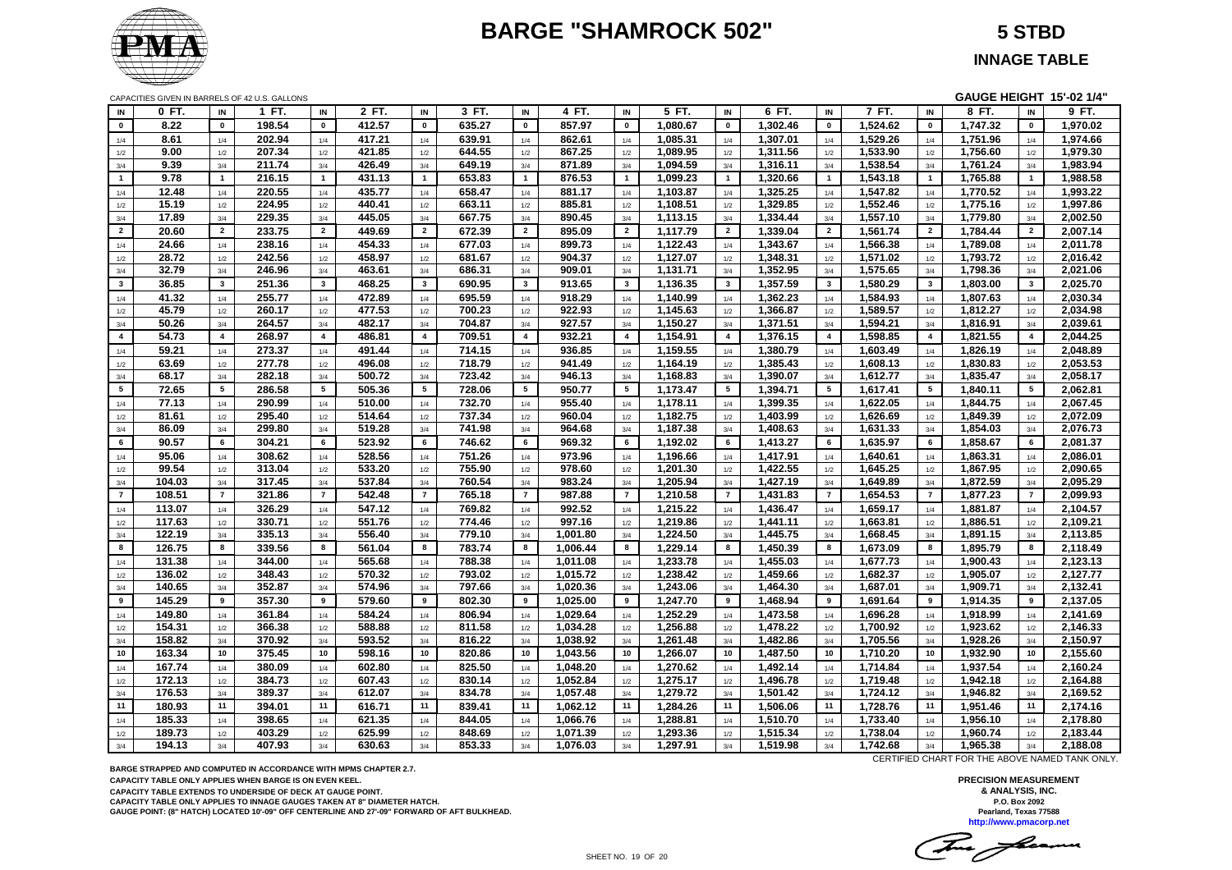# **BARGE "SHAMROCK 502" 5 STBD**



CAPACITIES GIVEN IN BARRELS OF 42 U.S. GALLONS **GAUGE HEIGHT 15'-02 1/4"**

| 8.22<br>198.54<br>412.57<br>635.27<br>857.97<br>1,302.46<br>1,524.62<br>$\pmb{\mathsf{o}}$<br>1,747.32<br>$\mathbf 0$<br>$\mathbf 0$<br>$\mathbf 0$<br>$\mathbf 0$<br>$\mathbf 0$<br>1,080.67<br>$\mathbf 0$<br>$\mathbf 0$<br>$\mathbf 0$<br>$\mathbf 0$<br>202.94<br>417.21<br>639.91<br>862.61<br>1,085.31<br>1,307.01<br>1,529.26<br>1,751.96<br>8.61<br>1/4<br>1/4<br>1/4<br>1/4<br>1/4<br>1/4<br>1/4<br>1/4<br>1/4<br>1/4<br>9.00<br>207.34<br>421.85<br>644.55<br>867.25<br>1,089.95<br>1,311.56<br>1,533.90<br>1,756.60<br>1/2<br>1/2<br>1/2<br>1/2<br>1/2<br>1/2<br>1/2<br>1/2<br>1/2<br>1/2<br>426.49<br>9.39<br>211.74<br>649.19<br>871.89<br>1,094.59<br>1,316.11<br>1,538.54<br>1,761.24<br>3/4<br>3/4<br>3/4<br>3/4<br>3/4<br>3/4<br>3/4<br>3/4<br>3/4<br>3/4<br>9.78<br>216.15<br>431.13<br>653.83<br>$\overline{1}$<br>876.53<br>1,099.23<br>1,320.66<br>1,543.18<br>$\mathbf{1}$<br>1,765.88<br>$\mathbf{1}$<br>$\mathbf{1}$<br>$\mathbf{1}$<br>$\mathbf{1}$<br>$\overline{1}$<br>$\overline{1}$<br>$\mathbf{1}$<br>$\overline{1}$<br>220.55<br>435.77<br>658.47<br>1,103.87<br>1,325.25<br>1,547.82<br>12.48<br>881.17<br>1,770.52<br>1/4<br>1/4<br>1/4<br>1/4<br>1/4<br>1/4<br>1/4<br>1/4<br>1/4<br>1/4<br>224.95<br>1,329.85<br>1,775.16<br>15.19<br>440.41<br>663.11<br>885.81<br>1,108.51<br>1,552.46<br>1/2<br>1/2<br>1/2<br>1/2<br>1/2<br>$1/2$<br>1/2<br>1/2<br>1/2<br>1/2<br>229.35<br>445.05<br>17.89<br>667.75<br>890.45<br>1,113.15<br>1,334.44<br>1,557.10<br>1,779.80<br>3/4<br>3/4<br>3/4<br>3/4<br>3/4<br>3/4<br>3/4<br>3/4<br>3/4<br>3/4<br>20.60<br>233.75<br>$\overline{2}$<br>449.69<br>672.39<br>$\overline{2}$<br>895.09<br>1,117.79<br>1,339.04<br>1,561.74<br>$\overline{2}$<br>1,784.44<br>$\overline{2}$<br>$\overline{2}$<br>$\overline{2}$<br>$\overline{2}$<br>$\overline{2}$<br>$\overline{2}$<br>$\overline{2}$<br>454.33<br>1,122.43<br>24.66<br>238.16<br>677.03<br>899.73<br>1,343.67<br>1,566.38<br>1,789.08<br>1/4<br>1/4<br>1/4<br>1/4<br>1/4<br>1/4<br>1/4<br>1/4<br>1/4<br>1/4<br>242.56<br>28.72<br>458.97<br>681.67<br>904.37<br>1,127.07<br>1,348.31<br>1,571.02<br>1,793.72<br>1/2<br>1/2<br>1/2<br>1/2<br>1/2<br>1/2<br>1/2<br>1/2<br>1/2<br>1/2<br>1,352.95<br>32.79<br>246.96<br>463.61<br>686.31<br>909.01<br>1,131.71<br>1,575.65<br>1,798.36<br>3/4<br>3/4<br>3/4<br>3/4<br>3/4<br>3/4<br>3/4<br>3/4<br>3/4<br>3/4<br>$\overline{\mathbf{3}}$<br>1,357.59<br>$3^{\circ}$<br>36.85<br>$\mathbf{3}$<br>251.36<br>$\mathbf{3}$<br>468.25<br>$\mathbf{3}$<br>690.95<br>913.65<br>$\overline{\mathbf{3}}$<br>1,136.35<br>$\overline{\mathbf{3}}$<br>$\overline{\mathbf{3}}$<br>1,580.29<br>$\mathbf{3}$<br>1,803.00<br>$\mathbf{3}$<br>41.32<br>255.77<br>472.89<br>695.59<br>918.29<br>1,140.99<br>1,362.23<br>1,584.93<br>1,807.63<br>1/4<br>1/4<br>1/4<br>1/4<br>1/4<br>1/4<br>1/4<br>1/4<br>1/4<br>1/4<br>477.53<br>922.93<br>1,145.63<br>1,366.87<br>1,589.57<br>45.79<br>260.17<br>700.23<br>1,812.27<br>$1/2\,$<br>1/2<br>1/2<br>$1/2$<br>1/2<br>$1/2$<br>1/2<br>$1/2\,$<br>1/2<br>1/2<br>50.26<br>264.57<br>482.17<br>704.87<br>927.57<br>1,150.27<br>1,371.51<br>1,594.21<br>1,816.91<br>3/4<br>3/4<br>3/4<br>3/4<br>3/4<br>3/4<br>3/4<br>3/4<br>3/4<br>3/4<br>486.81<br>$\overline{4}$<br>1,154.91<br>1,376.15<br>$\overline{4}$<br>$\overline{4}$<br>54.73<br>$\overline{4}$<br>268.97<br>$\overline{4}$<br>$\overline{a}$<br>709.51<br>932.21<br>$\overline{\mathbf{4}}$<br>$\overline{4}$<br>$\overline{a}$<br>1,598.85<br>1,821.55<br>$\overline{4}$ | 9 FT.                |
|---------------------------------------------------------------------------------------------------------------------------------------------------------------------------------------------------------------------------------------------------------------------------------------------------------------------------------------------------------------------------------------------------------------------------------------------------------------------------------------------------------------------------------------------------------------------------------------------------------------------------------------------------------------------------------------------------------------------------------------------------------------------------------------------------------------------------------------------------------------------------------------------------------------------------------------------------------------------------------------------------------------------------------------------------------------------------------------------------------------------------------------------------------------------------------------------------------------------------------------------------------------------------------------------------------------------------------------------------------------------------------------------------------------------------------------------------------------------------------------------------------------------------------------------------------------------------------------------------------------------------------------------------------------------------------------------------------------------------------------------------------------------------------------------------------------------------------------------------------------------------------------------------------------------------------------------------------------------------------------------------------------------------------------------------------------------------------------------------------------------------------------------------------------------------------------------------------------------------------------------------------------------------------------------------------------------------------------------------------------------------------------------------------------------------------------------------------------------------------------------------------------------------------------------------------------------------------------------------------------------------------------------------------------------------------------------------------------------------------------------------------------------------------------------------------------------------------------------------------------------------------------------------------------------------------------------------------------------------------------------------------------------------------------------------------------------------------------------------------------------------------------------------------------------------------------------------------------------------------------------------------------------------------------------------------------------------------------------------------------------------------------------------------------------------------------------------------------------------------------------------------------------------------|----------------------|
|                                                                                                                                                                                                                                                                                                                                                                                                                                                                                                                                                                                                                                                                                                                                                                                                                                                                                                                                                                                                                                                                                                                                                                                                                                                                                                                                                                                                                                                                                                                                                                                                                                                                                                                                                                                                                                                                                                                                                                                                                                                                                                                                                                                                                                                                                                                                                                                                                                                                                                                                                                                                                                                                                                                                                                                                                                                                                                                                                                                                                                                                                                                                                                                                                                                                                                                                                                                                                                                                                                                                 | 1,970.02             |
|                                                                                                                                                                                                                                                                                                                                                                                                                                                                                                                                                                                                                                                                                                                                                                                                                                                                                                                                                                                                                                                                                                                                                                                                                                                                                                                                                                                                                                                                                                                                                                                                                                                                                                                                                                                                                                                                                                                                                                                                                                                                                                                                                                                                                                                                                                                                                                                                                                                                                                                                                                                                                                                                                                                                                                                                                                                                                                                                                                                                                                                                                                                                                                                                                                                                                                                                                                                                                                                                                                                                 | 1,974.66             |
|                                                                                                                                                                                                                                                                                                                                                                                                                                                                                                                                                                                                                                                                                                                                                                                                                                                                                                                                                                                                                                                                                                                                                                                                                                                                                                                                                                                                                                                                                                                                                                                                                                                                                                                                                                                                                                                                                                                                                                                                                                                                                                                                                                                                                                                                                                                                                                                                                                                                                                                                                                                                                                                                                                                                                                                                                                                                                                                                                                                                                                                                                                                                                                                                                                                                                                                                                                                                                                                                                                                                 | 1,979.30             |
|                                                                                                                                                                                                                                                                                                                                                                                                                                                                                                                                                                                                                                                                                                                                                                                                                                                                                                                                                                                                                                                                                                                                                                                                                                                                                                                                                                                                                                                                                                                                                                                                                                                                                                                                                                                                                                                                                                                                                                                                                                                                                                                                                                                                                                                                                                                                                                                                                                                                                                                                                                                                                                                                                                                                                                                                                                                                                                                                                                                                                                                                                                                                                                                                                                                                                                                                                                                                                                                                                                                                 | 1,983.94             |
|                                                                                                                                                                                                                                                                                                                                                                                                                                                                                                                                                                                                                                                                                                                                                                                                                                                                                                                                                                                                                                                                                                                                                                                                                                                                                                                                                                                                                                                                                                                                                                                                                                                                                                                                                                                                                                                                                                                                                                                                                                                                                                                                                                                                                                                                                                                                                                                                                                                                                                                                                                                                                                                                                                                                                                                                                                                                                                                                                                                                                                                                                                                                                                                                                                                                                                                                                                                                                                                                                                                                 | 1,988.58             |
|                                                                                                                                                                                                                                                                                                                                                                                                                                                                                                                                                                                                                                                                                                                                                                                                                                                                                                                                                                                                                                                                                                                                                                                                                                                                                                                                                                                                                                                                                                                                                                                                                                                                                                                                                                                                                                                                                                                                                                                                                                                                                                                                                                                                                                                                                                                                                                                                                                                                                                                                                                                                                                                                                                                                                                                                                                                                                                                                                                                                                                                                                                                                                                                                                                                                                                                                                                                                                                                                                                                                 | 1,993.22             |
|                                                                                                                                                                                                                                                                                                                                                                                                                                                                                                                                                                                                                                                                                                                                                                                                                                                                                                                                                                                                                                                                                                                                                                                                                                                                                                                                                                                                                                                                                                                                                                                                                                                                                                                                                                                                                                                                                                                                                                                                                                                                                                                                                                                                                                                                                                                                                                                                                                                                                                                                                                                                                                                                                                                                                                                                                                                                                                                                                                                                                                                                                                                                                                                                                                                                                                                                                                                                                                                                                                                                 | 1,997.86             |
|                                                                                                                                                                                                                                                                                                                                                                                                                                                                                                                                                                                                                                                                                                                                                                                                                                                                                                                                                                                                                                                                                                                                                                                                                                                                                                                                                                                                                                                                                                                                                                                                                                                                                                                                                                                                                                                                                                                                                                                                                                                                                                                                                                                                                                                                                                                                                                                                                                                                                                                                                                                                                                                                                                                                                                                                                                                                                                                                                                                                                                                                                                                                                                                                                                                                                                                                                                                                                                                                                                                                 | 2,002.50             |
|                                                                                                                                                                                                                                                                                                                                                                                                                                                                                                                                                                                                                                                                                                                                                                                                                                                                                                                                                                                                                                                                                                                                                                                                                                                                                                                                                                                                                                                                                                                                                                                                                                                                                                                                                                                                                                                                                                                                                                                                                                                                                                                                                                                                                                                                                                                                                                                                                                                                                                                                                                                                                                                                                                                                                                                                                                                                                                                                                                                                                                                                                                                                                                                                                                                                                                                                                                                                                                                                                                                                 | 2,007.14             |
|                                                                                                                                                                                                                                                                                                                                                                                                                                                                                                                                                                                                                                                                                                                                                                                                                                                                                                                                                                                                                                                                                                                                                                                                                                                                                                                                                                                                                                                                                                                                                                                                                                                                                                                                                                                                                                                                                                                                                                                                                                                                                                                                                                                                                                                                                                                                                                                                                                                                                                                                                                                                                                                                                                                                                                                                                                                                                                                                                                                                                                                                                                                                                                                                                                                                                                                                                                                                                                                                                                                                 | 2,011.78             |
|                                                                                                                                                                                                                                                                                                                                                                                                                                                                                                                                                                                                                                                                                                                                                                                                                                                                                                                                                                                                                                                                                                                                                                                                                                                                                                                                                                                                                                                                                                                                                                                                                                                                                                                                                                                                                                                                                                                                                                                                                                                                                                                                                                                                                                                                                                                                                                                                                                                                                                                                                                                                                                                                                                                                                                                                                                                                                                                                                                                                                                                                                                                                                                                                                                                                                                                                                                                                                                                                                                                                 | 2,016.42             |
|                                                                                                                                                                                                                                                                                                                                                                                                                                                                                                                                                                                                                                                                                                                                                                                                                                                                                                                                                                                                                                                                                                                                                                                                                                                                                                                                                                                                                                                                                                                                                                                                                                                                                                                                                                                                                                                                                                                                                                                                                                                                                                                                                                                                                                                                                                                                                                                                                                                                                                                                                                                                                                                                                                                                                                                                                                                                                                                                                                                                                                                                                                                                                                                                                                                                                                                                                                                                                                                                                                                                 | 2,021.06             |
|                                                                                                                                                                                                                                                                                                                                                                                                                                                                                                                                                                                                                                                                                                                                                                                                                                                                                                                                                                                                                                                                                                                                                                                                                                                                                                                                                                                                                                                                                                                                                                                                                                                                                                                                                                                                                                                                                                                                                                                                                                                                                                                                                                                                                                                                                                                                                                                                                                                                                                                                                                                                                                                                                                                                                                                                                                                                                                                                                                                                                                                                                                                                                                                                                                                                                                                                                                                                                                                                                                                                 | 2,025.70             |
|                                                                                                                                                                                                                                                                                                                                                                                                                                                                                                                                                                                                                                                                                                                                                                                                                                                                                                                                                                                                                                                                                                                                                                                                                                                                                                                                                                                                                                                                                                                                                                                                                                                                                                                                                                                                                                                                                                                                                                                                                                                                                                                                                                                                                                                                                                                                                                                                                                                                                                                                                                                                                                                                                                                                                                                                                                                                                                                                                                                                                                                                                                                                                                                                                                                                                                                                                                                                                                                                                                                                 | 2,030.34             |
|                                                                                                                                                                                                                                                                                                                                                                                                                                                                                                                                                                                                                                                                                                                                                                                                                                                                                                                                                                                                                                                                                                                                                                                                                                                                                                                                                                                                                                                                                                                                                                                                                                                                                                                                                                                                                                                                                                                                                                                                                                                                                                                                                                                                                                                                                                                                                                                                                                                                                                                                                                                                                                                                                                                                                                                                                                                                                                                                                                                                                                                                                                                                                                                                                                                                                                                                                                                                                                                                                                                                 | 2,034.98             |
|                                                                                                                                                                                                                                                                                                                                                                                                                                                                                                                                                                                                                                                                                                                                                                                                                                                                                                                                                                                                                                                                                                                                                                                                                                                                                                                                                                                                                                                                                                                                                                                                                                                                                                                                                                                                                                                                                                                                                                                                                                                                                                                                                                                                                                                                                                                                                                                                                                                                                                                                                                                                                                                                                                                                                                                                                                                                                                                                                                                                                                                                                                                                                                                                                                                                                                                                                                                                                                                                                                                                 | 2,039.61             |
|                                                                                                                                                                                                                                                                                                                                                                                                                                                                                                                                                                                                                                                                                                                                                                                                                                                                                                                                                                                                                                                                                                                                                                                                                                                                                                                                                                                                                                                                                                                                                                                                                                                                                                                                                                                                                                                                                                                                                                                                                                                                                                                                                                                                                                                                                                                                                                                                                                                                                                                                                                                                                                                                                                                                                                                                                                                                                                                                                                                                                                                                                                                                                                                                                                                                                                                                                                                                                                                                                                                                 | 2,044.25             |
| 59.21<br>273.37<br>491.44<br>714.15<br>936.85<br>1,159.55<br>1,380.79<br>1,603.49<br>1,826.19<br>1/4<br>1/4<br>1/4<br>1/4<br>1/4<br>1/4<br>1/4<br>1/4<br>1/4<br>1/4                                                                                                                                                                                                                                                                                                                                                                                                                                                                                                                                                                                                                                                                                                                                                                                                                                                                                                                                                                                                                                                                                                                                                                                                                                                                                                                                                                                                                                                                                                                                                                                                                                                                                                                                                                                                                                                                                                                                                                                                                                                                                                                                                                                                                                                                                                                                                                                                                                                                                                                                                                                                                                                                                                                                                                                                                                                                                                                                                                                                                                                                                                                                                                                                                                                                                                                                                             | 2,048.89             |
| 718.79<br>63.69<br>277.78<br>496.08<br>941.49<br>1,164.19<br>1,385.43<br>1,608.13<br>1,830.83<br>1/2<br>1/2<br>1/2<br>1/2<br>1/2<br>1/2<br>1/2<br>1/2<br>1/2<br>1/2                                                                                                                                                                                                                                                                                                                                                                                                                                                                                                                                                                                                                                                                                                                                                                                                                                                                                                                                                                                                                                                                                                                                                                                                                                                                                                                                                                                                                                                                                                                                                                                                                                                                                                                                                                                                                                                                                                                                                                                                                                                                                                                                                                                                                                                                                                                                                                                                                                                                                                                                                                                                                                                                                                                                                                                                                                                                                                                                                                                                                                                                                                                                                                                                                                                                                                                                                             | 2,053.53             |
| 723.42<br>1,390.07<br>1,835.47<br>68.17<br>282.18<br>500.72<br>946.13<br>1,168.83<br>1,612.77<br>3/4<br>3/4<br>3/4<br>3/4<br>3/4<br>3/4<br>3/4<br>3/4<br>3/4<br>3/4                                                                                                                                                                                                                                                                                                                                                                                                                                                                                                                                                                                                                                                                                                                                                                                                                                                                                                                                                                                                                                                                                                                                                                                                                                                                                                                                                                                                                                                                                                                                                                                                                                                                                                                                                                                                                                                                                                                                                                                                                                                                                                                                                                                                                                                                                                                                                                                                                                                                                                                                                                                                                                                                                                                                                                                                                                                                                                                                                                                                                                                                                                                                                                                                                                                                                                                                                             | 2,058.17             |
| 505.36<br>72.65<br>5<br>286.58<br>$5\phantom{.0}$<br>728.06<br>5<br>950.77<br>5<br>1,173.47<br>1,394.71<br>5<br>1,617.41<br>5<br>$5\phantom{.0}$<br>$5\overline{5}$<br>5<br>5<br>1,840.11                                                                                                                                                                                                                                                                                                                                                                                                                                                                                                                                                                                                                                                                                                                                                                                                                                                                                                                                                                                                                                                                                                                                                                                                                                                                                                                                                                                                                                                                                                                                                                                                                                                                                                                                                                                                                                                                                                                                                                                                                                                                                                                                                                                                                                                                                                                                                                                                                                                                                                                                                                                                                                                                                                                                                                                                                                                                                                                                                                                                                                                                                                                                                                                                                                                                                                                                       | 2,062.81             |
| 77.13<br>290.99<br>510.00<br>732.70<br>1,178.11<br>1.399.35<br>1.622.05<br>1,844.75<br>955.40<br>1/4<br>1/4<br>1/4<br>1/4<br>1/4<br>1/4<br>1/4<br>1/4<br>1/4<br>1/4                                                                                                                                                                                                                                                                                                                                                                                                                                                                                                                                                                                                                                                                                                                                                                                                                                                                                                                                                                                                                                                                                                                                                                                                                                                                                                                                                                                                                                                                                                                                                                                                                                                                                                                                                                                                                                                                                                                                                                                                                                                                                                                                                                                                                                                                                                                                                                                                                                                                                                                                                                                                                                                                                                                                                                                                                                                                                                                                                                                                                                                                                                                                                                                                                                                                                                                                                             | 2,067.45             |
| 81.61<br>295.40<br>514.64<br>737.34<br>960.04<br>1,182.75<br>1,403.99<br>1,626.69<br>1,849.39<br>1/2<br>1/2<br>1/2<br>1/2<br>1/2<br>1/2<br>1/2<br>1/2<br>1/2<br>1/2                                                                                                                                                                                                                                                                                                                                                                                                                                                                                                                                                                                                                                                                                                                                                                                                                                                                                                                                                                                                                                                                                                                                                                                                                                                                                                                                                                                                                                                                                                                                                                                                                                                                                                                                                                                                                                                                                                                                                                                                                                                                                                                                                                                                                                                                                                                                                                                                                                                                                                                                                                                                                                                                                                                                                                                                                                                                                                                                                                                                                                                                                                                                                                                                                                                                                                                                                             | 2,072.09             |
| 299.80<br>519.28<br>741.98<br>1,187.38<br>1,408.63<br>1,854.03<br>86.09<br>964.68<br>1,631.33<br>3/4<br>3/4<br>3/4<br>3/4<br>3/4<br>3/4<br>3/4<br>3/4<br>3/4<br>3/4                                                                                                                                                                                                                                                                                                                                                                                                                                                                                                                                                                                                                                                                                                                                                                                                                                                                                                                                                                                                                                                                                                                                                                                                                                                                                                                                                                                                                                                                                                                                                                                                                                                                                                                                                                                                                                                                                                                                                                                                                                                                                                                                                                                                                                                                                                                                                                                                                                                                                                                                                                                                                                                                                                                                                                                                                                                                                                                                                                                                                                                                                                                                                                                                                                                                                                                                                             | 2,076.73             |
| 6<br>304.21<br>6<br>523.92<br>6<br>1,192.02<br>6<br>6<br>90.57<br>6<br>6<br>746.62<br>969.32<br>6<br>6<br>1,413.27<br>6<br>1,635.97<br>1,858.67                                                                                                                                                                                                                                                                                                                                                                                                                                                                                                                                                                                                                                                                                                                                                                                                                                                                                                                                                                                                                                                                                                                                                                                                                                                                                                                                                                                                                                                                                                                                                                                                                                                                                                                                                                                                                                                                                                                                                                                                                                                                                                                                                                                                                                                                                                                                                                                                                                                                                                                                                                                                                                                                                                                                                                                                                                                                                                                                                                                                                                                                                                                                                                                                                                                                                                                                                                                 | 2,081.37             |
| 95.06<br>308.62<br>528.56<br>751.26<br>973.96<br>1,196.66<br>1,417.91<br>1,640.61<br>1,863.31<br>1/4<br>1/4<br>1/4<br>1/4<br>1/4<br>1/4<br>1/4<br>1/4<br>1/4<br>1/4                                                                                                                                                                                                                                                                                                                                                                                                                                                                                                                                                                                                                                                                                                                                                                                                                                                                                                                                                                                                                                                                                                                                                                                                                                                                                                                                                                                                                                                                                                                                                                                                                                                                                                                                                                                                                                                                                                                                                                                                                                                                                                                                                                                                                                                                                                                                                                                                                                                                                                                                                                                                                                                                                                                                                                                                                                                                                                                                                                                                                                                                                                                                                                                                                                                                                                                                                             | 2,086.01             |
| 99.54<br>313.04<br>533.20<br>755.90<br>978.60<br>1,201.30<br>1,422.55<br>1,645.25<br>1,867.95<br>1/2<br>1/2<br>1/2<br>1/2<br>1/2<br>1/2<br>1/2<br>1/2<br>1/2<br>1/2                                                                                                                                                                                                                                                                                                                                                                                                                                                                                                                                                                                                                                                                                                                                                                                                                                                                                                                                                                                                                                                                                                                                                                                                                                                                                                                                                                                                                                                                                                                                                                                                                                                                                                                                                                                                                                                                                                                                                                                                                                                                                                                                                                                                                                                                                                                                                                                                                                                                                                                                                                                                                                                                                                                                                                                                                                                                                                                                                                                                                                                                                                                                                                                                                                                                                                                                                             | 2,090.65             |
| 537.84<br>760.54<br>983.24<br>1,205.94<br>1,427.19<br>1,649.89<br>1,872.59<br>104.03<br>317.45<br>3/4<br>3/4<br>3/4<br>3/4<br>3/4<br>3/4<br>3/4<br>3/4<br>3/4<br>3/4                                                                                                                                                                                                                                                                                                                                                                                                                                                                                                                                                                                                                                                                                                                                                                                                                                                                                                                                                                                                                                                                                                                                                                                                                                                                                                                                                                                                                                                                                                                                                                                                                                                                                                                                                                                                                                                                                                                                                                                                                                                                                                                                                                                                                                                                                                                                                                                                                                                                                                                                                                                                                                                                                                                                                                                                                                                                                                                                                                                                                                                                                                                                                                                                                                                                                                                                                            | 2,095.29             |
| 108.51<br>$\overline{7}$<br>321.86<br>$\overline{7}$<br>542.48<br>$\overline{7}$<br>765.18<br>$\overline{7}$<br>987.88<br>$\overline{7}$<br>1,210.58<br>1,431.83<br>$\overline{7}$<br>1,654.53<br>$\overline{7}$<br>1,877.23<br>$\overline{7}$<br>$\overline{7}$<br>$\overline{7}$                                                                                                                                                                                                                                                                                                                                                                                                                                                                                                                                                                                                                                                                                                                                                                                                                                                                                                                                                                                                                                                                                                                                                                                                                                                                                                                                                                                                                                                                                                                                                                                                                                                                                                                                                                                                                                                                                                                                                                                                                                                                                                                                                                                                                                                                                                                                                                                                                                                                                                                                                                                                                                                                                                                                                                                                                                                                                                                                                                                                                                                                                                                                                                                                                                              | 2,099.93             |
| 326.29<br>547.12<br>769.82<br>992.52<br>1,215.22<br>1,436.47<br>1,881.87<br>113.07<br>1,659.17<br>1/4<br>1/4<br>1/4<br>1/4<br>1/4<br>1/4<br>1/4<br>1/4<br>1/4<br>1/4                                                                                                                                                                                                                                                                                                                                                                                                                                                                                                                                                                                                                                                                                                                                                                                                                                                                                                                                                                                                                                                                                                                                                                                                                                                                                                                                                                                                                                                                                                                                                                                                                                                                                                                                                                                                                                                                                                                                                                                                                                                                                                                                                                                                                                                                                                                                                                                                                                                                                                                                                                                                                                                                                                                                                                                                                                                                                                                                                                                                                                                                                                                                                                                                                                                                                                                                                            | 2,104.57             |
| 117.63<br>330.71<br>551.76<br>774.46<br>997.16<br>1,219.86<br>1,441.11<br>1,886.51<br>1,663.81<br>1/2<br>1/2<br>$1/2$<br>1/2<br>1/2<br>1/2<br>1/2<br>1/2<br>1/2<br>1/2                                                                                                                                                                                                                                                                                                                                                                                                                                                                                                                                                                                                                                                                                                                                                                                                                                                                                                                                                                                                                                                                                                                                                                                                                                                                                                                                                                                                                                                                                                                                                                                                                                                                                                                                                                                                                                                                                                                                                                                                                                                                                                                                                                                                                                                                                                                                                                                                                                                                                                                                                                                                                                                                                                                                                                                                                                                                                                                                                                                                                                                                                                                                                                                                                                                                                                                                                          | 2,109.21             |
| 122.19<br>335.13<br>556.40<br>779.10<br>1.001.80<br>1,224.50<br>1,445.75<br>1,668.45<br>1,891.15<br>3/4<br>3/4<br>3/4<br>3/4<br>3/4<br>3/4<br>3/4<br>3/4<br>3/4<br>3/4<br>8<br>8<br>8<br>8<br>8<br>8<br>8                                                                                                                                                                                                                                                                                                                                                                                                                                                                                                                                                                                                                                                                                                                                                                                                                                                                                                                                                                                                                                                                                                                                                                                                                                                                                                                                                                                                                                                                                                                                                                                                                                                                                                                                                                                                                                                                                                                                                                                                                                                                                                                                                                                                                                                                                                                                                                                                                                                                                                                                                                                                                                                                                                                                                                                                                                                                                                                                                                                                                                                                                                                                                                                                                                                                                                                       | 2,113.85             |
| 339.56<br>561.04<br>783.74<br>126.75<br>8<br>8<br>1,006.44<br>1,229.14<br>1,450.39<br>1,673.09<br>1,895.79<br>8                                                                                                                                                                                                                                                                                                                                                                                                                                                                                                                                                                                                                                                                                                                                                                                                                                                                                                                                                                                                                                                                                                                                                                                                                                                                                                                                                                                                                                                                                                                                                                                                                                                                                                                                                                                                                                                                                                                                                                                                                                                                                                                                                                                                                                                                                                                                                                                                                                                                                                                                                                                                                                                                                                                                                                                                                                                                                                                                                                                                                                                                                                                                                                                                                                                                                                                                                                                                                 | 2,118.49             |
| 1,233.78<br>1,455.03<br>131.38<br>344.00<br>565.68<br>788.38<br>1,011.08<br>1,677.73<br>1,900.43<br>1/4<br>1/4<br>1/4<br>1/4<br>1/4<br>1/4<br>1/4<br>1/4<br>1/4<br>1/4                                                                                                                                                                                                                                                                                                                                                                                                                                                                                                                                                                                                                                                                                                                                                                                                                                                                                                                                                                                                                                                                                                                                                                                                                                                                                                                                                                                                                                                                                                                                                                                                                                                                                                                                                                                                                                                                                                                                                                                                                                                                                                                                                                                                                                                                                                                                                                                                                                                                                                                                                                                                                                                                                                                                                                                                                                                                                                                                                                                                                                                                                                                                                                                                                                                                                                                                                          | 2,123.13             |
| 348.43<br>570.32<br>793.02<br>1,015.72<br>1,238.42<br>1,459.66<br>1,682.37<br>136.02<br>1,905.07<br>1/2<br>1/2<br>1/2<br>1/2<br>1/2<br>1/2<br>1/2<br>1/2<br>1/2<br>1/2<br>140.65<br>352.87<br>574.96<br>797.66<br>1,020.36<br>1,243.06<br>1,464.30<br>1,687.01<br>1,909.71<br>3/4<br>3/4<br>3/4<br>3/4<br>3/4<br>3/4<br>3/4<br>3/4<br>3/4<br>3/4                                                                                                                                                                                                                                                                                                                                                                                                                                                                                                                                                                                                                                                                                                                                                                                                                                                                                                                                                                                                                                                                                                                                                                                                                                                                                                                                                                                                                                                                                                                                                                                                                                                                                                                                                                                                                                                                                                                                                                                                                                                                                                                                                                                                                                                                                                                                                                                                                                                                                                                                                                                                                                                                                                                                                                                                                                                                                                                                                                                                                                                                                                                                                                                | 2,127.77<br>2,132.41 |
| 357.30<br>579.60<br>802.30<br>1,247.70<br>9<br>145.29<br>9<br>9<br>9<br>9<br>9<br>9<br>9<br>9<br>9                                                                                                                                                                                                                                                                                                                                                                                                                                                                                                                                                                                                                                                                                                                                                                                                                                                                                                                                                                                                                                                                                                                                                                                                                                                                                                                                                                                                                                                                                                                                                                                                                                                                                                                                                                                                                                                                                                                                                                                                                                                                                                                                                                                                                                                                                                                                                                                                                                                                                                                                                                                                                                                                                                                                                                                                                                                                                                                                                                                                                                                                                                                                                                                                                                                                                                                                                                                                                              | 2,137.05             |
| 1,025.00<br>1,468.94<br>1,691.64<br>1,914.35<br>1,252.29<br>149.80<br>361.84<br>584.24                                                                                                                                                                                                                                                                                                                                                                                                                                                                                                                                                                                                                                                                                                                                                                                                                                                                                                                                                                                                                                                                                                                                                                                                                                                                                                                                                                                                                                                                                                                                                                                                                                                                                                                                                                                                                                                                                                                                                                                                                                                                                                                                                                                                                                                                                                                                                                                                                                                                                                                                                                                                                                                                                                                                                                                                                                                                                                                                                                                                                                                                                                                                                                                                                                                                                                                                                                                                                                          |                      |
| 806.94<br>1,029.64<br>1,473.58<br>1,696.28<br>1,918.99<br>1/4<br>1/4<br>1/4<br>1/4<br>1/4<br>1/4<br>1/4<br>1/4<br>1/4<br>1/4<br>366.38<br>588.88<br>811.58<br>1,034.28<br>1,256.88<br>1,478.22<br>1,923.62<br>154.31<br>1,700.92                                                                                                                                                                                                                                                                                                                                                                                                                                                                                                                                                                                                                                                                                                                                                                                                                                                                                                                                                                                                                                                                                                                                                                                                                                                                                                                                                                                                                                                                                                                                                                                                                                                                                                                                                                                                                                                                                                                                                                                                                                                                                                                                                                                                                                                                                                                                                                                                                                                                                                                                                                                                                                                                                                                                                                                                                                                                                                                                                                                                                                                                                                                                                                                                                                                                                                | 2,141.69<br>2,146.33 |
| 1/2<br>1/2<br>1/2<br>1/2<br>1/2<br>1/2<br>1/2<br>1/2<br>1/2<br>1/2<br>158.82<br>370.92<br>593.52<br>816.22<br>1,038.92<br>1,261.48<br>1,482.86<br>1,705.56<br>1,928.26<br>3/4<br>3/4<br>3/4<br>3/4<br>3/4<br>3/4<br>3/4<br>3/4<br>3/4<br>3/4                                                                                                                                                                                                                                                                                                                                                                                                                                                                                                                                                                                                                                                                                                                                                                                                                                                                                                                                                                                                                                                                                                                                                                                                                                                                                                                                                                                                                                                                                                                                                                                                                                                                                                                                                                                                                                                                                                                                                                                                                                                                                                                                                                                                                                                                                                                                                                                                                                                                                                                                                                                                                                                                                                                                                                                                                                                                                                                                                                                                                                                                                                                                                                                                                                                                                    | 2,150.97             |
| 1,487.50<br>163.34<br>375.45<br>10<br>598.16<br>820.86<br>10<br>1,043.56<br>1,266.07<br>1,710.20<br>10<br>1,932.90<br>10<br>10<br>10<br>10<br>10<br>10<br>10                                                                                                                                                                                                                                                                                                                                                                                                                                                                                                                                                                                                                                                                                                                                                                                                                                                                                                                                                                                                                                                                                                                                                                                                                                                                                                                                                                                                                                                                                                                                                                                                                                                                                                                                                                                                                                                                                                                                                                                                                                                                                                                                                                                                                                                                                                                                                                                                                                                                                                                                                                                                                                                                                                                                                                                                                                                                                                                                                                                                                                                                                                                                                                                                                                                                                                                                                                    | 2,155.60             |
|                                                                                                                                                                                                                                                                                                                                                                                                                                                                                                                                                                                                                                                                                                                                                                                                                                                                                                                                                                                                                                                                                                                                                                                                                                                                                                                                                                                                                                                                                                                                                                                                                                                                                                                                                                                                                                                                                                                                                                                                                                                                                                                                                                                                                                                                                                                                                                                                                                                                                                                                                                                                                                                                                                                                                                                                                                                                                                                                                                                                                                                                                                                                                                                                                                                                                                                                                                                                                                                                                                                                 |                      |
| 167.74<br>380.09<br>602.80<br>825.50<br>1,048.20<br>1,270.62<br>1,492.14<br>1,714.84<br>1,937.54<br>1/4<br>1/4<br>1/4<br>1/4<br>1/4<br>1/4<br>1/4<br>1/4<br>1/4<br>1/4<br>172.13<br>384.73<br>607.43<br>830.14<br>1,052.84<br>1,275.17<br>1,496.78<br>1,719.48<br>1,942.18<br>1/2<br>1/2<br>1/2<br>1/2<br>1/2                                                                                                                                                                                                                                                                                                                                                                                                                                                                                                                                                                                                                                                                                                                                                                                                                                                                                                                                                                                                                                                                                                                                                                                                                                                                                                                                                                                                                                                                                                                                                                                                                                                                                                                                                                                                                                                                                                                                                                                                                                                                                                                                                                                                                                                                                                                                                                                                                                                                                                                                                                                                                                                                                                                                                                                                                                                                                                                                                                                                                                                                                                                                                                                                                   | 2,160.24<br>2,164.88 |
| 1/2<br>1/2<br>1/2<br>1/2<br>1/2<br>176.53<br>389.37<br>612.07<br>834.78<br>1,057.48<br>1,279.72<br>1,501.42<br>1,724.12<br>1,946.82<br>$3/4$<br>3/4<br>3/4<br>3/4<br>3/4<br>3/4<br>3/4<br>3/4<br>3/4<br>3/4                                                                                                                                                                                                                                                                                                                                                                                                                                                                                                                                                                                                                                                                                                                                                                                                                                                                                                                                                                                                                                                                                                                                                                                                                                                                                                                                                                                                                                                                                                                                                                                                                                                                                                                                                                                                                                                                                                                                                                                                                                                                                                                                                                                                                                                                                                                                                                                                                                                                                                                                                                                                                                                                                                                                                                                                                                                                                                                                                                                                                                                                                                                                                                                                                                                                                                                     | 2,169.52             |
| 11<br>11<br>11<br>11<br>180.93<br>11<br>394.01<br>11<br>616.71<br>11<br>839.41<br>1,062.12<br>11<br>1,284.26<br>11<br>1,506.06<br>11<br>1,728.76<br>1,951.46                                                                                                                                                                                                                                                                                                                                                                                                                                                                                                                                                                                                                                                                                                                                                                                                                                                                                                                                                                                                                                                                                                                                                                                                                                                                                                                                                                                                                                                                                                                                                                                                                                                                                                                                                                                                                                                                                                                                                                                                                                                                                                                                                                                                                                                                                                                                                                                                                                                                                                                                                                                                                                                                                                                                                                                                                                                                                                                                                                                                                                                                                                                                                                                                                                                                                                                                                                    | 2,174.16             |
| 185.33<br>621.35<br>398.65<br>844.05<br>1,066.76<br>1,288.81<br>1,510.70<br>1,733.40<br>1,956.10<br>1/4<br>1/4<br>1/4<br>1/4<br>1/4<br>1/4<br>1/4<br>1/4<br>1/4<br>1/4                                                                                                                                                                                                                                                                                                                                                                                                                                                                                                                                                                                                                                                                                                                                                                                                                                                                                                                                                                                                                                                                                                                                                                                                                                                                                                                                                                                                                                                                                                                                                                                                                                                                                                                                                                                                                                                                                                                                                                                                                                                                                                                                                                                                                                                                                                                                                                                                                                                                                                                                                                                                                                                                                                                                                                                                                                                                                                                                                                                                                                                                                                                                                                                                                                                                                                                                                          |                      |
| 625.99<br>189.73<br>403.29<br>848.69<br>1,071.39<br>1,293.36<br>1,515.34<br>1,738.04<br>1,960.74<br>1/2<br>1/2<br>1/2<br>1/2<br>1/2<br>1/2<br>1/2<br>1/2<br>1/2<br>1/2                                                                                                                                                                                                                                                                                                                                                                                                                                                                                                                                                                                                                                                                                                                                                                                                                                                                                                                                                                                                                                                                                                                                                                                                                                                                                                                                                                                                                                                                                                                                                                                                                                                                                                                                                                                                                                                                                                                                                                                                                                                                                                                                                                                                                                                                                                                                                                                                                                                                                                                                                                                                                                                                                                                                                                                                                                                                                                                                                                                                                                                                                                                                                                                                                                                                                                                                                          |                      |
| 194.13<br>407.93<br>630.63<br>853.33<br>1,076.03<br>1,297.91<br>1,519.98<br>1,742.68<br>1,965.38<br>3/4<br>3/4<br>3/4<br>3/4<br>3/4<br>3/4<br>3/4<br>3/4<br>3/4<br>3/4                                                                                                                                                                                                                                                                                                                                                                                                                                                                                                                                                                                                                                                                                                                                                                                                                                                                                                                                                                                                                                                                                                                                                                                                                                                                                                                                                                                                                                                                                                                                                                                                                                                                                                                                                                                                                                                                                                                                                                                                                                                                                                                                                                                                                                                                                                                                                                                                                                                                                                                                                                                                                                                                                                                                                                                                                                                                                                                                                                                                                                                                                                                                                                                                                                                                                                                                                          | 2,178.80<br>2,183.44 |

**BARGE STRAPPED AND COMPUTED IN ACCORDANCE WITH MPMS CHAPTER 2.7.**

**CAPACITY TABLE ONLY APPLIES WHEN BARGE IS ON EVEN KEEL.**

**CAPACITY TABLE EXTENDS TO UNDERSIDE OF DECK AT GAUGE POINT.**

**CAPACITY TABLE ONLY APPLIES TO INNAGE GAUGES TAKEN AT 8" DIAMETER HATCH.**

**GAUGE POINT: (8" HATCH) LOCATED 10'-09" OFF CENTERLINE AND 27'-09" FORWARD OF AFT BULKHEAD.**

CERTIFIED CHART FOR THE ABOVE NAMED TANK ONLY.

Tue Jean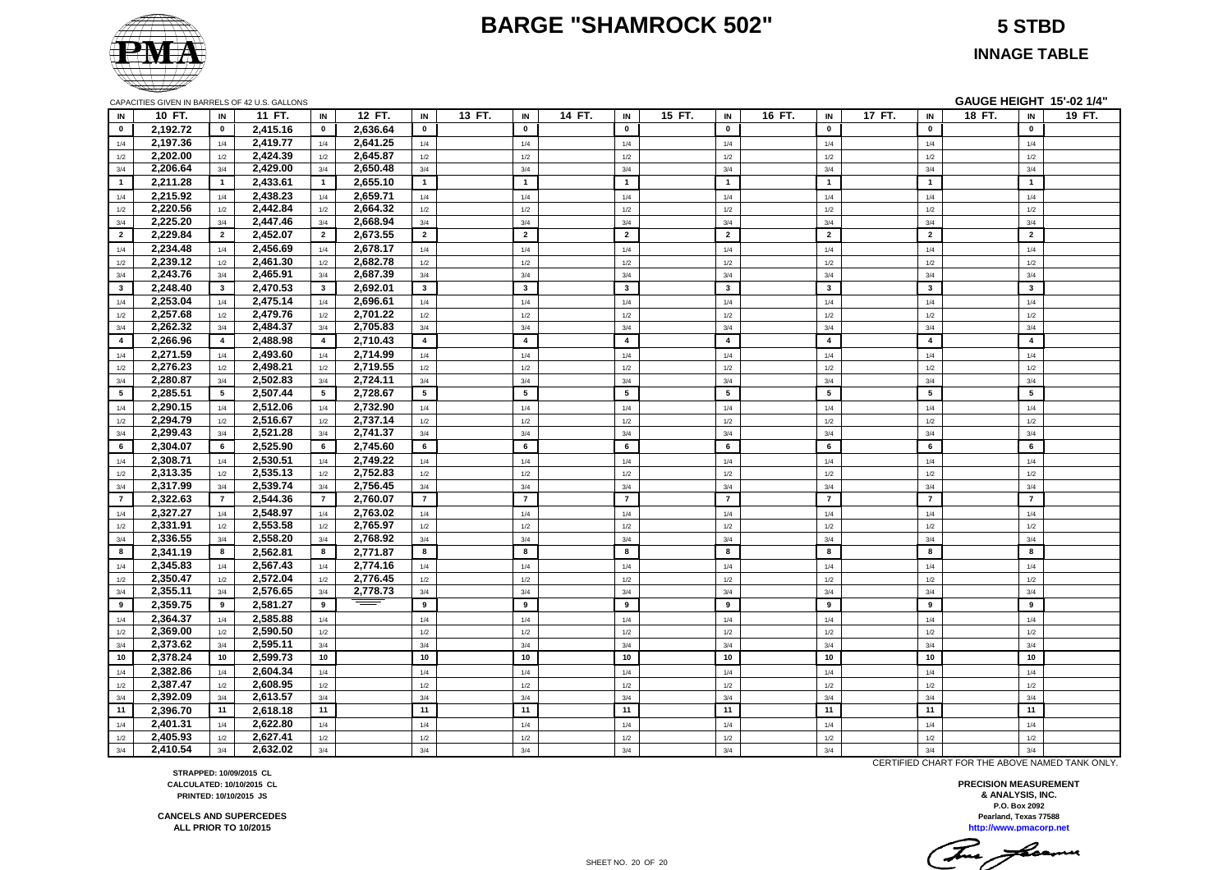#### **BARGE "SHAMROCK 502" 5 STBD**

**INNAGE TABLE**

|                         | CAPACITIES GIVEN IN BARRELS OF 42 U.S. GALLONS |                 |          |                         |          |                         |        |                         |        |                         |        |                         |        |                |        |                         | GAUGE HEIGHT 15'-02 1/4" |                |        |
|-------------------------|------------------------------------------------|-----------------|----------|-------------------------|----------|-------------------------|--------|-------------------------|--------|-------------------------|--------|-------------------------|--------|----------------|--------|-------------------------|--------------------------|----------------|--------|
| IN                      | 10 FT.                                         | IN              | 11 FT.   | IN                      | 12 FT.   | IN                      | 13 FT. | IN                      | 14 FT. | IN                      | 15 FT. | IN                      | 16 FT. | IN             | 17 FT. | IN                      | 18 FT.                   | IN             | 19 FT. |
| $\mathbf{0}$            | 2,192.72                                       | $\mathbf{0}$    | 2,415.16 | $\mathbf 0$             | 2,636.64 | $\mathbf 0$             |        | $\mathbf 0$             |        | $\mathbf 0$             |        | $\mathbf{0}$            |        | $\mathbf{0}$   |        | $\mathbf 0$             |                          | $\mathbf 0$    |        |
| 1/4                     | 2,197.36                                       | 1/4             | 2,419.77 | 1/4                     | 2,641.25 | 1/4                     |        | 1/4                     |        | 1/4                     |        | 1/4                     |        | 1/4            |        | 1/4                     |                          | 1/4            |        |
| 1/2                     | 2,202.00                                       | 1/2             | 2,424.39 | 1/2                     | 2,645.87 | 1/2                     |        | 1/2                     |        | 1/2                     |        | 1/2                     |        | 1/2            |        | 1/2                     |                          | 1/2            |        |
| 3/4                     | 2,206.64                                       | 3/4             | 2,429.00 | 3/4                     | 2,650.48 | 3/4                     |        | 3/4                     |        | 3/4                     |        | 3/4                     |        | 3/4            |        | 3/4                     |                          | 3/4            |        |
| $\blacksquare$          | 2,211.28                                       | $\overline{1}$  | 2,433.61 | $\overline{1}$          | 2,655.10 | $\mathbf{1}$            |        | $\overline{1}$          |        | $\mathbf{1}$            |        | $\overline{1}$          |        | $\overline{1}$ |        | $\overline{1}$          |                          | $\overline{1}$ |        |
| 1/4                     | 2,215.92                                       | 1/4             | 2,438.23 | 1/4                     | 2,659.71 | 1/4                     |        | 1/4                     |        | 1/4                     |        | 1/4                     |        | 1/4            |        | 1/4                     |                          | 1/4            |        |
| 1/2                     | 2,220.56                                       | 1/2             | 2,442.84 | 1/2                     | 2,664.32 | 1/2                     |        | 1/2                     |        | 1/2                     |        | 1/2                     |        | 1/2            |        | 1/2                     |                          | 1/2            |        |
| 3/4                     | 2,225.20                                       | 3/4             | 2,447.46 | 3/4                     | 2,668.94 | 3/4                     |        | 3/4                     |        | 3/4                     |        | 3/4                     |        | 3/4            |        | 3/4                     |                          | 3/4            |        |
| $\overline{\mathbf{2}}$ | 2,229.84                                       | $\overline{2}$  | 2,452.07 | $\overline{2}$          | 2,673.55 | $\overline{2}$          |        | $\overline{2}$          |        | $\overline{2}$          |        | $\overline{2}$          |        | $\overline{2}$ |        | $\overline{2}$          |                          | $\overline{2}$ |        |
| 1/4                     | 2,234.48                                       | 1/4             | 2,456.69 | 1/4                     | 2,678.17 | 1/4                     |        | 1/4                     |        | 1/4                     |        | 1/4                     |        | 1/4            |        | 1/4                     |                          | 1/4            |        |
| 1/2                     | 2,239.12                                       | 1/2             | 2,461.30 | 1/2                     | 2,682.78 | 1/2                     |        | 1/2                     |        | 1/2                     |        | 1/2                     |        | 1/2            |        | 1/2                     |                          | 1/2            |        |
| 3/4                     | 2,243.76                                       | 3/4             | 2,465.91 | 3/4                     | 2,687.39 | 3/4                     |        | 3/4                     |        | 3/4                     |        | 3/4                     |        | 3/4            |        | 3/4                     |                          | 3/4            |        |
| $\mathbf{3}$            | 2,248.40                                       | $\mathbf{3}$    | 2,470.53 | $\overline{\mathbf{3}}$ | 2,692.01 | $\overline{\mathbf{3}}$ |        | $\overline{\mathbf{3}}$ |        | $\overline{\mathbf{3}}$ |        | $\overline{\mathbf{3}}$ |        | $\mathbf{3}$   |        | $\overline{\mathbf{3}}$ |                          | $\mathbf{3}$   |        |
| 1/4                     | 2,253.04                                       | 1/4             | 2,475.14 | 1/4                     | 2,696.61 | 1/4                     |        | 1/4                     |        | 1/4                     |        | 1/4                     |        | 1/4            |        | 1/4                     |                          | 1/4            |        |
| 1/2                     | 2,257.68                                       | 1/2             | 2,479.76 | $1/2$                   | 2,701.22 | 1/2                     |        | $1/2$                   |        | 1/2                     |        | 1/2                     |        | 1/2            |        | 1/2                     |                          | 1/2            |        |
| 3/4                     | 2,262.32                                       | 3/4             | 2,484.37 | 3/4                     | 2,705.83 | 3/4                     |        | 3/4                     |        | 3/4                     |        | 3/4                     |        | 3/4            |        | 3/4                     |                          | 3/4            |        |
| $\overline{4}$          | 2,266.96                                       | $\overline{4}$  | 2,488.98 | $\overline{4}$          | 2,710.43 | $\overline{4}$          |        | $\overline{4}$          |        | $\overline{4}$          |        | $\overline{\mathbf{4}}$ |        | $\overline{4}$ |        | $\overline{4}$          |                          | $\overline{4}$ |        |
| 1/4                     | 2,271.59                                       | 1/4             | 2,493.60 | 1/4                     | 2,714.99 | 1/4                     |        | 1/4                     |        | 1/4                     |        | 1/4                     |        | 1/4            |        | 1/4                     |                          | 1/4            |        |
| 1/2                     | 2,276.23                                       | 1/2             | 2,498.21 | 1/2                     | 2,719.55 | 1/2                     |        | 1/2                     |        | 1/2                     |        | 1/2                     |        | 1/2            |        | 1/2                     |                          | 1/2            |        |
| 3/4                     | 2,280.87                                       | 3/4             | 2,502.83 | 3/4                     | 2,724.11 | 3/4                     |        | 3/4                     |        | 3/4                     |        | 3/4                     |        | 3/4            |        | 3/4                     |                          | 3/4            |        |
| 5                       | 2,285.51                                       | $5\overline{5}$ | 2,507.44 | $5\phantom{1}$          | 2,728.67 | $5\overline{5}$         |        | $5\phantom{.0}$         |        | 5                       |        | 5                       |        | 5              |        | 5                       |                          | 5              |        |
| 1/4                     | 2,290.15                                       | 1/4             | 2,512.06 | 1/4                     | 2,732.90 | 1/4                     |        | 1/4                     |        | 1/4                     |        | 1/4                     |        | 1/4            |        | 1/4                     |                          | 1/4            |        |
| 1/2                     | 2,294.79                                       | 1/2             | 2,516.67 | 1/2                     | 2,737.14 | 1/2                     |        | 1/2                     |        | 1/2                     |        | 1/2                     |        | 1/2            |        | 1/2                     |                          | 1/2            |        |
| 3/4                     | 2,299.43                                       | 3/4             | 2,521.28 | 3/4                     | 2,741.37 | 3/4                     |        | 3/4                     |        | 3/4                     |        | 3/4                     |        | 3/4            |        | 3/4                     |                          | 3/4            |        |
| 6                       | 2,304.07                                       | 6               | 2,525.90 | 6                       | 2,745.60 | 6                       |        | 6                       |        | 6                       |        | 6                       |        | 6              |        | 6                       |                          | 6              |        |
| 1/4                     | 2,308.71                                       | 1/4             | 2,530.51 | 1/4                     | 2,749.22 | 1/4                     |        | 1/4                     |        | 1/4                     |        | 1/4                     |        | 1/4            |        | 1/4                     |                          | 1/4            |        |
| 1/2                     | 2,313.35                                       | 1/2             | 2,535.13 | 1/2                     | 2,752.83 | 1/2                     |        | 1/2                     |        | 1/2                     |        | 1/2                     |        | 1/2            |        | 1/2                     |                          | 1/2            |        |
| 3/4                     | 2,317.99                                       | 3/4             | 2,539.74 | 3/4                     | 2,756.45 | 3/4                     |        | 3/4                     |        | 3/4                     |        | 3/4                     |        | 3/4            |        | 3/4                     |                          | 3/4            |        |
| $\overline{7}$          | 2,322.63                                       | $\overline{7}$  | 2,544.36 | $\overline{7}$          | 2,760.07 | $\overline{7}$          |        | $\overline{7}$          |        | $\overline{7}$          |        | $\overline{7}$          |        | $\overline{7}$ |        | $\overline{7}$          |                          | $\overline{7}$ |        |
| 1/4                     | 2,327.27                                       | 1/4             | 2,548.97 | 1/4                     | 2,763.02 | 1/4                     |        | 1/4                     |        | 1/4                     |        | 1/4                     |        | 1/4            |        | 1/4                     |                          | 1/4            |        |
| 1/2                     | 2,331.91                                       | 1/2             | 2,553.58 | 1/2                     | 2,765.97 | 1/2                     |        | 1/2                     |        | 1/2                     |        | 1/2                     |        | 1/2            |        | 1/2                     |                          | 1/2            |        |
| 3/4                     | 2,336.55                                       | 3/4             | 2,558.20 | 3/4                     | 2,768.92 | 3/4                     |        | 3/4                     |        | 3/4                     |        | 3/4                     |        | 3/4            |        | 3/4                     |                          | 3/4            |        |
| 8                       | 2,341.19                                       | 8               | 2,562.81 | 8                       | 2,771.87 | 8                       |        | 8                       |        | 8                       |        | 8                       |        | 8              |        | 8                       |                          | 8              |        |
| 1/4                     | 2,345.83                                       | 1/4             | 2,567.43 | 1/4                     | 2,774.16 | 1/4                     |        | 1/4                     |        | 1/4                     |        | 1/4                     |        | 1/4            |        | 1/4                     |                          | 1/4            |        |
| 1/2                     | 2,350.47                                       | 1/2             | 2,572.04 | 1/2                     | 2,776.45 | 1/2                     |        | 1/2                     |        | 1/2                     |        | 1/2                     |        | 1/2            |        | 1/2                     |                          | 1/2            |        |
| 3/4                     | 2,355.11                                       | 3/4             | 2,576.65 | 3/4                     | 2,778.73 | 3/4                     |        | 3/4                     |        | 3/4                     |        | 3/4                     |        | 3/4            |        | 3/4                     |                          | 3/4            |        |
| 9                       | 2,359.75                                       | 9               | 2,581.27 | 9                       |          | 9                       |        | 9                       |        | 9                       |        | 9                       |        | 9              |        | 9                       |                          | 9              |        |
| 1/4                     | 2,364.37                                       | 1/4             | 2,585.88 | 1/4                     |          | 1/4                     |        | 1/4                     |        | 1/4                     |        | 1/4                     |        | 1/4            |        | 1/4                     |                          | 1/4            |        |
| 1/2                     | 2,369.00                                       | 1/2             | 2,590.50 | 1/2                     |          | 1/2                     |        | 1/2                     |        | 1/2                     |        | 1/2                     |        | 1/2            |        | 1/2                     |                          | 1/2            |        |
| 3/4                     | 2,373.62                                       | 3/4             | 2,595.11 | 3/4                     |          | 3/4                     |        | 3/4                     |        | 3/4                     |        | 3/4                     |        | 3/4            |        | 3/4                     |                          | 3/4            |        |
| 10                      | 2,378.24                                       | 10              | 2,599.73 | 10                      |          | 10                      |        | 10                      |        | 10                      |        | 10                      |        | 10             |        | 10                      |                          | 10             |        |
| 1/4                     | 2,382.86                                       | 1/4             | 2,604.34 | 1/4                     |          | 1/4                     |        | 1/4                     |        | 1/4                     |        | 1/4                     |        | 1/4            |        | 1/4                     |                          | 1/4            |        |
| 1/2                     | 2,387.47                                       | 1/2             | 2,608.95 | 1/2                     |          | 1/2                     |        | 1/2                     |        | 1/2                     |        | 1/2                     |        | 1/2            |        | 1/2                     |                          | 1/2            |        |
| 3/4                     | 2,392.09                                       | 3/4             | 2,613.57 | 3/4                     |          | 3/4                     |        | 3/4                     |        | 3/4                     |        | 3/4                     |        | 3/4            |        | 3/4                     |                          | 3/4            |        |
| 11                      | 2.396.70                                       | 11              | 2,618.18 | 11                      |          | 11                      |        | 11                      |        | 11                      |        | 11                      |        | 11             |        | 11                      |                          | 11             |        |
| 1/4                     | 2.401.31                                       | 1/4             | 2,622.80 | 1/4                     |          | 1/4                     |        | 1/4                     |        | 1/4                     |        | 1/4                     |        | 1/4            |        | 1/4                     |                          | 1/4            |        |
| 1/2                     | 2.405.93                                       | 1/2             | 2.627.41 | 1/2                     |          | 1/2                     |        | 1/2                     |        | 1/2                     |        | 1/2                     |        | 1/2            |        | 1/2                     |                          | 1/2            |        |
| 3/4                     | 2,410.54                                       | 3/4             | 2.632.02 | 3/4                     |          | 3/4                     |        | 3/4                     |        | 3/4                     |        | 3/4                     |        | 3/4            |        | 3/4                     |                          | 3/4            |        |

CERTIFIED CHART FOR THE ABOVE NAMED TANK ONLY.

**http://www.pmacorp.net Pearland, Texas 77588 PRECISION MEASUREMENT & ANALYSIS, INC. P.O. Box 2092**

This frame

**STRAPPED: 10/09/2015 CL CALCULATED: 10/10/2015 CL PRINTED: 10/10/2015 JS**

**CANCELS AND SUPERCEDES ALL PRIOR TO 10/2015**

SHEET NO. 20 OF 20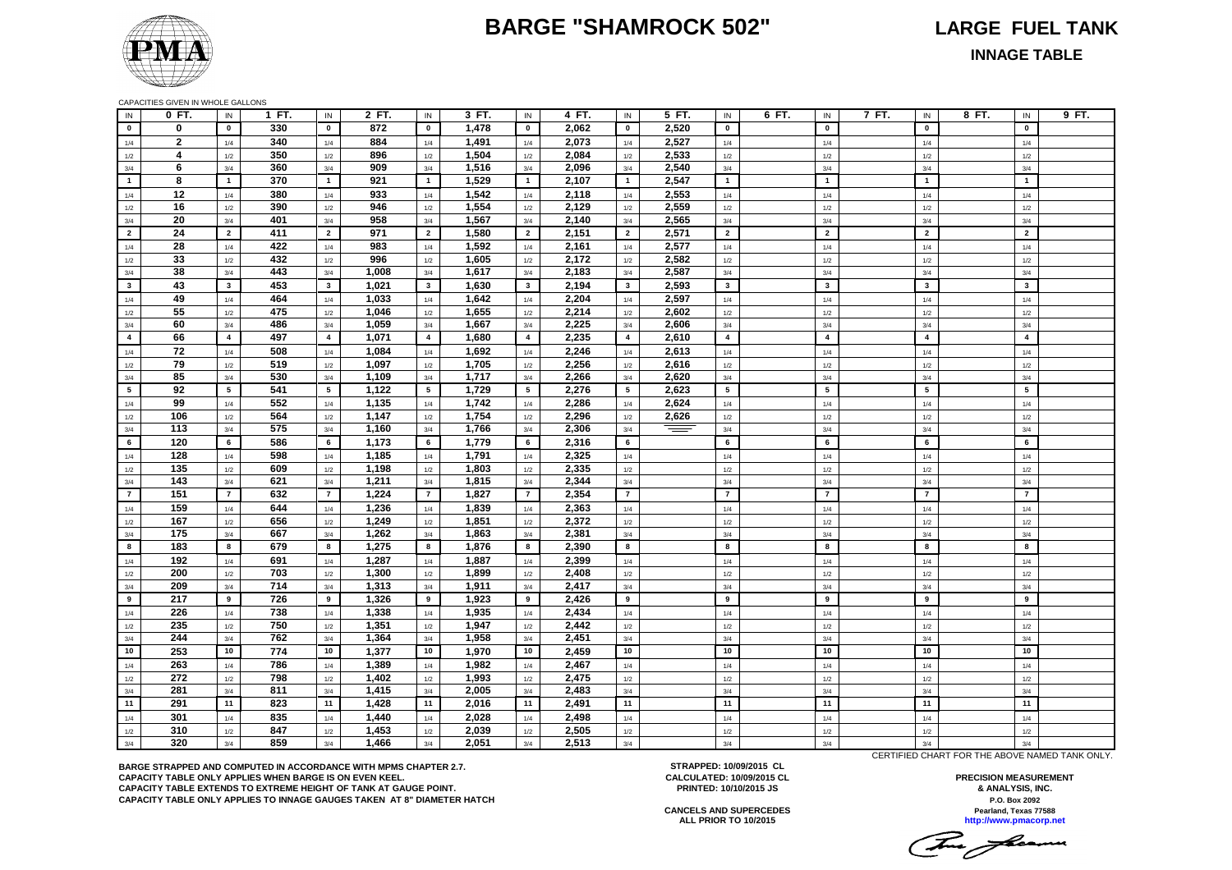#### **BARGE "SHAMROCK 502" LARGE FUEL TANK**



**INNAGE TABLE**

CAPACITIES GIVEN IN WHOLE GALLONS

| IN              | 0 FT.          | IN              | 1 FT. | IN              | 2 FT. | IN              | 3 FT. | IN                      | 4 FT. | IN             | 5 FT.    | IN              | 6 FT.<br>IN             | 7 FT. | IN                      | 8 FT. | IN             | 9 FT. |
|-----------------|----------------|-----------------|-------|-----------------|-------|-----------------|-------|-------------------------|-------|----------------|----------|-----------------|-------------------------|-------|-------------------------|-------|----------------|-------|
| $\mathbf{0}$    | $\bf{0}$       | $\mathbf 0$     | 330   | $\mathbf 0$     | 872   | $\mathbf 0$     | 1,478 | $\mathbf 0$             | 2,062 | $\mathbf{0}$   | 2,520    | $\mathbf 0$     | $\mathbf{0}$            |       | $\mathbf 0$             |       | $\mathbf 0$    |       |
| 1/4             | $\overline{2}$ | 1/4             | 340   | 1/4             | 884   | 1/4             | 1,491 | 1/4                     | 2,073 | 1/4            | 2,527    | $1/4$           | 1/4                     |       | 1/4                     |       | 1/4            |       |
| 1/2             | $\overline{4}$ | 1/2             | 350   | 1/2             | 896   | 1/2             | 1,504 | 1/2                     | 2,084 | 1/2            | 2,533    | 1/2             | 1/2                     |       | 1/2                     |       | 1/2            |       |
| 3/4             | 6              | 3/4             | 360   | 3/4             | 909   | 3/4             | 1,516 | 3/4                     | 2,096 | 3/4            | 2,540    | 3/4             | 3/4                     |       | 3/4                     |       | 3/4            |       |
| $\mathbf{1}$    | 8              | $\mathbf{1}$    | 370   | $\mathbf{1}$    | 921   | $\mathbf{1}$    | 1,529 | $\mathbf{1}$            | 2,107 | $\overline{1}$ | 2,547    | $\overline{1}$  | $\overline{1}$          |       | $\overline{1}$          |       | $\mathbf{1}$   |       |
| 1/4             | 12             | 1/4             | 380   | $1/4$           | 933   | 1/4             | 1,542 | 1/4                     | 2,118 | 1/4            | 2,553    | 1/4             | 1/4                     |       | 1/4                     |       | 1/4            |       |
| 1/2             | 16             | 1/2             | 390   | 1/2             | 946   | 1/2             | 1,554 | 1/2                     | 2,129 | 1/2            | 2,559    | 1/2             | 1/2                     |       | 1/2                     |       | 1/2            |       |
| 3/4             | 20             | $3/4$           | 401   | $3/4$           | 958   | 3/4             | 1,567 | 3/4                     | 2,140 | 3/4            | 2,565    | 3/4             | 3/4                     |       | 3/4                     |       | $3/4$          |       |
| $\overline{2}$  | 24             | $\overline{2}$  | 411   | $\overline{2}$  | 971   | $\overline{2}$  | 1,580 | $\overline{2}$          | 2,151 | $\overline{2}$ | 2,571    | $\overline{2}$  | $\overline{2}$          |       | $\overline{2}$          |       | $\overline{2}$ |       |
| 1/4             | 28             | 1/4             | 422   | 1/4             | 983   | 1/4             | 1,592 | 1/4                     | 2,161 | 1/4            | 2,577    | 1/4             | 1/4                     |       | 1/4                     |       | 1/4            |       |
| 1/2             | 33             | 1/2             | 432   | 1/2             | 996   | 1/2             | 1,605 | 1/2                     | 2,172 | 1/2            | 2.582    | 1/2             | 1/2                     |       | 1/2                     |       | 1/2            |       |
| 3/4             | 38             | 3/4             | 443   | 3/4             | 1,008 | 3/4             | 1,617 | 3/4                     | 2,183 | 3/4            | 2,587    | 3/4             | 3/4                     |       | 3/4                     |       | 3/4            |       |
| $\mathbf{3}$    | 43             | $\mathbf{3}$    | 453   | $\mathbf{3}$    | 1,021 | $\mathbf{3}$    | 1,630 | 3 <sup>1</sup>          | 2,194 | $\mathbf{3}$   | 2,593    | $\mathbf{3}$    | $\overline{\mathbf{3}}$ |       | $\overline{\mathbf{3}}$ |       | $\mathbf{3}$   |       |
| 1/4             | 49             | 1/4             | 464   | 1/4             | 1,033 | 1/4             | 1,642 | 1/4                     | 2,204 | 1/4            | 2,597    | 1/4             | 1/4                     |       | 1/4                     |       | 1/4            |       |
| 1/2             | 55             | 1/2             | 475   | 1/2             | 1,046 | 1/2             | 1,655 | 1/2                     | 2,214 | 1/2            | 2,602    | $1/2\,$         | 1/2                     |       | 1/2                     |       | 1/2            |       |
| 3/4             | 60             | 3/4             | 486   | 3/4             | 1,059 | 3/4             | 1,667 | 3/4                     | 2,225 | 3/4            | 2,606    | 3/4             | 3/4                     |       | 3/4                     |       | 3/4            |       |
| $\overline{4}$  | 66             | $\overline{4}$  | 497   | $\overline{4}$  | 1,071 | $\overline{4}$  | 1,680 | $\overline{\mathbf{4}}$ | 2,235 | $\overline{4}$ | 2,610    | $\overline{4}$  | $\overline{4}$          |       | $\overline{4}$          |       | $\overline{4}$ |       |
| 1/4             | 72             | 1/4             | 508   | 1/4             | 1,084 | 1/4             | 1,692 | 1/4                     | 2,246 | 1/4            | 2,613    | $1/4$           | 1/4                     |       | 1/4                     |       | 1/4            |       |
| 1/2             | 79             | 1/2             | 519   | 1/2             | 1,097 | 1/2             | 1,705 | 1/2                     | 2,256 | 1/2            | 2,616    | $1/2\,$         | 1/2                     |       | 1/2                     |       | 1/2            |       |
| 3/4             | 85             | 3/4             | 530   | 3/4             | 1,109 | 3/4             | 1,717 | 3/4                     | 2,266 | 3/4            | 2,620    | 3/4             | 3/4                     |       | 3/4                     |       | 3/4            |       |
| $5\phantom{.0}$ | 92             | $5\phantom{.0}$ | 541   | $5\phantom{.0}$ | 1,122 | $5\overline{5}$ | 1,729 | $5\phantom{a}$          | 2,276 | 5              | 2,623    | $5\phantom{.0}$ | 5                       |       | 5                       |       | 5              |       |
| 1/4             | 99             | 1/4             | 552   | 1/4             | 1,135 | 1/4             | 1,742 | 1/4                     | 2,286 | 1/4            | 2,624    | 1/4             | 1/4                     |       | 1/4                     |       | 1/4            |       |
| 1/2             | 106            | 1/2             | 564   | 1/2             | 1,147 | 1/2             | 1,754 | 1/2                     | 2,296 | 1/2            | 2,626    | $1/2\,$         | 1/2                     |       | 1/2                     |       | 1/2            |       |
| 3/4             | 113            | 3/4             | 575   | $3/4$           | 1,160 | 3/4             | 1,766 | 3/4                     | 2,306 | $3/4$          | $\equiv$ | 3/4             | 3/4                     |       | 3/4                     |       | 3/4            |       |
| 6               | 120            | 6               | 586   | 6               | 1,173 | 6               | 1,779 | 6                       | 2,316 | 6              |          | 6               | 6                       |       | 6                       |       | 6              |       |
| 1/4             | 128            | 1/4             | 598   | 1/4             | 1,185 | 1/4             | 1,791 | 1/4                     | 2,325 | 1/4            |          | 1/4             | 1/4                     |       | 1/4                     |       | 1/4            |       |
| $1/2\,$         | 135            | 1/2             | 609   | 1/2             | 1,198 | $1/2$           | 1,803 | 1/2                     | 2,335 | $1/2\,$        |          | 1/2             | 1/2                     |       | $1/2$                   |       | 1/2            |       |
| 3/4             | 143            | 3/4             | 621   | 3/4             | 1,211 | 3/4             | 1,815 | 3/4                     | 2,344 | 3/4            |          | 3/4             | 3/4                     |       | 3/4                     |       | 3/4            |       |
| $\overline{7}$  | 151            | $\overline{7}$  | 632   | $\overline{7}$  | 1,224 | $\overline{7}$  | 1,827 | $\overline{7}$          | 2,354 | $\overline{7}$ |          | $\overline{7}$  | $\overline{7}$          |       | $\overline{7}$          |       | $\overline{7}$ |       |
| 1/4             | 159            | 1/4             | 644   | 1/4             | 1,236 | 1/4             | 1,839 | 1/4                     | 2,363 | 1/4            |          | 1/4             | 1/4                     |       | 1/4                     |       | 1/4            |       |
| 1/2             | 167            | 1/2             | 656   | 1/2             | 1,249 | 1/2             | 1,851 | 1/2                     | 2,372 | 1/2            |          | 1/2             | 1/2                     |       | 1/2                     |       | 1/2            |       |
| 3/4             | 175            | 3/4             | 667   | 3/4             | 1,262 | 3/4             | 1,863 | 3/4                     | 2,381 | 3/4            |          | 3/4             | 3/4                     |       | 3/4                     |       | 3/4            |       |
| 8               | 183            | 8               | 679   | 8               | 1,275 | 8               | 1,876 | 8                       | 2,390 | 8              |          | 8               | 8                       |       | 8                       |       | 8              |       |
| 1/4             | 192            | 1/4             | 691   | 1/4             | 1,287 | 1/4             | 1,887 | $1/4$                   | 2,399 | 1/4            |          | 1/4             | 1/4                     |       | 1/4                     |       | 1/4            |       |
| 1/2             | 200            | 1/2             | 703   | 1/2             | 1,300 | 1/2             | 1,899 | 1/2                     | 2,408 | 1/2            |          | 1/2             | 1/2                     |       | 1/2                     |       | 1/2            |       |
| 3/4             | 209            | 3/4             | 714   | 3/4             | 1,313 | 3/4             | 1,911 | 3/4                     | 2,417 | 3/4            |          | 3/4             | 3/4                     |       | 3/4                     |       | 3/4            |       |
| 9               | 217            | 9               | 726   | 9               | 1,326 | 9               | 1,923 | 9                       | 2,426 | 9              |          | 9               | 9                       |       | 9                       |       | 9              |       |
| 1/4             | 226            | 1/4             | 738   | 1/4             | 1,338 | 1/4             | 1,935 | 1/4                     | 2,434 | 1/4            |          | 1/4             | 1/4                     |       | 1/4                     |       | 1/4            |       |
| 1/2             | 235            | 1/2             | 750   | $1/2\,$         | 1,351 | 1/2             | 1,947 | 1/2                     | 2,442 | $1/2\,$        |          | $1/2$           | 1/2                     |       | 1/2                     |       | 1/2            |       |
| 3/4             | 244            | 3/4             | 762   | $3/4$           | 1,364 | 3/4             | 1,958 | 3/4                     | 2,451 | 3/4            |          | 3/4             | 3/4                     |       | 3/4                     |       | 3/4            |       |
| 10              | 253            | 10              | 774   | 10              | 1,377 | 10              | 1,970 | 10                      | 2,459 | 10             |          | 10              | 10                      |       | 10                      |       | 10             |       |
| 1/4             | 263            | 1/4             | 786   | $1/4$           | 1,389 | 1/4             | 1,982 | $1/4$                   | 2,467 | $1/4$          |          | 1/4             | 1/4                     |       | $1/4$                   |       | 1/4            |       |
| $1/2\,$         | 272            | 1/2             | 798   | 1/2             | 1,402 | 1/2             | 1,993 | 1/2                     | 2,475 | $1/2\,$        |          | 1/2             | 1/2                     |       | 1/2                     |       | 1/2            |       |
| 3/4             | 281            | 3/4             | 811   | 3/4             | 1,415 | 3/4             | 2,005 | 3/4                     | 2,483 | 3/4            |          | 3/4             | 3/4                     |       | 3/4                     |       | 3/4            |       |
| 11              | 291            | 11              | 823   | 11              | 1,428 | 11              | 2,016 | 11                      | 2,491 | 11             |          | 11              | 11                      |       | 11                      |       | 11             |       |
| 1/4             | 301            | 1/4             | 835   | 1/4             | 1,440 | 1/4             | 2,028 | 1/4                     | 2,498 | 1/4            |          | 1/4             | 1/4                     |       | 1/4                     |       | 1/4            |       |
| 1/2             | 310            | 1/2             | 847   | 1/2             | 1,453 | 1/2             | 2,039 | 1/2                     | 2,505 | 1/2            |          | 1/2             | 1/2                     |       | 1/2                     |       | 1/2            |       |
| 3/4             | 320            | 3/4             | 859   | 3/4             | 1,466 | 3/4             | 2,051 | 3/4                     | 2,513 | $3/4$          |          | 3/4             | 3/4                     |       | $3/4$                   |       | 3/4            |       |

**BARGE STRAPPED AND COMPUTED IN ACCORDANCE WITH MPMS CHAPTER 2.7. CAPACITY TABLE ONLY APPLIES WHEN BARGE IS ON EVEN KEEL. CAPACITY TABLE EXTENDS TO EXTREME HEIGHT OF TANK AT GAUGE POINT. CAPACITY TABLE ONLY APPLIES TO INNAGE GAUGES TAKEN AT 8" DIAMETER HATCH**

**STRAPPED: 10/09/2015 CL CALCULATED: 10/09/2015 CL PRINTED: 10/10/2015 JS**

**Pearland, Texas 77588 PRECISION MEASUREMENT & ANALYSIS, INC. P.O. Box 2092**

**ALL PRIOR TO 10/2015 http://www.pmacorp.net CANCELS AND SUPERCEDES**

The flowers

CERTIFIED CHART FOR THE ABOVE NAMED TANK ONLY.